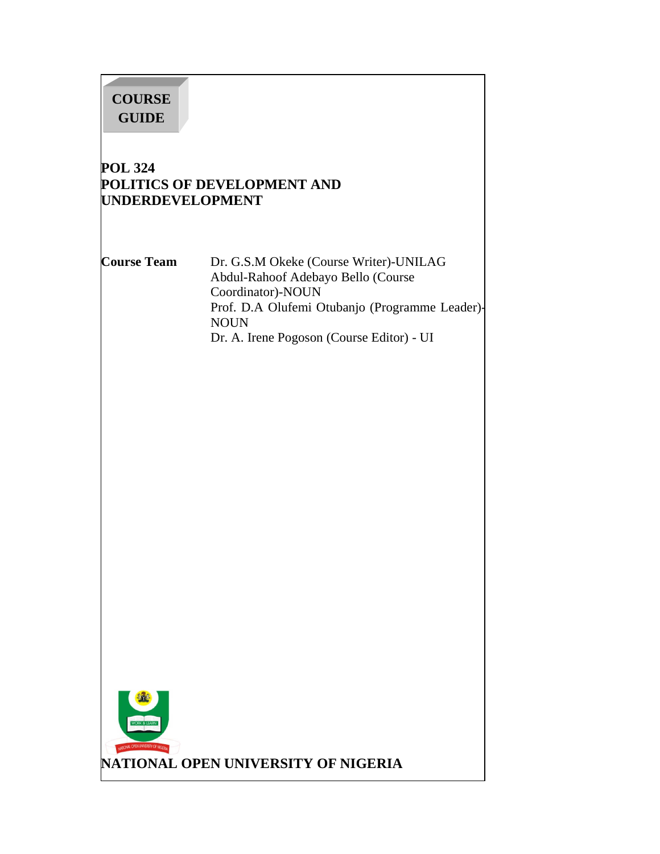# **COURSE GUIDE**

# **POL 324 POLITICS OF DEVELOPMENT AND UNDERDEVELOPMENT**

**Course Team** Dr. G.S.M Okeke (Course Writer)-UNILAG Abdul-Rahoof Adebayo Bello (Course Coordinator)-NOUN Prof. D.A Olufemi Otubanjo (Programme Leader)- NOUN Dr. A. Irene Pogoson (Course Editor) - UI

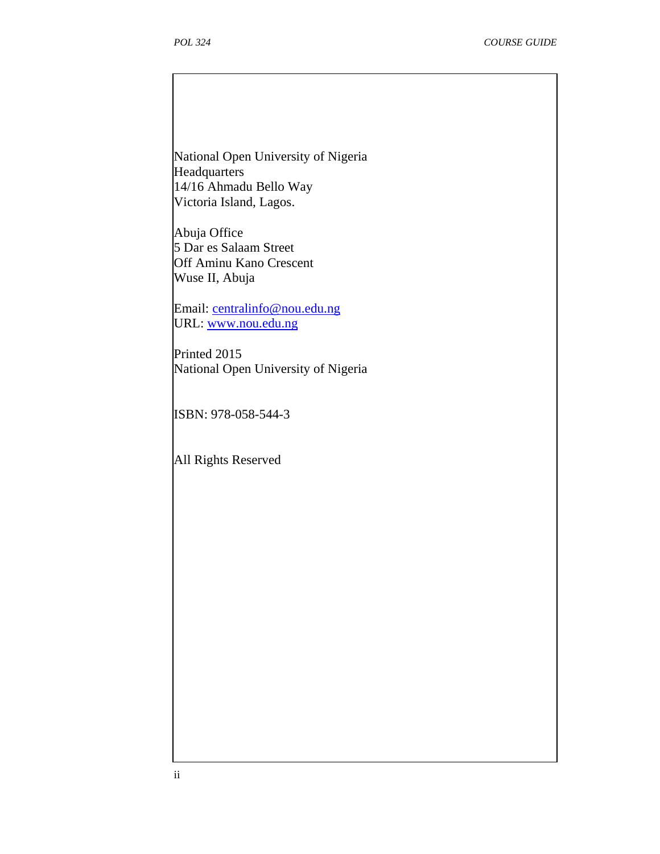National Open University of Nigeria **Headquarters** 14/16 Ahmadu Bello Way Victoria Island, Lagos.

Abuja Office 5 Dar es Salaam Street Off Aminu Kano Crescent Wuse II, Abuja

Email: centralinfo@nou.edu.ng URL: www.nou.edu.ng

Printed 2015 National Open University of Nigeria

ISBN: 978-058-544-3

All Rights Reserved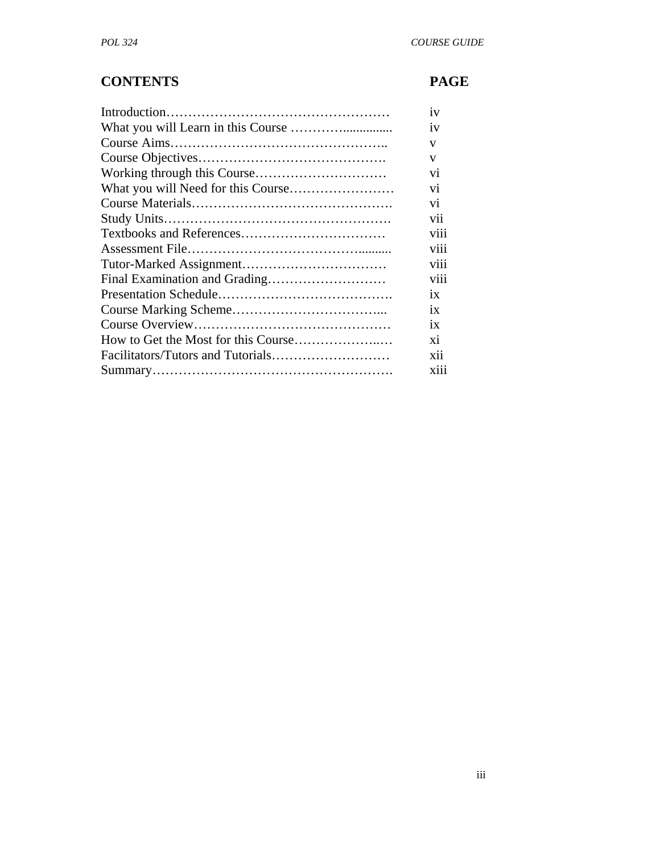# **CONTENTS PAGE**

|                               | 1V              |
|-------------------------------|-----------------|
|                               | 1V              |
|                               | V               |
|                               | V               |
|                               | V <sub>1</sub>  |
|                               | V1              |
|                               | Vİ.             |
|                               | $\rm vii$       |
|                               | viii            |
|                               | viii            |
|                               | viii            |
| Final Examination and Grading | VIII            |
|                               | 1X              |
|                               | 1X              |
|                               | $\overline{1}x$ |
|                               | xi              |
|                               | xii             |
|                               | X111            |
|                               |                 |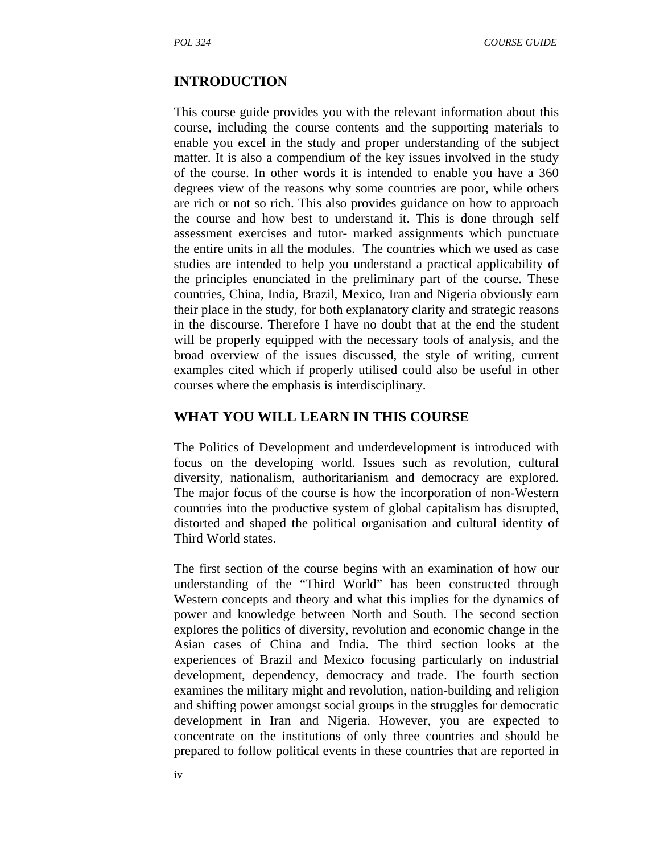#### **INTRODUCTION**

This course guide provides you with the relevant information about this course, including the course contents and the supporting materials to enable you excel in the study and proper understanding of the subject matter. It is also a compendium of the key issues involved in the study of the course. In other words it is intended to enable you have a 360 degrees view of the reasons why some countries are poor, while others are rich or not so rich. This also provides guidance on how to approach the course and how best to understand it. This is done through self assessment exercises and tutor- marked assignments which punctuate the entire units in all the modules. The countries which we used as case studies are intended to help you understand a practical applicability of the principles enunciated in the preliminary part of the course. These countries, China, India, Brazil, Mexico, Iran and Nigeria obviously earn their place in the study, for both explanatory clarity and strategic reasons in the discourse. Therefore I have no doubt that at the end the student will be properly equipped with the necessary tools of analysis, and the broad overview of the issues discussed, the style of writing, current examples cited which if properly utilised could also be useful in other courses where the emphasis is interdisciplinary.

### **WHAT YOU WILL LEARN IN THIS COURSE**

The Politics of Development and underdevelopment is introduced with focus on the developing world. Issues such as revolution, cultural diversity, nationalism, authoritarianism and democracy are explored. The major focus of the course is how the incorporation of non-Western countries into the productive system of global capitalism has disrupted, distorted and shaped the political organisation and cultural identity of Third World states.

The first section of the course begins with an examination of how our understanding of the "Third World" has been constructed through Western concepts and theory and what this implies for the dynamics of power and knowledge between North and South. The second section explores the politics of diversity, revolution and economic change in the Asian cases of China and India. The third section looks at the experiences of Brazil and Mexico focusing particularly on industrial development, dependency, democracy and trade. The fourth section examines the military might and revolution, nation-building and religion and shifting power amongst social groups in the struggles for democratic development in Iran and Nigeria. However, you are expected to concentrate on the institutions of only three countries and should be prepared to follow political events in these countries that are reported in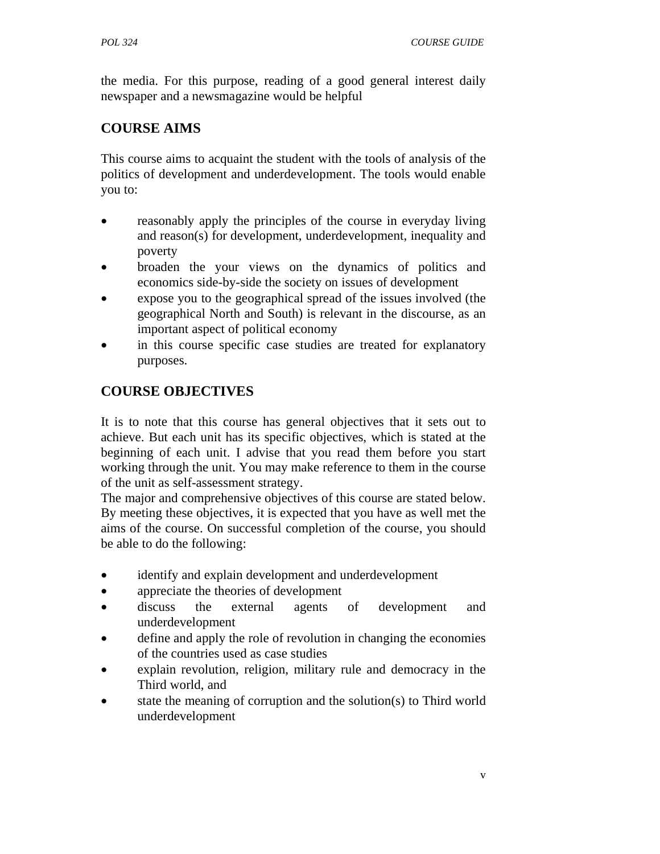the media. For this purpose, reading of a good general interest daily newspaper and a newsmagazine would be helpful

# **COURSE AIMS**

This course aims to acquaint the student with the tools of analysis of the politics of development and underdevelopment. The tools would enable you to:

- reasonably apply the principles of the course in everyday living and reason(s) for development, underdevelopment, inequality and poverty
- broaden the your views on the dynamics of politics and economics side-by-side the society on issues of development
- expose you to the geographical spread of the issues involved (the geographical North and South) is relevant in the discourse, as an important aspect of political economy
- in this course specific case studies are treated for explanatory purposes.

# **COURSE OBJECTIVES**

It is to note that this course has general objectives that it sets out to achieve. But each unit has its specific objectives, which is stated at the beginning of each unit. I advise that you read them before you start working through the unit. You may make reference to them in the course of the unit as self-assessment strategy.

The major and comprehensive objectives of this course are stated below. By meeting these objectives, it is expected that you have as well met the aims of the course. On successful completion of the course, you should be able to do the following:

- identify and explain development and underdevelopment
- appreciate the theories of development
- discuss the external agents of development and underdevelopment
- define and apply the role of revolution in changing the economies of the countries used as case studies
- explain revolution, religion, military rule and democracy in the Third world, and
- state the meaning of corruption and the solution(s) to Third world underdevelopment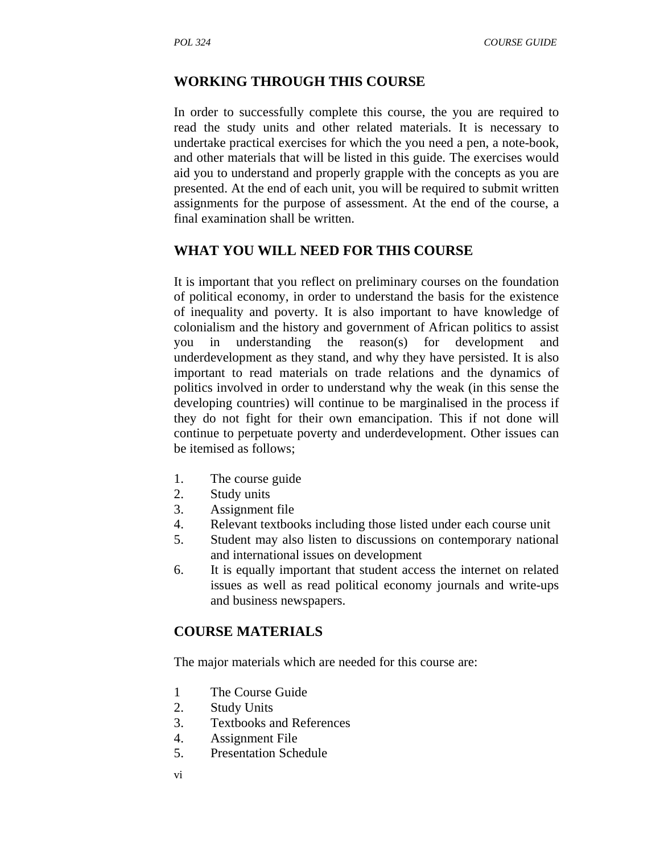# **WORKING THROUGH THIS COURSE**

In order to successfully complete this course, the you are required to read the study units and other related materials. It is necessary to undertake practical exercises for which the you need a pen, a note-book, and other materials that will be listed in this guide. The exercises would aid you to understand and properly grapple with the concepts as you are presented. At the end of each unit, you will be required to submit written assignments for the purpose of assessment. At the end of the course, a final examination shall be written.

### **WHAT YOU WILL NEED FOR THIS COURSE**

It is important that you reflect on preliminary courses on the foundation of political economy, in order to understand the basis for the existence of inequality and poverty. It is also important to have knowledge of colonialism and the history and government of African politics to assist you in understanding the reason(s) for development and underdevelopment as they stand, and why they have persisted. It is also important to read materials on trade relations and the dynamics of politics involved in order to understand why the weak (in this sense the developing countries) will continue to be marginalised in the process if they do not fight for their own emancipation. This if not done will continue to perpetuate poverty and underdevelopment. Other issues can be itemised as follows;

- 1. The course guide
- 2. Study units
- 3. Assignment file
- 4. Relevant textbooks including those listed under each course unit
- 5. Student may also listen to discussions on contemporary national and international issues on development
- 6. It is equally important that student access the internet on related issues as well as read political economy journals and write-ups and business newspapers.

# **COURSE MATERIALS**

The major materials which are needed for this course are:

- 1 The Course Guide
- 2. Study Units
- 3. Textbooks and References
- 4. Assignment File
- 5. Presentation Schedule
- vi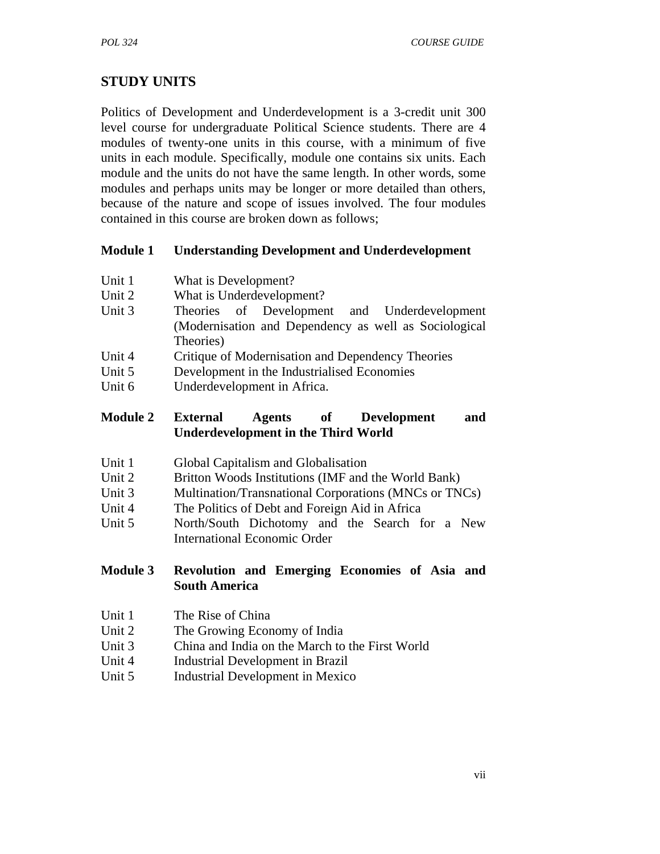# **STUDY UNITS**

Politics of Development and Underdevelopment is a 3-credit unit 300 level course for undergraduate Political Science students. There are 4 modules of twenty-one units in this course, with a minimum of five units in each module. Specifically, module one contains six units. Each module and the units do not have the same length. In other words, some modules and perhaps units may be longer or more detailed than others, because of the nature and scope of issues involved. The four modules contained in this course are broken down as follows;

### **Module 1 Understanding Development and Underdevelopment**

- Unit 1 What is Development?
- Unit 2 What is Underdevelopment?
- Unit 3 Theories of Development and Underdevelopment (Modernisation and Dependency as well as Sociological Theories)
- Unit 4 Critique of Modernisation and Dependency Theories
- Unit 5 Development in the Industrialised Economies
- Unit 6 Underdevelopment in Africa.

### **Module 2 External Agents of Development and Underdevelopment in the Third World**

- Unit 1 Global Capitalism and Globalisation
- Unit 2 Britton Woods Institutions (IMF and the World Bank)
- Unit 3 Multination/Transnational Corporations (MNCs or TNCs)
- Unit 4 The Politics of Debt and Foreign Aid in Africa
- Unit 5 North/South Dichotomy and the Search for a New International Economic Order

### **Module 3 Revolution and Emerging Economies of Asia and South America**

- Unit 1 The Rise of China
- Unit 2 The Growing Economy of India
- Unit 3 China and India on the March to the First World
- Unit 4 Industrial Development in Brazil
- Unit 5 Industrial Development in Mexico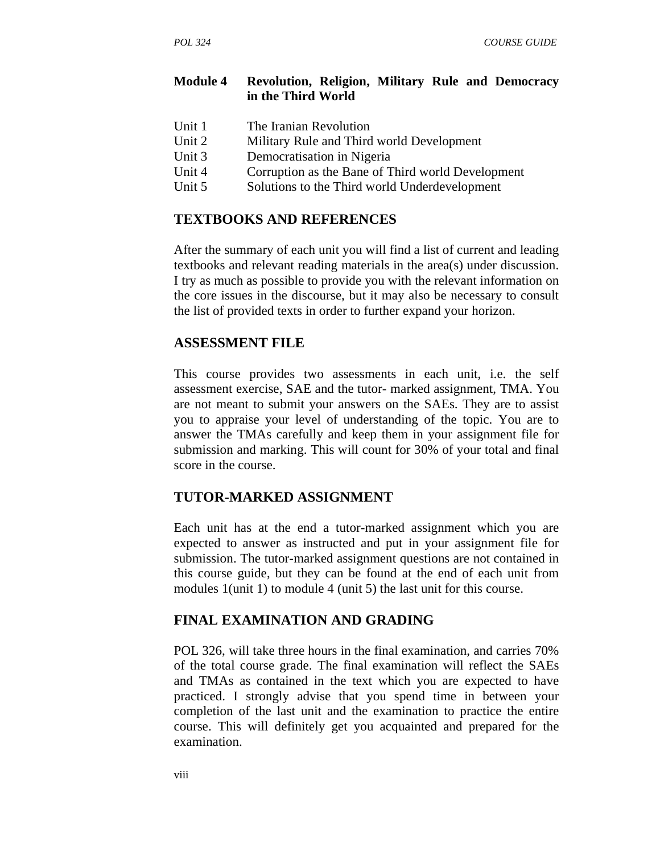### **Module 4 Revolution, Religion, Military Rule and Democracy in the Third World**

- Unit 1 The Iranian Revolution
- Unit 2 Military Rule and Third world Development
- Unit 3 Democratisation in Nigeria
- Unit 4 Corruption as the Bane of Third world Development
- Unit 5 Solutions to the Third world Underdevelopment

### **TEXTBOOKS AND REFERENCES**

After the summary of each unit you will find a list of current and leading textbooks and relevant reading materials in the area(s) under discussion. I try as much as possible to provide you with the relevant information on the core issues in the discourse, but it may also be necessary to consult the list of provided texts in order to further expand your horizon.

### **ASSESSMENT FILE**

This course provides two assessments in each unit, i.e. the self assessment exercise, SAE and the tutor- marked assignment, TMA. You are not meant to submit your answers on the SAEs. They are to assist you to appraise your level of understanding of the topic. You are to answer the TMAs carefully and keep them in your assignment file for submission and marking. This will count for 30% of your total and final score in the course.

# **TUTOR-MARKED ASSIGNMENT**

Each unit has at the end a tutor-marked assignment which you are expected to answer as instructed and put in your assignment file for submission. The tutor-marked assignment questions are not contained in this course guide, but they can be found at the end of each unit from modules 1(unit 1) to module 4 (unit 5) the last unit for this course.

### **FINAL EXAMINATION AND GRADING**

POL 326, will take three hours in the final examination, and carries 70% of the total course grade. The final examination will reflect the SAEs and TMAs as contained in the text which you are expected to have practiced. I strongly advise that you spend time in between your completion of the last unit and the examination to practice the entire course. This will definitely get you acquainted and prepared for the examination.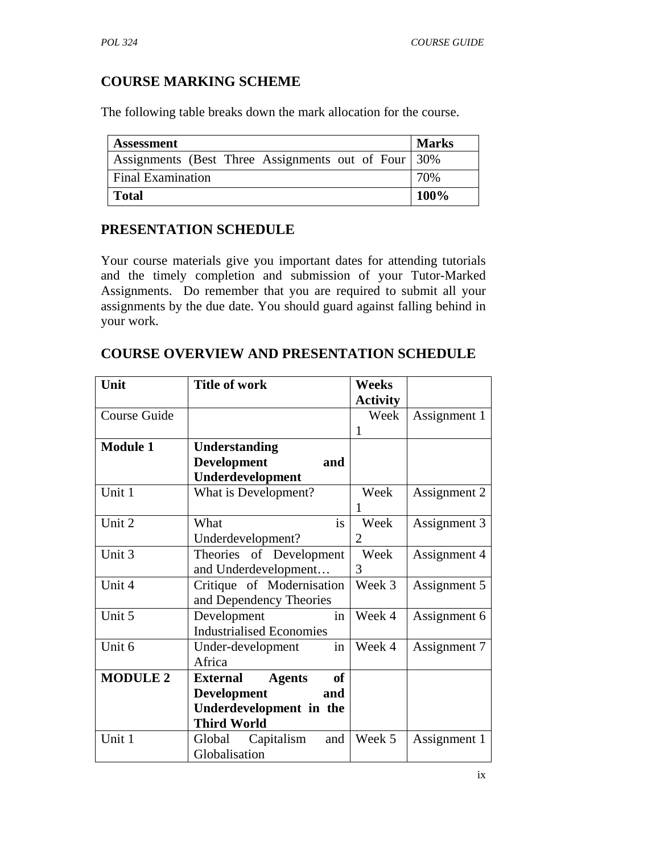# **COURSE MARKING SCHEME**

The following table breaks down the mark allocation for the course.

| <b>Assessment</b>                                   | <b>Marks</b> |
|-----------------------------------------------------|--------------|
| Assignments (Best Three Assignments out of Four 30% |              |
| <b>Final Examination</b>                            | 70%          |
| <b>Total</b>                                        | 100%         |

### **PRESENTATION SCHEDULE**

Your course materials give you important dates for attending tutorials and the timely completion and submission of your Tutor-Marked Assignments. Do remember that you are required to submit all your assignments by the due date. You should guard against falling behind in your work.

| Unit            | <b>Title of work</b>                          | <b>Weeks</b>    |              |
|-----------------|-----------------------------------------------|-----------------|--------------|
|                 |                                               | <b>Activity</b> |              |
| Course Guide    |                                               | Week            | Assignment 1 |
|                 |                                               | 1               |              |
| <b>Module 1</b> | <b>Understanding</b>                          |                 |              |
|                 | <b>Development</b><br>and                     |                 |              |
|                 | Underdevelopment                              |                 |              |
| Unit 1          | What is Development?                          | Week            | Assignment 2 |
|                 |                                               |                 |              |
| Unit 2          | is<br>What                                    | Week            | Assignment 3 |
|                 | Underdevelopment?                             | 2               |              |
| Unit 3          | Theories of Development                       | Week            | Assignment 4 |
|                 | and Underdevelopment                          | 3               |              |
| Unit 4          | Critique of Modernisation                     | Week 3          | Assignment 5 |
|                 | and Dependency Theories                       |                 |              |
| Unit 5          | in<br>Development                             | Week 4          | Assignment 6 |
|                 | <b>Industrialised Economies</b>               |                 |              |
| Unit 6          | in<br>Under-development                       | Week 4          | Assignment 7 |
|                 | Africa                                        |                 |              |
| <b>MODULE 2</b> | <b>of</b><br><b>Agents</b><br><b>External</b> |                 |              |
|                 | <b>Development</b><br>and                     |                 |              |
|                 | Underdevelopment in the                       |                 |              |
|                 | <b>Third World</b>                            |                 |              |
| Unit 1          | Capitalism<br>and<br>Global                   | Week 5          | Assignment 1 |
|                 | Globalisation                                 |                 |              |

### **COURSE OVERVIEW AND PRESENTATION SCHEDULE**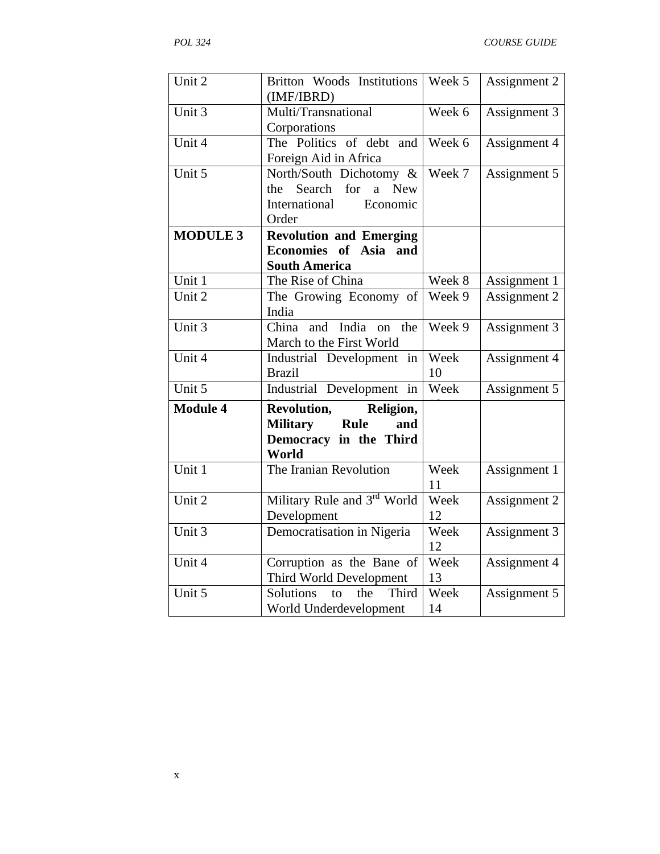| Unit 2              | Britton Woods Institutions<br>(IMF/IBRD)                                                                            | Week 5     | Assignment 2 |
|---------------------|---------------------------------------------------------------------------------------------------------------------|------------|--------------|
| Unit 3              | Multi/Transnational<br>Corporations                                                                                 | Week 6     | Assignment 3 |
| Unit 4              | The Politics of debt and<br>Foreign Aid in Africa                                                                   | Week 6     | Assignment 4 |
| Unit 5              | North/South Dichotomy &<br>for<br>Search<br>$\mathbf{a}$<br><b>New</b><br>the<br>International<br>Economic<br>Order | Week 7     | Assignment 5 |
| <b>MODULE 3</b>     | <b>Revolution and Emerging</b>                                                                                      |            |              |
|                     | Economies of Asia and                                                                                               |            |              |
| Unit 1              | <b>South America</b><br>The Rise of China                                                                           | Week 8     |              |
| Unit 2              |                                                                                                                     | Week 9     | Assignment 1 |
|                     | The Growing Economy of<br>India                                                                                     |            | Assignment 2 |
| Unit 3              | India<br>China<br>and<br>the<br><sub>on</sub><br>March to the First World                                           | Week 9     | Assignment 3 |
| Unit $\overline{4}$ | Industrial Development in                                                                                           | Week       | Assignment 4 |
|                     | <b>Brazil</b>                                                                                                       | 10         |              |
| Unit $5$            | Industrial Development in                                                                                           | Week       | Assignment 5 |
| <b>Module 4</b>     | Revolution,<br>Religion,                                                                                            |            |              |
|                     | <b>Military</b><br><b>Rule</b><br>and                                                                               |            |              |
|                     | Democracy in the Third<br>World                                                                                     |            |              |
| Unit 1              | The Iranian Revolution                                                                                              | Week       | Assignment 1 |
| Unit 2              |                                                                                                                     | 11<br>Week |              |
|                     | Military Rule and 3rd World<br>Development                                                                          | 12         | Assignment 2 |
| Unit 3              | Democratisation in Nigeria                                                                                          | Week       |              |
|                     |                                                                                                                     | 12         | Assignment 3 |
| Unit 4              | Corruption as the Bane of                                                                                           | Week       | Assignment 4 |
|                     | Third World Development                                                                                             | 13         |              |
| Unit 5              | Solutions<br>Third<br>the<br>to                                                                                     | Week       | Assignment 5 |
|                     | World Underdevelopment                                                                                              | 14         |              |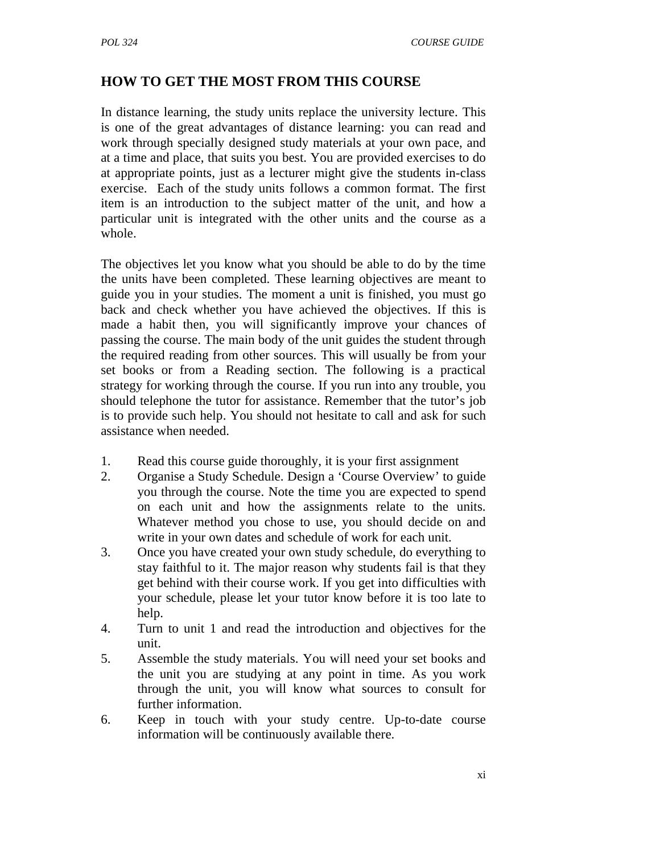# **HOW TO GET THE MOST FROM THIS COURSE**

In distance learning, the study units replace the university lecture. This is one of the great advantages of distance learning: you can read and work through specially designed study materials at your own pace, and at a time and place, that suits you best. You are provided exercises to do at appropriate points, just as a lecturer might give the students in-class exercise. Each of the study units follows a common format. The first item is an introduction to the subject matter of the unit, and how a particular unit is integrated with the other units and the course as a whole.

The objectives let you know what you should be able to do by the time the units have been completed. These learning objectives are meant to guide you in your studies. The moment a unit is finished, you must go back and check whether you have achieved the objectives. If this is made a habit then, you will significantly improve your chances of passing the course. The main body of the unit guides the student through the required reading from other sources. This will usually be from your set books or from a Reading section. The following is a practical strategy for working through the course. If you run into any trouble, you should telephone the tutor for assistance. Remember that the tutor's job is to provide such help. You should not hesitate to call and ask for such assistance when needed.

- 1. Read this course guide thoroughly, it is your first assignment
- 2. Organise a Study Schedule. Design a 'Course Overview' to guide you through the course. Note the time you are expected to spend on each unit and how the assignments relate to the units. Whatever method you chose to use, you should decide on and write in your own dates and schedule of work for each unit.
- 3. Once you have created your own study schedule, do everything to stay faithful to it. The major reason why students fail is that they get behind with their course work. If you get into difficulties with your schedule, please let your tutor know before it is too late to help.
- 4. Turn to unit 1 and read the introduction and objectives for the unit.
- 5. Assemble the study materials. You will need your set books and the unit you are studying at any point in time. As you work through the unit, you will know what sources to consult for further information.
- 6. Keep in touch with your study centre. Up-to-date course information will be continuously available there.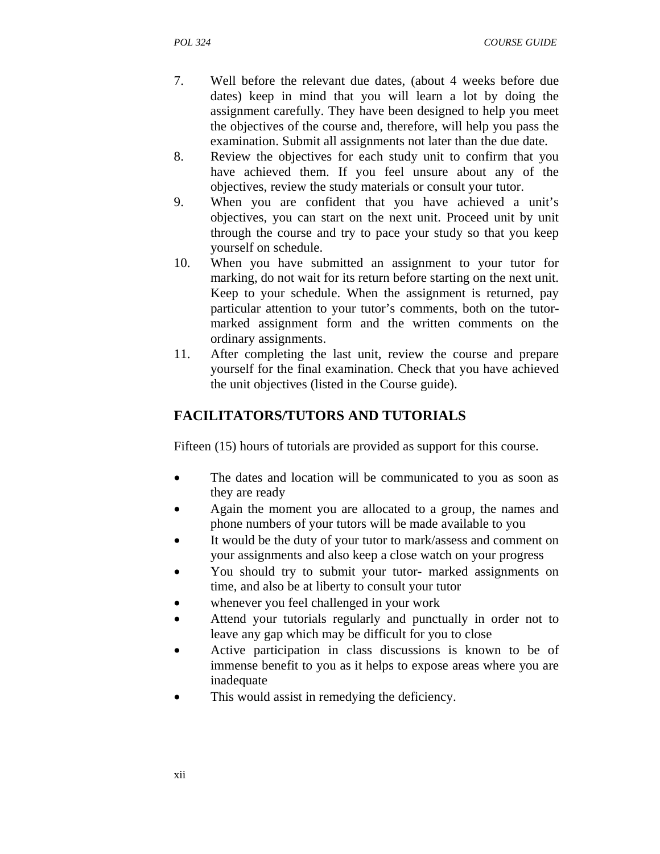- 7. Well before the relevant due dates, (about 4 weeks before due dates) keep in mind that you will learn a lot by doing the assignment carefully. They have been designed to help you meet the objectives of the course and, therefore, will help you pass the examination. Submit all assignments not later than the due date.
- 8. Review the objectives for each study unit to confirm that you have achieved them. If you feel unsure about any of the objectives, review the study materials or consult your tutor.
- 9. When you are confident that you have achieved a unit's objectives, you can start on the next unit. Proceed unit by unit through the course and try to pace your study so that you keep yourself on schedule.
- 10. When you have submitted an assignment to your tutor for marking, do not wait for its return before starting on the next unit. Keep to your schedule. When the assignment is returned, pay particular attention to your tutor's comments, both on the tutormarked assignment form and the written comments on the ordinary assignments.
- 11. After completing the last unit, review the course and prepare yourself for the final examination. Check that you have achieved the unit objectives (listed in the Course guide).

# **FACILITATORS/TUTORS AND TUTORIALS**

Fifteen (15) hours of tutorials are provided as support for this course.

- The dates and location will be communicated to you as soon as they are ready
- Again the moment you are allocated to a group, the names and phone numbers of your tutors will be made available to you
- It would be the duty of your tutor to mark/assess and comment on your assignments and also keep a close watch on your progress
- You should try to submit your tutor- marked assignments on time, and also be at liberty to consult your tutor
- whenever you feel challenged in your work
- Attend your tutorials regularly and punctually in order not to leave any gap which may be difficult for you to close
- Active participation in class discussions is known to be of immense benefit to you as it helps to expose areas where you are inadequate
- This would assist in remedying the deficiency.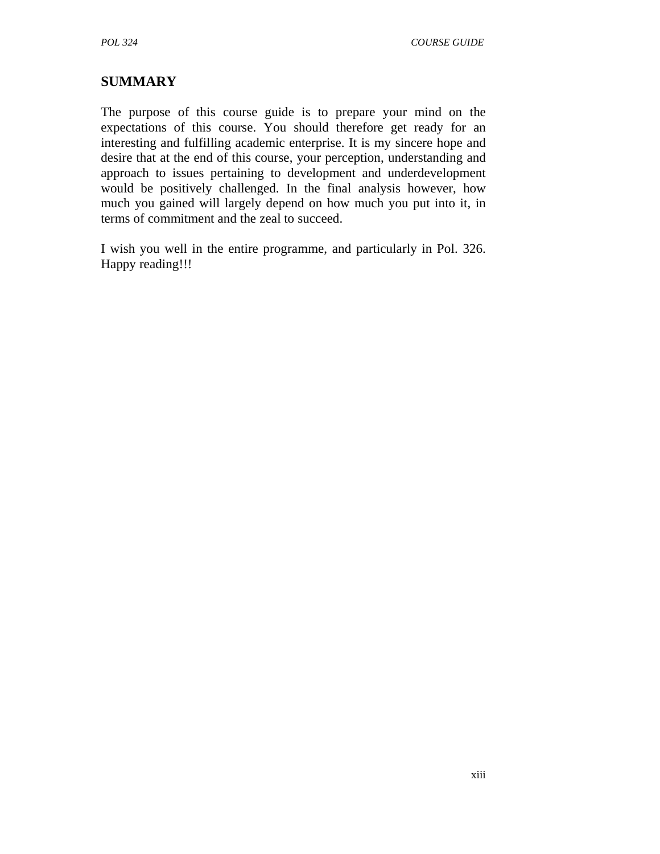# **SUMMARY**

The purpose of this course guide is to prepare your mind on the expectations of this course. You should therefore get ready for an interesting and fulfilling academic enterprise. It is my sincere hope and desire that at the end of this course, your perception, understanding and approach to issues pertaining to development and underdevelopment would be positively challenged. In the final analysis however, how much you gained will largely depend on how much you put into it, in terms of commitment and the zeal to succeed.

I wish you well in the entire programme, and particularly in Pol. 326. Happy reading!!!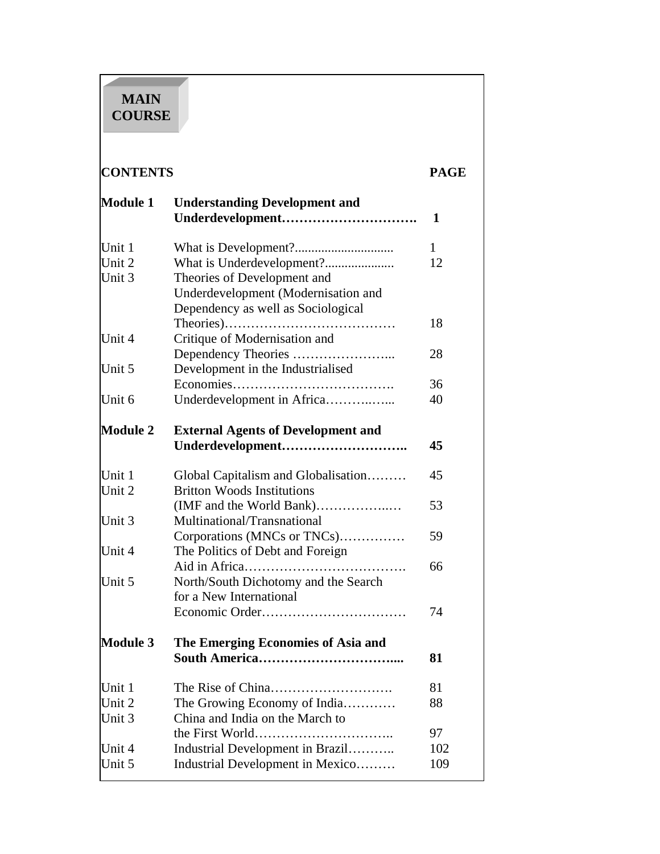# **MAIN COURSE**

# **CONTENTS PAGE**

| <b>Module 1</b> | <b>Understanding Development and</b><br>Underdevelopment | $\mathbf{1}$ |
|-----------------|----------------------------------------------------------|--------------|
| Unit 1          |                                                          | 1            |
| Unit 2          | What is Underdevelopment?                                | 12           |
| Unit 3          | Theories of Development and                              |              |
|                 | Underdevelopment (Modernisation and                      |              |
|                 | Dependency as well as Sociological                       |              |
|                 |                                                          | 18           |
| Unit 4          | Critique of Modernisation and                            |              |
|                 |                                                          | 28           |
| Unit 5          | Development in the Industrialised                        |              |
|                 |                                                          | 36           |
| Unit 6          | Underdevelopment in Africa                               | 40           |
| <b>Module 2</b> | <b>External Agents of Development and</b>                |              |
|                 | Underdevelopment                                         | 45           |
| Unit 1          | Global Capitalism and Globalisation                      | 45           |
| Unit 2          | <b>Britton Woods Institutions</b>                        |              |
|                 | (IMF and the World Bank)                                 | 53           |
| Unit 3          | Multinational/Transnational                              |              |
|                 | Corporations (MNCs or TNCs)                              | 59           |
| Unit 4          | The Politics of Debt and Foreign                         |              |
|                 |                                                          | 66           |
| Unit 5          | North/South Dichotomy and the Search                     |              |
|                 | for a New International                                  |              |
|                 |                                                          | 74           |
| <b>Module 3</b> | The Emerging Economies of Asia and                       |              |
|                 |                                                          | 81           |
| Unit 1          |                                                          | 81           |
| Unit 2          | The Growing Economy of India                             | 88           |
| Unit 3          | China and India on the March to                          |              |
|                 |                                                          | 97           |
| Unit 4          | Industrial Development in Brazil                         | 102          |
| Unit 5          | Industrial Development in Mexico                         | 109          |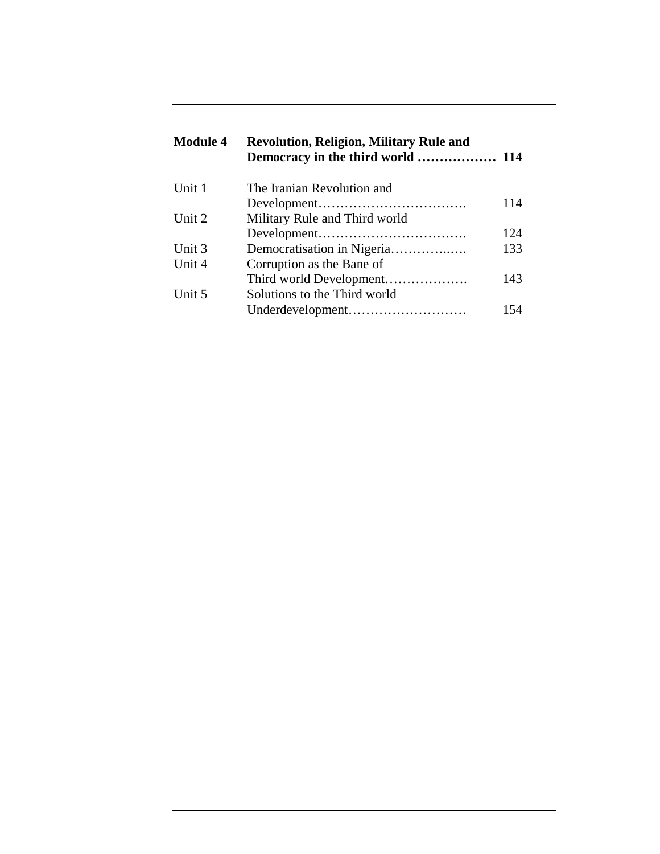| <b>Module 4</b> | <b>Revolution, Religion, Military Rule and</b> |     |
|-----------------|------------------------------------------------|-----|
| Unit 1          | The Iranian Revolution and                     |     |
|                 |                                                | 114 |
| Unit 2          | Military Rule and Third world                  |     |
|                 |                                                | 124 |
| Unit 3          |                                                | 133 |
| Unit 4          | Corruption as the Bane of                      |     |
|                 |                                                | 143 |
| Unit 5          | Solutions to the Third world                   |     |
|                 | Underdevelopment                               | 154 |

Г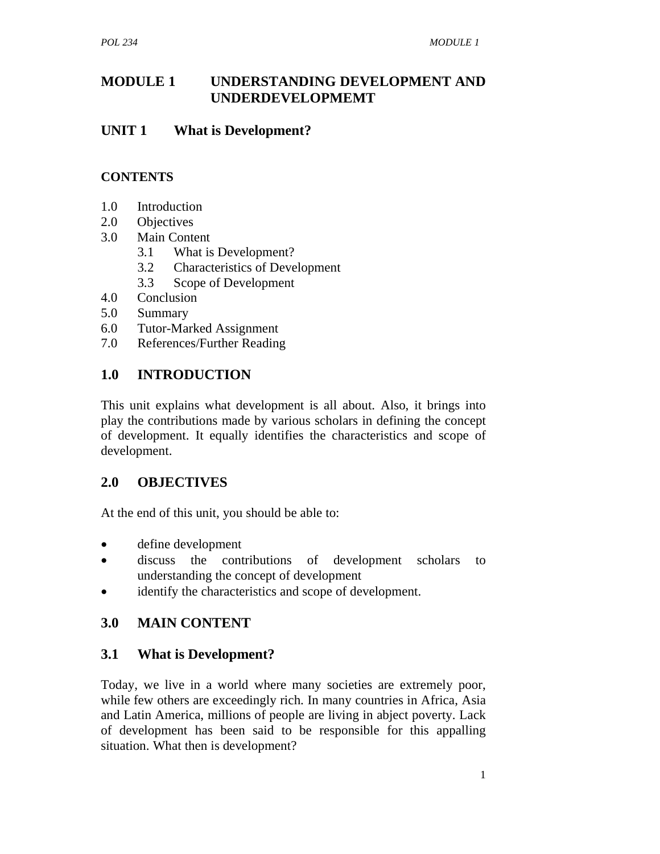### **MODULE 1 UNDERSTANDING DEVELOPMENT AND UNDERDEVELOPMEMT**

### **UNIT 1 What is Development?**

### **CONTENTS**

- 1.0 Introduction
- 2.0 Objectives
- 3.0 Main Content
	- 3.1 What is Development?
	- 3.2 Characteristics of Development
	- 3.3 Scope of Development
- 4.0 Conclusion
- 5.0 Summary
- 6.0 Tutor-Marked Assignment
- 7.0 References/Further Reading

# **1.0 INTRODUCTION**

This unit explains what development is all about. Also, it brings into play the contributions made by various scholars in defining the concept of development. It equally identifies the characteristics and scope of development.

# **2.0 OBJECTIVES**

At the end of this unit, you should be able to:

- define development
- discuss the contributions of development scholars to understanding the concept of development
- identify the characteristics and scope of development.

# **3.0 MAIN CONTENT**

# **3.1 What is Development?**

Today, we live in a world where many societies are extremely poor, while few others are exceedingly rich. In many countries in Africa, Asia and Latin America, millions of people are living in abject poverty. Lack of development has been said to be responsible for this appalling situation. What then is development?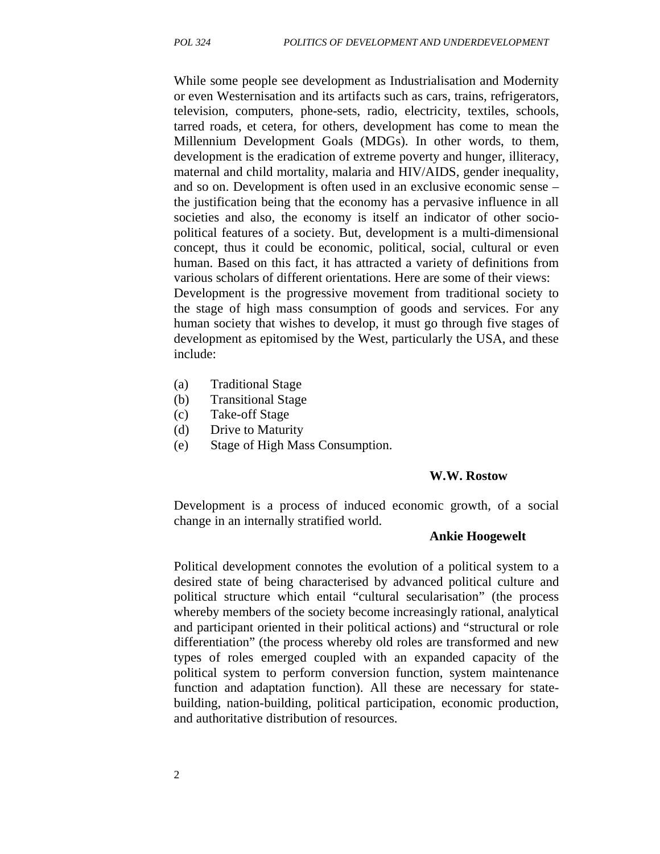While some people see development as Industrialisation and Modernity or even Westernisation and its artifacts such as cars, trains, refrigerators, television, computers, phone-sets, radio, electricity, textiles, schools, tarred roads, et cetera, for others, development has come to mean the Millennium Development Goals (MDGs). In other words, to them, development is the eradication of extreme poverty and hunger, illiteracy, maternal and child mortality, malaria and HIV/AIDS, gender inequality, and so on. Development is often used in an exclusive economic sense – the justification being that the economy has a pervasive influence in all societies and also, the economy is itself an indicator of other sociopolitical features of a society. But, development is a multi-dimensional concept, thus it could be economic, political, social, cultural or even human. Based on this fact, it has attracted a variety of definitions from various scholars of different orientations. Here are some of their views: Development is the progressive movement from traditional society to the stage of high mass consumption of goods and services. For any human society that wishes to develop, it must go through five stages of development as epitomised by the West, particularly the USA, and these include:

- (a) Traditional Stage
- (b) Transitional Stage
- (c) Take-off Stage
- (d) Drive to Maturity
- (e) Stage of High Mass Consumption.

#### **W.W. Rostow**

Development is a process of induced economic growth, of a social change in an internally stratified world.

#### **Ankie Hoogewelt**

Political development connotes the evolution of a political system to a desired state of being characterised by advanced political culture and political structure which entail "cultural secularisation" (the process whereby members of the society become increasingly rational, analytical and participant oriented in their political actions) and "structural or role differentiation" (the process whereby old roles are transformed and new types of roles emerged coupled with an expanded capacity of the political system to perform conversion function, system maintenance function and adaptation function). All these are necessary for statebuilding, nation-building, political participation, economic production, and authoritative distribution of resources.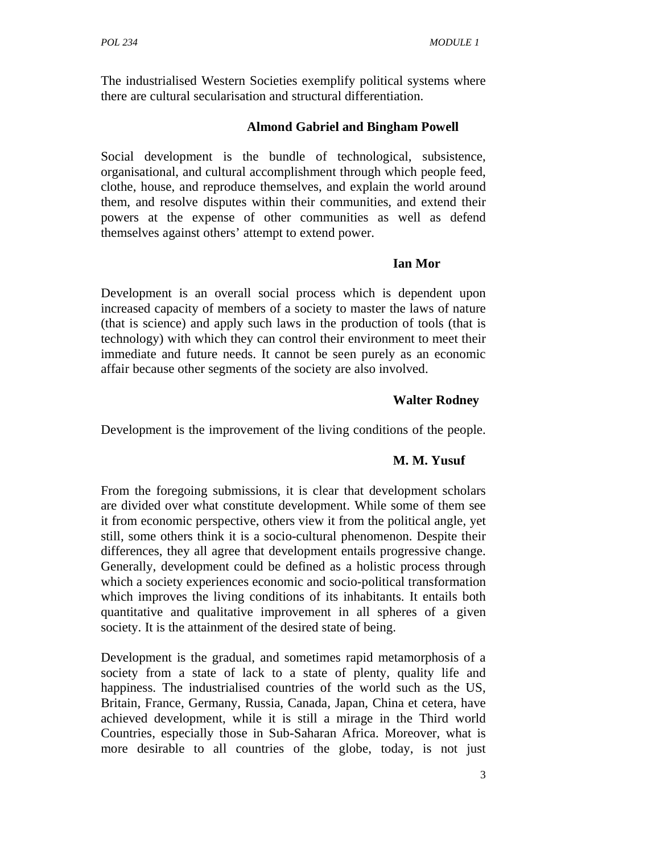The industrialised Western Societies exemplify political systems where there are cultural secularisation and structural differentiation.

### **Almond Gabriel and Bingham Powell**

Social development is the bundle of technological, subsistence, organisational, and cultural accomplishment through which people feed, clothe, house, and reproduce themselves, and explain the world around them, and resolve disputes within their communities, and extend their powers at the expense of other communities as well as defend themselves against others' attempt to extend power.

#### **Ian Mor**

Development is an overall social process which is dependent upon increased capacity of members of a society to master the laws of nature (that is science) and apply such laws in the production of tools (that is technology) with which they can control their environment to meet their immediate and future needs. It cannot be seen purely as an economic affair because other segments of the society are also involved.

### **Walter Rodney**

Development is the improvement of the living conditions of the people.

#### **M. M. Yusuf**

From the foregoing submissions, it is clear that development scholars are divided over what constitute development. While some of them see it from economic perspective, others view it from the political angle, yet still, some others think it is a socio-cultural phenomenon. Despite their differences, they all agree that development entails progressive change. Generally, development could be defined as a holistic process through which a society experiences economic and socio-political transformation which improves the living conditions of its inhabitants. It entails both quantitative and qualitative improvement in all spheres of a given society. It is the attainment of the desired state of being.

Development is the gradual, and sometimes rapid metamorphosis of a society from a state of lack to a state of plenty, quality life and happiness. The industrialised countries of the world such as the US, Britain, France, Germany, Russia, Canada, Japan, China et cetera, have achieved development, while it is still a mirage in the Third world Countries, especially those in Sub-Saharan Africa. Moreover, what is more desirable to all countries of the globe, today, is not just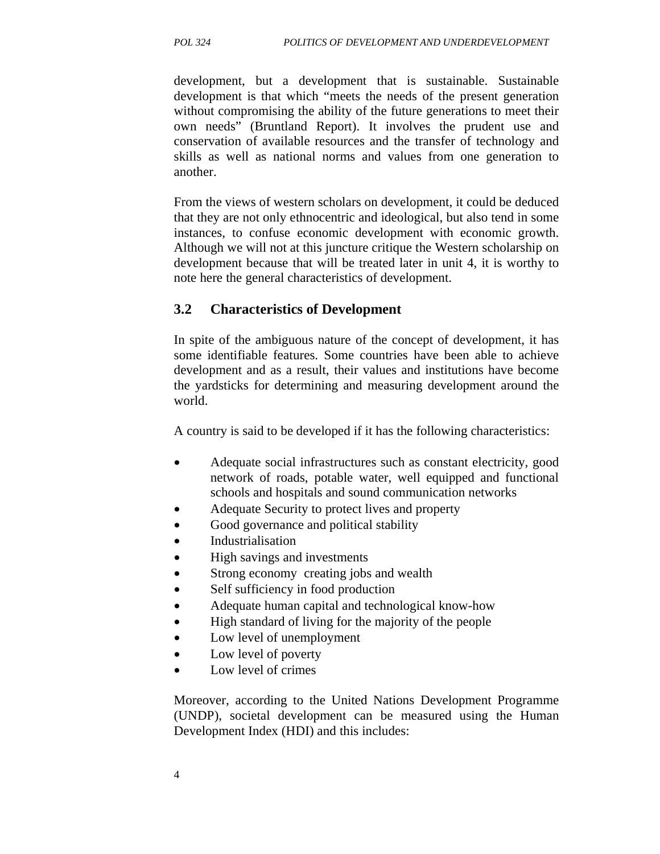development, but a development that is sustainable. Sustainable development is that which "meets the needs of the present generation without compromising the ability of the future generations to meet their own needs" (Bruntland Report). It involves the prudent use and conservation of available resources and the transfer of technology and skills as well as national norms and values from one generation to another.

From the views of western scholars on development, it could be deduced that they are not only ethnocentric and ideological, but also tend in some instances, to confuse economic development with economic growth. Although we will not at this juncture critique the Western scholarship on development because that will be treated later in unit 4, it is worthy to note here the general characteristics of development.

# **3.2 Characteristics of Development**

In spite of the ambiguous nature of the concept of development, it has some identifiable features. Some countries have been able to achieve development and as a result, their values and institutions have become the yardsticks for determining and measuring development around the world.

A country is said to be developed if it has the following characteristics:

- Adequate social infrastructures such as constant electricity, good network of roads, potable water, well equipped and functional schools and hospitals and sound communication networks
- Adequate Security to protect lives and property
- Good governance and political stability
- Industrialisation
- High savings and investments
- Strong economy creating jobs and wealth
- Self sufficiency in food production
- Adequate human capital and technological know-how
- High standard of living for the majority of the people
- Low level of unemployment
- Low level of poverty
- Low level of crimes

Moreover, according to the United Nations Development Programme (UNDP), societal development can be measured using the Human Development Index (HDI) and this includes: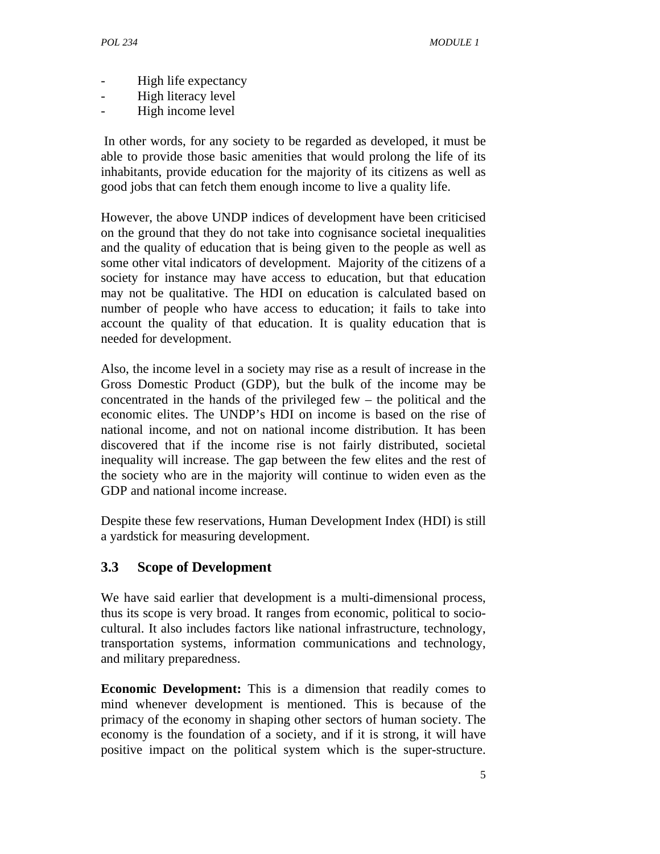- High life expectancy
- High literacy level
- High income level

 In other words, for any society to be regarded as developed, it must be able to provide those basic amenities that would prolong the life of its inhabitants, provide education for the majority of its citizens as well as good jobs that can fetch them enough income to live a quality life.

However, the above UNDP indices of development have been criticised on the ground that they do not take into cognisance societal inequalities and the quality of education that is being given to the people as well as some other vital indicators of development. Majority of the citizens of a society for instance may have access to education, but that education may not be qualitative. The HDI on education is calculated based on number of people who have access to education; it fails to take into account the quality of that education. It is quality education that is needed for development.

Also, the income level in a society may rise as a result of increase in the Gross Domestic Product (GDP), but the bulk of the income may be concentrated in the hands of the privileged few – the political and the economic elites. The UNDP's HDI on income is based on the rise of national income, and not on national income distribution. It has been discovered that if the income rise is not fairly distributed, societal inequality will increase. The gap between the few elites and the rest of the society who are in the majority will continue to widen even as the GDP and national income increase.

Despite these few reservations, Human Development Index (HDI) is still a yardstick for measuring development.

# **3.3 Scope of Development**

We have said earlier that development is a multi-dimensional process, thus its scope is very broad. It ranges from economic, political to sociocultural. It also includes factors like national infrastructure, technology, transportation systems, information communications and technology, and military preparedness.

**Economic Development:** This is a dimension that readily comes to mind whenever development is mentioned. This is because of the primacy of the economy in shaping other sectors of human society. The economy is the foundation of a society, and if it is strong, it will have positive impact on the political system which is the super-structure.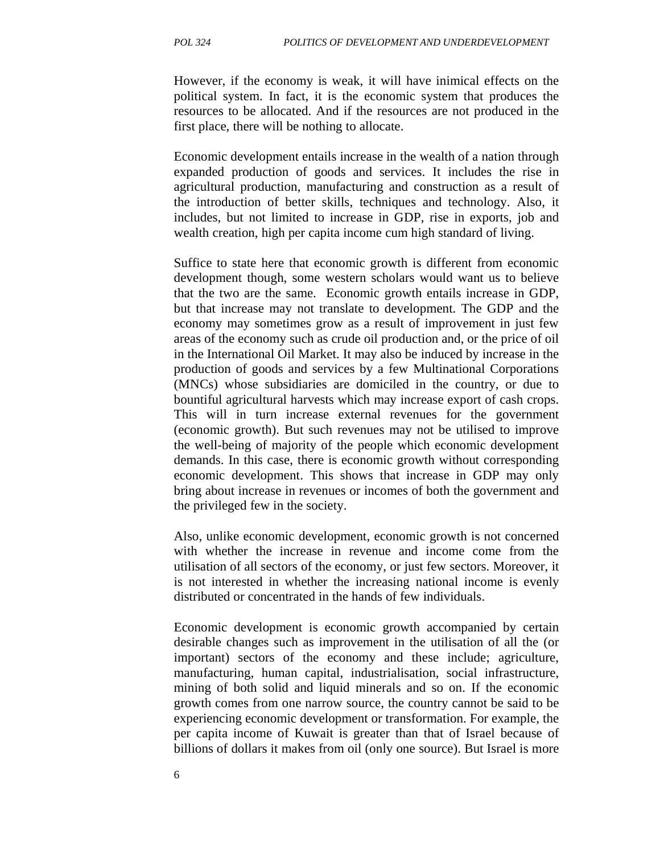However, if the economy is weak, it will have inimical effects on the political system. In fact, it is the economic system that produces the resources to be allocated. And if the resources are not produced in the first place, there will be nothing to allocate.

Economic development entails increase in the wealth of a nation through expanded production of goods and services. It includes the rise in agricultural production, manufacturing and construction as a result of the introduction of better skills, techniques and technology. Also, it includes, but not limited to increase in GDP, rise in exports, job and wealth creation, high per capita income cum high standard of living.

Suffice to state here that economic growth is different from economic development though, some western scholars would want us to believe that the two are the same. Economic growth entails increase in GDP, but that increase may not translate to development. The GDP and the economy may sometimes grow as a result of improvement in just few areas of the economy such as crude oil production and, or the price of oil in the International Oil Market. It may also be induced by increase in the production of goods and services by a few Multinational Corporations (MNCs) whose subsidiaries are domiciled in the country, or due to bountiful agricultural harvests which may increase export of cash crops. This will in turn increase external revenues for the government (economic growth). But such revenues may not be utilised to improve the well-being of majority of the people which economic development demands. In this case, there is economic growth without corresponding economic development. This shows that increase in GDP may only bring about increase in revenues or incomes of both the government and the privileged few in the society.

Also, unlike economic development, economic growth is not concerned with whether the increase in revenue and income come from the utilisation of all sectors of the economy, or just few sectors. Moreover, it is not interested in whether the increasing national income is evenly distributed or concentrated in the hands of few individuals.

Economic development is economic growth accompanied by certain desirable changes such as improvement in the utilisation of all the (or important) sectors of the economy and these include; agriculture, manufacturing, human capital, industrialisation, social infrastructure, mining of both solid and liquid minerals and so on. If the economic growth comes from one narrow source, the country cannot be said to be experiencing economic development or transformation. For example, the per capita income of Kuwait is greater than that of Israel because of billions of dollars it makes from oil (only one source). But Israel is more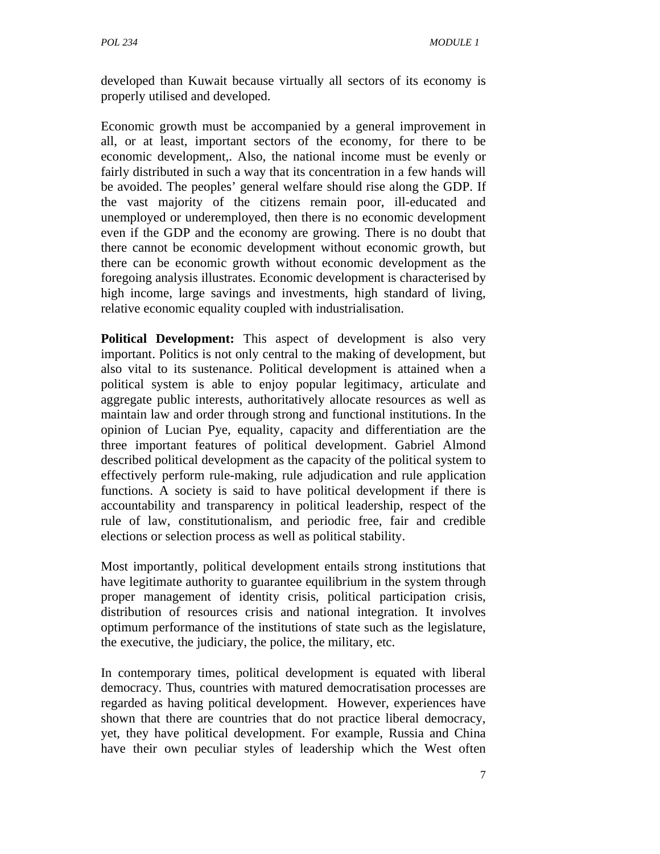developed than Kuwait because virtually all sectors of its economy is properly utilised and developed.

Economic growth must be accompanied by a general improvement in all, or at least, important sectors of the economy, for there to be economic development,. Also, the national income must be evenly or fairly distributed in such a way that its concentration in a few hands will be avoided. The peoples' general welfare should rise along the GDP. If the vast majority of the citizens remain poor, ill-educated and unemployed or underemployed, then there is no economic development even if the GDP and the economy are growing. There is no doubt that there cannot be economic development without economic growth, but there can be economic growth without economic development as the foregoing analysis illustrates. Economic development is characterised by high income, large savings and investments, high standard of living, relative economic equality coupled with industrialisation.

**Political Development:** This aspect of development is also very important. Politics is not only central to the making of development, but also vital to its sustenance. Political development is attained when a political system is able to enjoy popular legitimacy, articulate and aggregate public interests, authoritatively allocate resources as well as maintain law and order through strong and functional institutions. In the opinion of Lucian Pye, equality, capacity and differentiation are the three important features of political development. Gabriel Almond described political development as the capacity of the political system to effectively perform rule-making, rule adjudication and rule application functions. A society is said to have political development if there is accountability and transparency in political leadership, respect of the rule of law, constitutionalism, and periodic free, fair and credible elections or selection process as well as political stability.

Most importantly, political development entails strong institutions that have legitimate authority to guarantee equilibrium in the system through proper management of identity crisis, political participation crisis, distribution of resources crisis and national integration. It involves optimum performance of the institutions of state such as the legislature, the executive, the judiciary, the police, the military, etc.

In contemporary times, political development is equated with liberal democracy. Thus, countries with matured democratisation processes are regarded as having political development. However, experiences have shown that there are countries that do not practice liberal democracy, yet, they have political development. For example, Russia and China have their own peculiar styles of leadership which the West often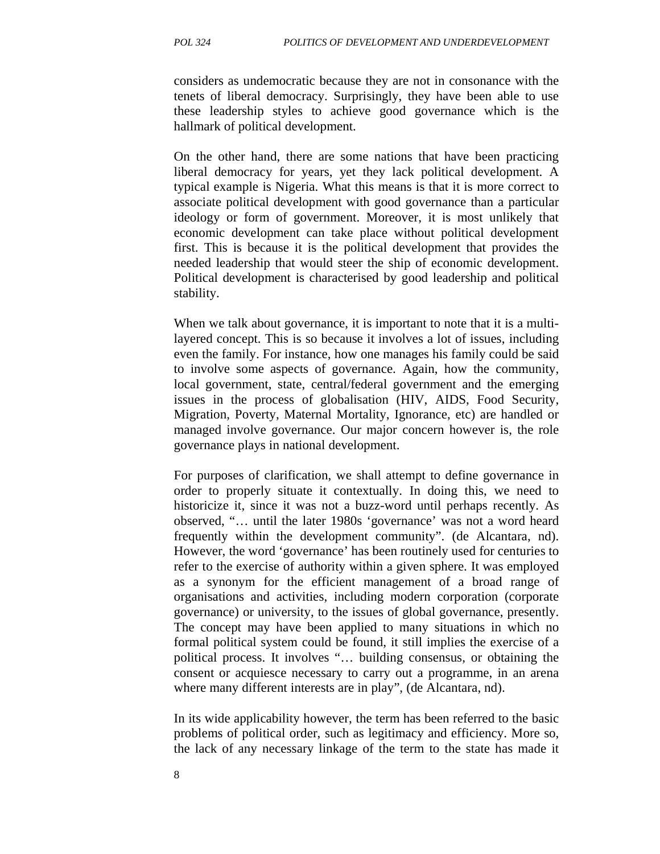considers as undemocratic because they are not in consonance with the tenets of liberal democracy. Surprisingly, they have been able to use these leadership styles to achieve good governance which is the hallmark of political development.

On the other hand, there are some nations that have been practicing liberal democracy for years, yet they lack political development. A typical example is Nigeria. What this means is that it is more correct to associate political development with good governance than a particular ideology or form of government. Moreover, it is most unlikely that economic development can take place without political development first. This is because it is the political development that provides the needed leadership that would steer the ship of economic development. Political development is characterised by good leadership and political stability.

When we talk about governance, it is important to note that it is a multilayered concept. This is so because it involves a lot of issues, including even the family. For instance, how one manages his family could be said to involve some aspects of governance. Again, how the community, local government, state, central/federal government and the emerging issues in the process of globalisation (HIV, AIDS, Food Security, Migration, Poverty, Maternal Mortality, Ignorance, etc) are handled or managed involve governance. Our major concern however is, the role governance plays in national development.

For purposes of clarification, we shall attempt to define governance in order to properly situate it contextually. In doing this, we need to historicize it, since it was not a buzz-word until perhaps recently. As observed, "… until the later 1980s 'governance' was not a word heard frequently within the development community". (de Alcantara, nd). However, the word 'governance' has been routinely used for centuries to refer to the exercise of authority within a given sphere. It was employed as a synonym for the efficient management of a broad range of organisations and activities, including modern corporation (corporate governance) or university, to the issues of global governance, presently. The concept may have been applied to many situations in which no formal political system could be found, it still implies the exercise of a political process. It involves "… building consensus, or obtaining the consent or acquiesce necessary to carry out a programme, in an arena where many different interests are in play", (de Alcantara, nd).

In its wide applicability however, the term has been referred to the basic problems of political order, such as legitimacy and efficiency. More so, the lack of any necessary linkage of the term to the state has made it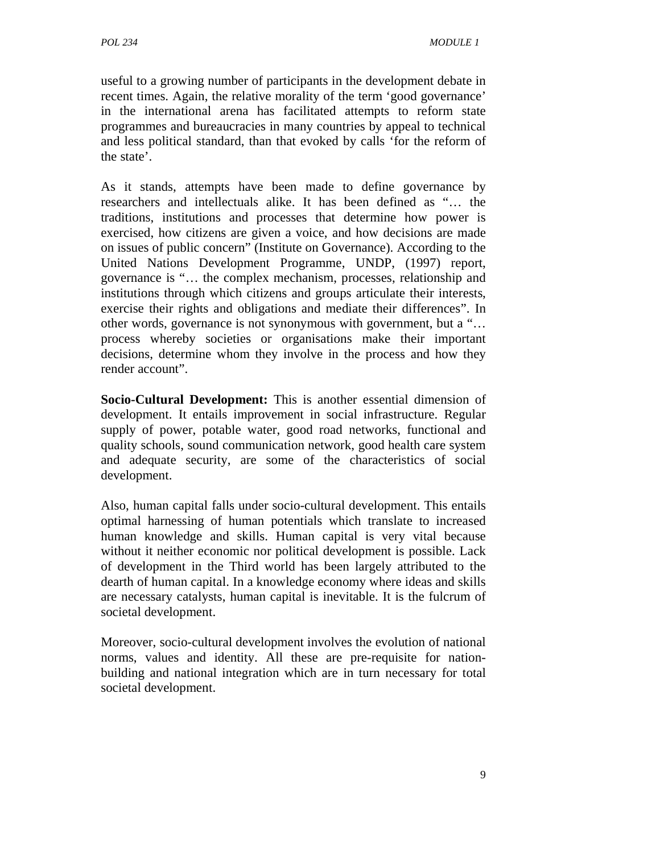useful to a growing number of participants in the development debate in recent times. Again, the relative morality of the term 'good governance' in the international arena has facilitated attempts to reform state programmes and bureaucracies in many countries by appeal to technical and less political standard, than that evoked by calls 'for the reform of the state'.

As it stands, attempts have been made to define governance by researchers and intellectuals alike. It has been defined as "… the traditions, institutions and processes that determine how power is exercised, how citizens are given a voice, and how decisions are made on issues of public concern" (Institute on Governance). According to the United Nations Development Programme, UNDP, (1997) report, governance is "… the complex mechanism, processes, relationship and institutions through which citizens and groups articulate their interests, exercise their rights and obligations and mediate their differences". In other words, governance is not synonymous with government, but a "… process whereby societies or organisations make their important decisions, determine whom they involve in the process and how they render account".

**Socio-Cultural Development:** This is another essential dimension of development. It entails improvement in social infrastructure. Regular supply of power, potable water, good road networks, functional and quality schools, sound communication network, good health care system and adequate security, are some of the characteristics of social development.

Also, human capital falls under socio-cultural development. This entails optimal harnessing of human potentials which translate to increased human knowledge and skills. Human capital is very vital because without it neither economic nor political development is possible. Lack of development in the Third world has been largely attributed to the dearth of human capital. In a knowledge economy where ideas and skills are necessary catalysts, human capital is inevitable. It is the fulcrum of societal development.

Moreover, socio-cultural development involves the evolution of national norms, values and identity. All these are pre-requisite for nationbuilding and national integration which are in turn necessary for total societal development.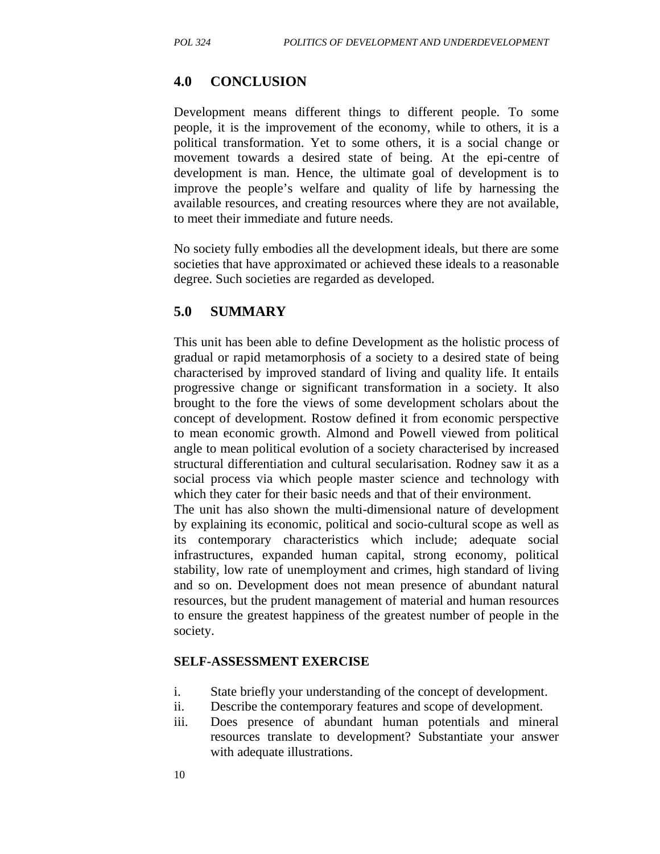### **4.0 CONCLUSION**

Development means different things to different people. To some people, it is the improvement of the economy, while to others, it is a political transformation. Yet to some others, it is a social change or movement towards a desired state of being. At the epi-centre of development is man. Hence, the ultimate goal of development is to improve the people's welfare and quality of life by harnessing the available resources, and creating resources where they are not available, to meet their immediate and future needs.

No society fully embodies all the development ideals, but there are some societies that have approximated or achieved these ideals to a reasonable degree. Such societies are regarded as developed.

### **5.0 SUMMARY**

This unit has been able to define Development as the holistic process of gradual or rapid metamorphosis of a society to a desired state of being characterised by improved standard of living and quality life. It entails progressive change or significant transformation in a society. It also brought to the fore the views of some development scholars about the concept of development. Rostow defined it from economic perspective to mean economic growth. Almond and Powell viewed from political angle to mean political evolution of a society characterised by increased structural differentiation and cultural secularisation. Rodney saw it as a social process via which people master science and technology with which they cater for their basic needs and that of their environment.

The unit has also shown the multi-dimensional nature of development by explaining its economic, political and socio-cultural scope as well as its contemporary characteristics which include; adequate social infrastructures, expanded human capital, strong economy, political stability, low rate of unemployment and crimes, high standard of living and so on. Development does not mean presence of abundant natural resources, but the prudent management of material and human resources to ensure the greatest happiness of the greatest number of people in the society.

#### **SELF-ASSESSMENT EXERCISE**

- i. State briefly your understanding of the concept of development.
- ii. Describe the contemporary features and scope of development.
- iii. Does presence of abundant human potentials and mineral resources translate to development? Substantiate your answer with adequate illustrations.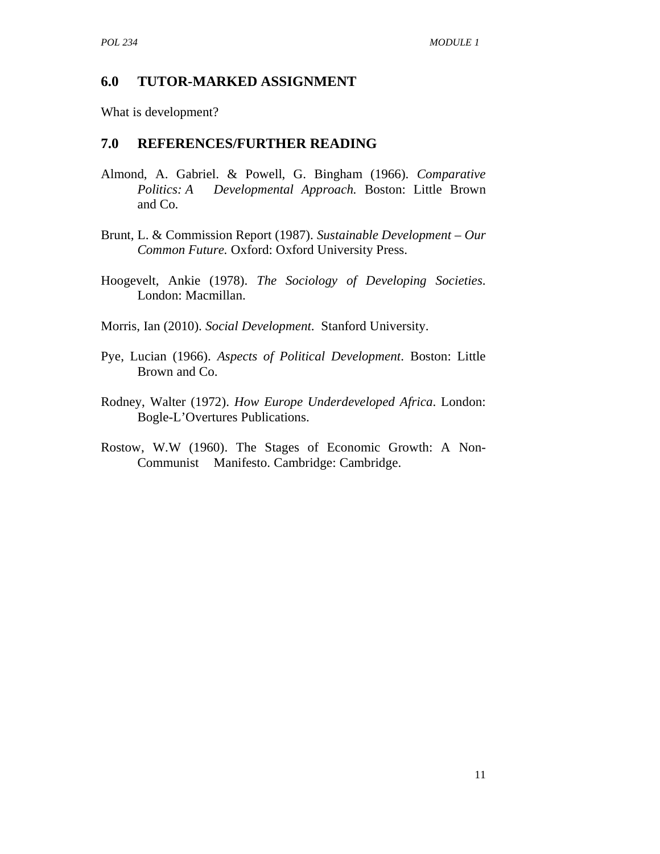### **6.0 TUTOR-MARKED ASSIGNMENT**

What is development?

### **7.0 REFERENCES/FURTHER READING**

- Almond, A. Gabriel. & Powell, G. Bingham (1966). *Comparative Politics: A Developmental Approach.* Boston: Little Brown and Co.
- Brunt, L. & Commission Report (1987). *Sustainable Development Our Common Future.* Oxford: Oxford University Press.
- Hoogevelt, Ankie (1978). *The Sociology of Developing Societies*. London: Macmillan.

Morris, Ian (2010). *Social Development*. Stanford University.

- Pye, Lucian (1966). *Aspects of Political Development*. Boston: Little Brown and Co.
- Rodney, Walter (1972). *How Europe Underdeveloped Africa*. London: Bogle-L'Overtures Publications.
- Rostow, W.W (1960). The Stages of Economic Growth: A Non- Communist Manifesto. Cambridge: Cambridge.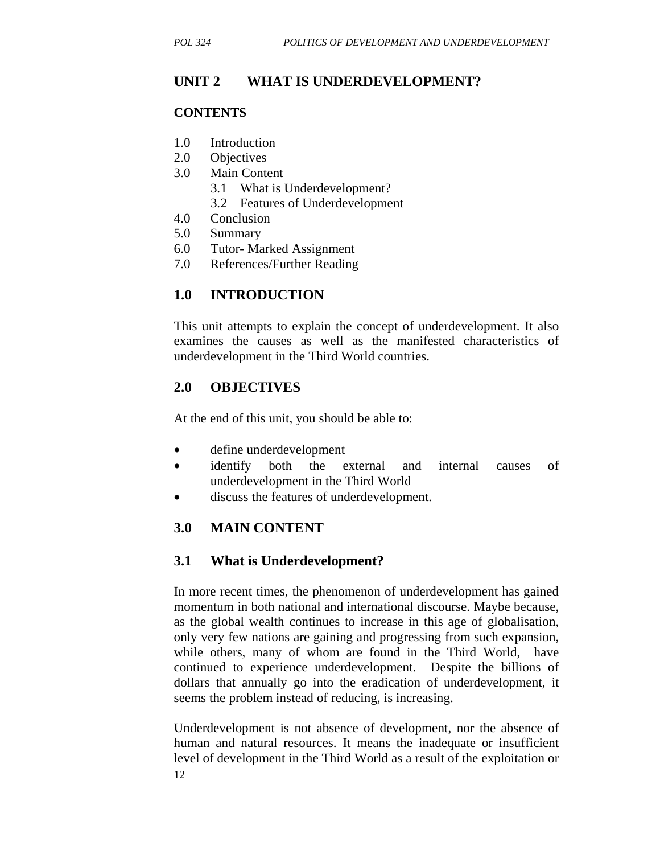# **UNIT 2 WHAT IS UNDERDEVELOPMENT?**

### **CONTENTS**

- 1.0 Introduction
- 2.0 Objectives
- 3.0 Main Content
	- 3.1 What is Underdevelopment?
	- 3.2 Features of Underdevelopment
- 4.0 Conclusion
- 5.0 Summary
- 6.0 Tutor- Marked Assignment
- 7.0 References/Further Reading

# **1.0 INTRODUCTION**

This unit attempts to explain the concept of underdevelopment. It also examines the causes as well as the manifested characteristics of underdevelopment in the Third World countries.

# **2.0 OBJECTIVES**

At the end of this unit, you should be able to:

- define underdevelopment
- identify both the external and internal causes of underdevelopment in the Third World
- discuss the features of underdevelopment.

# **3.0 MAIN CONTENT**

# **3.1 What is Underdevelopment?**

In more recent times, the phenomenon of underdevelopment has gained momentum in both national and international discourse. Maybe because, as the global wealth continues to increase in this age of globalisation, only very few nations are gaining and progressing from such expansion, while others, many of whom are found in the Third World, have continued to experience underdevelopment. Despite the billions of dollars that annually go into the eradication of underdevelopment, it seems the problem instead of reducing, is increasing.

12 Underdevelopment is not absence of development, nor the absence of human and natural resources. It means the inadequate or insufficient level of development in the Third World as a result of the exploitation or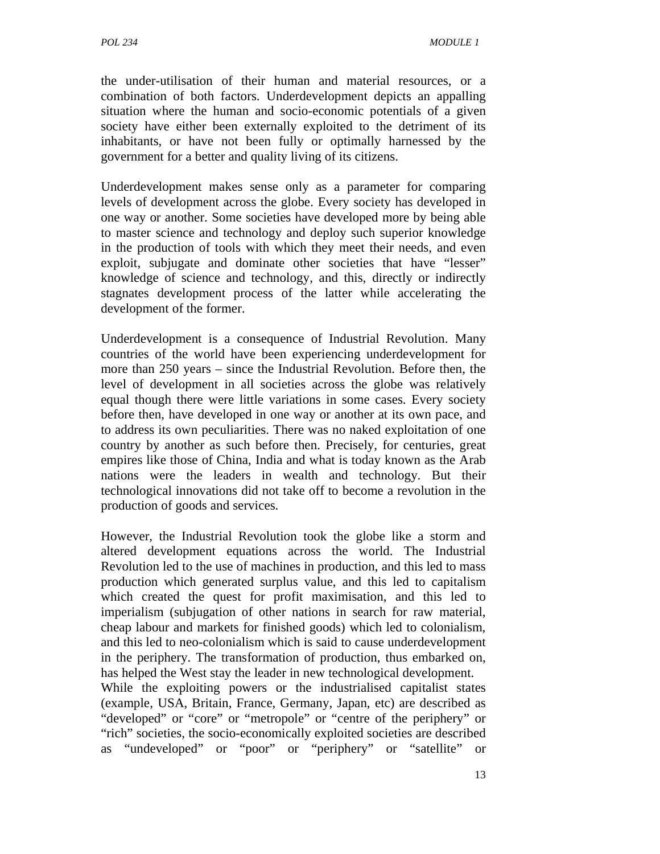the under-utilisation of their human and material resources, or a combination of both factors. Underdevelopment depicts an appalling situation where the human and socio-economic potentials of a given society have either been externally exploited to the detriment of its inhabitants, or have not been fully or optimally harnessed by the government for a better and quality living of its citizens.

Underdevelopment makes sense only as a parameter for comparing levels of development across the globe. Every society has developed in one way or another. Some societies have developed more by being able to master science and technology and deploy such superior knowledge in the production of tools with which they meet their needs, and even exploit, subjugate and dominate other societies that have "lesser" knowledge of science and technology, and this, directly or indirectly stagnates development process of the latter while accelerating the development of the former.

Underdevelopment is a consequence of Industrial Revolution. Many countries of the world have been experiencing underdevelopment for more than 250 years – since the Industrial Revolution. Before then, the level of development in all societies across the globe was relatively equal though there were little variations in some cases. Every society before then, have developed in one way or another at its own pace, and to address its own peculiarities. There was no naked exploitation of one country by another as such before then. Precisely, for centuries, great empires like those of China, India and what is today known as the Arab nations were the leaders in wealth and technology. But their technological innovations did not take off to become a revolution in the production of goods and services.

However, the Industrial Revolution took the globe like a storm and altered development equations across the world. The Industrial Revolution led to the use of machines in production, and this led to mass production which generated surplus value, and this led to capitalism which created the quest for profit maximisation, and this led to imperialism (subjugation of other nations in search for raw material, cheap labour and markets for finished goods) which led to colonialism, and this led to neo-colonialism which is said to cause underdevelopment in the periphery. The transformation of production, thus embarked on, has helped the West stay the leader in new technological development.

While the exploiting powers or the industrialised capitalist states (example, USA, Britain, France, Germany, Japan, etc) are described as "developed" or "core" or "metropole" or "centre of the periphery" or "rich" societies, the socio-economically exploited societies are described as "undeveloped" or "poor" or "periphery" or "satellite" or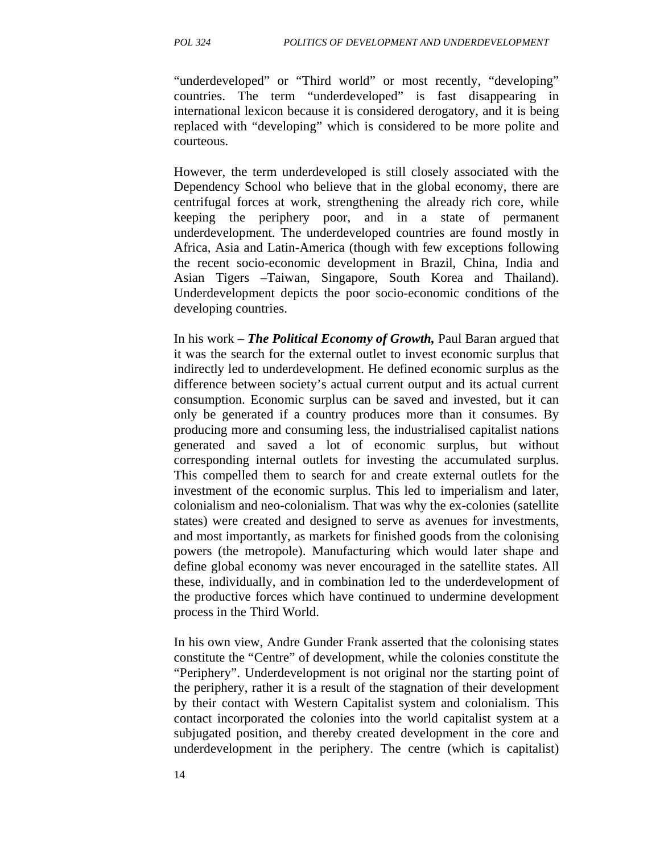"underdeveloped" or "Third world" or most recently, "developing" countries. The term "underdeveloped" is fast disappearing in international lexicon because it is considered derogatory, and it is being replaced with "developing" which is considered to be more polite and courteous.

However, the term underdeveloped is still closely associated with the Dependency School who believe that in the global economy, there are centrifugal forces at work, strengthening the already rich core, while keeping the periphery poor, and in a state of permanent underdevelopment. The underdeveloped countries are found mostly in Africa, Asia and Latin-America (though with few exceptions following the recent socio-economic development in Brazil, China, India and Asian Tigers –Taiwan, Singapore, South Korea and Thailand). Underdevelopment depicts the poor socio-economic conditions of the developing countries.

In his work – *The Political Economy of Growth,* Paul Baran argued that it was the search for the external outlet to invest economic surplus that indirectly led to underdevelopment. He defined economic surplus as the difference between society's actual current output and its actual current consumption. Economic surplus can be saved and invested, but it can only be generated if a country produces more than it consumes. By producing more and consuming less, the industrialised capitalist nations generated and saved a lot of economic surplus, but without corresponding internal outlets for investing the accumulated surplus. This compelled them to search for and create external outlets for the investment of the economic surplus. This led to imperialism and later, colonialism and neo-colonialism. That was why the ex-colonies (satellite states) were created and designed to serve as avenues for investments, and most importantly, as markets for finished goods from the colonising powers (the metropole). Manufacturing which would later shape and define global economy was never encouraged in the satellite states. All these, individually, and in combination led to the underdevelopment of the productive forces which have continued to undermine development process in the Third World.

In his own view, Andre Gunder Frank asserted that the colonising states constitute the "Centre" of development, while the colonies constitute the "Periphery". Underdevelopment is not original nor the starting point of the periphery, rather it is a result of the stagnation of their development by their contact with Western Capitalist system and colonialism. This contact incorporated the colonies into the world capitalist system at a subjugated position, and thereby created development in the core and underdevelopment in the periphery. The centre (which is capitalist)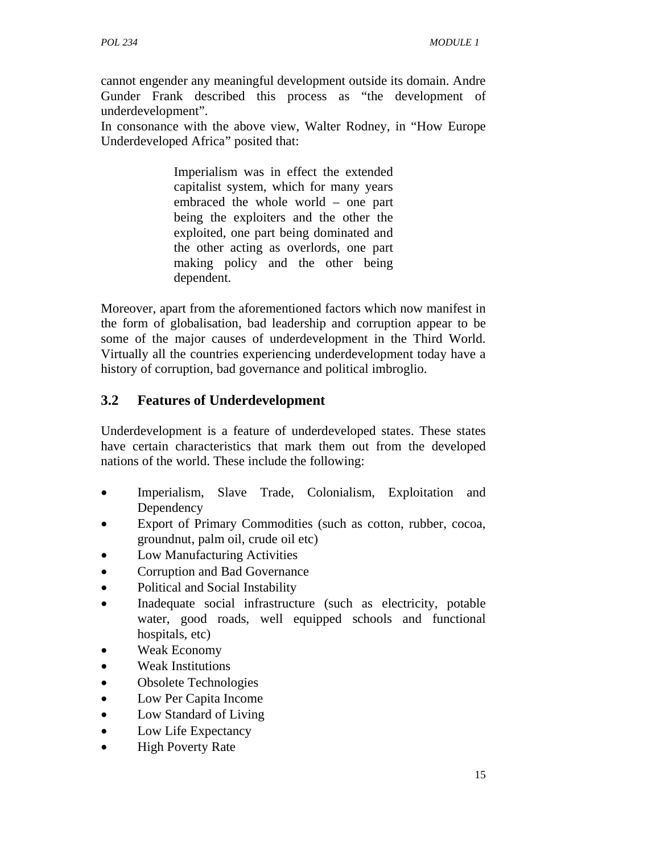cannot engender any meaningful development outside its domain. Andre Gunder Frank described this process as "the development of underdevelopment".

In consonance with the above view, Walter Rodney, in "How Europe Underdeveloped Africa" posited that:

> Imperialism was in effect the extended capitalist system, which for many years embraced the whole world – one part being the exploiters and the other the exploited, one part being dominated and the other acting as overlords, one part making policy and the other being dependent.

Moreover, apart from the aforementioned factors which now manifest in the form of globalisation, bad leadership and corruption appear to be some of the major causes of underdevelopment in the Third World. Virtually all the countries experiencing underdevelopment today have a history of corruption, bad governance and political imbroglio.

# **3.2 Features of Underdevelopment**

Underdevelopment is a feature of underdeveloped states. These states have certain characteristics that mark them out from the developed nations of the world. These include the following:

- Imperialism, Slave Trade, Colonialism, Exploitation and Dependency
- Export of Primary Commodities (such as cotton, rubber, cocoa, groundnut, palm oil, crude oil etc)
- Low Manufacturing Activities
- Corruption and Bad Governance
- Political and Social Instability
- Inadequate social infrastructure (such as electricity, potable water, good roads, well equipped schools and functional hospitals, etc)
- Weak Economy
- Weak Institutions
- Obsolete Technologies
- Low Per Capita Income
- Low Standard of Living
- Low Life Expectancy
- **High Poverty Rate**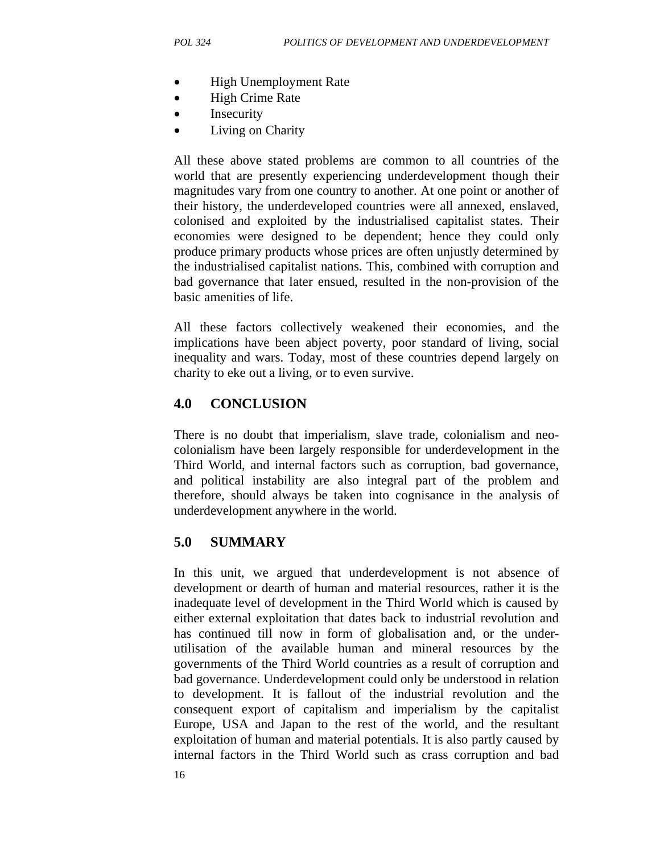- High Unemployment Rate
- High Crime Rate
- Insecurity
- Living on Charity

All these above stated problems are common to all countries of the world that are presently experiencing underdevelopment though their magnitudes vary from one country to another. At one point or another of their history, the underdeveloped countries were all annexed, enslaved, colonised and exploited by the industrialised capitalist states. Their economies were designed to be dependent; hence they could only produce primary products whose prices are often unjustly determined by the industrialised capitalist nations. This, combined with corruption and bad governance that later ensued, resulted in the non-provision of the basic amenities of life.

All these factors collectively weakened their economies, and the implications have been abject poverty, poor standard of living, social inequality and wars. Today, most of these countries depend largely on charity to eke out a living, or to even survive.

# **4.0 CONCLUSION**

There is no doubt that imperialism, slave trade, colonialism and neocolonialism have been largely responsible for underdevelopment in the Third World, and internal factors such as corruption, bad governance, and political instability are also integral part of the problem and therefore, should always be taken into cognisance in the analysis of underdevelopment anywhere in the world.

# **5.0 SUMMARY**

In this unit, we argued that underdevelopment is not absence of development or dearth of human and material resources, rather it is the inadequate level of development in the Third World which is caused by either external exploitation that dates back to industrial revolution and has continued till now in form of globalisation and, or the underutilisation of the available human and mineral resources by the governments of the Third World countries as a result of corruption and bad governance. Underdevelopment could only be understood in relation to development. It is fallout of the industrial revolution and the consequent export of capitalism and imperialism by the capitalist Europe, USA and Japan to the rest of the world, and the resultant exploitation of human and material potentials. It is also partly caused by internal factors in the Third World such as crass corruption and bad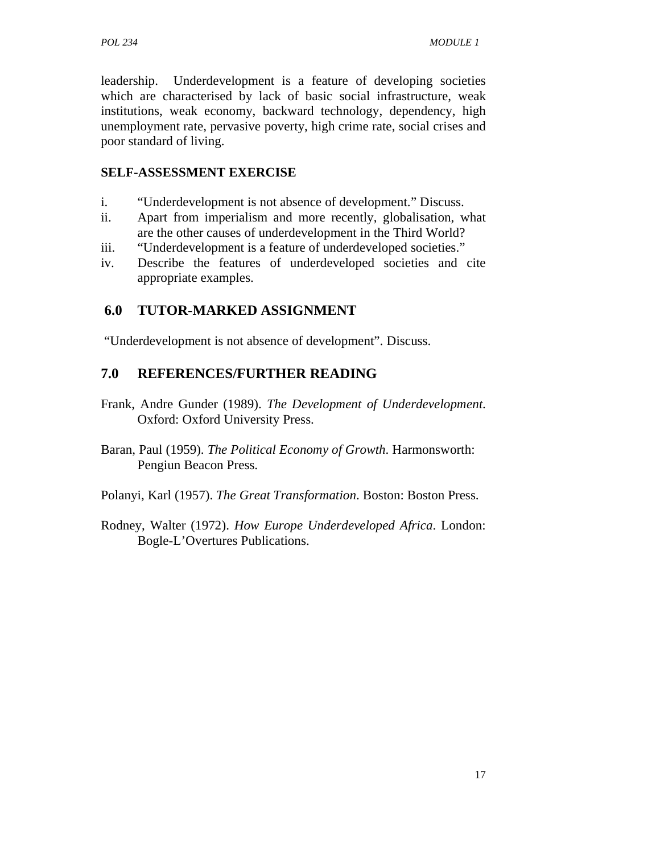leadership. Underdevelopment is a feature of developing societies which are characterised by lack of basic social infrastructure, weak institutions, weak economy, backward technology, dependency, high unemployment rate, pervasive poverty, high crime rate, social crises and poor standard of living.

### **SELF-ASSESSMENT EXERCISE**

- i. "Underdevelopment is not absence of development." Discuss.
- ii. Apart from imperialism and more recently, globalisation, what are the other causes of underdevelopment in the Third World?
- iii. "Underdevelopment is a feature of underdeveloped societies."
- iv. Describe the features of underdeveloped societies and cite appropriate examples.

# **6.0 TUTOR-MARKED ASSIGNMENT**

"Underdevelopment is not absence of development". Discuss.

# **7.0 REFERENCES/FURTHER READING**

- Frank, Andre Gunder (1989). *The Development of Underdevelopment*. Oxford: Oxford University Press.
- Baran, Paul (1959). *The Political Economy of Growth*. Harmonsworth: Pengiun Beacon Press.
- Polanyi, Karl (1957). *The Great Transformation*. Boston: Boston Press.
- Rodney, Walter (1972). *How Europe Underdeveloped Africa*. London: Bogle-L'Overtures Publications.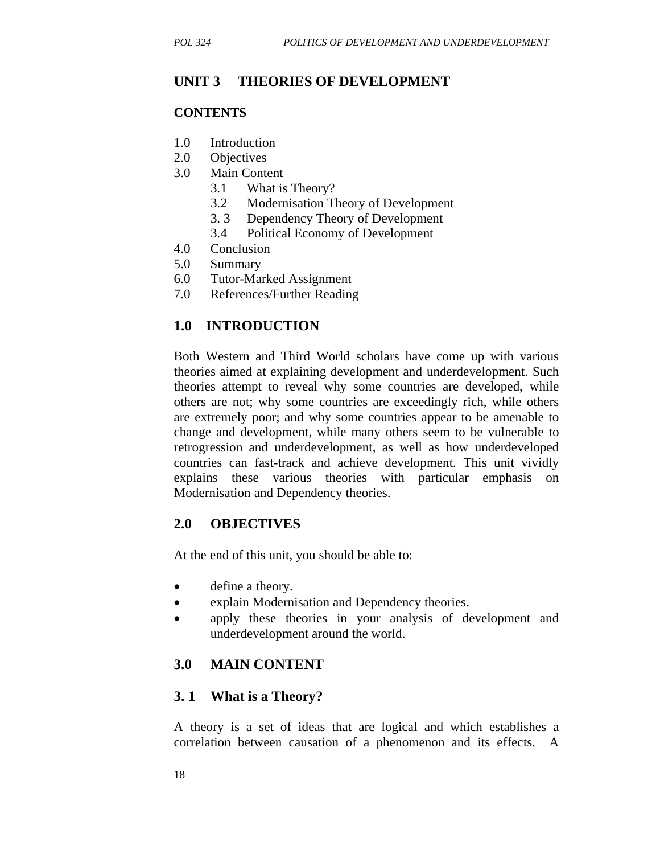### **UNIT 3 THEORIES OF DEVELOPMENT**

### **CONTENTS**

- 1.0 Introduction
- 2.0 Objectives
- 3.0 Main Content
	- 3.1 What is Theory?
	- 3.2 Modernisation Theory of Development
	- 3. 3 Dependency Theory of Development
	- 3.4 Political Economy of Development
- 4.0 Conclusion
- 5.0 Summary
- 6.0 Tutor-Marked Assignment
- 7.0 References/Further Reading

### **1.0 INTRODUCTION**

Both Western and Third World scholars have come up with various theories aimed at explaining development and underdevelopment. Such theories attempt to reveal why some countries are developed, while others are not; why some countries are exceedingly rich, while others are extremely poor; and why some countries appear to be amenable to change and development, while many others seem to be vulnerable to retrogression and underdevelopment, as well as how underdeveloped countries can fast-track and achieve development. This unit vividly explains these various theories with particular emphasis on Modernisation and Dependency theories.

### **2.0 OBJECTIVES**

At the end of this unit, you should be able to:

- define a theory.
- explain Modernisation and Dependency theories.
- apply these theories in your analysis of development and underdevelopment around the world.

### **3.0 MAIN CONTENT**

### **3. 1 What is a Theory?**

A theory is a set of ideas that are logical and which establishes a correlation between causation of a phenomenon and its effects. A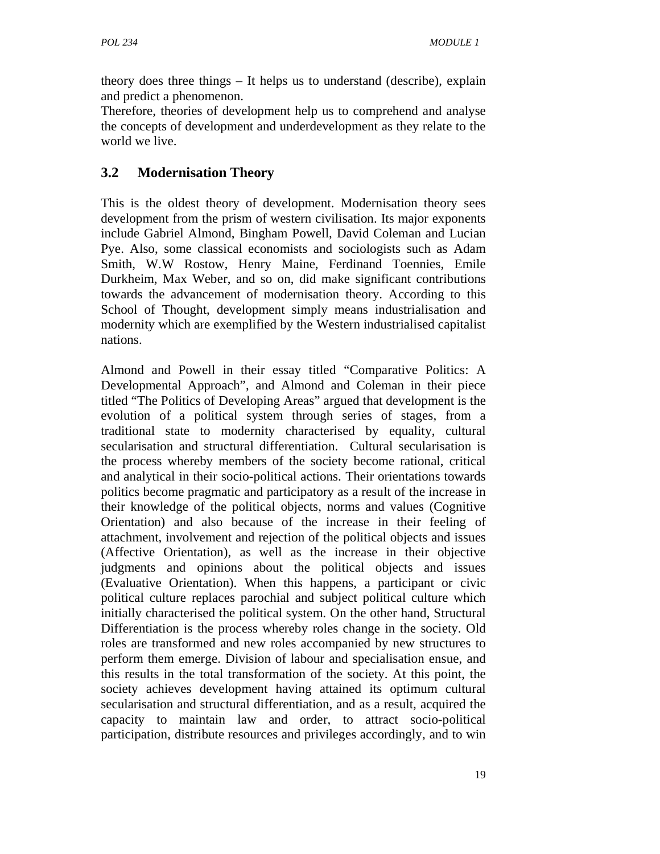theory does three things – It helps us to understand (describe), explain and predict a phenomenon.

Therefore, theories of development help us to comprehend and analyse the concepts of development and underdevelopment as they relate to the world we live.

# **3.2 Modernisation Theory**

This is the oldest theory of development. Modernisation theory sees development from the prism of western civilisation. Its major exponents include Gabriel Almond, Bingham Powell, David Coleman and Lucian Pye. Also, some classical economists and sociologists such as Adam Smith, W.W Rostow, Henry Maine, Ferdinand Toennies, Emile Durkheim, Max Weber, and so on, did make significant contributions towards the advancement of modernisation theory. According to this School of Thought, development simply means industrialisation and modernity which are exemplified by the Western industrialised capitalist nations.

Almond and Powell in their essay titled "Comparative Politics: A Developmental Approach", and Almond and Coleman in their piece titled "The Politics of Developing Areas" argued that development is the evolution of a political system through series of stages, from a traditional state to modernity characterised by equality, cultural secularisation and structural differentiation. Cultural secularisation is the process whereby members of the society become rational, critical and analytical in their socio-political actions. Their orientations towards politics become pragmatic and participatory as a result of the increase in their knowledge of the political objects, norms and values (Cognitive Orientation) and also because of the increase in their feeling of attachment, involvement and rejection of the political objects and issues (Affective Orientation), as well as the increase in their objective judgments and opinions about the political objects and issues (Evaluative Orientation). When this happens, a participant or civic political culture replaces parochial and subject political culture which initially characterised the political system. On the other hand, Structural Differentiation is the process whereby roles change in the society. Old roles are transformed and new roles accompanied by new structures to perform them emerge. Division of labour and specialisation ensue, and this results in the total transformation of the society. At this point, the society achieves development having attained its optimum cultural secularisation and structural differentiation, and as a result, acquired the capacity to maintain law and order, to attract socio-political participation, distribute resources and privileges accordingly, and to win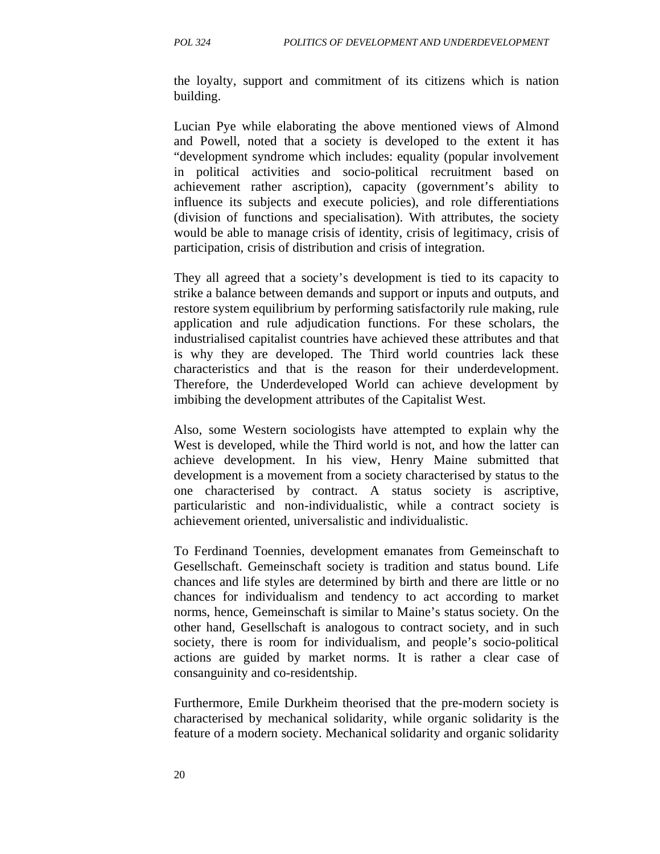the loyalty, support and commitment of its citizens which is nation building.

Lucian Pye while elaborating the above mentioned views of Almond and Powell, noted that a society is developed to the extent it has "development syndrome which includes: equality (popular involvement in political activities and socio-political recruitment based on achievement rather ascription), capacity (government's ability to influence its subjects and execute policies), and role differentiations (division of functions and specialisation). With attributes, the society would be able to manage crisis of identity, crisis of legitimacy, crisis of participation, crisis of distribution and crisis of integration.

They all agreed that a society's development is tied to its capacity to strike a balance between demands and support or inputs and outputs, and restore system equilibrium by performing satisfactorily rule making, rule application and rule adjudication functions. For these scholars, the industrialised capitalist countries have achieved these attributes and that is why they are developed. The Third world countries lack these characteristics and that is the reason for their underdevelopment. Therefore, the Underdeveloped World can achieve development by imbibing the development attributes of the Capitalist West.

Also, some Western sociologists have attempted to explain why the West is developed, while the Third world is not, and how the latter can achieve development. In his view, Henry Maine submitted that development is a movement from a society characterised by status to the one characterised by contract. A status society is ascriptive, particularistic and non-individualistic, while a contract society is achievement oriented, universalistic and individualistic.

To Ferdinand Toennies, development emanates from Gemeinschaft to Gesellschaft. Gemeinschaft society is tradition and status bound. Life chances and life styles are determined by birth and there are little or no chances for individualism and tendency to act according to market norms, hence, Gemeinschaft is similar to Maine's status society. On the other hand, Gesellschaft is analogous to contract society, and in such society, there is room for individualism, and people's socio-political actions are guided by market norms. It is rather a clear case of consanguinity and co-residentship.

Furthermore, Emile Durkheim theorised that the pre-modern society is characterised by mechanical solidarity, while organic solidarity is the feature of a modern society. Mechanical solidarity and organic solidarity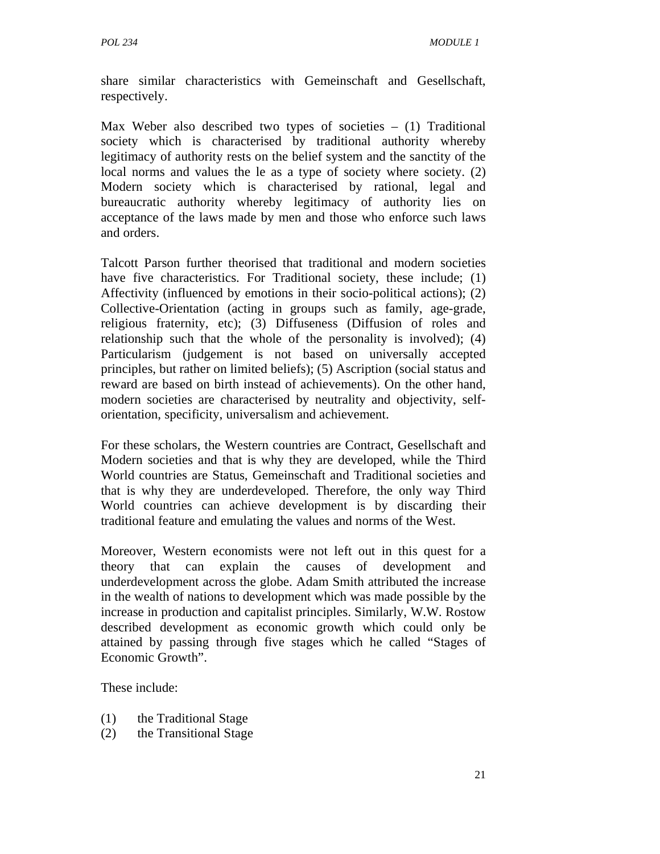share similar characteristics with Gemeinschaft and Gesellschaft, respectively.

Max Weber also described two types of societies – (1) Traditional society which is characterised by traditional authority whereby legitimacy of authority rests on the belief system and the sanctity of the local norms and values the le as a type of society where society. (2) Modern society which is characterised by rational, legal and bureaucratic authority whereby legitimacy of authority lies on acceptance of the laws made by men and those who enforce such laws and orders.

Talcott Parson further theorised that traditional and modern societies have five characteristics. For Traditional society, these include; (1) Affectivity (influenced by emotions in their socio-political actions); (2) Collective-Orientation (acting in groups such as family, age-grade, religious fraternity, etc); (3) Diffuseness (Diffusion of roles and relationship such that the whole of the personality is involved); (4) Particularism (judgement is not based on universally accepted principles, but rather on limited beliefs); (5) Ascription (social status and reward are based on birth instead of achievements). On the other hand, modern societies are characterised by neutrality and objectivity, selforientation, specificity, universalism and achievement.

For these scholars, the Western countries are Contract, Gesellschaft and Modern societies and that is why they are developed, while the Third World countries are Status, Gemeinschaft and Traditional societies and that is why they are underdeveloped. Therefore, the only way Third World countries can achieve development is by discarding their traditional feature and emulating the values and norms of the West.

Moreover, Western economists were not left out in this quest for a theory that can explain the causes of development and underdevelopment across the globe. Adam Smith attributed the increase in the wealth of nations to development which was made possible by the increase in production and capitalist principles. Similarly, W.W. Rostow described development as economic growth which could only be attained by passing through five stages which he called "Stages of Economic Growth".

These include:

- (1) the Traditional Stage
- (2) the Transitional Stage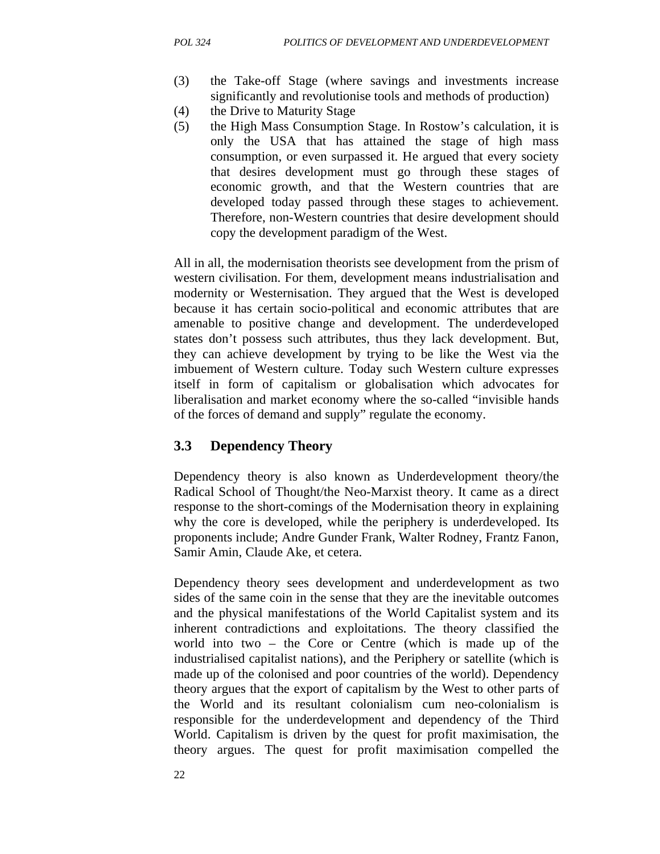- (3) the Take-off Stage (where savings and investments increase significantly and revolutionise tools and methods of production)
- (4) the Drive to Maturity Stage
- (5) the High Mass Consumption Stage. In Rostow's calculation, it is only the USA that has attained the stage of high mass consumption, or even surpassed it. He argued that every society that desires development must go through these stages of economic growth, and that the Western countries that are developed today passed through these stages to achievement. Therefore, non-Western countries that desire development should copy the development paradigm of the West.

All in all, the modernisation theorists see development from the prism of western civilisation. For them, development means industrialisation and modernity or Westernisation. They argued that the West is developed because it has certain socio-political and economic attributes that are amenable to positive change and development. The underdeveloped states don't possess such attributes, thus they lack development. But, they can achieve development by trying to be like the West via the imbuement of Western culture. Today such Western culture expresses itself in form of capitalism or globalisation which advocates for liberalisation and market economy where the so-called "invisible hands of the forces of demand and supply" regulate the economy.

#### **3.3 Dependency Theory**

Dependency theory is also known as Underdevelopment theory/the Radical School of Thought/the Neo-Marxist theory. It came as a direct response to the short-comings of the Modernisation theory in explaining why the core is developed, while the periphery is underdeveloped. Its proponents include; Andre Gunder Frank, Walter Rodney, Frantz Fanon, Samir Amin, Claude Ake, et cetera.

Dependency theory sees development and underdevelopment as two sides of the same coin in the sense that they are the inevitable outcomes and the physical manifestations of the World Capitalist system and its inherent contradictions and exploitations. The theory classified the world into two – the Core or Centre (which is made up of the industrialised capitalist nations), and the Periphery or satellite (which is made up of the colonised and poor countries of the world). Dependency theory argues that the export of capitalism by the West to other parts of the World and its resultant colonialism cum neo-colonialism is responsible for the underdevelopment and dependency of the Third World. Capitalism is driven by the quest for profit maximisation, the theory argues. The quest for profit maximisation compelled the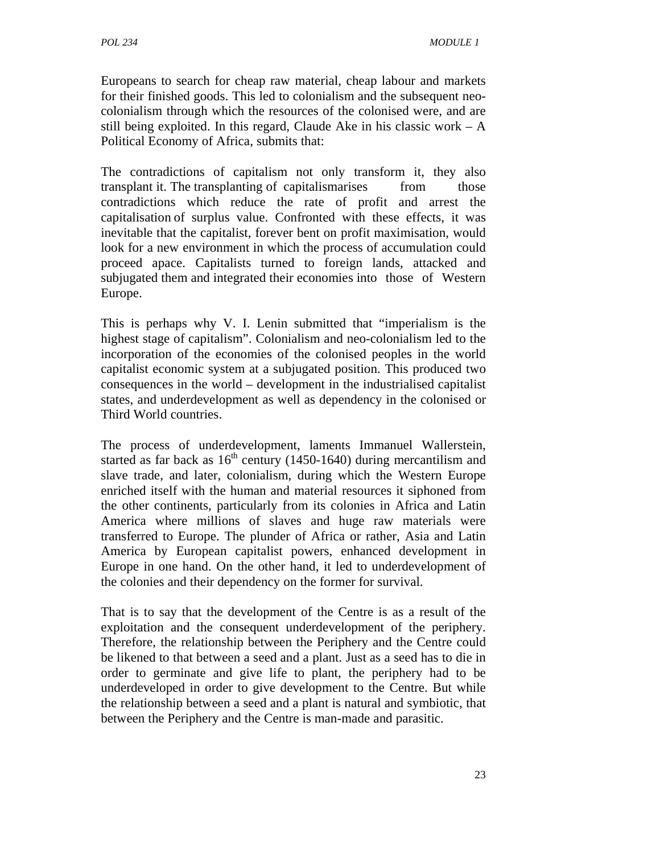Europeans to search for cheap raw material, cheap labour and markets for their finished goods. This led to colonialism and the subsequent neocolonialism through which the resources of the colonised were, and are still being exploited. In this regard, Claude Ake in his classic work  $- A$ Political Economy of Africa, submits that:

The contradictions of capitalism not only transform it, they also transplant it. The transplanting of capitalismarises from those contradictions which reduce the rate of profit and arrest the capitalisation of surplus value. Confronted with these effects, it was inevitable that the capitalist, forever bent on profit maximisation, would look for a new environment in which the process of accumulation could proceed apace. Capitalists turned to foreign lands, attacked and subjugated them and integrated their economies into those of Western Europe.

This is perhaps why V. I. Lenin submitted that "imperialism is the highest stage of capitalism". Colonialism and neo-colonialism led to the incorporation of the economies of the colonised peoples in the world capitalist economic system at a subjugated position. This produced two consequences in the world – development in the industrialised capitalist states, and underdevelopment as well as dependency in the colonised or Third World countries.

The process of underdevelopment, laments Immanuel Wallerstein, started as far back as  $16<sup>th</sup>$  century (1450-1640) during mercantilism and slave trade, and later, colonialism, during which the Western Europe enriched itself with the human and material resources it siphoned from the other continents, particularly from its colonies in Africa and Latin America where millions of slaves and huge raw materials were transferred to Europe. The plunder of Africa or rather, Asia and Latin America by European capitalist powers, enhanced development in Europe in one hand. On the other hand, it led to underdevelopment of the colonies and their dependency on the former for survival.

That is to say that the development of the Centre is as a result of the exploitation and the consequent underdevelopment of the periphery. Therefore, the relationship between the Periphery and the Centre could be likened to that between a seed and a plant. Just as a seed has to die in order to germinate and give life to plant, the periphery had to be underdeveloped in order to give development to the Centre. But while the relationship between a seed and a plant is natural and symbiotic, that between the Periphery and the Centre is man-made and parasitic.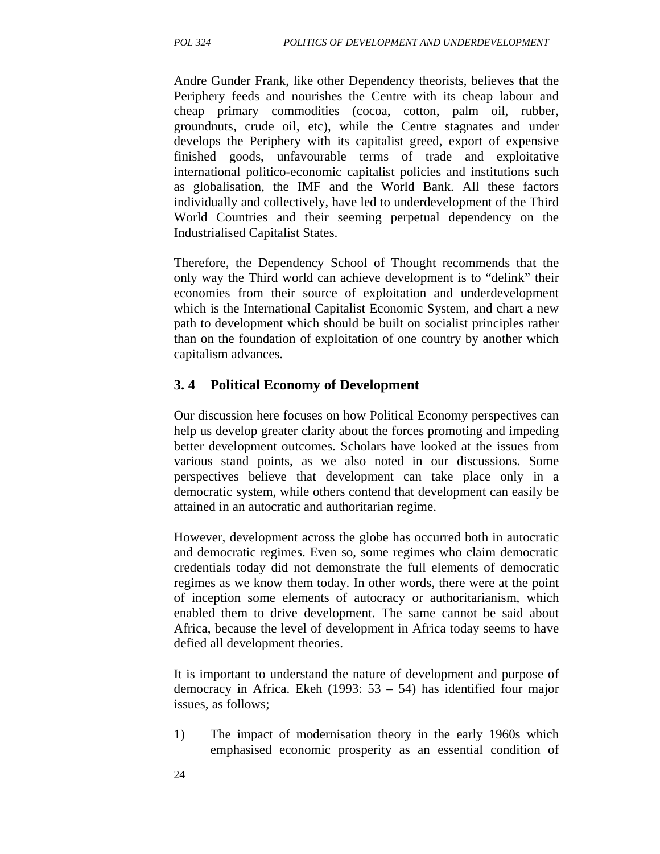Andre Gunder Frank, like other Dependency theorists, believes that the Periphery feeds and nourishes the Centre with its cheap labour and cheap primary commodities (cocoa, cotton, palm oil, rubber, groundnuts, crude oil, etc), while the Centre stagnates and under develops the Periphery with its capitalist greed, export of expensive finished goods, unfavourable terms of trade and exploitative international politico-economic capitalist policies and institutions such as globalisation, the IMF and the World Bank. All these factors individually and collectively, have led to underdevelopment of the Third World Countries and their seeming perpetual dependency on the Industrialised Capitalist States.

Therefore, the Dependency School of Thought recommends that the only way the Third world can achieve development is to "delink" their economies from their source of exploitation and underdevelopment which is the International Capitalist Economic System, and chart a new path to development which should be built on socialist principles rather than on the foundation of exploitation of one country by another which capitalism advances.

#### **3. 4 Political Economy of Development**

Our discussion here focuses on how Political Economy perspectives can help us develop greater clarity about the forces promoting and impeding better development outcomes. Scholars have looked at the issues from various stand points, as we also noted in our discussions. Some perspectives believe that development can take place only in a democratic system, while others contend that development can easily be attained in an autocratic and authoritarian regime.

However, development across the globe has occurred both in autocratic and democratic regimes. Even so, some regimes who claim democratic credentials today did not demonstrate the full elements of democratic regimes as we know them today. In other words, there were at the point of inception some elements of autocracy or authoritarianism, which enabled them to drive development. The same cannot be said about Africa, because the level of development in Africa today seems to have defied all development theories.

It is important to understand the nature of development and purpose of democracy in Africa. Ekeh (1993: 53 – 54) has identified four major issues, as follows;

- 1) The impact of modernisation theory in the early 1960s which emphasised economic prosperity as an essential condition of
- 24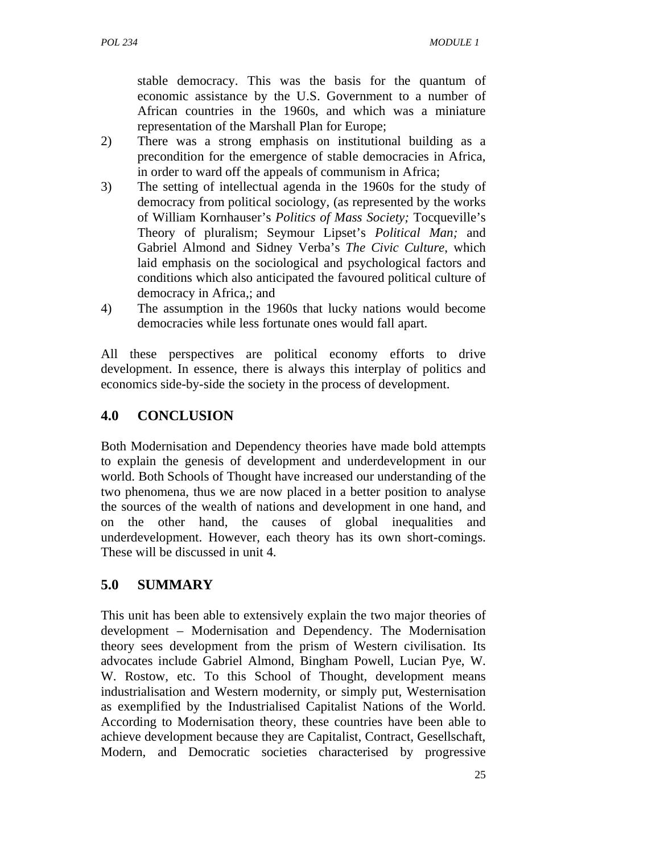stable democracy. This was the basis for the quantum of economic assistance by the U.S. Government to a number of African countries in the 1960s, and which was a miniature representation of the Marshall Plan for Europe;

- 2) There was a strong emphasis on institutional building as a precondition for the emergence of stable democracies in Africa, in order to ward off the appeals of communism in Africa;
- 3) The setting of intellectual agenda in the 1960s for the study of democracy from political sociology, (as represented by the works of William Kornhauser's *Politics of Mass Society;* Tocqueville's Theory of pluralism; Seymour Lipset's *Political Man;* and Gabriel Almond and Sidney Verba's *The Civic Culture*, which laid emphasis on the sociological and psychological factors and conditions which also anticipated the favoured political culture of democracy in Africa,; and
- 4) The assumption in the 1960s that lucky nations would become democracies while less fortunate ones would fall apart.

All these perspectives are political economy efforts to drive development. In essence, there is always this interplay of politics and economics side-by-side the society in the process of development.

# **4.0 CONCLUSION**

Both Modernisation and Dependency theories have made bold attempts to explain the genesis of development and underdevelopment in our world. Both Schools of Thought have increased our understanding of the two phenomena, thus we are now placed in a better position to analyse the sources of the wealth of nations and development in one hand, and on the other hand, the causes of global inequalities and underdevelopment. However, each theory has its own short-comings. These will be discussed in unit 4.

# **5.0 SUMMARY**

This unit has been able to extensively explain the two major theories of development – Modernisation and Dependency. The Modernisation theory sees development from the prism of Western civilisation. Its advocates include Gabriel Almond, Bingham Powell, Lucian Pye, W. W. Rostow, etc. To this School of Thought, development means industrialisation and Western modernity, or simply put, Westernisation as exemplified by the Industrialised Capitalist Nations of the World. According to Modernisation theory, these countries have been able to achieve development because they are Capitalist, Contract, Gesellschaft, Modern, and Democratic societies characterised by progressive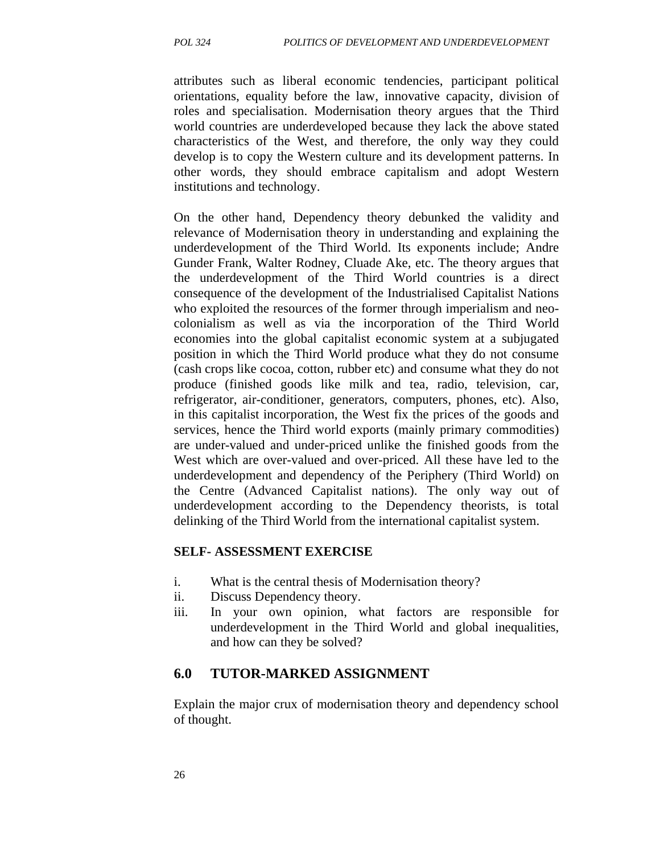attributes such as liberal economic tendencies, participant political orientations, equality before the law, innovative capacity, division of roles and specialisation. Modernisation theory argues that the Third world countries are underdeveloped because they lack the above stated characteristics of the West, and therefore, the only way they could develop is to copy the Western culture and its development patterns. In other words, they should embrace capitalism and adopt Western institutions and technology.

On the other hand, Dependency theory debunked the validity and relevance of Modernisation theory in understanding and explaining the underdevelopment of the Third World. Its exponents include; Andre Gunder Frank, Walter Rodney, Cluade Ake, etc. The theory argues that the underdevelopment of the Third World countries is a direct consequence of the development of the Industrialised Capitalist Nations who exploited the resources of the former through imperialism and neocolonialism as well as via the incorporation of the Third World economies into the global capitalist economic system at a subjugated position in which the Third World produce what they do not consume (cash crops like cocoa, cotton, rubber etc) and consume what they do not produce (finished goods like milk and tea, radio, television, car, refrigerator, air-conditioner, generators, computers, phones, etc). Also, in this capitalist incorporation, the West fix the prices of the goods and services, hence the Third world exports (mainly primary commodities) are under-valued and under-priced unlike the finished goods from the West which are over-valued and over-priced. All these have led to the underdevelopment and dependency of the Periphery (Third World) on the Centre (Advanced Capitalist nations). The only way out of underdevelopment according to the Dependency theorists, is total delinking of the Third World from the international capitalist system.

#### **SELF- ASSESSMENT EXERCISE**

- i. What is the central thesis of Modernisation theory?
- ii. Discuss Dependency theory.
- iii. In your own opinion, what factors are responsible for underdevelopment in the Third World and global inequalities, and how can they be solved?

#### **6.0 TUTOR-MARKED ASSIGNMENT**

Explain the major crux of modernisation theory and dependency school of thought.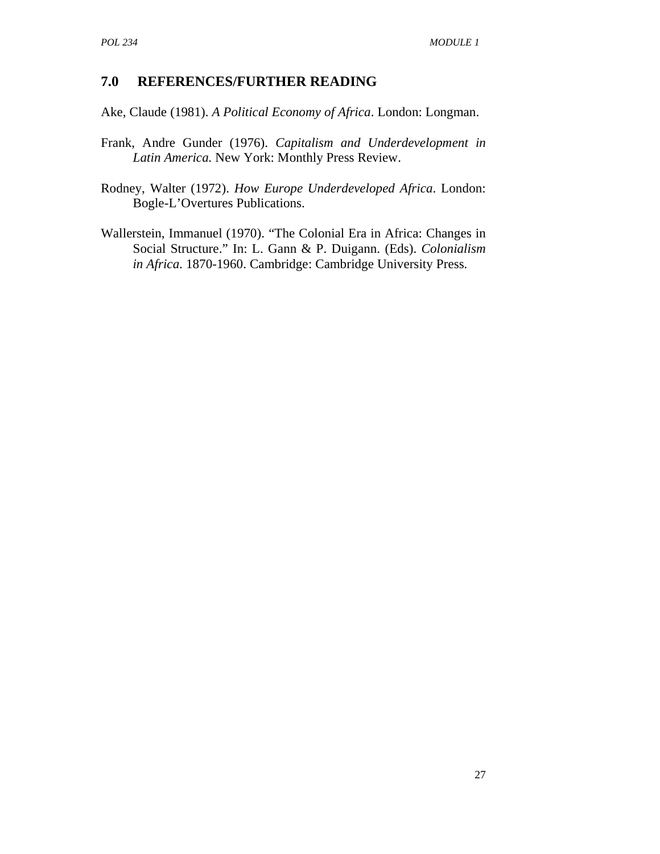#### **7.0 REFERENCES/FURTHER READING**

Ake, Claude (1981). *A Political Economy of Africa*. London: Longman.

- Frank, Andre Gunder (1976). *Capitalism and Underdevelopment in Latin America.* New York: Monthly Press Review.
- Rodney, Walter (1972). *How Europe Underdeveloped Africa*. London: Bogle-L'Overtures Publications.
- Wallerstein, Immanuel (1970). "The Colonial Era in Africa: Changes in Social Structure." In: L. Gann & P. Duigann. (Eds). *Colonialism in Africa*. 1870-1960. Cambridge: Cambridge University Press.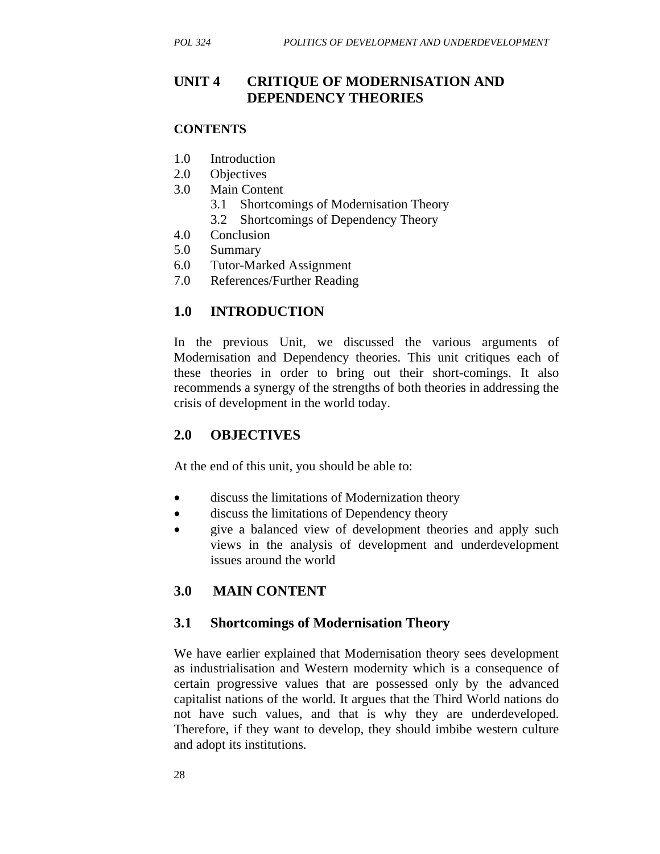#### **UNIT 4 CRITIQUE OF MODERNISATION AND DEPENDENCY THEORIES**

#### **CONTENTS**

- 1.0 Introduction
- 2.0 Objectives
- 3.0 Main Content
	- 3.1 Shortcomings of Modernisation Theory
	- 3.2 Shortcomings of Dependency Theory
- 4.0 Conclusion
- 5.0 Summary
- 6.0 Tutor-Marked Assignment
- 7.0 References/Further Reading

#### **1.0 INTRODUCTION**

In the previous Unit, we discussed the various arguments of Modernisation and Dependency theories. This unit critiques each of these theories in order to bring out their short-comings. It also recommends a synergy of the strengths of both theories in addressing the crisis of development in the world today.

#### **2.0 OBJECTIVES**

At the end of this unit, you should be able to:

- discuss the limitations of Modernization theory
- discuss the limitations of Dependency theory
- give a balanced view of development theories and apply such views in the analysis of development and underdevelopment issues around the world

#### **3.0 MAIN CONTENT**

#### **3.1 Shortcomings of Modernisation Theory**

We have earlier explained that Modernisation theory sees development as industrialisation and Western modernity which is a consequence of certain progressive values that are possessed only by the advanced capitalist nations of the world. It argues that the Third World nations do not have such values, and that is why they are underdeveloped. Therefore, if they want to develop, they should imbibe western culture and adopt its institutions.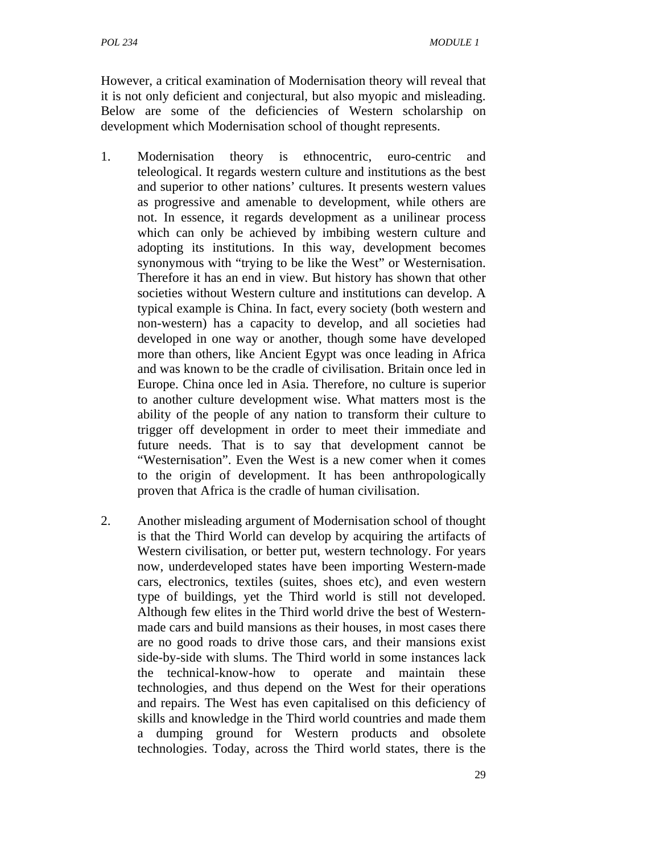However, a critical examination of Modernisation theory will reveal that it is not only deficient and conjectural, but also myopic and misleading. Below are some of the deficiencies of Western scholarship on development which Modernisation school of thought represents.

- 1. Modernisation theory is ethnocentric, euro-centric and teleological. It regards western culture and institutions as the best and superior to other nations' cultures. It presents western values as progressive and amenable to development, while others are not. In essence, it regards development as a unilinear process which can only be achieved by imbibing western culture and adopting its institutions. In this way, development becomes synonymous with "trying to be like the West" or Westernisation. Therefore it has an end in view. But history has shown that other societies without Western culture and institutions can develop. A typical example is China. In fact, every society (both western and non-western) has a capacity to develop, and all societies had developed in one way or another, though some have developed more than others, like Ancient Egypt was once leading in Africa and was known to be the cradle of civilisation. Britain once led in Europe. China once led in Asia. Therefore, no culture is superior to another culture development wise. What matters most is the ability of the people of any nation to transform their culture to trigger off development in order to meet their immediate and future needs. That is to say that development cannot be "Westernisation". Even the West is a new comer when it comes to the origin of development. It has been anthropologically proven that Africa is the cradle of human civilisation.
- 2. Another misleading argument of Modernisation school of thought is that the Third World can develop by acquiring the artifacts of Western civilisation, or better put, western technology. For years now, underdeveloped states have been importing Western-made cars, electronics, textiles (suites, shoes etc), and even western type of buildings, yet the Third world is still not developed. Although few elites in the Third world drive the best of Westernmade cars and build mansions as their houses, in most cases there are no good roads to drive those cars, and their mansions exist side-by-side with slums. The Third world in some instances lack the technical-know-how to operate and maintain these technologies, and thus depend on the West for their operations and repairs. The West has even capitalised on this deficiency of skills and knowledge in the Third world countries and made them a dumping ground for Western products and obsolete technologies. Today, across the Third world states, there is the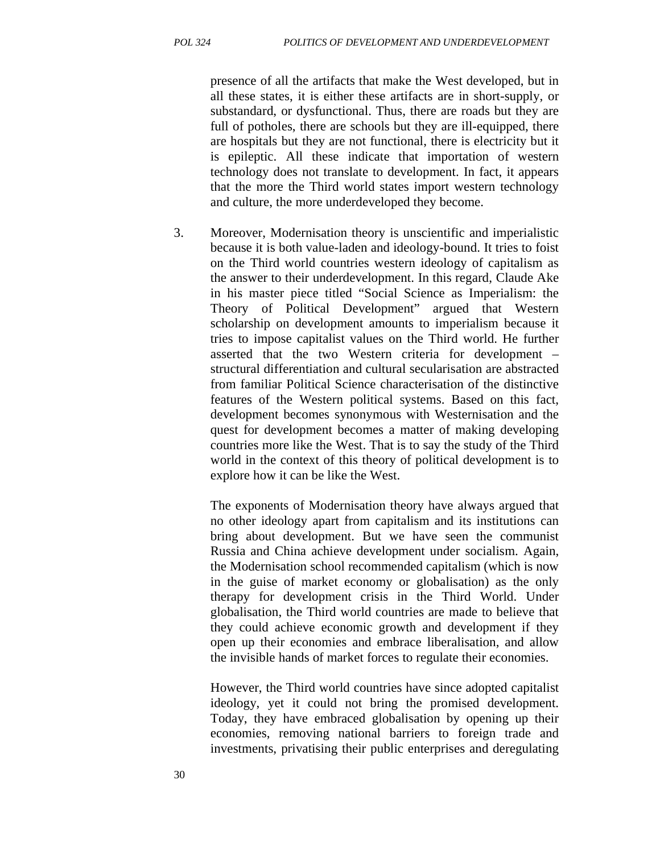presence of all the artifacts that make the West developed, but in all these states, it is either these artifacts are in short-supply, or substandard, or dysfunctional. Thus, there are roads but they are full of potholes, there are schools but they are ill-equipped, there are hospitals but they are not functional, there is electricity but it is epileptic. All these indicate that importation of western technology does not translate to development. In fact, it appears that the more the Third world states import western technology and culture, the more underdeveloped they become.

3. Moreover, Modernisation theory is unscientific and imperialistic because it is both value-laden and ideology-bound. It tries to foist on the Third world countries western ideology of capitalism as the answer to their underdevelopment. In this regard, Claude Ake in his master piece titled "Social Science as Imperialism: the Theory of Political Development" argued that Western scholarship on development amounts to imperialism because it tries to impose capitalist values on the Third world. He further asserted that the two Western criteria for development – structural differentiation and cultural secularisation are abstracted from familiar Political Science characterisation of the distinctive features of the Western political systems. Based on this fact, development becomes synonymous with Westernisation and the quest for development becomes a matter of making developing countries more like the West. That is to say the study of the Third world in the context of this theory of political development is to explore how it can be like the West.

The exponents of Modernisation theory have always argued that no other ideology apart from capitalism and its institutions can bring about development. But we have seen the communist Russia and China achieve development under socialism. Again, the Modernisation school recommended capitalism (which is now in the guise of market economy or globalisation) as the only therapy for development crisis in the Third World. Under globalisation, the Third world countries are made to believe that they could achieve economic growth and development if they open up their economies and embrace liberalisation, and allow the invisible hands of market forces to regulate their economies.

However, the Third world countries have since adopted capitalist ideology, yet it could not bring the promised development. Today, they have embraced globalisation by opening up their economies, removing national barriers to foreign trade and investments, privatising their public enterprises and deregulating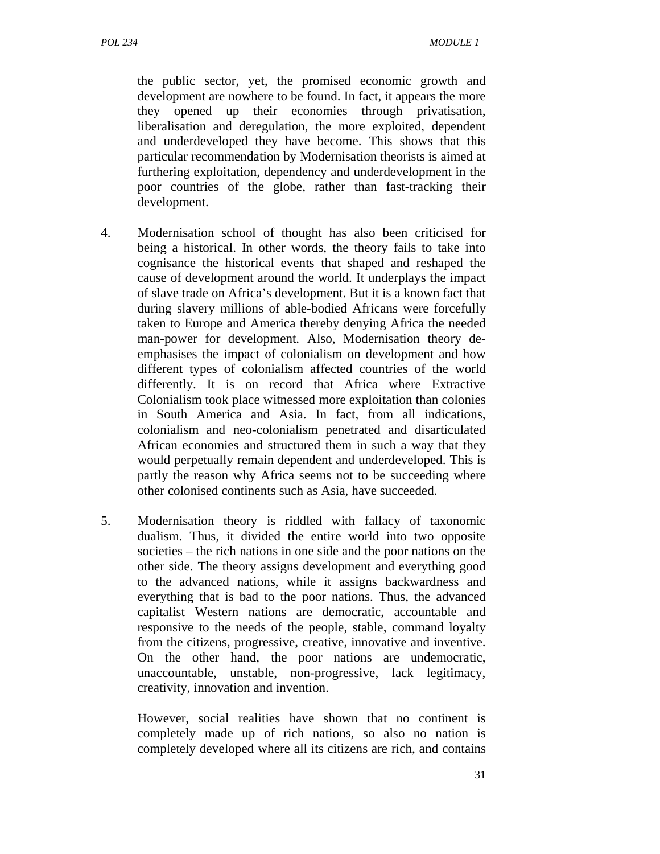the public sector, yet, the promised economic growth and development are nowhere to be found. In fact, it appears the more they opened up their economies through privatisation, liberalisation and deregulation, the more exploited, dependent and underdeveloped they have become. This shows that this particular recommendation by Modernisation theorists is aimed at furthering exploitation, dependency and underdevelopment in the poor countries of the globe, rather than fast-tracking their development.

- 4. Modernisation school of thought has also been criticised for being a historical. In other words, the theory fails to take into cognisance the historical events that shaped and reshaped the cause of development around the world. It underplays the impact of slave trade on Africa's development. But it is a known fact that during slavery millions of able-bodied Africans were forcefully taken to Europe and America thereby denying Africa the needed man-power for development. Also, Modernisation theory deemphasises the impact of colonialism on development and how different types of colonialism affected countries of the world differently. It is on record that Africa where Extractive Colonialism took place witnessed more exploitation than colonies in South America and Asia. In fact, from all indications, colonialism and neo-colonialism penetrated and disarticulated African economies and structured them in such a way that they would perpetually remain dependent and underdeveloped. This is partly the reason why Africa seems not to be succeeding where other colonised continents such as Asia, have succeeded.
- 5. Modernisation theory is riddled with fallacy of taxonomic dualism. Thus, it divided the entire world into two opposite societies – the rich nations in one side and the poor nations on the other side. The theory assigns development and everything good to the advanced nations, while it assigns backwardness and everything that is bad to the poor nations. Thus, the advanced capitalist Western nations are democratic, accountable and responsive to the needs of the people, stable, command loyalty from the citizens, progressive, creative, innovative and inventive. On the other hand, the poor nations are undemocratic, unaccountable, unstable, non-progressive, lack legitimacy, creativity, innovation and invention.

However, social realities have shown that no continent is completely made up of rich nations, so also no nation is completely developed where all its citizens are rich, and contains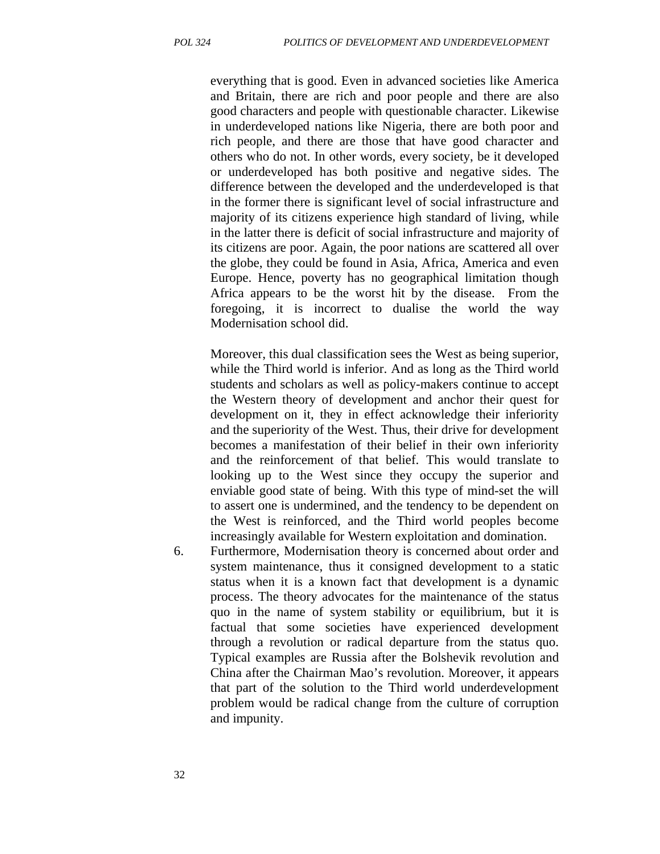everything that is good. Even in advanced societies like America and Britain, there are rich and poor people and there are also good characters and people with questionable character. Likewise in underdeveloped nations like Nigeria, there are both poor and rich people, and there are those that have good character and others who do not. In other words, every society, be it developed or underdeveloped has both positive and negative sides. The difference between the developed and the underdeveloped is that in the former there is significant level of social infrastructure and majority of its citizens experience high standard of living, while in the latter there is deficit of social infrastructure and majority of its citizens are poor. Again, the poor nations are scattered all over the globe, they could be found in Asia, Africa, America and even Europe. Hence, poverty has no geographical limitation though Africa appears to be the worst hit by the disease. From the foregoing, it is incorrect to dualise the world the way Modernisation school did.

Moreover, this dual classification sees the West as being superior, while the Third world is inferior. And as long as the Third world students and scholars as well as policy-makers continue to accept the Western theory of development and anchor their quest for development on it, they in effect acknowledge their inferiority and the superiority of the West. Thus, their drive for development becomes a manifestation of their belief in their own inferiority and the reinforcement of that belief. This would translate to looking up to the West since they occupy the superior and enviable good state of being. With this type of mind-set the will to assert one is undermined, and the tendency to be dependent on the West is reinforced, and the Third world peoples become increasingly available for Western exploitation and domination.

6. Furthermore, Modernisation theory is concerned about order and system maintenance, thus it consigned development to a static status when it is a known fact that development is a dynamic process. The theory advocates for the maintenance of the status quo in the name of system stability or equilibrium, but it is factual that some societies have experienced development through a revolution or radical departure from the status quo. Typical examples are Russia after the Bolshevik revolution and China after the Chairman Mao's revolution. Moreover, it appears that part of the solution to the Third world underdevelopment problem would be radical change from the culture of corruption and impunity.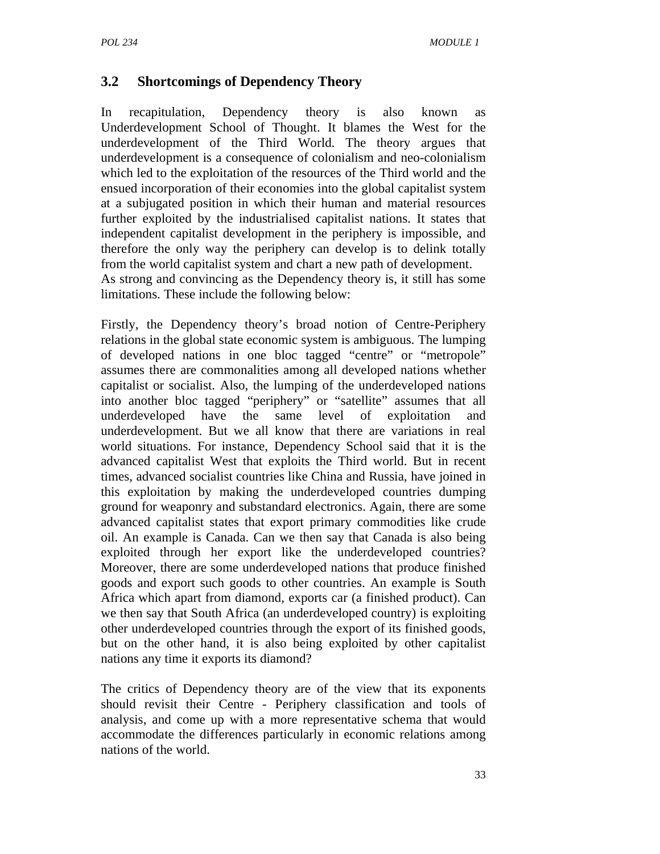# **3.2 Shortcomings of Dependency Theory**

In recapitulation, Dependency theory is also known as Underdevelopment School of Thought. It blames the West for the underdevelopment of the Third World. The theory argues that underdevelopment is a consequence of colonialism and neo-colonialism which led to the exploitation of the resources of the Third world and the ensued incorporation of their economies into the global capitalist system at a subjugated position in which their human and material resources further exploited by the industrialised capitalist nations. It states that independent capitalist development in the periphery is impossible, and therefore the only way the periphery can develop is to delink totally from the world capitalist system and chart a new path of development. As strong and convincing as the Dependency theory is, it still has some limitations. These include the following below:

Firstly, the Dependency theory's broad notion of Centre-Periphery relations in the global state economic system is ambiguous. The lumping of developed nations in one bloc tagged "centre" or "metropole" assumes there are commonalities among all developed nations whether capitalist or socialist. Also, the lumping of the underdeveloped nations into another bloc tagged "periphery" or "satellite" assumes that all underdeveloped have the same level of exploitation and underdevelopment. But we all know that there are variations in real world situations. For instance, Dependency School said that it is the advanced capitalist West that exploits the Third world. But in recent times, advanced socialist countries like China and Russia, have joined in this exploitation by making the underdeveloped countries dumping ground for weaponry and substandard electronics. Again, there are some advanced capitalist states that export primary commodities like crude oil. An example is Canada. Can we then say that Canada is also being exploited through her export like the underdeveloped countries? Moreover, there are some underdeveloped nations that produce finished goods and export such goods to other countries. An example is South Africa which apart from diamond, exports car (a finished product). Can we then say that South Africa (an underdeveloped country) is exploiting other underdeveloped countries through the export of its finished goods, but on the other hand, it is also being exploited by other capitalist nations any time it exports its diamond?

The critics of Dependency theory are of the view that its exponents should revisit their Centre - Periphery classification and tools of analysis, and come up with a more representative schema that would accommodate the differences particularly in economic relations among nations of the world.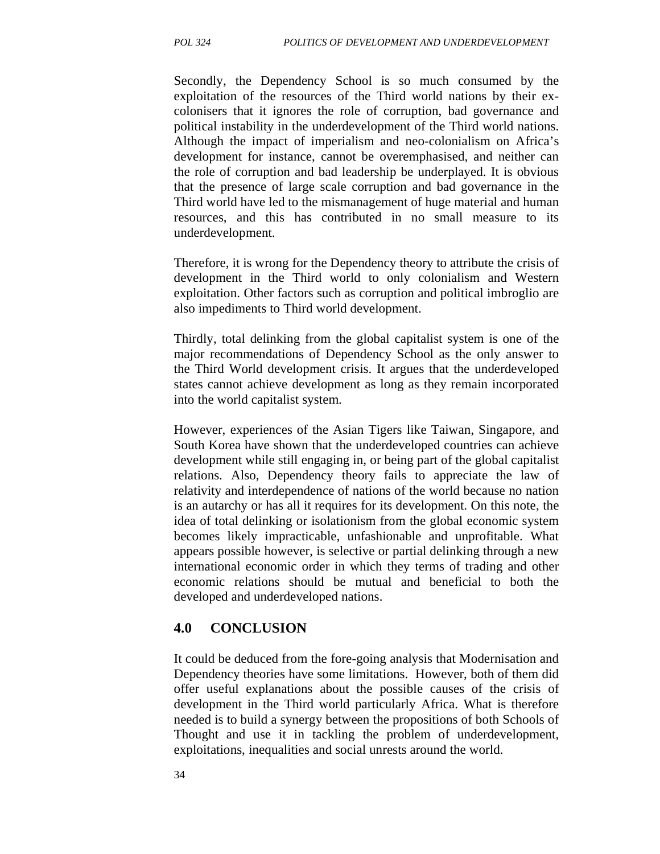Secondly, the Dependency School is so much consumed by the exploitation of the resources of the Third world nations by their excolonisers that it ignores the role of corruption, bad governance and political instability in the underdevelopment of the Third world nations. Although the impact of imperialism and neo-colonialism on Africa's development for instance, cannot be overemphasised, and neither can the role of corruption and bad leadership be underplayed. It is obvious that the presence of large scale corruption and bad governance in the Third world have led to the mismanagement of huge material and human resources, and this has contributed in no small measure to its underdevelopment.

Therefore, it is wrong for the Dependency theory to attribute the crisis of development in the Third world to only colonialism and Western exploitation. Other factors such as corruption and political imbroglio are also impediments to Third world development.

Thirdly, total delinking from the global capitalist system is one of the major recommendations of Dependency School as the only answer to the Third World development crisis. It argues that the underdeveloped states cannot achieve development as long as they remain incorporated into the world capitalist system.

However, experiences of the Asian Tigers like Taiwan, Singapore, and South Korea have shown that the underdeveloped countries can achieve development while still engaging in, or being part of the global capitalist relations. Also, Dependency theory fails to appreciate the law of relativity and interdependence of nations of the world because no nation is an autarchy or has all it requires for its development. On this note, the idea of total delinking or isolationism from the global economic system becomes likely impracticable, unfashionable and unprofitable. What appears possible however, is selective or partial delinking through a new international economic order in which they terms of trading and other economic relations should be mutual and beneficial to both the developed and underdeveloped nations.

#### **4.0 CONCLUSION**

It could be deduced from the fore-going analysis that Modernisation and Dependency theories have some limitations. However, both of them did offer useful explanations about the possible causes of the crisis of development in the Third world particularly Africa. What is therefore needed is to build a synergy between the propositions of both Schools of Thought and use it in tackling the problem of underdevelopment, exploitations, inequalities and social unrests around the world.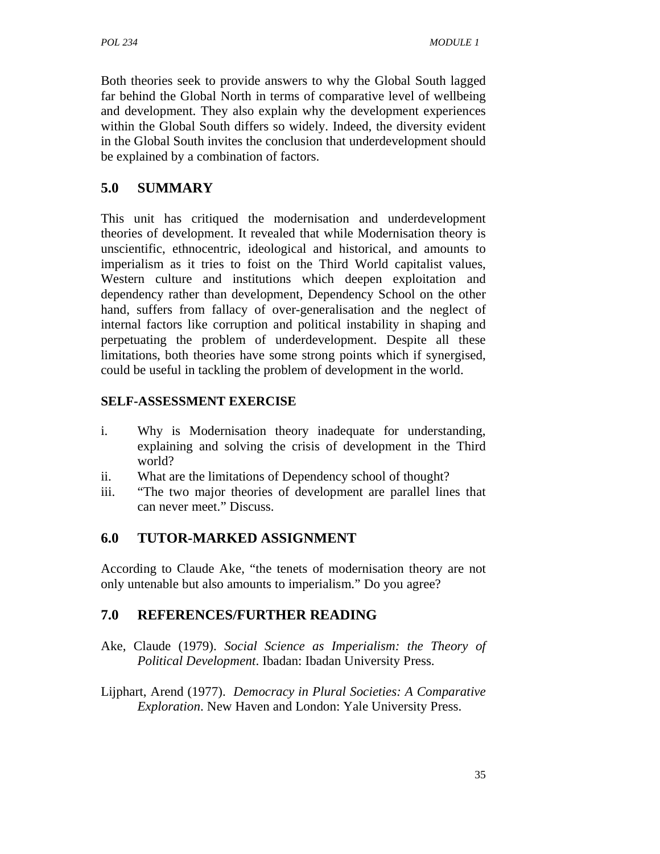Both theories seek to provide answers to why the Global South lagged far behind the Global North in terms of comparative level of wellbeing and development. They also explain why the development experiences within the Global South differs so widely. Indeed, the diversity evident in the Global South invites the conclusion that underdevelopment should be explained by a combination of factors.

# **5.0 SUMMARY**

This unit has critiqued the modernisation and underdevelopment theories of development. It revealed that while Modernisation theory is unscientific, ethnocentric, ideological and historical, and amounts to imperialism as it tries to foist on the Third World capitalist values, Western culture and institutions which deepen exploitation and dependency rather than development, Dependency School on the other hand, suffers from fallacy of over-generalisation and the neglect of internal factors like corruption and political instability in shaping and perpetuating the problem of underdevelopment. Despite all these limitations, both theories have some strong points which if synergised, could be useful in tackling the problem of development in the world.

# **SELF-ASSESSMENT EXERCISE**

- i. Why is Modernisation theory inadequate for understanding, explaining and solving the crisis of development in the Third world?
- ii. What are the limitations of Dependency school of thought?
- iii. "The two major theories of development are parallel lines that can never meet." Discuss.

# **6.0 TUTOR-MARKED ASSIGNMENT**

According to Claude Ake, "the tenets of modernisation theory are not only untenable but also amounts to imperialism." Do you agree?

# **7.0 REFERENCES/FURTHER READING**

- Ake, Claude (1979). *Social Science as Imperialism: the Theory of Political Development*. Ibadan: Ibadan University Press.
- Lijphart, Arend (1977). *Democracy in Plural Societies: A Comparative Exploration*. New Haven and London: Yale University Press.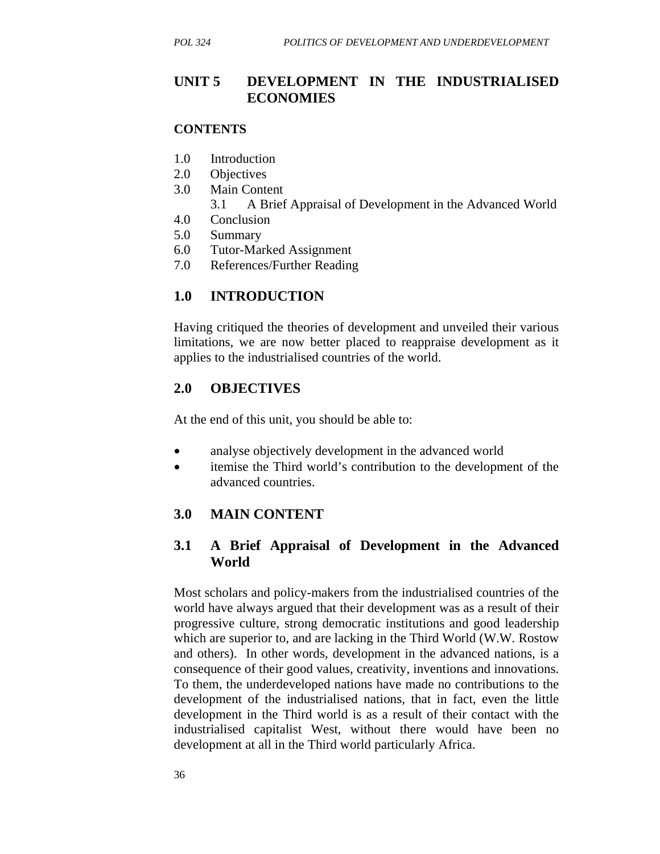# **UNIT 5 DEVELOPMENT IN THE INDUSTRIALISED ECONOMIES**

#### **CONTENTS**

- 1.0 Introduction
- 2.0 Objectives
- 3.0 Main Content
	- 3.1 A Brief Appraisal of Development in the Advanced World
- 4.0 Conclusion
- 5.0 Summary
- 6.0 Tutor-Marked Assignment
- 7.0 References/Further Reading

#### **1.0 INTRODUCTION**

Having critiqued the theories of development and unveiled their various limitations, we are now better placed to reappraise development as it applies to the industrialised countries of the world.

#### **2.0 OBJECTIVES**

At the end of this unit, you should be able to:

- analyse objectively development in the advanced world
- itemise the Third world's contribution to the development of the advanced countries.

# **3.0 MAIN CONTENT**

#### **3.1 A Brief Appraisal of Development in the Advanced World**

Most scholars and policy-makers from the industrialised countries of the world have always argued that their development was as a result of their progressive culture, strong democratic institutions and good leadership which are superior to, and are lacking in the Third World (W.W. Rostow and others). In other words, development in the advanced nations, is a consequence of their good values, creativity, inventions and innovations. To them, the underdeveloped nations have made no contributions to the development of the industrialised nations, that in fact, even the little development in the Third world is as a result of their contact with the industrialised capitalist West, without there would have been no development at all in the Third world particularly Africa.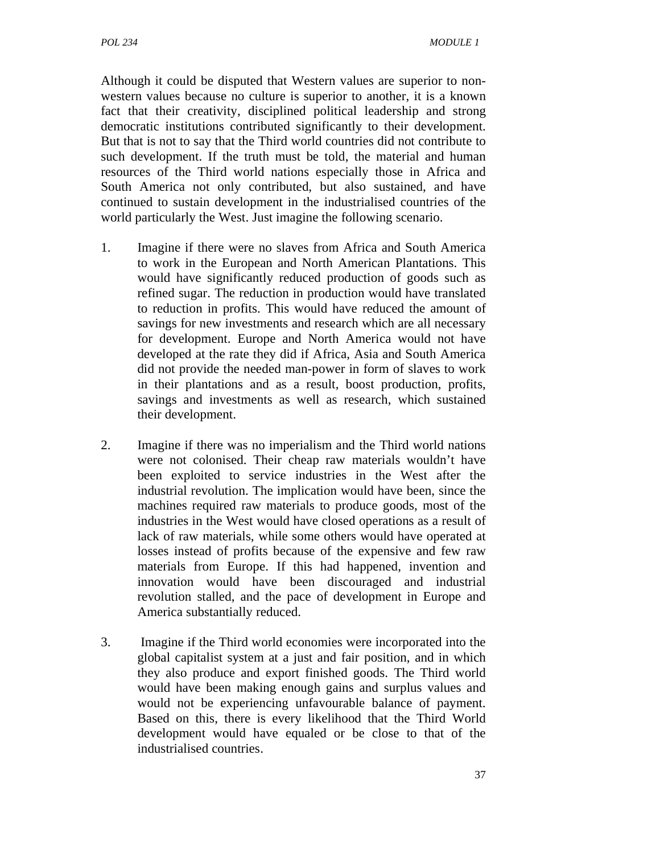Although it could be disputed that Western values are superior to nonwestern values because no culture is superior to another, it is a known fact that their creativity, disciplined political leadership and strong democratic institutions contributed significantly to their development. But that is not to say that the Third world countries did not contribute to such development. If the truth must be told, the material and human resources of the Third world nations especially those in Africa and South America not only contributed, but also sustained, and have continued to sustain development in the industrialised countries of the world particularly the West. Just imagine the following scenario.

- 1. Imagine if there were no slaves from Africa and South America to work in the European and North American Plantations. This would have significantly reduced production of goods such as refined sugar. The reduction in production would have translated to reduction in profits. This would have reduced the amount of savings for new investments and research which are all necessary for development. Europe and North America would not have developed at the rate they did if Africa, Asia and South America did not provide the needed man-power in form of slaves to work in their plantations and as a result, boost production, profits, savings and investments as well as research, which sustained their development.
- 2. Imagine if there was no imperialism and the Third world nations were not colonised. Their cheap raw materials wouldn't have been exploited to service industries in the West after the industrial revolution. The implication would have been, since the machines required raw materials to produce goods, most of the industries in the West would have closed operations as a result of lack of raw materials, while some others would have operated at losses instead of profits because of the expensive and few raw materials from Europe. If this had happened, invention and innovation would have been discouraged and industrial revolution stalled, and the pace of development in Europe and America substantially reduced.
- 3. Imagine if the Third world economies were incorporated into the global capitalist system at a just and fair position, and in which they also produce and export finished goods. The Third world would have been making enough gains and surplus values and would not be experiencing unfavourable balance of payment. Based on this, there is every likelihood that the Third World development would have equaled or be close to that of the industrialised countries.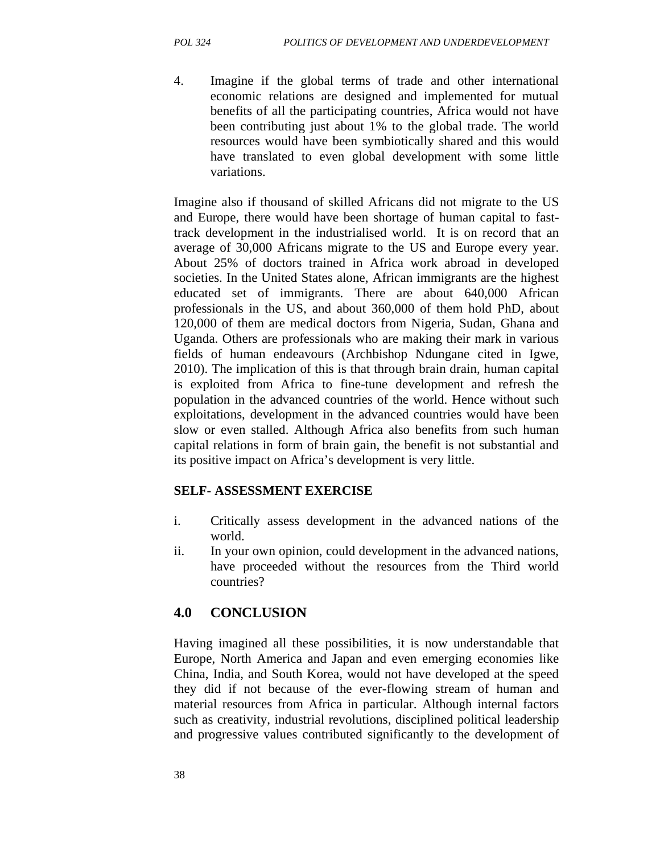4. Imagine if the global terms of trade and other international economic relations are designed and implemented for mutual benefits of all the participating countries, Africa would not have been contributing just about 1% to the global trade. The world resources would have been symbiotically shared and this would have translated to even global development with some little variations.

Imagine also if thousand of skilled Africans did not migrate to the US and Europe, there would have been shortage of human capital to fasttrack development in the industrialised world. It is on record that an average of 30,000 Africans migrate to the US and Europe every year. About 25% of doctors trained in Africa work abroad in developed societies. In the United States alone, African immigrants are the highest educated set of immigrants. There are about 640,000 African professionals in the US, and about 360,000 of them hold PhD, about 120,000 of them are medical doctors from Nigeria, Sudan, Ghana and Uganda. Others are professionals who are making their mark in various fields of human endeavours (Archbishop Ndungane cited in Igwe, 2010). The implication of this is that through brain drain, human capital is exploited from Africa to fine-tune development and refresh the population in the advanced countries of the world. Hence without such exploitations, development in the advanced countries would have been slow or even stalled. Although Africa also benefits from such human capital relations in form of brain gain, the benefit is not substantial and its positive impact on Africa's development is very little.

#### **SELF- ASSESSMENT EXERCISE**

- i. Critically assess development in the advanced nations of the world.
- ii. In your own opinion, could development in the advanced nations, have proceeded without the resources from the Third world countries?

# **4.0 CONCLUSION**

Having imagined all these possibilities, it is now understandable that Europe, North America and Japan and even emerging economies like China, India, and South Korea, would not have developed at the speed they did if not because of the ever-flowing stream of human and material resources from Africa in particular. Although internal factors such as creativity, industrial revolutions, disciplined political leadership and progressive values contributed significantly to the development of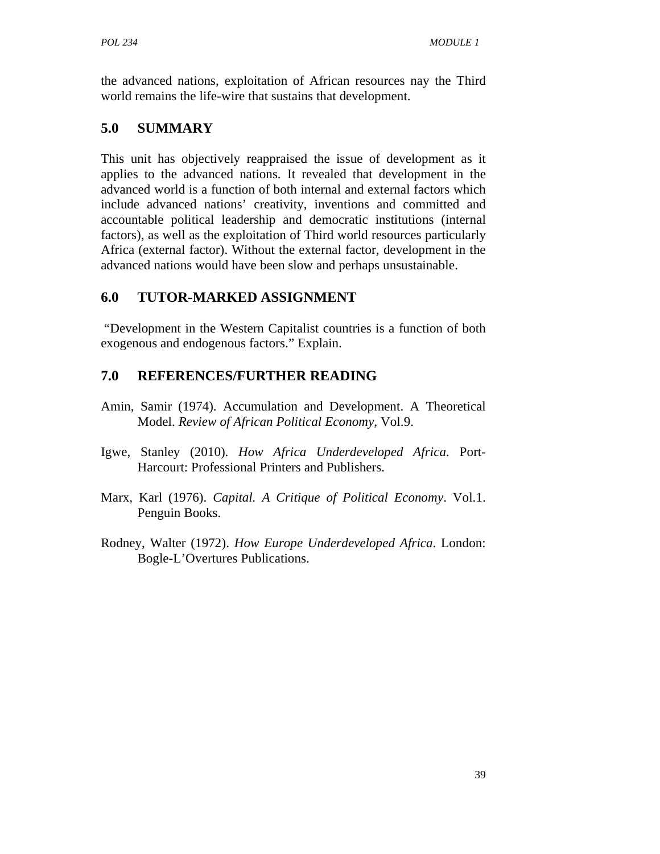the advanced nations, exploitation of African resources nay the Third world remains the life-wire that sustains that development.

# **5.0 SUMMARY**

This unit has objectively reappraised the issue of development as it applies to the advanced nations. It revealed that development in the advanced world is a function of both internal and external factors which include advanced nations' creativity, inventions and committed and accountable political leadership and democratic institutions (internal factors), as well as the exploitation of Third world resources particularly Africa (external factor). Without the external factor, development in the advanced nations would have been slow and perhaps unsustainable.

# **6.0 TUTOR-MARKED ASSIGNMENT**

 "Development in the Western Capitalist countries is a function of both exogenous and endogenous factors." Explain.

# **7.0 REFERENCES/FURTHER READING**

- Amin, Samir (1974). Accumulation and Development. A Theoretical Model. *Review of African Political Economy*, Vol.9.
- Igwe, Stanley (2010). *How Africa Underdeveloped Africa.* Port-Harcourt: Professional Printers and Publishers.
- Marx, Karl (1976). *Capital. A Critique of Political Economy*. Vol.1. Penguin Books.
- Rodney, Walter (1972). *How Europe Underdeveloped Africa*. London: Bogle-L'Overtures Publications.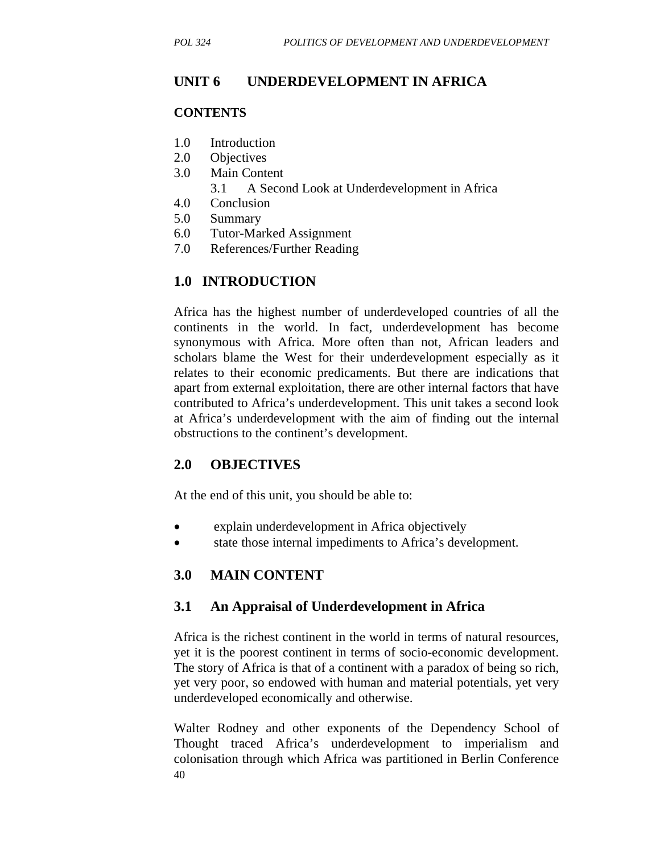# **UNIT 6 UNDERDEVELOPMENT IN AFRICA**

#### **CONTENTS**

- 1.0 Introduction
- 2.0 Objectives
- 3.0 Main Content
	- 3.1 A Second Look at Underdevelopment in Africa
- 4.0 Conclusion
- 5.0 Summary
- 6.0 Tutor-Marked Assignment
- 7.0 References/Further Reading

# **1.0 INTRODUCTION**

Africa has the highest number of underdeveloped countries of all the continents in the world. In fact, underdevelopment has become synonymous with Africa. More often than not, African leaders and scholars blame the West for their underdevelopment especially as it relates to their economic predicaments. But there are indications that apart from external exploitation, there are other internal factors that have contributed to Africa's underdevelopment. This unit takes a second look at Africa's underdevelopment with the aim of finding out the internal obstructions to the continent's development.

# **2.0 OBJECTIVES**

At the end of this unit, you should be able to:

- explain underdevelopment in Africa objectively
- state those internal impediments to Africa's development.

# **3.0 MAIN CONTENT**

#### **3.1 An Appraisal of Underdevelopment in Africa**

Africa is the richest continent in the world in terms of natural resources, yet it is the poorest continent in terms of socio-economic development. The story of Africa is that of a continent with a paradox of being so rich, yet very poor, so endowed with human and material potentials, yet very underdeveloped economically and otherwise.

40 Walter Rodney and other exponents of the Dependency School of Thought traced Africa's underdevelopment to imperialism and colonisation through which Africa was partitioned in Berlin Conference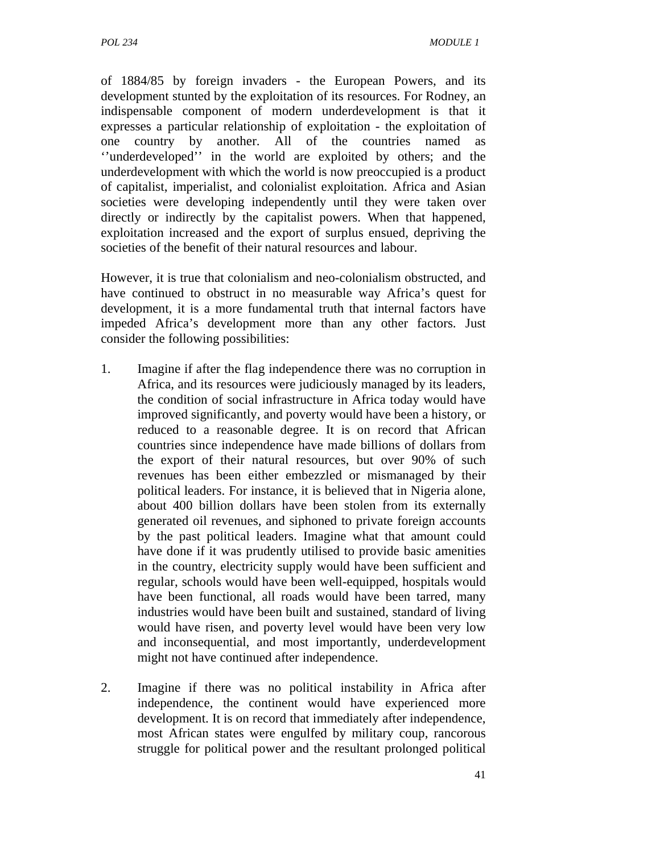of 1884/85 by foreign invaders - the European Powers, and its development stunted by the exploitation of its resources. For Rodney, an indispensable component of modern underdevelopment is that it expresses a particular relationship of exploitation - the exploitation of one country by another. All of the countries named as ''underdeveloped'' in the world are exploited by others; and the underdevelopment with which the world is now preoccupied is a product of capitalist, imperialist, and colonialist exploitation. Africa and Asian societies were developing independently until they were taken over directly or indirectly by the capitalist powers. When that happened, exploitation increased and the export of surplus ensued, depriving the societies of the benefit of their natural resources and labour.

However, it is true that colonialism and neo-colonialism obstructed, and have continued to obstruct in no measurable way Africa's quest for development, it is a more fundamental truth that internal factors have impeded Africa's development more than any other factors. Just consider the following possibilities:

- 1. Imagine if after the flag independence there was no corruption in Africa, and its resources were judiciously managed by its leaders, the condition of social infrastructure in Africa today would have improved significantly, and poverty would have been a history, or reduced to a reasonable degree. It is on record that African countries since independence have made billions of dollars from the export of their natural resources, but over 90% of such revenues has been either embezzled or mismanaged by their political leaders. For instance, it is believed that in Nigeria alone, about 400 billion dollars have been stolen from its externally generated oil revenues, and siphoned to private foreign accounts by the past political leaders. Imagine what that amount could have done if it was prudently utilised to provide basic amenities in the country, electricity supply would have been sufficient and regular, schools would have been well-equipped, hospitals would have been functional, all roads would have been tarred, many industries would have been built and sustained, standard of living would have risen, and poverty level would have been very low and inconsequential, and most importantly, underdevelopment might not have continued after independence.
- 2. Imagine if there was no political instability in Africa after independence, the continent would have experienced more development. It is on record that immediately after independence, most African states were engulfed by military coup, rancorous struggle for political power and the resultant prolonged political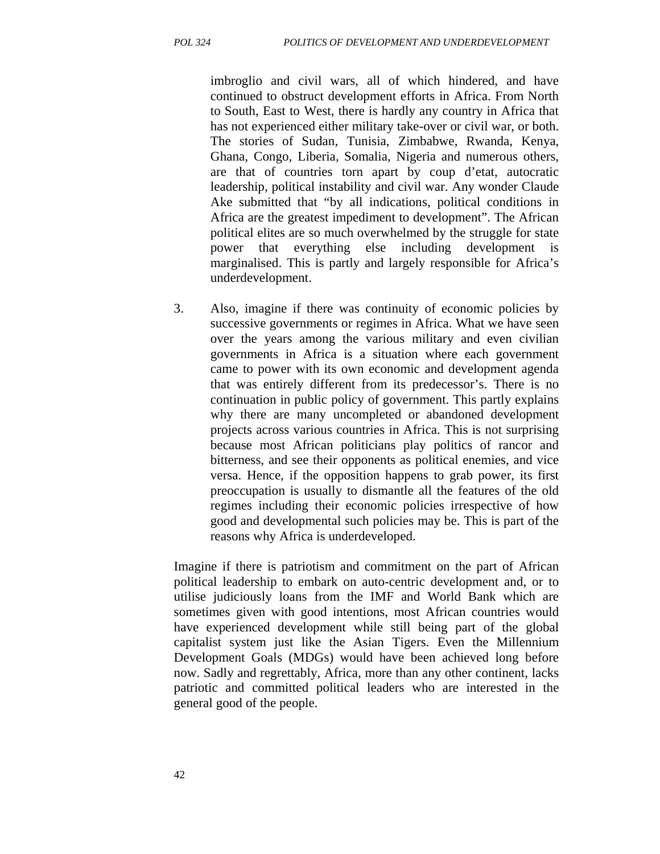imbroglio and civil wars, all of which hindered, and have continued to obstruct development efforts in Africa. From North to South, East to West, there is hardly any country in Africa that has not experienced either military take-over or civil war, or both. The stories of Sudan, Tunisia, Zimbabwe, Rwanda, Kenya, Ghana, Congo, Liberia, Somalia, Nigeria and numerous others, are that of countries torn apart by coup d'etat, autocratic leadership, political instability and civil war. Any wonder Claude Ake submitted that "by all indications, political conditions in Africa are the greatest impediment to development". The African political elites are so much overwhelmed by the struggle for state power that everything else including development is marginalised. This is partly and largely responsible for Africa's underdevelopment.

3. Also, imagine if there was continuity of economic policies by successive governments or regimes in Africa. What we have seen over the years among the various military and even civilian governments in Africa is a situation where each government came to power with its own economic and development agenda that was entirely different from its predecessor's. There is no continuation in public policy of government. This partly explains why there are many uncompleted or abandoned development projects across various countries in Africa. This is not surprising because most African politicians play politics of rancor and bitterness, and see their opponents as political enemies, and vice versa. Hence, if the opposition happens to grab power, its first preoccupation is usually to dismantle all the features of the old regimes including their economic policies irrespective of how good and developmental such policies may be. This is part of the reasons why Africa is underdeveloped.

Imagine if there is patriotism and commitment on the part of African political leadership to embark on auto-centric development and, or to utilise judiciously loans from the IMF and World Bank which are sometimes given with good intentions, most African countries would have experienced development while still being part of the global capitalist system just like the Asian Tigers. Even the Millennium Development Goals (MDGs) would have been achieved long before now. Sadly and regrettably, Africa, more than any other continent, lacks patriotic and committed political leaders who are interested in the general good of the people.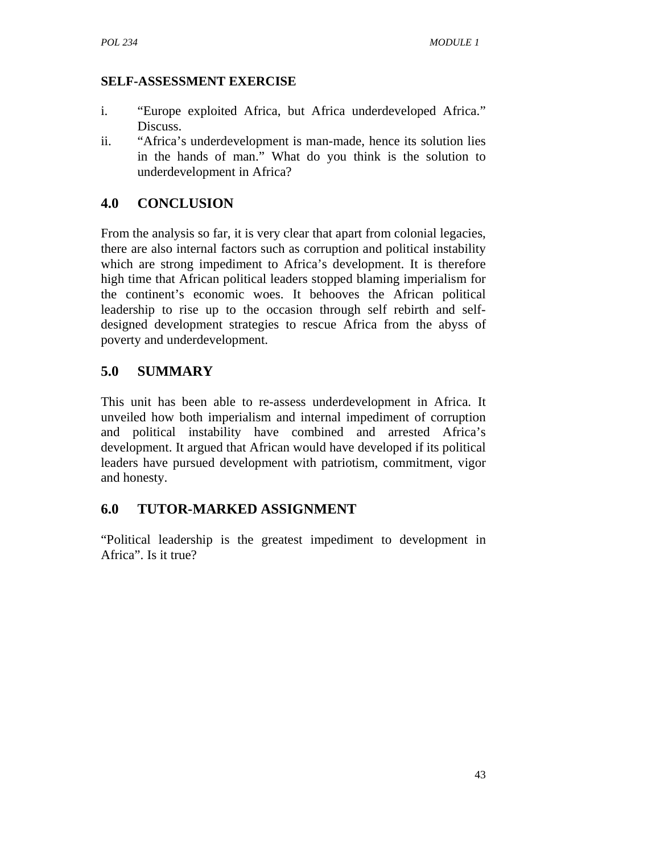#### **SELF-ASSESSMENT EXERCISE**

- i. "Europe exploited Africa, but Africa underdeveloped Africa." Discuss.
- ii. "Africa's underdevelopment is man-made, hence its solution lies in the hands of man." What do you think is the solution to underdevelopment in Africa?

# **4.0 CONCLUSION**

From the analysis so far, it is very clear that apart from colonial legacies, there are also internal factors such as corruption and political instability which are strong impediment to Africa's development. It is therefore high time that African political leaders stopped blaming imperialism for the continent's economic woes. It behooves the African political leadership to rise up to the occasion through self rebirth and selfdesigned development strategies to rescue Africa from the abyss of poverty and underdevelopment.

# **5.0 SUMMARY**

This unit has been able to re-assess underdevelopment in Africa. It unveiled how both imperialism and internal impediment of corruption and political instability have combined and arrested Africa's development. It argued that African would have developed if its political leaders have pursued development with patriotism, commitment, vigor and honesty.

# **6.0 TUTOR-MARKED ASSIGNMENT**

"Political leadership is the greatest impediment to development in Africa". Is it true?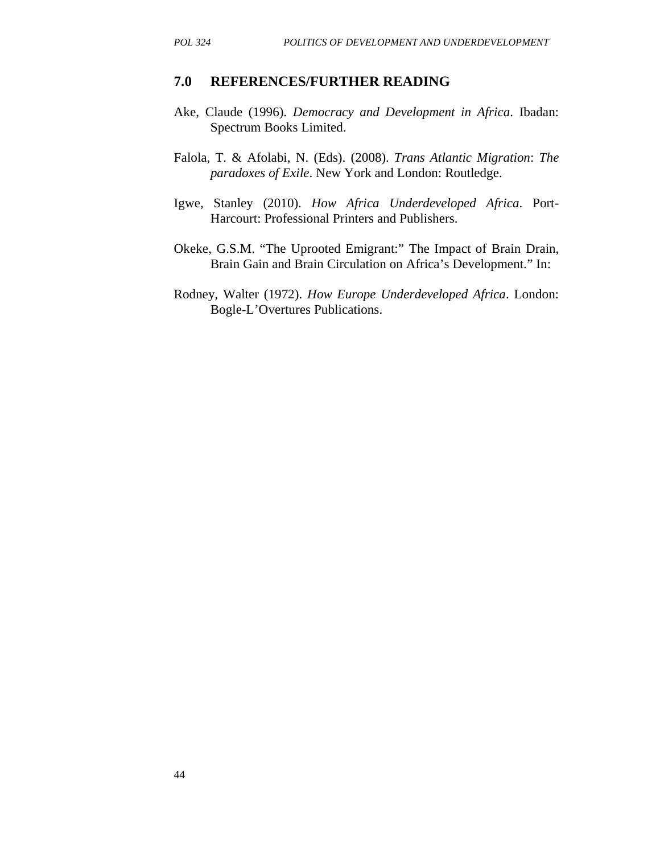#### **7.0 REFERENCES/FURTHER READING**

- Ake, Claude (1996). *Democracy and Development in Africa*. Ibadan: Spectrum Books Limited.
- Falola, T. & Afolabi, N. (Eds). (2008). *Trans Atlantic Migration*: *The paradoxes of Exile*. New York and London: Routledge.
- Igwe, Stanley (2010). *How Africa Underdeveloped Africa*. Port-Harcourt: Professional Printers and Publishers.
- Okeke, G.S.M. "The Uprooted Emigrant:" The Impact of Brain Drain, Brain Gain and Brain Circulation on Africa's Development." In:
- Rodney, Walter (1972). *How Europe Underdeveloped Africa*. London: Bogle-L'Overtures Publications.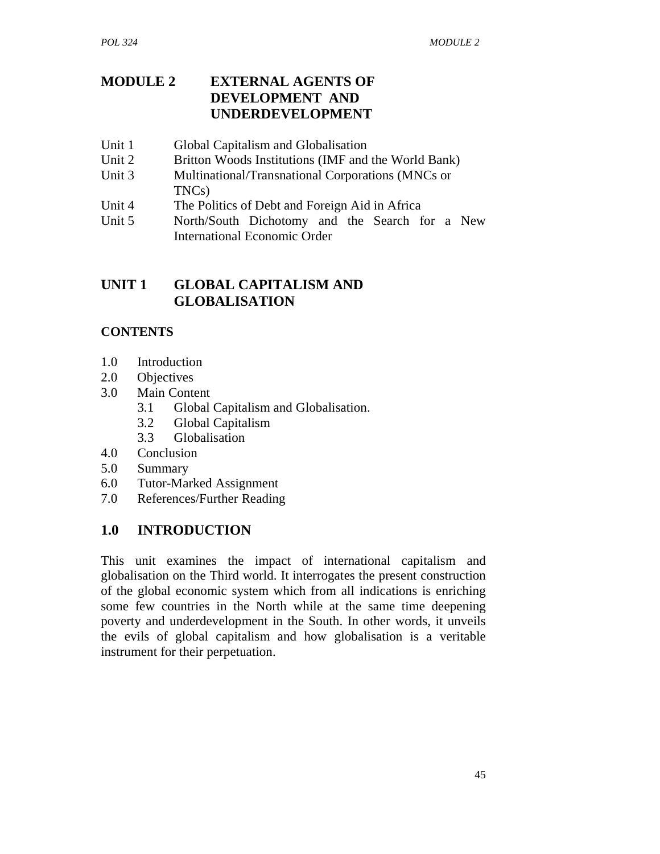# **MODULE 2 EXTERNAL AGENTS OF DEVELOPMENT AND UNDERDEVELOPMENT**

- Unit 1 Global Capitalism and Globalisation
- Unit 2 Britton Woods Institutions (IMF and the World Bank)
- Unit 3 Multinational/Transnational Corporations (MNCs or TNCs)
- Unit 4 The Politics of Debt and Foreign Aid in Africa
- Unit 5 North/South Dichotomy and the Search for a New International Economic Order

# **UNIT 1 GLOBAL CAPITALISM AND GLOBALISATION**

#### **CONTENTS**

- 1.0 Introduction
- 2.0 Objectives
- 3.0 Main Content
	- 3.1 Global Capitalism and Globalisation.
	- 3.2 Global Capitalism
	- 3.3 Globalisation
- 4.0 Conclusion
- 5.0 Summary
- 6.0 Tutor-Marked Assignment
- 7.0 References/Further Reading

# **1.0 INTRODUCTION**

This unit examines the impact of international capitalism and globalisation on the Third world. It interrogates the present construction of the global economic system which from all indications is enriching some few countries in the North while at the same time deepening poverty and underdevelopment in the South. In other words, it unveils the evils of global capitalism and how globalisation is a veritable instrument for their perpetuation.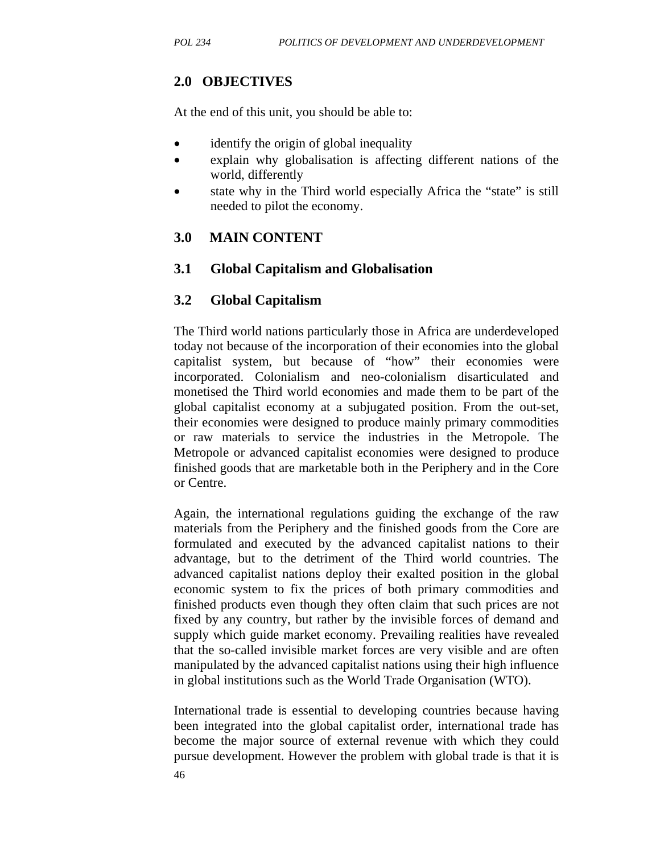# **2.0 OBJECTIVES**

At the end of this unit, you should be able to:

- identify the origin of global inequality
- explain why globalisation is affecting different nations of the world, differently
- state why in the Third world especially Africa the "state" is still needed to pilot the economy.

# **3.0 MAIN CONTENT**

#### **3.1 Global Capitalism and Globalisation**

#### **3.2 Global Capitalism**

The Third world nations particularly those in Africa are underdeveloped today not because of the incorporation of their economies into the global capitalist system, but because of "how" their economies were incorporated. Colonialism and neo-colonialism disarticulated and monetised the Third world economies and made them to be part of the global capitalist economy at a subjugated position. From the out-set, their economies were designed to produce mainly primary commodities or raw materials to service the industries in the Metropole. The Metropole or advanced capitalist economies were designed to produce finished goods that are marketable both in the Periphery and in the Core or Centre.

Again, the international regulations guiding the exchange of the raw materials from the Periphery and the finished goods from the Core are formulated and executed by the advanced capitalist nations to their advantage, but to the detriment of the Third world countries. The advanced capitalist nations deploy their exalted position in the global economic system to fix the prices of both primary commodities and finished products even though they often claim that such prices are not fixed by any country, but rather by the invisible forces of demand and supply which guide market economy. Prevailing realities have revealed that the so-called invisible market forces are very visible and are often manipulated by the advanced capitalist nations using their high influence in global institutions such as the World Trade Organisation (WTO).

International trade is essential to developing countries because having been integrated into the global capitalist order, international trade has become the major source of external revenue with which they could pursue development. However the problem with global trade is that it is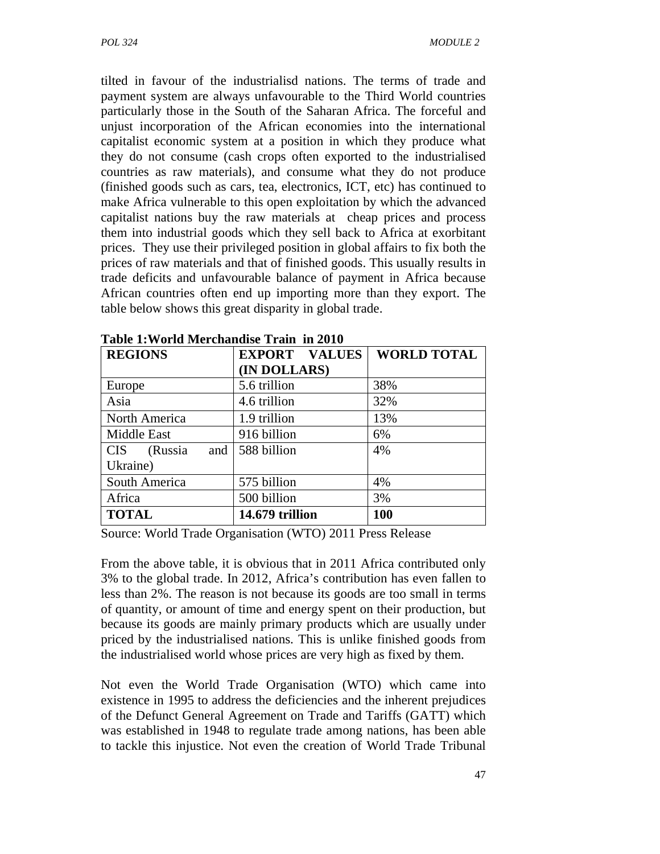tilted in favour of the industrialisd nations. The terms of trade and payment system are always unfavourable to the Third World countries particularly those in the South of the Saharan Africa. The forceful and unjust incorporation of the African economies into the international capitalist economic system at a position in which they produce what they do not consume (cash crops often exported to the industrialised countries as raw materials), and consume what they do not produce (finished goods such as cars, tea, electronics, ICT, etc) has continued to make Africa vulnerable to this open exploitation by which the advanced capitalist nations buy the raw materials at cheap prices and process them into industrial goods which they sell back to Africa at exorbitant prices. They use their privileged position in global affairs to fix both the prices of raw materials and that of finished goods. This usually results in trade deficits and unfavourable balance of payment in Africa because African countries often end up importing more than they export. The table below shows this great disparity in global trade.

| Table 1: World Merchandise Train in 2010 |                      |                    |
|------------------------------------------|----------------------|--------------------|
| <b>REGIONS</b>                           | <b>EXPORT VALUES</b> | <b>WORLD TOTAL</b> |
|                                          | (IN DOLLARS)         |                    |
| Europe                                   | 5.6 trillion         | 38%                |
| Asia                                     | 4.6 trillion         | 32%                |
| North America                            | 1.9 trillion         | 13%                |
| Middle East                              | 916 billion          | 6%                 |
| (Russia<br><b>CIS</b><br>and             | 588 billion          | 4%                 |
| Ukraine)                                 |                      |                    |
| South America                            | 575 billion          | 4%                 |
| Africa                                   | 500 billion          | 3%                 |
| <b>TOTAL</b>                             | 14.679 trillion      | 100                |

**Table 1:World Merchandise Train in 2010** 

Source: World Trade Organisation (WTO) 2011 Press Release

From the above table, it is obvious that in 2011 Africa contributed only 3% to the global trade. In 2012, Africa's contribution has even fallen to less than 2%. The reason is not because its goods are too small in terms of quantity, or amount of time and energy spent on their production, but because its goods are mainly primary products which are usually under priced by the industrialised nations. This is unlike finished goods from the industrialised world whose prices are very high as fixed by them.

Not even the World Trade Organisation (WTO) which came into existence in 1995 to address the deficiencies and the inherent prejudices of the Defunct General Agreement on Trade and Tariffs (GATT) which was established in 1948 to regulate trade among nations, has been able to tackle this injustice. Not even the creation of World Trade Tribunal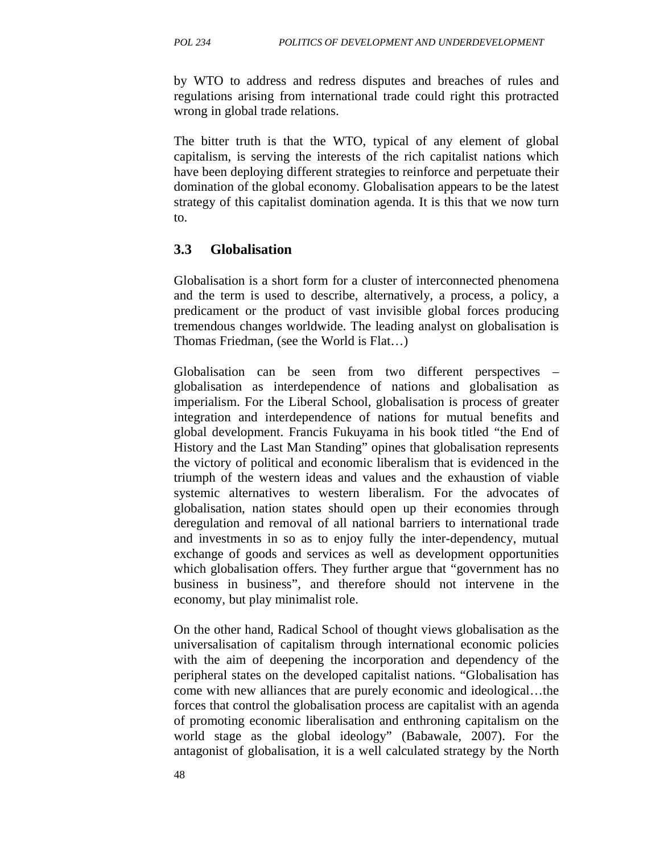by WTO to address and redress disputes and breaches of rules and regulations arising from international trade could right this protracted wrong in global trade relations.

The bitter truth is that the WTO, typical of any element of global capitalism, is serving the interests of the rich capitalist nations which have been deploying different strategies to reinforce and perpetuate their domination of the global economy. Globalisation appears to be the latest strategy of this capitalist domination agenda. It is this that we now turn to.

#### **3.3 Globalisation**

Globalisation is a short form for a cluster of interconnected phenomena and the term is used to describe, alternatively, a process, a policy, a predicament or the product of vast invisible global forces producing tremendous changes worldwide. The leading analyst on globalisation is Thomas Friedman, (see the World is Flat…)

Globalisation can be seen from two different perspectives – globalisation as interdependence of nations and globalisation as imperialism. For the Liberal School, globalisation is process of greater integration and interdependence of nations for mutual benefits and global development. Francis Fukuyama in his book titled "the End of History and the Last Man Standing" opines that globalisation represents the victory of political and economic liberalism that is evidenced in the triumph of the western ideas and values and the exhaustion of viable systemic alternatives to western liberalism. For the advocates of globalisation, nation states should open up their economies through deregulation and removal of all national barriers to international trade and investments in so as to enjoy fully the inter-dependency, mutual exchange of goods and services as well as development opportunities which globalisation offers. They further argue that "government has no business in business", and therefore should not intervene in the economy, but play minimalist role.

On the other hand, Radical School of thought views globalisation as the universalisation of capitalism through international economic policies with the aim of deepening the incorporation and dependency of the peripheral states on the developed capitalist nations. "Globalisation has come with new alliances that are purely economic and ideological…the forces that control the globalisation process are capitalist with an agenda of promoting economic liberalisation and enthroning capitalism on the world stage as the global ideology" (Babawale, 2007). For the antagonist of globalisation, it is a well calculated strategy by the North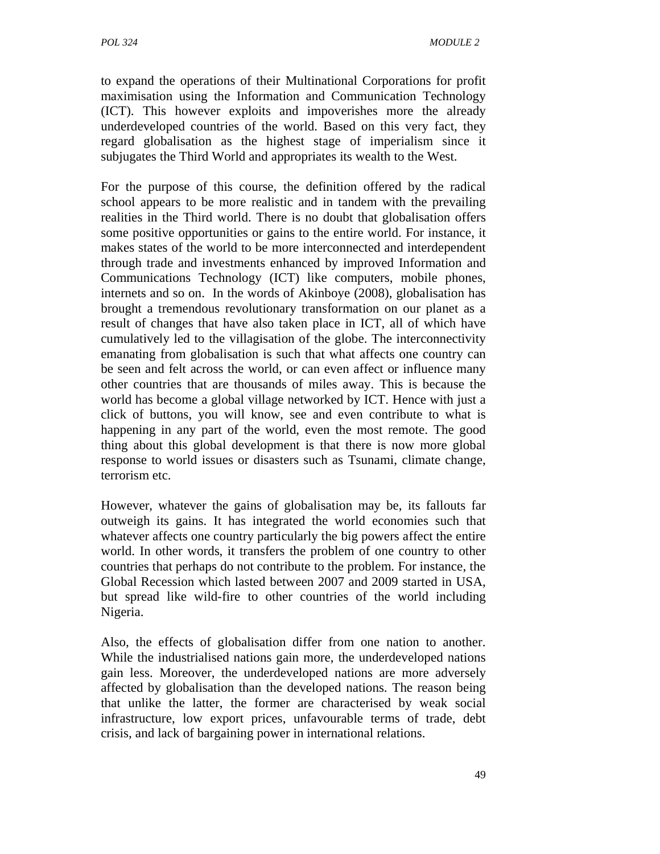to expand the operations of their Multinational Corporations for profit maximisation using the Information and Communication Technology (ICT). This however exploits and impoverishes more the already underdeveloped countries of the world. Based on this very fact, they regard globalisation as the highest stage of imperialism since it subjugates the Third World and appropriates its wealth to the West.

For the purpose of this course, the definition offered by the radical school appears to be more realistic and in tandem with the prevailing realities in the Third world. There is no doubt that globalisation offers some positive opportunities or gains to the entire world. For instance, it makes states of the world to be more interconnected and interdependent through trade and investments enhanced by improved Information and Communications Technology (ICT) like computers, mobile phones, internets and so on. In the words of Akinboye (2008), globalisation has brought a tremendous revolutionary transformation on our planet as a result of changes that have also taken place in ICT, all of which have cumulatively led to the villagisation of the globe. The interconnectivity emanating from globalisation is such that what affects one country can be seen and felt across the world, or can even affect or influence many other countries that are thousands of miles away. This is because the world has become a global village networked by ICT. Hence with just a click of buttons, you will know, see and even contribute to what is happening in any part of the world, even the most remote. The good thing about this global development is that there is now more global response to world issues or disasters such as Tsunami, climate change, terrorism etc.

However, whatever the gains of globalisation may be, its fallouts far outweigh its gains. It has integrated the world economies such that whatever affects one country particularly the big powers affect the entire world. In other words, it transfers the problem of one country to other countries that perhaps do not contribute to the problem. For instance, the Global Recession which lasted between 2007 and 2009 started in USA, but spread like wild-fire to other countries of the world including Nigeria.

Also, the effects of globalisation differ from one nation to another. While the industrialised nations gain more, the underdeveloped nations gain less. Moreover, the underdeveloped nations are more adversely affected by globalisation than the developed nations. The reason being that unlike the latter, the former are characterised by weak social infrastructure, low export prices, unfavourable terms of trade, debt crisis, and lack of bargaining power in international relations.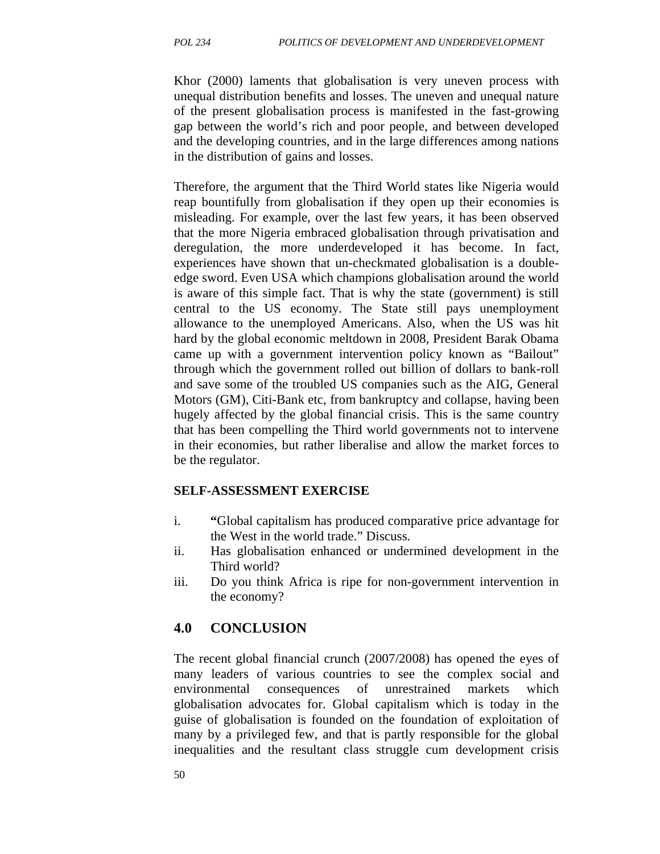Khor (2000) laments that globalisation is very uneven process with unequal distribution benefits and losses. The uneven and unequal nature of the present globalisation process is manifested in the fast-growing gap between the world's rich and poor people, and between developed and the developing countries, and in the large differences among nations in the distribution of gains and losses.

Therefore, the argument that the Third World states like Nigeria would reap bountifully from globalisation if they open up their economies is misleading. For example, over the last few years, it has been observed that the more Nigeria embraced globalisation through privatisation and deregulation, the more underdeveloped it has become. In fact, experiences have shown that un-checkmated globalisation is a doubleedge sword. Even USA which champions globalisation around the world is aware of this simple fact. That is why the state (government) is still central to the US economy. The State still pays unemployment allowance to the unemployed Americans. Also, when the US was hit hard by the global economic meltdown in 2008, President Barak Obama came up with a government intervention policy known as "Bailout" through which the government rolled out billion of dollars to bank-roll and save some of the troubled US companies such as the AIG, General Motors (GM), Citi-Bank etc, from bankruptcy and collapse, having been hugely affected by the global financial crisis. This is the same country that has been compelling the Third world governments not to intervene in their economies, but rather liberalise and allow the market forces to be the regulator.

#### **SELF-ASSESSMENT EXERCISE**

- i. **"**Global capitalism has produced comparative price advantage for the West in the world trade." Discuss.
- ii. Has globalisation enhanced or undermined development in the Third world?
- iii. Do you think Africa is ripe for non-government intervention in the economy?

#### **4.0 CONCLUSION**

The recent global financial crunch (2007/2008) has opened the eyes of many leaders of various countries to see the complex social and environmental consequences of unrestrained markets which globalisation advocates for. Global capitalism which is today in the guise of globalisation is founded on the foundation of exploitation of many by a privileged few, and that is partly responsible for the global inequalities and the resultant class struggle cum development crisis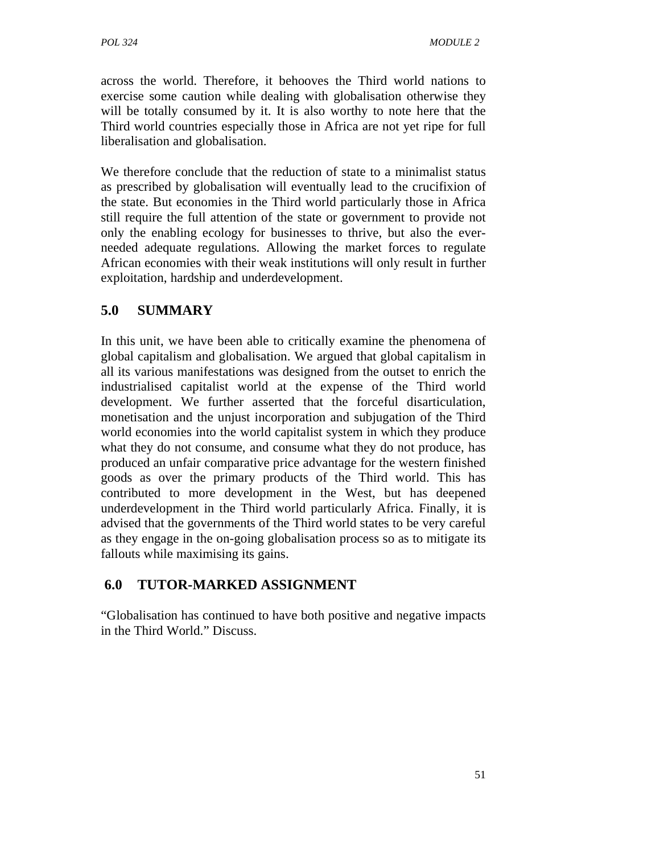across the world. Therefore, it behooves the Third world nations to exercise some caution while dealing with globalisation otherwise they will be totally consumed by it. It is also worthy to note here that the Third world countries especially those in Africa are not yet ripe for full liberalisation and globalisation.

We therefore conclude that the reduction of state to a minimalist status as prescribed by globalisation will eventually lead to the crucifixion of the state. But economies in the Third world particularly those in Africa still require the full attention of the state or government to provide not only the enabling ecology for businesses to thrive, but also the everneeded adequate regulations. Allowing the market forces to regulate African economies with their weak institutions will only result in further exploitation, hardship and underdevelopment.

# **5.0 SUMMARY**

In this unit, we have been able to critically examine the phenomena of global capitalism and globalisation. We argued that global capitalism in all its various manifestations was designed from the outset to enrich the industrialised capitalist world at the expense of the Third world development. We further asserted that the forceful disarticulation, monetisation and the unjust incorporation and subjugation of the Third world economies into the world capitalist system in which they produce what they do not consume, and consume what they do not produce, has produced an unfair comparative price advantage for the western finished goods as over the primary products of the Third world. This has contributed to more development in the West, but has deepened underdevelopment in the Third world particularly Africa. Finally, it is advised that the governments of the Third world states to be very careful as they engage in the on-going globalisation process so as to mitigate its fallouts while maximising its gains.

# **6.0 TUTOR-MARKED ASSIGNMENT**

"Globalisation has continued to have both positive and negative impacts in the Third World." Discuss.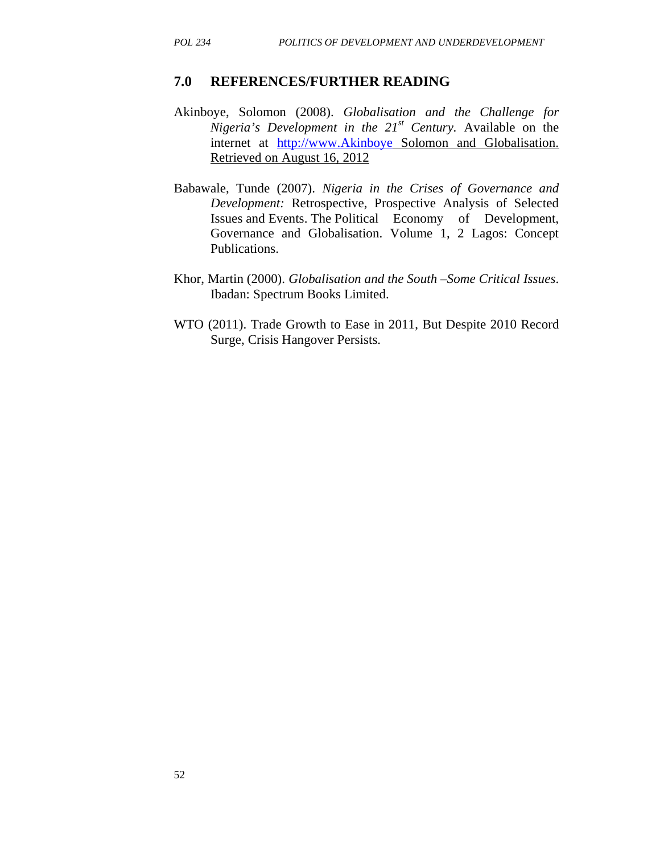#### **7.0 REFERENCES/FURTHER READING**

- Akinboye, Solomon (2008). *Globalisation and the Challenge for Nigeria's Development in the 21st Century.* Available on the internet at http://www.Akinboye Solomon and Globalisation. Retrieved on August 16, 2012
- Babawale, Tunde (2007). *Nigeria in the Crises of Governance and Development:* Retrospective, Prospective Analysis of Selected Issues and Events. The Political Economy of Development, Governance and Globalisation. Volume 1, 2 Lagos: Concept Publications.
- Khor, Martin (2000). *Globalisation and the South –Some Critical Issues*. Ibadan: Spectrum Books Limited.
- WTO (2011). Trade Growth to Ease in 2011, But Despite 2010 Record Surge, Crisis Hangover Persists.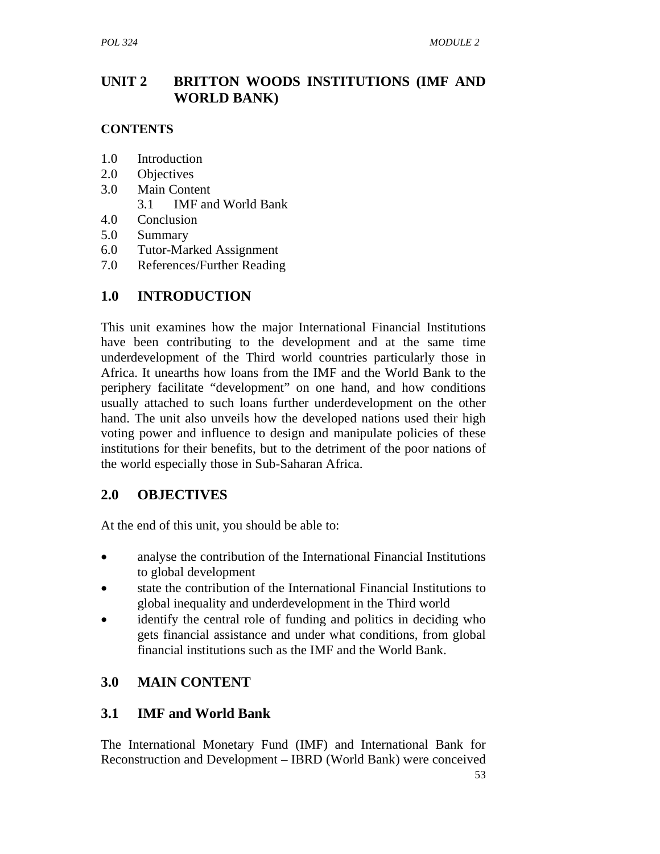# **UNIT 2 BRITTON WOODS INSTITUTIONS (IMF AND WORLD BANK)**

#### **CONTENTS**

- 1.0 Introduction
- 2.0 Objectives
- 3.0 Main Content
	- 3.1 IMF and World Bank
- 4.0 Conclusion
- 5.0 Summary
- 6.0 Tutor-Marked Assignment
- 7.0 References/Further Reading

# **1.0 INTRODUCTION**

This unit examines how the major International Financial Institutions have been contributing to the development and at the same time underdevelopment of the Third world countries particularly those in Africa. It unearths how loans from the IMF and the World Bank to the periphery facilitate "development" on one hand, and how conditions usually attached to such loans further underdevelopment on the other hand. The unit also unveils how the developed nations used their high voting power and influence to design and manipulate policies of these institutions for their benefits, but to the detriment of the poor nations of the world especially those in Sub-Saharan Africa.

# **2.0 OBJECTIVES**

At the end of this unit, you should be able to:

- analyse the contribution of the International Financial Institutions to global development
- state the contribution of the International Financial Institutions to global inequality and underdevelopment in the Third world
- identify the central role of funding and politics in deciding who gets financial assistance and under what conditions, from global financial institutions such as the IMF and the World Bank.

# **3.0 MAIN CONTENT**

# **3.1 IMF and World Bank**

The International Monetary Fund (IMF) and International Bank for Reconstruction and Development – IBRD (World Bank) were conceived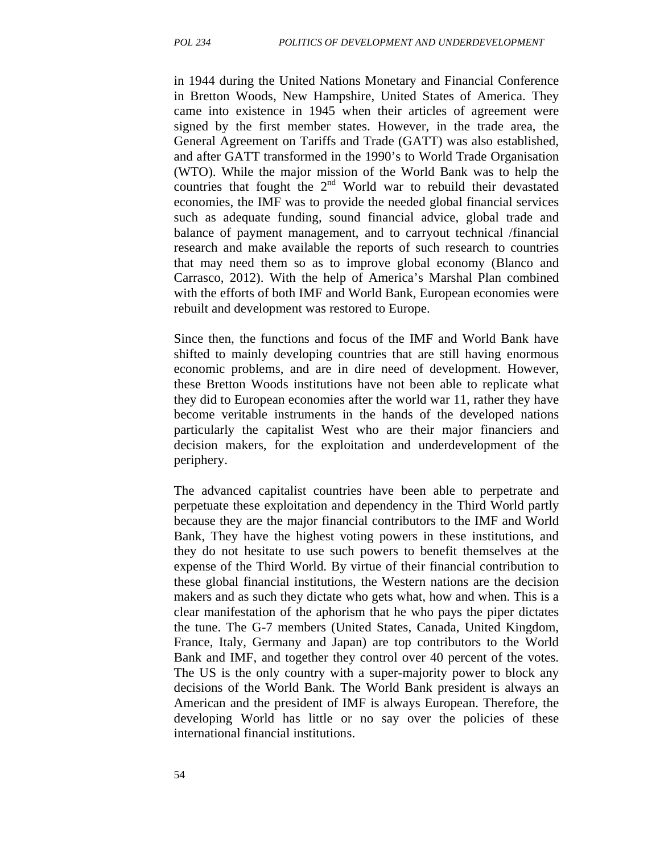in 1944 during the United Nations Monetary and Financial Conference in Bretton Woods, New Hampshire, United States of America. They came into existence in 1945 when their articles of agreement were signed by the first member states. However, in the trade area, the General Agreement on Tariffs and Trade (GATT) was also established, and after GATT transformed in the 1990's to World Trade Organisation (WTO). While the major mission of the World Bank was to help the countries that fought the  $2<sup>nd</sup>$  World war to rebuild their devastated economies, the IMF was to provide the needed global financial services such as adequate funding, sound financial advice, global trade and balance of payment management, and to carryout technical /financial research and make available the reports of such research to countries that may need them so as to improve global economy (Blanco and Carrasco, 2012). With the help of America's Marshal Plan combined with the efforts of both IMF and World Bank, European economies were rebuilt and development was restored to Europe.

Since then, the functions and focus of the IMF and World Bank have shifted to mainly developing countries that are still having enormous economic problems, and are in dire need of development. However, these Bretton Woods institutions have not been able to replicate what they did to European economies after the world war 11, rather they have become veritable instruments in the hands of the developed nations particularly the capitalist West who are their major financiers and decision makers, for the exploitation and underdevelopment of the periphery.

The advanced capitalist countries have been able to perpetrate and perpetuate these exploitation and dependency in the Third World partly because they are the major financial contributors to the IMF and World Bank, They have the highest voting powers in these institutions, and they do not hesitate to use such powers to benefit themselves at the expense of the Third World. By virtue of their financial contribution to these global financial institutions, the Western nations are the decision makers and as such they dictate who gets what, how and when. This is a clear manifestation of the aphorism that he who pays the piper dictates the tune. The G-7 members (United States, Canada, United Kingdom, France, Italy, Germany and Japan) are top contributors to the World Bank and IMF, and together they control over 40 percent of the votes. The US is the only country with a super-majority power to block any decisions of the World Bank. The World Bank president is always an American and the president of IMF is always European. Therefore, the developing World has little or no say over the policies of these international financial institutions.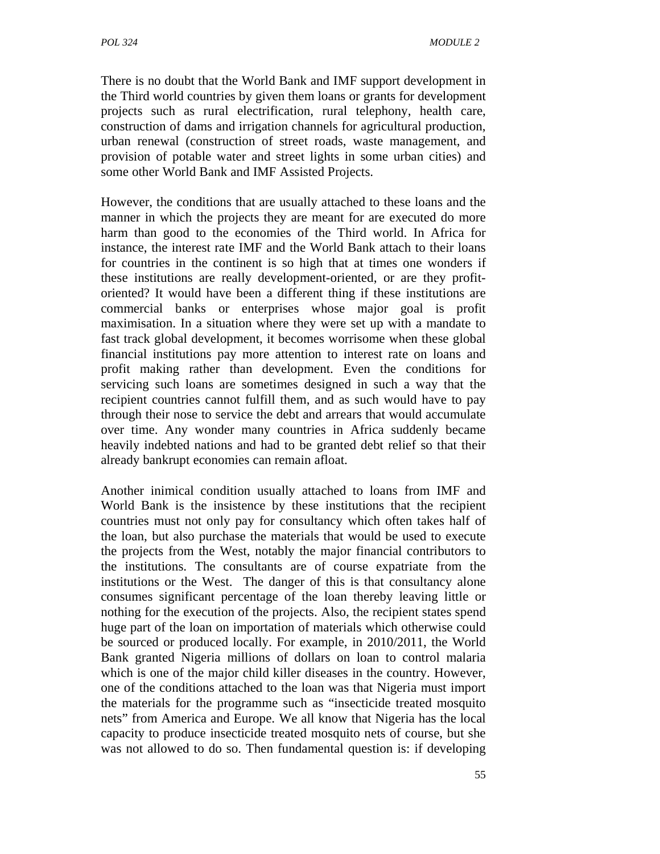There is no doubt that the World Bank and IMF support development in the Third world countries by given them loans or grants for development projects such as rural electrification, rural telephony, health care, construction of dams and irrigation channels for agricultural production, urban renewal (construction of street roads, waste management, and provision of potable water and street lights in some urban cities) and some other World Bank and IMF Assisted Projects.

However, the conditions that are usually attached to these loans and the manner in which the projects they are meant for are executed do more harm than good to the economies of the Third world. In Africa for instance, the interest rate IMF and the World Bank attach to their loans for countries in the continent is so high that at times one wonders if these institutions are really development-oriented, or are they profitoriented? It would have been a different thing if these institutions are commercial banks or enterprises whose major goal is profit maximisation. In a situation where they were set up with a mandate to fast track global development, it becomes worrisome when these global financial institutions pay more attention to interest rate on loans and profit making rather than development. Even the conditions for servicing such loans are sometimes designed in such a way that the recipient countries cannot fulfill them, and as such would have to pay through their nose to service the debt and arrears that would accumulate over time. Any wonder many countries in Africa suddenly became heavily indebted nations and had to be granted debt relief so that their already bankrupt economies can remain afloat.

Another inimical condition usually attached to loans from IMF and World Bank is the insistence by these institutions that the recipient countries must not only pay for consultancy which often takes half of the loan, but also purchase the materials that would be used to execute the projects from the West, notably the major financial contributors to the institutions. The consultants are of course expatriate from the institutions or the West. The danger of this is that consultancy alone consumes significant percentage of the loan thereby leaving little or nothing for the execution of the projects. Also, the recipient states spend huge part of the loan on importation of materials which otherwise could be sourced or produced locally. For example, in 2010/2011, the World Bank granted Nigeria millions of dollars on loan to control malaria which is one of the major child killer diseases in the country. However, one of the conditions attached to the loan was that Nigeria must import the materials for the programme such as "insecticide treated mosquito nets" from America and Europe. We all know that Nigeria has the local capacity to produce insecticide treated mosquito nets of course, but she was not allowed to do so. Then fundamental question is: if developing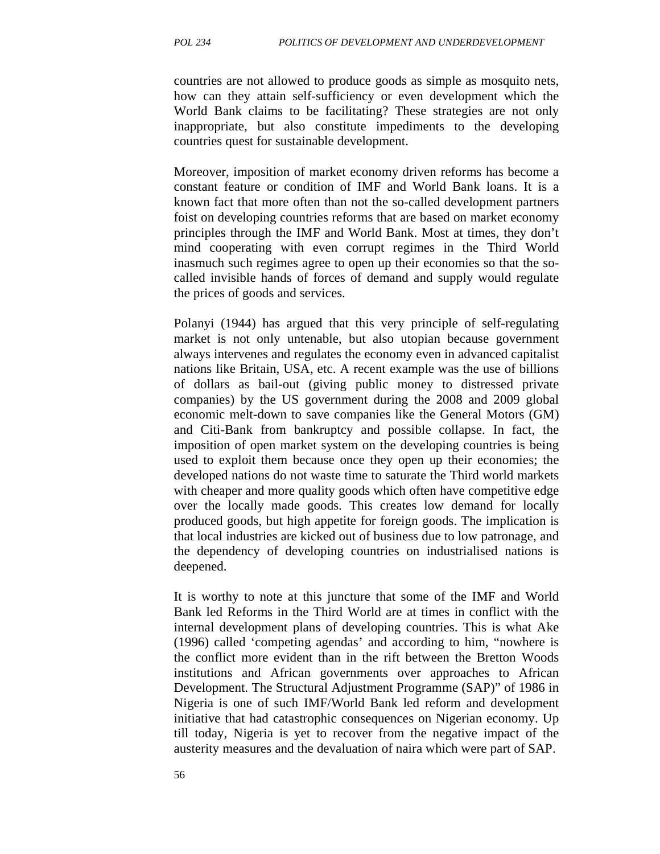countries are not allowed to produce goods as simple as mosquito nets, how can they attain self-sufficiency or even development which the World Bank claims to be facilitating? These strategies are not only inappropriate, but also constitute impediments to the developing countries quest for sustainable development.

Moreover, imposition of market economy driven reforms has become a constant feature or condition of IMF and World Bank loans. It is a known fact that more often than not the so-called development partners foist on developing countries reforms that are based on market economy principles through the IMF and World Bank. Most at times, they don't mind cooperating with even corrupt regimes in the Third World inasmuch such regimes agree to open up their economies so that the socalled invisible hands of forces of demand and supply would regulate the prices of goods and services.

Polanyi (1944) has argued that this very principle of self-regulating market is not only untenable, but also utopian because government always intervenes and regulates the economy even in advanced capitalist nations like Britain, USA, etc. A recent example was the use of billions of dollars as bail-out (giving public money to distressed private companies) by the US government during the 2008 and 2009 global economic melt-down to save companies like the General Motors (GM) and Citi-Bank from bankruptcy and possible collapse. In fact, the imposition of open market system on the developing countries is being used to exploit them because once they open up their economies; the developed nations do not waste time to saturate the Third world markets with cheaper and more quality goods which often have competitive edge over the locally made goods. This creates low demand for locally produced goods, but high appetite for foreign goods. The implication is that local industries are kicked out of business due to low patronage, and the dependency of developing countries on industrialised nations is deepened.

It is worthy to note at this juncture that some of the IMF and World Bank led Reforms in the Third World are at times in conflict with the internal development plans of developing countries. This is what Ake (1996) called 'competing agendas' and according to him, "nowhere is the conflict more evident than in the rift between the Bretton Woods institutions and African governments over approaches to African Development. The Structural Adjustment Programme (SAP)" of 1986 in Nigeria is one of such IMF/World Bank led reform and development initiative that had catastrophic consequences on Nigerian economy. Up till today, Nigeria is yet to recover from the negative impact of the austerity measures and the devaluation of naira which were part of SAP.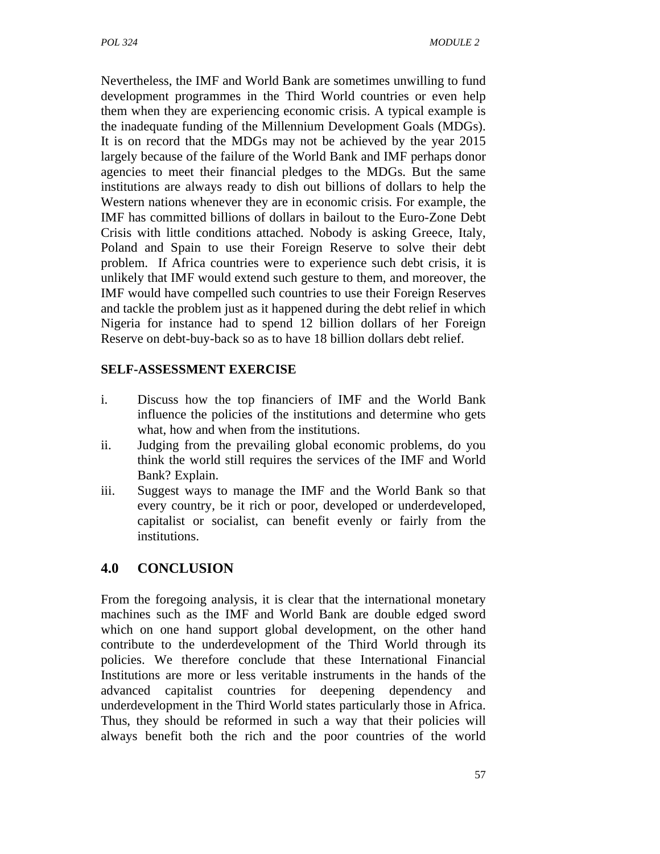Nevertheless, the IMF and World Bank are sometimes unwilling to fund development programmes in the Third World countries or even help them when they are experiencing economic crisis. A typical example is the inadequate funding of the Millennium Development Goals (MDGs). It is on record that the MDGs may not be achieved by the year 2015 largely because of the failure of the World Bank and IMF perhaps donor agencies to meet their financial pledges to the MDGs. But the same institutions are always ready to dish out billions of dollars to help the Western nations whenever they are in economic crisis. For example, the IMF has committed billions of dollars in bailout to the Euro-Zone Debt Crisis with little conditions attached. Nobody is asking Greece, Italy, Poland and Spain to use their Foreign Reserve to solve their debt problem. If Africa countries were to experience such debt crisis, it is unlikely that IMF would extend such gesture to them, and moreover, the IMF would have compelled such countries to use their Foreign Reserves and tackle the problem just as it happened during the debt relief in which Nigeria for instance had to spend 12 billion dollars of her Foreign Reserve on debt-buy-back so as to have 18 billion dollars debt relief.

#### **SELF-ASSESSMENT EXERCISE**

- i. Discuss how the top financiers of IMF and the World Bank influence the policies of the institutions and determine who gets what, how and when from the institutions.
- ii. Judging from the prevailing global economic problems, do you think the world still requires the services of the IMF and World Bank? Explain.
- iii. Suggest ways to manage the IMF and the World Bank so that every country, be it rich or poor, developed or underdeveloped, capitalist or socialist, can benefit evenly or fairly from the institutions.

# **4.0 CONCLUSION**

From the foregoing analysis, it is clear that the international monetary machines such as the IMF and World Bank are double edged sword which on one hand support global development, on the other hand contribute to the underdevelopment of the Third World through its policies. We therefore conclude that these International Financial Institutions are more or less veritable instruments in the hands of the advanced capitalist countries for deepening dependency and underdevelopment in the Third World states particularly those in Africa. Thus, they should be reformed in such a way that their policies will always benefit both the rich and the poor countries of the world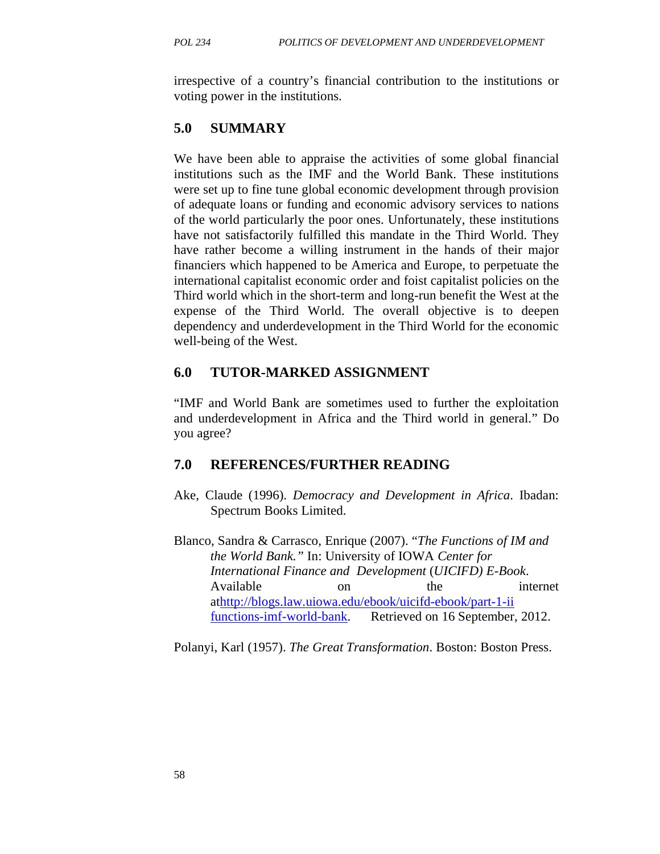irrespective of a country's financial contribution to the institutions or voting power in the institutions.

### **5.0 SUMMARY**

We have been able to appraise the activities of some global financial institutions such as the IMF and the World Bank. These institutions were set up to fine tune global economic development through provision of adequate loans or funding and economic advisory services to nations of the world particularly the poor ones. Unfortunately, these institutions have not satisfactorily fulfilled this mandate in the Third World. They have rather become a willing instrument in the hands of their major financiers which happened to be America and Europe, to perpetuate the international capitalist economic order and foist capitalist policies on the Third world which in the short-term and long-run benefit the West at the expense of the Third World. The overall objective is to deepen dependency and underdevelopment in the Third World for the economic well-being of the West.

## **6.0 TUTOR-MARKED ASSIGNMENT**

"IMF and World Bank are sometimes used to further the exploitation and underdevelopment in Africa and the Third world in general." Do you agree?

## **7.0 REFERENCES/FURTHER READING**

- Ake, Claude (1996). *Democracy and Development in Africa*. Ibadan: Spectrum Books Limited.
- Blanco, Sandra & Carrasco, Enrique (2007). "*The Functions of IM and the World Bank."* In: University of IOWA *Center for International Finance and Development* (*UICIFD) E-Book*. Available on the internet athttp://blogs.law.uiowa.edu/ebook/uicifd-ebook/part-1-ii functions-imf-world-bank. Retrieved on 16 September, 2012.

Polanyi, Karl (1957). *The Great Transformation*. Boston: Boston Press.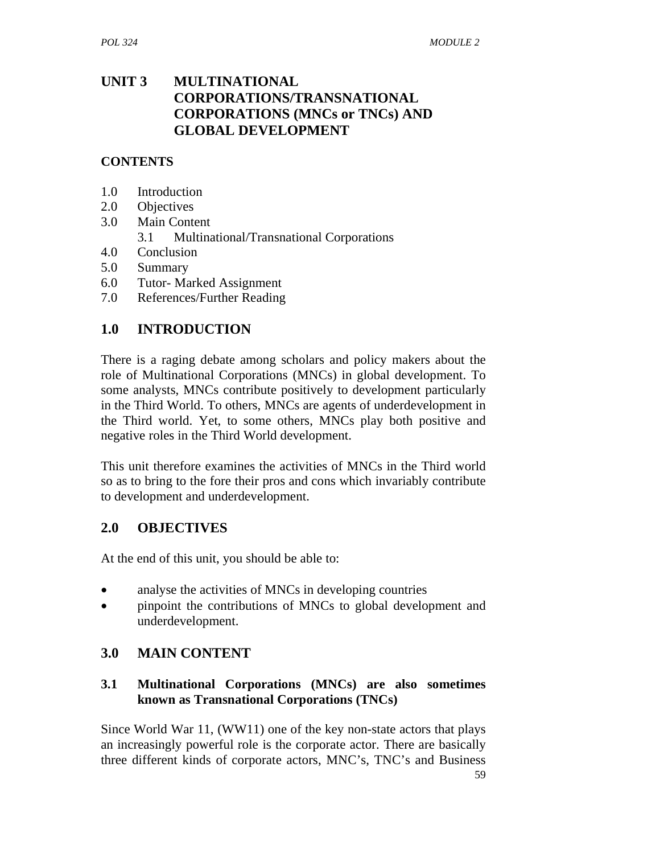## **UNIT 3 MULTINATIONAL CORPORATIONS/TRANSNATIONAL CORPORATIONS (MNCs or TNCs) AND GLOBAL DEVELOPMENT**

#### **CONTENTS**

- 1.0 Introduction
- 2.0 Objectives
- 3.0 Main Content
	- 3.1 Multinational/Transnational Corporations
- 4.0 Conclusion
- 5.0 Summary
- 6.0 Tutor- Marked Assignment
- 7.0 References/Further Reading

## **1.0 INTRODUCTION**

There is a raging debate among scholars and policy makers about the role of Multinational Corporations (MNCs) in global development. To some analysts, MNCs contribute positively to development particularly in the Third World. To others, MNCs are agents of underdevelopment in the Third world. Yet, to some others, MNCs play both positive and negative roles in the Third World development.

This unit therefore examines the activities of MNCs in the Third world so as to bring to the fore their pros and cons which invariably contribute to development and underdevelopment.

## **2.0 OBJECTIVES**

At the end of this unit, you should be able to:

- analyse the activities of MNCs in developing countries
- pinpoint the contributions of MNCs to global development and underdevelopment.

# **3.0 MAIN CONTENT**

### **3.1 Multinational Corporations (MNCs) are also sometimes known as Transnational Corporations (TNCs)**

Since World War 11, (WW11) one of the key non-state actors that plays an increasingly powerful role is the corporate actor. There are basically three different kinds of corporate actors, MNC's, TNC's and Business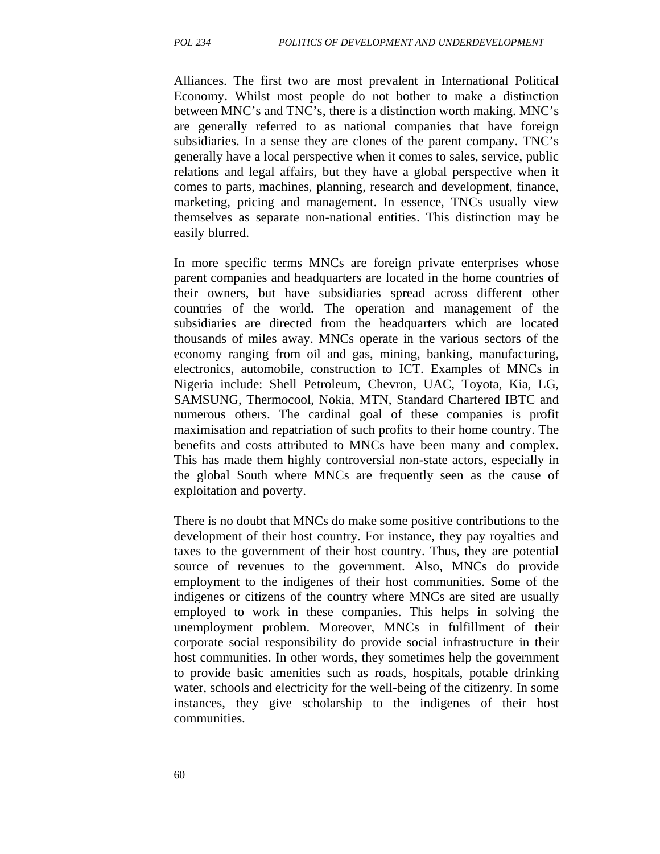Alliances. The first two are most prevalent in International Political Economy. Whilst most people do not bother to make a distinction between MNC's and TNC's, there is a distinction worth making. MNC's are generally referred to as national companies that have foreign subsidiaries. In a sense they are clones of the parent company. TNC's generally have a local perspective when it comes to sales, service, public relations and legal affairs, but they have a global perspective when it comes to parts, machines, planning, research and development, finance, marketing, pricing and management. In essence, TNCs usually view themselves as separate non-national entities. This distinction may be easily blurred.

In more specific terms MNCs are foreign private enterprises whose parent companies and headquarters are located in the home countries of their owners, but have subsidiaries spread across different other countries of the world. The operation and management of the subsidiaries are directed from the headquarters which are located thousands of miles away. MNCs operate in the various sectors of the economy ranging from oil and gas, mining, banking, manufacturing, electronics, automobile, construction to ICT. Examples of MNCs in Nigeria include: Shell Petroleum, Chevron, UAC, Toyota, Kia, LG, SAMSUNG, Thermocool, Nokia, MTN, Standard Chartered IBTC and numerous others. The cardinal goal of these companies is profit maximisation and repatriation of such profits to their home country. The benefits and costs attributed to MNCs have been many and complex. This has made them highly controversial non-state actors, especially in the global South where MNCs are frequently seen as the cause of exploitation and poverty.

There is no doubt that MNCs do make some positive contributions to the development of their host country. For instance, they pay royalties and taxes to the government of their host country. Thus, they are potential source of revenues to the government. Also, MNCs do provide employment to the indigenes of their host communities. Some of the indigenes or citizens of the country where MNCs are sited are usually employed to work in these companies. This helps in solving the unemployment problem. Moreover, MNCs in fulfillment of their corporate social responsibility do provide social infrastructure in their host communities. In other words, they sometimes help the government to provide basic amenities such as roads, hospitals, potable drinking water, schools and electricity for the well-being of the citizenry. In some instances, they give scholarship to the indigenes of their host communities.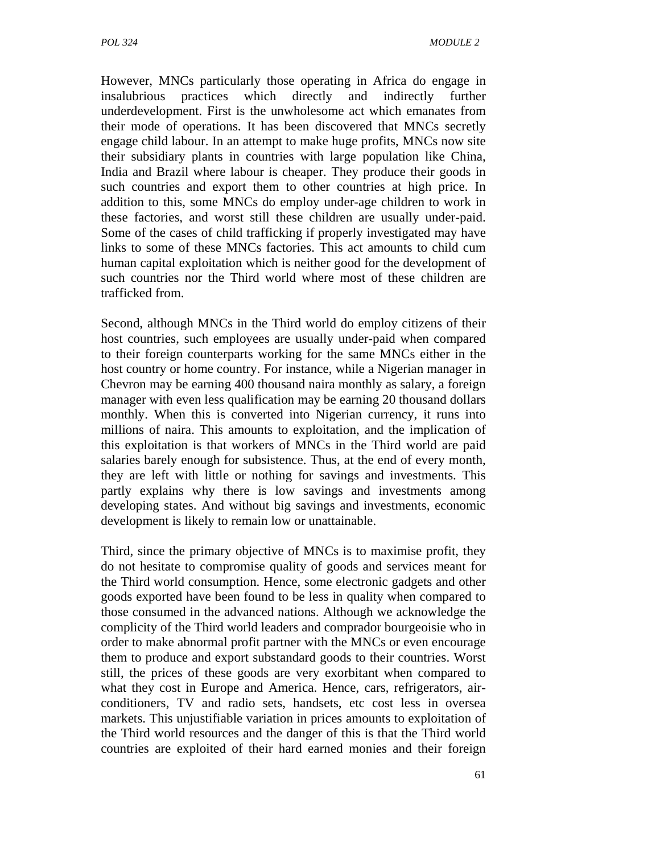However, MNCs particularly those operating in Africa do engage in insalubrious practices which directly and indirectly further underdevelopment. First is the unwholesome act which emanates from their mode of operations. It has been discovered that MNCs secretly engage child labour. In an attempt to make huge profits, MNCs now site their subsidiary plants in countries with large population like China, India and Brazil where labour is cheaper. They produce their goods in such countries and export them to other countries at high price. In addition to this, some MNCs do employ under-age children to work in these factories, and worst still these children are usually under-paid. Some of the cases of child trafficking if properly investigated may have links to some of these MNCs factories. This act amounts to child cum human capital exploitation which is neither good for the development of such countries nor the Third world where most of these children are trafficked from.

Second, although MNCs in the Third world do employ citizens of their host countries, such employees are usually under-paid when compared to their foreign counterparts working for the same MNCs either in the host country or home country. For instance, while a Nigerian manager in Chevron may be earning 400 thousand naira monthly as salary, a foreign manager with even less qualification may be earning 20 thousand dollars monthly. When this is converted into Nigerian currency, it runs into millions of naira. This amounts to exploitation, and the implication of this exploitation is that workers of MNCs in the Third world are paid salaries barely enough for subsistence. Thus, at the end of every month, they are left with little or nothing for savings and investments. This partly explains why there is low savings and investments among developing states. And without big savings and investments, economic development is likely to remain low or unattainable.

Third, since the primary objective of MNCs is to maximise profit, they do not hesitate to compromise quality of goods and services meant for the Third world consumption. Hence, some electronic gadgets and other goods exported have been found to be less in quality when compared to those consumed in the advanced nations. Although we acknowledge the complicity of the Third world leaders and comprador bourgeoisie who in order to make abnormal profit partner with the MNCs or even encourage them to produce and export substandard goods to their countries. Worst still, the prices of these goods are very exorbitant when compared to what they cost in Europe and America. Hence, cars, refrigerators, airconditioners, TV and radio sets, handsets, etc cost less in oversea markets. This unjustifiable variation in prices amounts to exploitation of the Third world resources and the danger of this is that the Third world countries are exploited of their hard earned monies and their foreign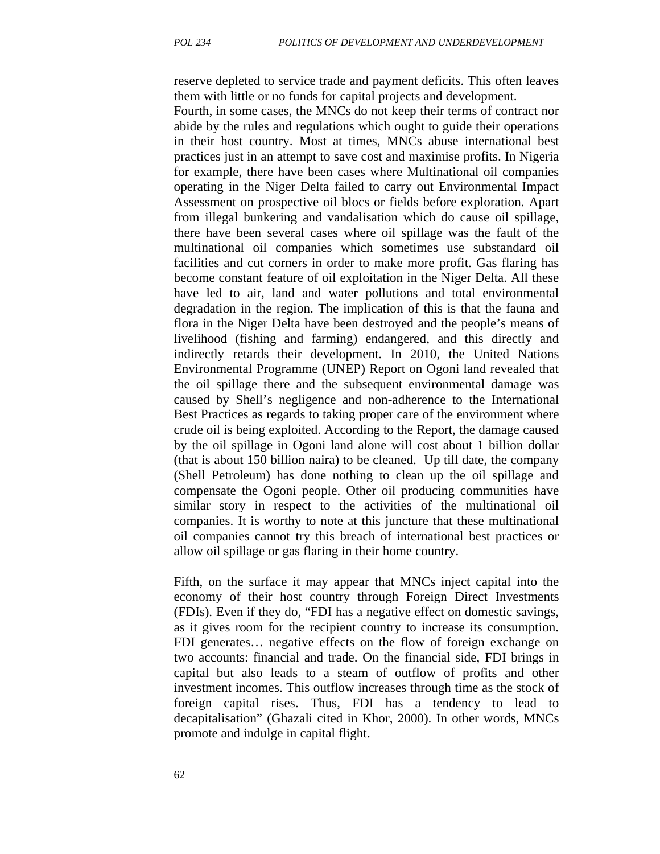reserve depleted to service trade and payment deficits. This often leaves them with little or no funds for capital projects and development.

Fourth, in some cases, the MNCs do not keep their terms of contract nor abide by the rules and regulations which ought to guide their operations in their host country. Most at times, MNCs abuse international best practices just in an attempt to save cost and maximise profits. In Nigeria for example, there have been cases where Multinational oil companies operating in the Niger Delta failed to carry out Environmental Impact Assessment on prospective oil blocs or fields before exploration. Apart from illegal bunkering and vandalisation which do cause oil spillage, there have been several cases where oil spillage was the fault of the multinational oil companies which sometimes use substandard oil facilities and cut corners in order to make more profit. Gas flaring has become constant feature of oil exploitation in the Niger Delta. All these have led to air, land and water pollutions and total environmental degradation in the region. The implication of this is that the fauna and flora in the Niger Delta have been destroyed and the people's means of livelihood (fishing and farming) endangered, and this directly and indirectly retards their development. In 2010, the United Nations Environmental Programme (UNEP) Report on Ogoni land revealed that the oil spillage there and the subsequent environmental damage was caused by Shell's negligence and non-adherence to the International Best Practices as regards to taking proper care of the environment where crude oil is being exploited. According to the Report, the damage caused by the oil spillage in Ogoni land alone will cost about 1 billion dollar (that is about 150 billion naira) to be cleaned. Up till date, the company (Shell Petroleum) has done nothing to clean up the oil spillage and compensate the Ogoni people. Other oil producing communities have similar story in respect to the activities of the multinational oil companies. It is worthy to note at this juncture that these multinational oil companies cannot try this breach of international best practices or allow oil spillage or gas flaring in their home country.

Fifth, on the surface it may appear that MNCs inject capital into the economy of their host country through Foreign Direct Investments (FDIs). Even if they do, "FDI has a negative effect on domestic savings, as it gives room for the recipient country to increase its consumption. FDI generates… negative effects on the flow of foreign exchange on two accounts: financial and trade. On the financial side, FDI brings in capital but also leads to a steam of outflow of profits and other investment incomes. This outflow increases through time as the stock of foreign capital rises. Thus, FDI has a tendency to lead to decapitalisation" (Ghazali cited in Khor, 2000). In other words, MNCs promote and indulge in capital flight.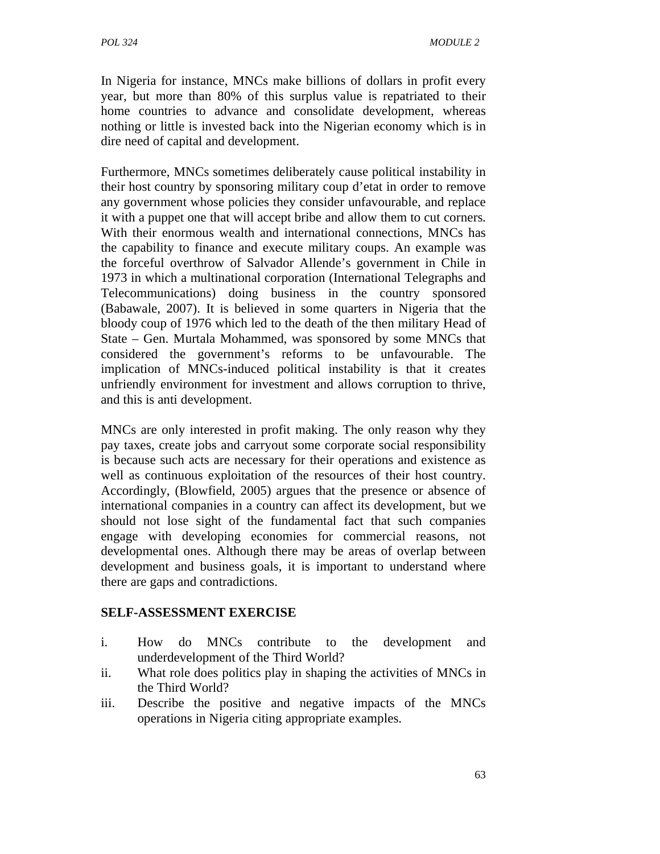In Nigeria for instance, MNCs make billions of dollars in profit every year, but more than 80% of this surplus value is repatriated to their home countries to advance and consolidate development, whereas nothing or little is invested back into the Nigerian economy which is in dire need of capital and development.

Furthermore, MNCs sometimes deliberately cause political instability in their host country by sponsoring military coup d'etat in order to remove any government whose policies they consider unfavourable, and replace it with a puppet one that will accept bribe and allow them to cut corners. With their enormous wealth and international connections, MNCs has the capability to finance and execute military coups. An example was the forceful overthrow of Salvador Allende's government in Chile in 1973 in which a multinational corporation (International Telegraphs and Telecommunications) doing business in the country sponsored (Babawale, 2007). It is believed in some quarters in Nigeria that the bloody coup of 1976 which led to the death of the then military Head of State – Gen. Murtala Mohammed, was sponsored by some MNCs that considered the government's reforms to be unfavourable. The implication of MNCs-induced political instability is that it creates unfriendly environment for investment and allows corruption to thrive, and this is anti development.

MNCs are only interested in profit making. The only reason why they pay taxes, create jobs and carryout some corporate social responsibility is because such acts are necessary for their operations and existence as well as continuous exploitation of the resources of their host country. Accordingly, (Blowfield, 2005) argues that the presence or absence of international companies in a country can affect its development, but we should not lose sight of the fundamental fact that such companies engage with developing economies for commercial reasons, not developmental ones. Although there may be areas of overlap between development and business goals, it is important to understand where there are gaps and contradictions.

### **SELF-ASSESSMENT EXERCISE**

- i. How do MNCs contribute to the development and underdevelopment of the Third World?
- ii. What role does politics play in shaping the activities of MNCs in the Third World?
- iii. Describe the positive and negative impacts of the MNCs operations in Nigeria citing appropriate examples.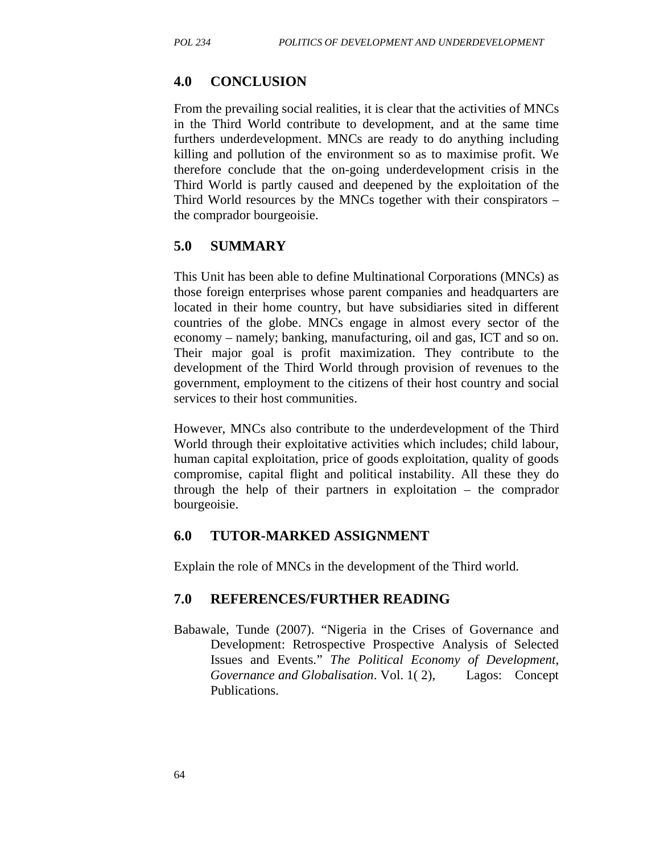### **4.0 CONCLUSION**

From the prevailing social realities, it is clear that the activities of MNCs in the Third World contribute to development, and at the same time furthers underdevelopment. MNCs are ready to do anything including killing and pollution of the environment so as to maximise profit. We therefore conclude that the on-going underdevelopment crisis in the Third World is partly caused and deepened by the exploitation of the Third World resources by the MNCs together with their conspirators – the comprador bourgeoisie.

### **5.0 SUMMARY**

This Unit has been able to define Multinational Corporations (MNCs) as those foreign enterprises whose parent companies and headquarters are located in their home country, but have subsidiaries sited in different countries of the globe. MNCs engage in almost every sector of the economy – namely; banking, manufacturing, oil and gas, ICT and so on. Their major goal is profit maximization. They contribute to the development of the Third World through provision of revenues to the government, employment to the citizens of their host country and social services to their host communities.

However, MNCs also contribute to the underdevelopment of the Third World through their exploitative activities which includes; child labour, human capital exploitation, price of goods exploitation, quality of goods compromise, capital flight and political instability. All these they do through the help of their partners in exploitation – the comprador bourgeoisie.

### **6.0 TUTOR-MARKED ASSIGNMENT**

Explain the role of MNCs in the development of the Third world.

### **7.0 REFERENCES/FURTHER READING**

Babawale, Tunde (2007). "Nigeria in the Crises of Governance and Development: Retrospective Prospective Analysis of Selected Issues and Events." *The Political Economy of Development*, *Governance and Globalisation*. Vol. 1( 2), Lagos: Concept Publications.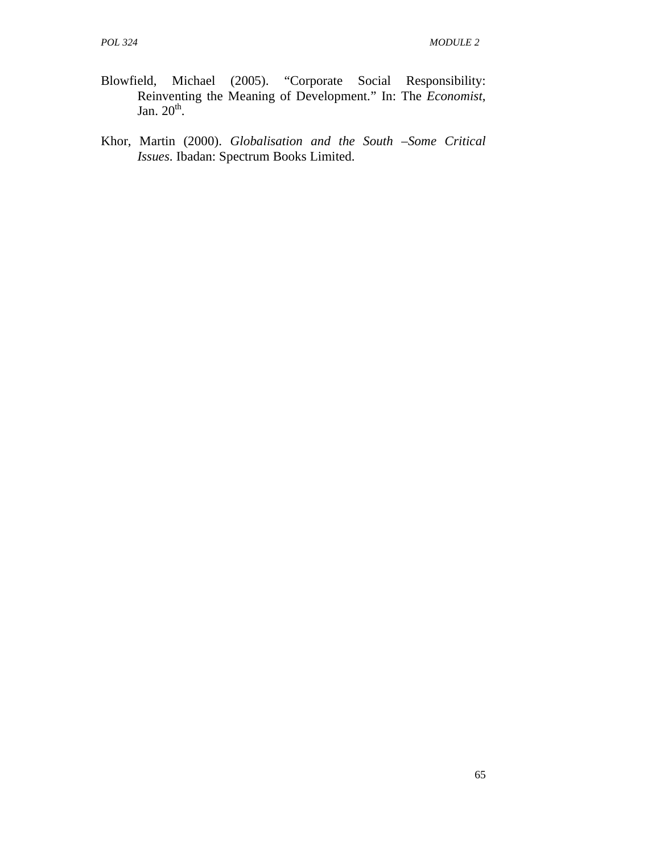- Blowfield, Michael (2005). "Corporate Social Responsibility: Reinventing the Meaning of Development." In: The *Economist*, Jan.  $20<sup>th</sup>$ .
- Khor, Martin (2000). *Globalisation and the South –Some Critical Issues*. Ibadan: Spectrum Books Limited.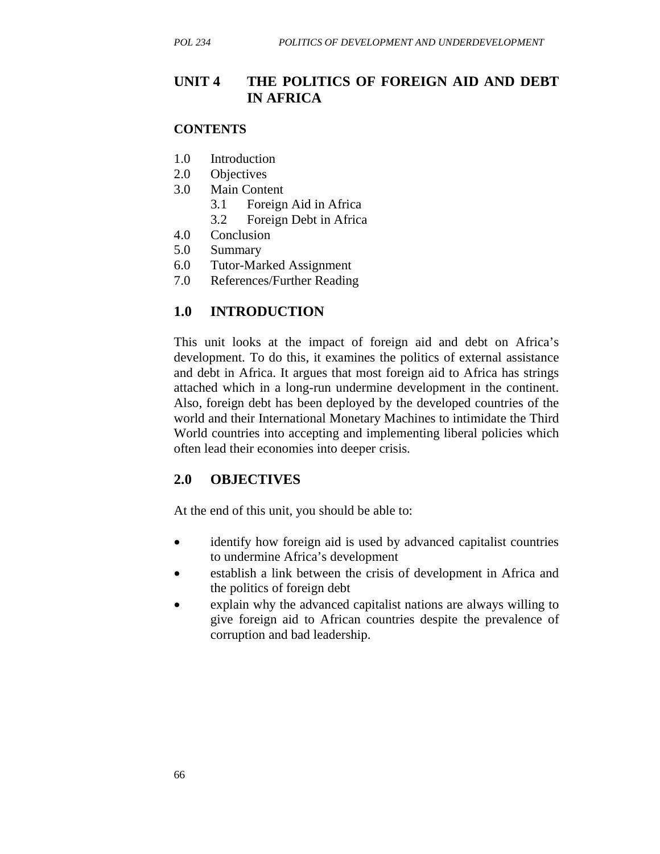## **UNIT 4 THE POLITICS OF FOREIGN AID AND DEBT IN AFRICA**

#### **CONTENTS**

- 1.0 Introduction
- 2.0 Objectives
- 3.0 Main Content
	- 3.1 Foreign Aid in Africa
	- 3.2 Foreign Debt in Africa
- 4.0 Conclusion
- 5.0 Summary
- 6.0 Tutor-Marked Assignment
- 7.0 References/Further Reading

### **1.0 INTRODUCTION**

This unit looks at the impact of foreign aid and debt on Africa's development. To do this, it examines the politics of external assistance and debt in Africa. It argues that most foreign aid to Africa has strings attached which in a long-run undermine development in the continent. Also, foreign debt has been deployed by the developed countries of the world and their International Monetary Machines to intimidate the Third World countries into accepting and implementing liberal policies which often lead their economies into deeper crisis.

#### **2.0 OBJECTIVES**

At the end of this unit, you should be able to:

- identify how foreign aid is used by advanced capitalist countries to undermine Africa's development
- establish a link between the crisis of development in Africa and the politics of foreign debt
- explain why the advanced capitalist nations are always willing to give foreign aid to African countries despite the prevalence of corruption and bad leadership.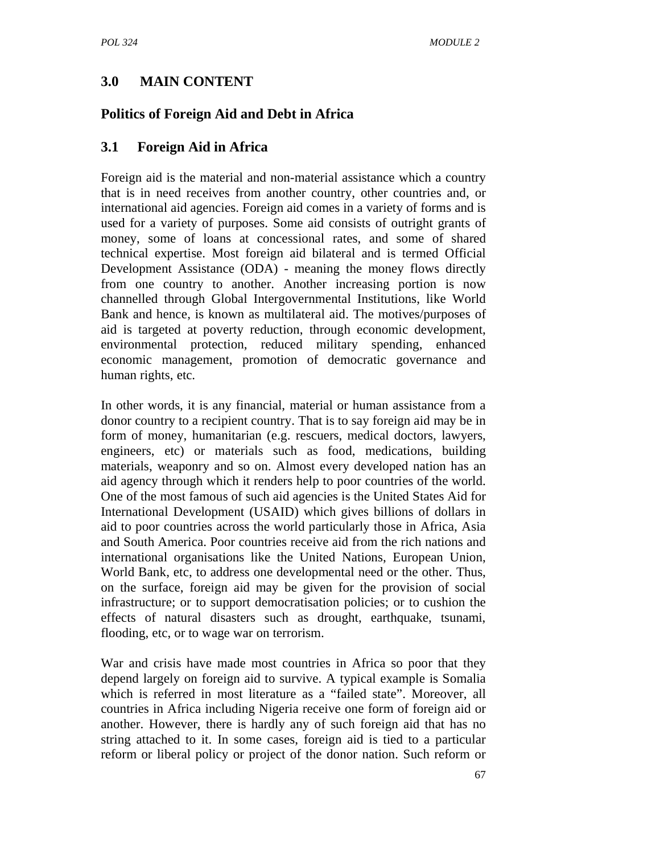## **3.0 MAIN CONTENT**

## **Politics of Foreign Aid and Debt in Africa**

## **3.1 Foreign Aid in Africa**

Foreign aid is the material and non-material assistance which a country that is in need receives from another country, other countries and, or international aid agencies. Foreign aid comes in a variety of forms and is used for a variety of purposes. Some aid consists of outright grants of money, some of loans at concessional rates, and some of shared technical expertise. Most foreign aid bilateral and is termed Official Development Assistance (ODA) - meaning the money flows directly from one country to another. Another increasing portion is now channelled through Global Intergovernmental Institutions, like World Bank and hence, is known as multilateral aid. The motives/purposes of aid is targeted at poverty reduction, through economic development, environmental protection, reduced military spending, enhanced economic management, promotion of democratic governance and human rights, etc.

In other words, it is any financial, material or human assistance from a donor country to a recipient country. That is to say foreign aid may be in form of money, humanitarian (e.g. rescuers, medical doctors, lawyers, engineers, etc) or materials such as food, medications, building materials, weaponry and so on. Almost every developed nation has an aid agency through which it renders help to poor countries of the world. One of the most famous of such aid agencies is the United States Aid for International Development (USAID) which gives billions of dollars in aid to poor countries across the world particularly those in Africa, Asia and South America. Poor countries receive aid from the rich nations and international organisations like the United Nations, European Union, World Bank, etc, to address one developmental need or the other. Thus, on the surface, foreign aid may be given for the provision of social infrastructure; or to support democratisation policies; or to cushion the effects of natural disasters such as drought, earthquake, tsunami, flooding, etc, or to wage war on terrorism.

War and crisis have made most countries in Africa so poor that they depend largely on foreign aid to survive. A typical example is Somalia which is referred in most literature as a "failed state". Moreover, all countries in Africa including Nigeria receive one form of foreign aid or another. However, there is hardly any of such foreign aid that has no string attached to it. In some cases, foreign aid is tied to a particular reform or liberal policy or project of the donor nation. Such reform or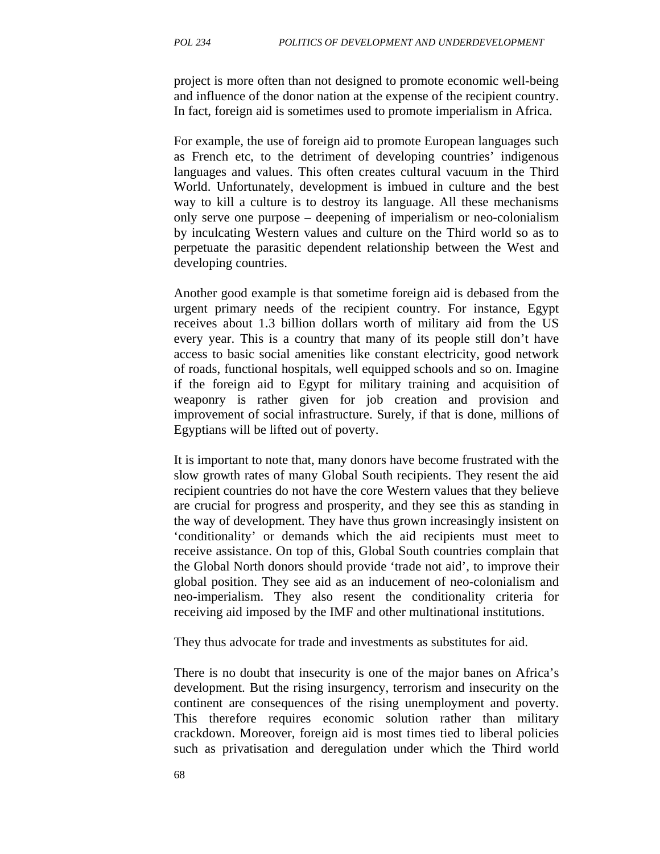project is more often than not designed to promote economic well-being and influence of the donor nation at the expense of the recipient country. In fact, foreign aid is sometimes used to promote imperialism in Africa.

For example, the use of foreign aid to promote European languages such as French etc, to the detriment of developing countries' indigenous languages and values. This often creates cultural vacuum in the Third World. Unfortunately, development is imbued in culture and the best way to kill a culture is to destroy its language. All these mechanisms only serve one purpose – deepening of imperialism or neo-colonialism by inculcating Western values and culture on the Third world so as to perpetuate the parasitic dependent relationship between the West and developing countries.

Another good example is that sometime foreign aid is debased from the urgent primary needs of the recipient country. For instance, Egypt receives about 1.3 billion dollars worth of military aid from the US every year. This is a country that many of its people still don't have access to basic social amenities like constant electricity, good network of roads, functional hospitals, well equipped schools and so on. Imagine if the foreign aid to Egypt for military training and acquisition of weaponry is rather given for job creation and provision and improvement of social infrastructure. Surely, if that is done, millions of Egyptians will be lifted out of poverty.

It is important to note that, many donors have become frustrated with the slow growth rates of many Global South recipients. They resent the aid recipient countries do not have the core Western values that they believe are crucial for progress and prosperity, and they see this as standing in the way of development. They have thus grown increasingly insistent on 'conditionality' or demands which the aid recipients must meet to receive assistance. On top of this, Global South countries complain that the Global North donors should provide 'trade not aid', to improve their global position. They see aid as an inducement of neo-colonialism and neo-imperialism. They also resent the conditionality criteria for receiving aid imposed by the IMF and other multinational institutions.

They thus advocate for trade and investments as substitutes for aid.

There is no doubt that insecurity is one of the major banes on Africa's development. But the rising insurgency, terrorism and insecurity on the continent are consequences of the rising unemployment and poverty. This therefore requires economic solution rather than military crackdown. Moreover, foreign aid is most times tied to liberal policies such as privatisation and deregulation under which the Third world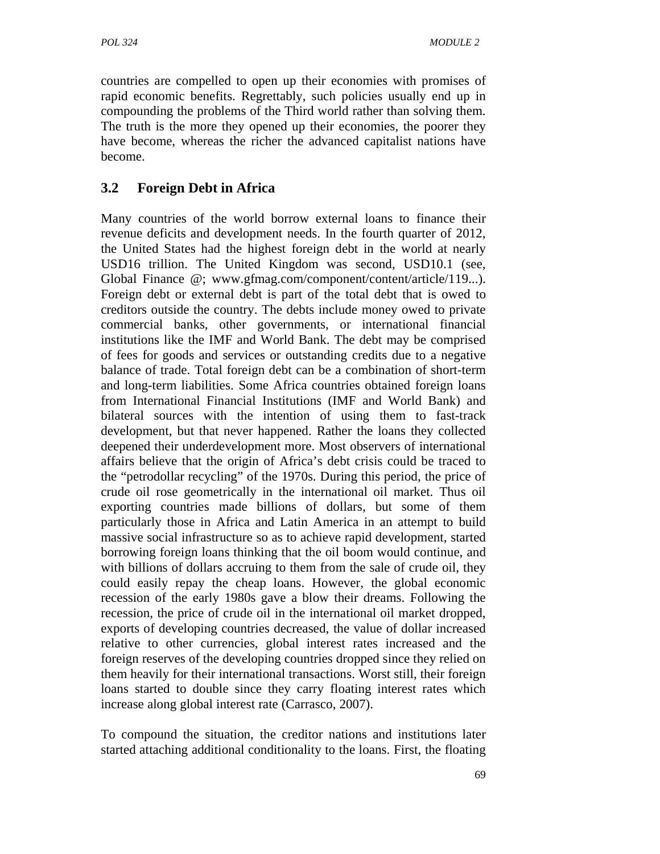countries are compelled to open up their economies with promises of rapid economic benefits. Regrettably, such policies usually end up in compounding the problems of the Third world rather than solving them. The truth is the more they opened up their economies, the poorer they have become, whereas the richer the advanced capitalist nations have become.

# **3.2 Foreign Debt in Africa**

Many countries of the world borrow external loans to finance their revenue deficits and development needs. In the fourth quarter of 2012, the United States had the highest foreign debt in the world at nearly USD16 trillion. The United Kingdom was second, USD10.1 (see, Global Finance  $\omega$ ; www.gfmag.com/component/content/article/119...). Foreign debt or external debt is part of the total debt that is owed to creditors outside the country. The debts include money owed to private commercial banks, other governments, or international financial institutions like the IMF and World Bank. The debt may be comprised of fees for goods and services or outstanding credits due to a negative balance of trade. Total foreign debt can be a combination of short-term and long-term liabilities. Some Africa countries obtained foreign loans from International Financial Institutions (IMF and World Bank) and bilateral sources with the intention of using them to fast-track development, but that never happened. Rather the loans they collected deepened their underdevelopment more. Most observers of international affairs believe that the origin of Africa's debt crisis could be traced to the "petrodollar recycling" of the 1970s. During this period, the price of crude oil rose geometrically in the international oil market. Thus oil exporting countries made billions of dollars, but some of them particularly those in Africa and Latin America in an attempt to build massive social infrastructure so as to achieve rapid development, started borrowing foreign loans thinking that the oil boom would continue, and with billions of dollars accruing to them from the sale of crude oil, they could easily repay the cheap loans. However, the global economic recession of the early 1980s gave a blow their dreams. Following the recession, the price of crude oil in the international oil market dropped, exports of developing countries decreased, the value of dollar increased relative to other currencies, global interest rates increased and the foreign reserves of the developing countries dropped since they relied on them heavily for their international transactions. Worst still, their foreign loans started to double since they carry floating interest rates which increase along global interest rate (Carrasco, 2007).

To compound the situation, the creditor nations and institutions later started attaching additional conditionality to the loans. First, the floating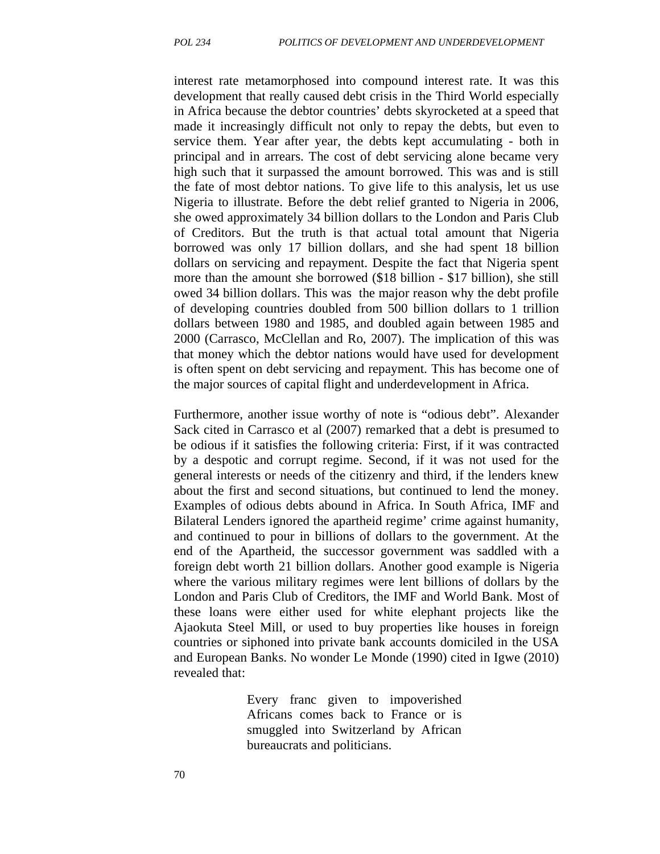interest rate metamorphosed into compound interest rate. It was this development that really caused debt crisis in the Third World especially in Africa because the debtor countries' debts skyrocketed at a speed that made it increasingly difficult not only to repay the debts, but even to service them. Year after year, the debts kept accumulating - both in principal and in arrears. The cost of debt servicing alone became very high such that it surpassed the amount borrowed. This was and is still the fate of most debtor nations. To give life to this analysis, let us use Nigeria to illustrate. Before the debt relief granted to Nigeria in 2006, she owed approximately 34 billion dollars to the London and Paris Club of Creditors. But the truth is that actual total amount that Nigeria borrowed was only 17 billion dollars, and she had spent 18 billion dollars on servicing and repayment. Despite the fact that Nigeria spent more than the amount she borrowed (\$18 billion - \$17 billion), she still owed 34 billion dollars. This was the major reason why the debt profile of developing countries doubled from 500 billion dollars to 1 trillion dollars between 1980 and 1985, and doubled again between 1985 and 2000 (Carrasco, McClellan and Ro, 2007). The implication of this was that money which the debtor nations would have used for development is often spent on debt servicing and repayment. This has become one of the major sources of capital flight and underdevelopment in Africa.

Furthermore, another issue worthy of note is "odious debt". Alexander Sack cited in Carrasco et al (2007) remarked that a debt is presumed to be odious if it satisfies the following criteria: First, if it was contracted by a despotic and corrupt regime. Second, if it was not used for the general interests or needs of the citizenry and third, if the lenders knew about the first and second situations, but continued to lend the money. Examples of odious debts abound in Africa. In South Africa, IMF and Bilateral Lenders ignored the apartheid regime' crime against humanity, and continued to pour in billions of dollars to the government. At the end of the Apartheid, the successor government was saddled with a foreign debt worth 21 billion dollars. Another good example is Nigeria where the various military regimes were lent billions of dollars by the London and Paris Club of Creditors, the IMF and World Bank. Most of these loans were either used for white elephant projects like the Ajaokuta Steel Mill, or used to buy properties like houses in foreign countries or siphoned into private bank accounts domiciled in the USA and European Banks. No wonder Le Monde (1990) cited in Igwe (2010) revealed that:

> Every franc given to impoverished Africans comes back to France or is smuggled into Switzerland by African bureaucrats and politicians.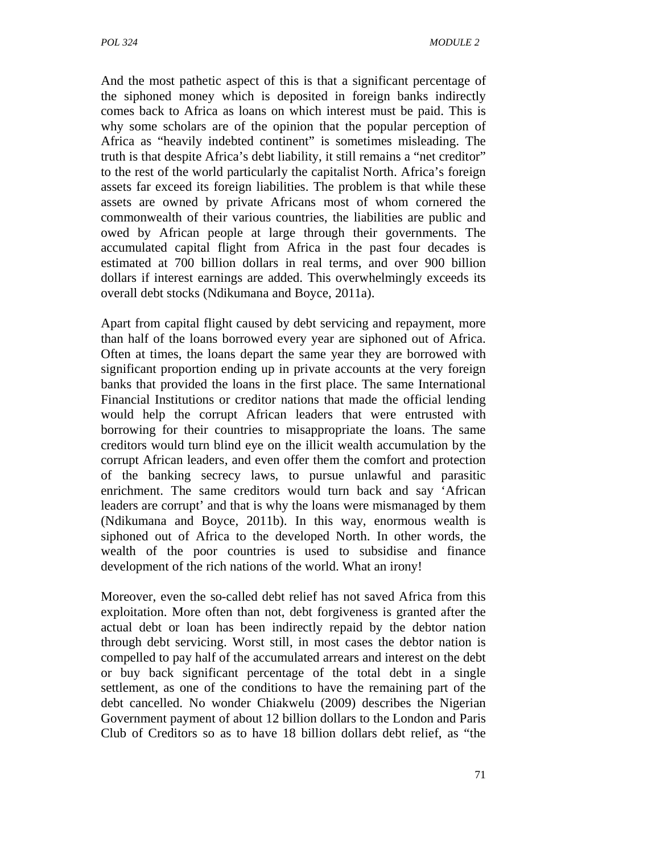And the most pathetic aspect of this is that a significant percentage of the siphoned money which is deposited in foreign banks indirectly comes back to Africa as loans on which interest must be paid. This is why some scholars are of the opinion that the popular perception of Africa as "heavily indebted continent" is sometimes misleading. The truth is that despite Africa's debt liability, it still remains a "net creditor" to the rest of the world particularly the capitalist North. Africa's foreign assets far exceed its foreign liabilities. The problem is that while these assets are owned by private Africans most of whom cornered the commonwealth of their various countries, the liabilities are public and owed by African people at large through their governments. The accumulated capital flight from Africa in the past four decades is estimated at 700 billion dollars in real terms, and over 900 billion dollars if interest earnings are added. This overwhelmingly exceeds its overall debt stocks (Ndikumana and Boyce, 2011a).

Apart from capital flight caused by debt servicing and repayment, more than half of the loans borrowed every year are siphoned out of Africa. Often at times, the loans depart the same year they are borrowed with significant proportion ending up in private accounts at the very foreign banks that provided the loans in the first place. The same International Financial Institutions or creditor nations that made the official lending would help the corrupt African leaders that were entrusted with borrowing for their countries to misappropriate the loans. The same creditors would turn blind eye on the illicit wealth accumulation by the corrupt African leaders, and even offer them the comfort and protection of the banking secrecy laws, to pursue unlawful and parasitic enrichment. The same creditors would turn back and say 'African leaders are corrupt' and that is why the loans were mismanaged by them (Ndikumana and Boyce, 2011b). In this way, enormous wealth is siphoned out of Africa to the developed North. In other words, the wealth of the poor countries is used to subsidise and finance development of the rich nations of the world. What an irony!

Moreover, even the so-called debt relief has not saved Africa from this exploitation. More often than not, debt forgiveness is granted after the actual debt or loan has been indirectly repaid by the debtor nation through debt servicing. Worst still, in most cases the debtor nation is compelled to pay half of the accumulated arrears and interest on the debt or buy back significant percentage of the total debt in a single settlement, as one of the conditions to have the remaining part of the debt cancelled. No wonder Chiakwelu (2009) describes the Nigerian Government payment of about 12 billion dollars to the London and Paris Club of Creditors so as to have 18 billion dollars debt relief, as "the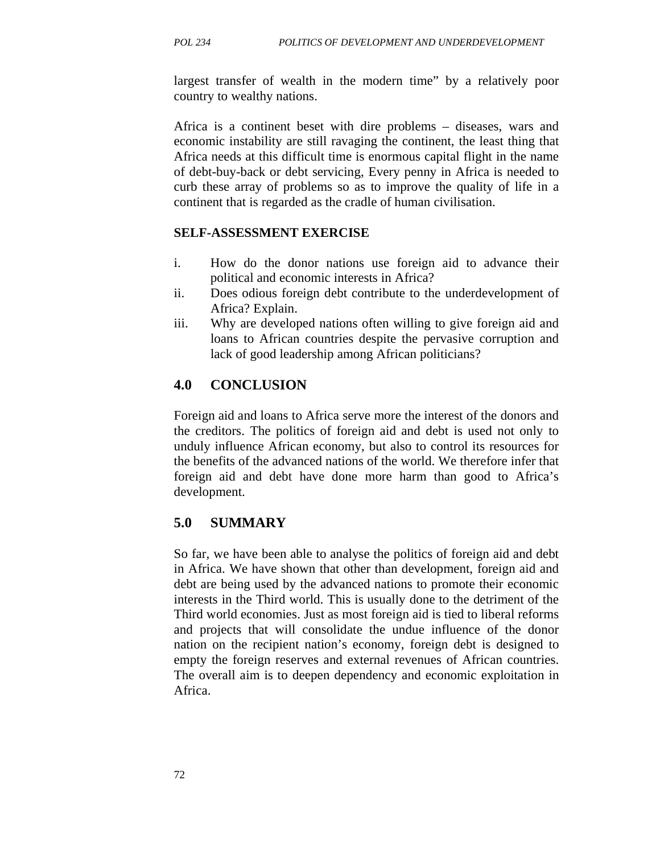largest transfer of wealth in the modern time" by a relatively poor country to wealthy nations.

Africa is a continent beset with dire problems – diseases, wars and economic instability are still ravaging the continent, the least thing that Africa needs at this difficult time is enormous capital flight in the name of debt-buy-back or debt servicing, Every penny in Africa is needed to curb these array of problems so as to improve the quality of life in a continent that is regarded as the cradle of human civilisation.

#### **SELF-ASSESSMENT EXERCISE**

- i. How do the donor nations use foreign aid to advance their political and economic interests in Africa?
- ii. Does odious foreign debt contribute to the underdevelopment of Africa? Explain.
- iii. Why are developed nations often willing to give foreign aid and loans to African countries despite the pervasive corruption and lack of good leadership among African politicians?

## **4.0 CONCLUSION**

Foreign aid and loans to Africa serve more the interest of the donors and the creditors. The politics of foreign aid and debt is used not only to unduly influence African economy, but also to control its resources for the benefits of the advanced nations of the world. We therefore infer that foreign aid and debt have done more harm than good to Africa's development.

## **5.0 SUMMARY**

So far, we have been able to analyse the politics of foreign aid and debt in Africa. We have shown that other than development, foreign aid and debt are being used by the advanced nations to promote their economic interests in the Third world. This is usually done to the detriment of the Third world economies. Just as most foreign aid is tied to liberal reforms and projects that will consolidate the undue influence of the donor nation on the recipient nation's economy, foreign debt is designed to empty the foreign reserves and external revenues of African countries. The overall aim is to deepen dependency and economic exploitation in Africa.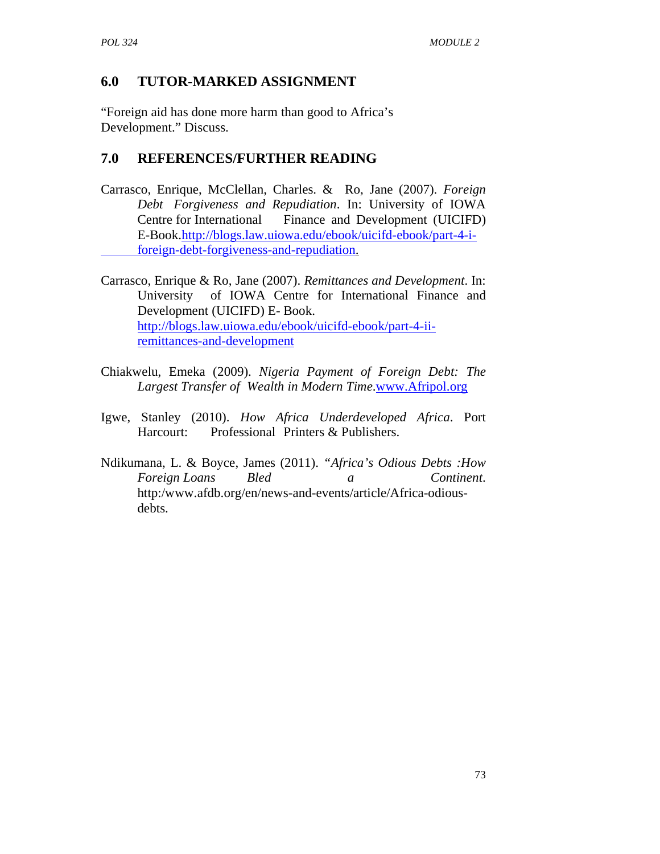## **6.0 TUTOR-MARKED ASSIGNMENT**

"Foreign aid has done more harm than good to Africa's Development." Discuss.

## **7.0 REFERENCES/FURTHER READING**

- Carrasco, Enrique, McClellan, Charles. & Ro, Jane (2007). *Foreign Debt Forgiveness and Repudiation*. In: University of IOWA Centre for International Finance and Development (UICIFD) E-Book.http://blogs.law.uiowa.edu/ebook/uicifd-ebook/part-4-i foreign-debt-forgiveness-and-repudiation.
- Carrasco, Enrique & Ro, Jane (2007). *Remittances and Development*. In: University of IOWA Centre for International Finance and Development (UICIFD) E- Book. http://blogs.law.uiowa.edu/ebook/uicifd-ebook/part-4-ii remittances-and-development
- Chiakwelu, Emeka (2009). *Nigeria Payment of Foreign Debt: The* Largest Transfer of Wealth in Modern Time.www.Afripol.org
- Igwe, Stanley (2010). *How Africa Underdeveloped Africa*. Port Harcourt: Professional Printers & Publishers.
- Ndikumana, L. & Boyce, James (2011). *"Africa's Odious Debts :How Foreign Loans Bled a Continent*. http:/www.afdb.org/en/news-and-events/article/Africa-odious debts.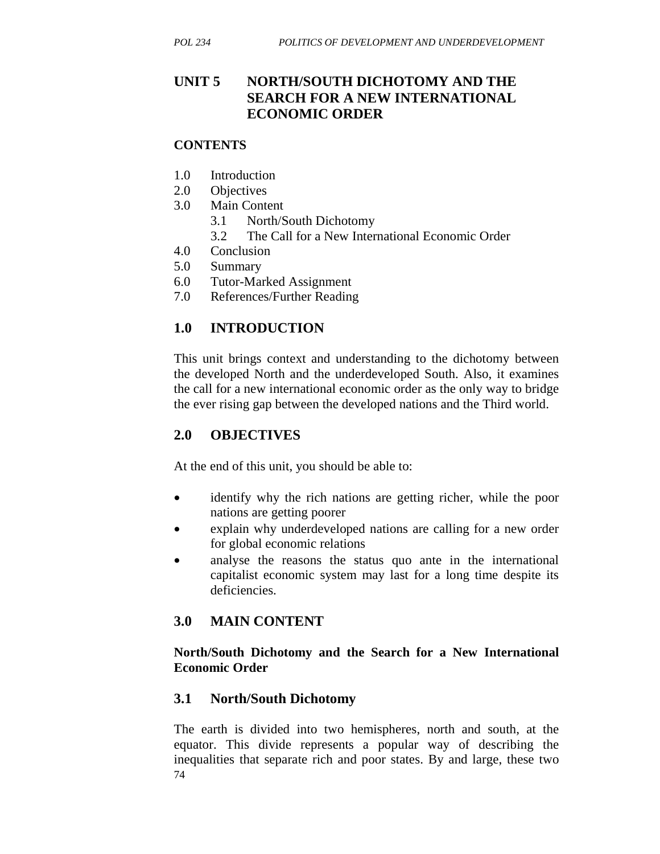## **UNIT 5 NORTH/SOUTH DICHOTOMY AND THE SEARCH FOR A NEW INTERNATIONAL ECONOMIC ORDER**

#### **CONTENTS**

- 1.0 Introduction
- 2.0 Objectives
- 3.0 Main Content
	- 3.1 North/South Dichotomy
	- 3.2 The Call for a New International Economic Order
- 4.0 Conclusion
- 5.0 Summary
- 6.0 Tutor-Marked Assignment
- 7.0 References/Further Reading

## **1.0 INTRODUCTION**

This unit brings context and understanding to the dichotomy between the developed North and the underdeveloped South. Also, it examines the call for a new international economic order as the only way to bridge the ever rising gap between the developed nations and the Third world.

## **2.0 OBJECTIVES**

At the end of this unit, you should be able to:

- identify why the rich nations are getting richer, while the poor nations are getting poorer
- explain why underdeveloped nations are calling for a new order for global economic relations
- analyse the reasons the status quo ante in the international capitalist economic system may last for a long time despite its deficiencies.

## **3.0 MAIN CONTENT**

### **North/South Dichotomy and the Search for a New International Economic Order**

## **3.1 North/South Dichotomy**

74 The earth is divided into two hemispheres, north and south, at the equator. This divide represents a popular way of describing the inequalities that separate rich and poor states. By and large, these two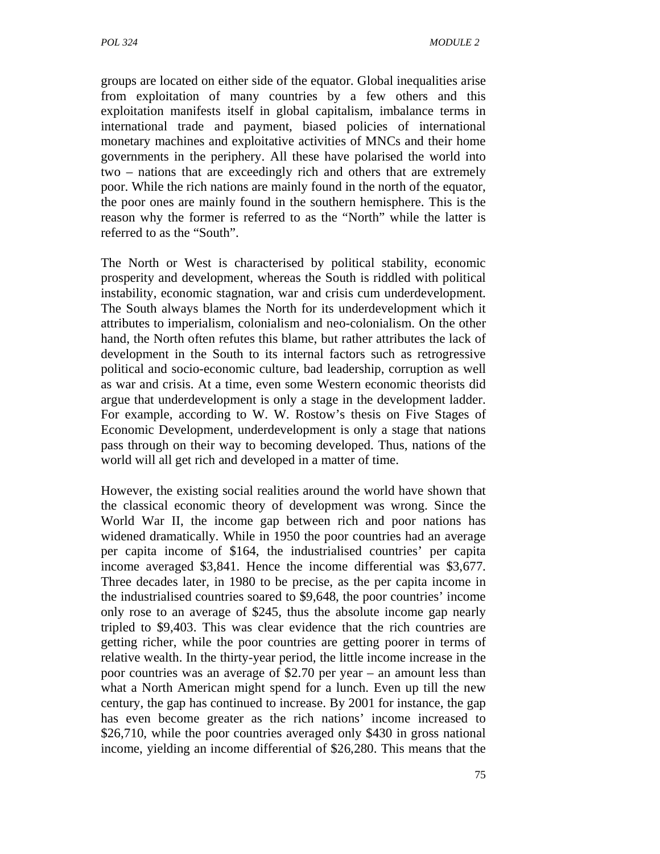groups are located on either side of the equator. Global inequalities arise from exploitation of many countries by a few others and this exploitation manifests itself in global capitalism, imbalance terms in international trade and payment, biased policies of international monetary machines and exploitative activities of MNCs and their home governments in the periphery. All these have polarised the world into two – nations that are exceedingly rich and others that are extremely poor. While the rich nations are mainly found in the north of the equator, the poor ones are mainly found in the southern hemisphere. This is the reason why the former is referred to as the "North" while the latter is referred to as the "South".

The North or West is characterised by political stability, economic prosperity and development, whereas the South is riddled with political instability, economic stagnation, war and crisis cum underdevelopment. The South always blames the North for its underdevelopment which it attributes to imperialism, colonialism and neo-colonialism. On the other hand, the North often refutes this blame, but rather attributes the lack of development in the South to its internal factors such as retrogressive political and socio-economic culture, bad leadership, corruption as well as war and crisis. At a time, even some Western economic theorists did argue that underdevelopment is only a stage in the development ladder. For example, according to W. W. Rostow's thesis on Five Stages of Economic Development, underdevelopment is only a stage that nations pass through on their way to becoming developed. Thus, nations of the world will all get rich and developed in a matter of time.

However, the existing social realities around the world have shown that the classical economic theory of development was wrong. Since the World War II, the income gap between rich and poor nations has widened dramatically. While in 1950 the poor countries had an average per capita income of \$164, the industrialised countries' per capita income averaged \$3,841. Hence the income differential was \$3,677. Three decades later, in 1980 to be precise, as the per capita income in the industrialised countries soared to \$9,648, the poor countries' income only rose to an average of \$245, thus the absolute income gap nearly tripled to \$9,403. This was clear evidence that the rich countries are getting richer, while the poor countries are getting poorer in terms of relative wealth. In the thirty-year period, the little income increase in the poor countries was an average of \$2.70 per year – an amount less than what a North American might spend for a lunch. Even up till the new century, the gap has continued to increase. By 2001 for instance, the gap has even become greater as the rich nations' income increased to \$26,710, while the poor countries averaged only \$430 in gross national income, yielding an income differential of \$26,280. This means that the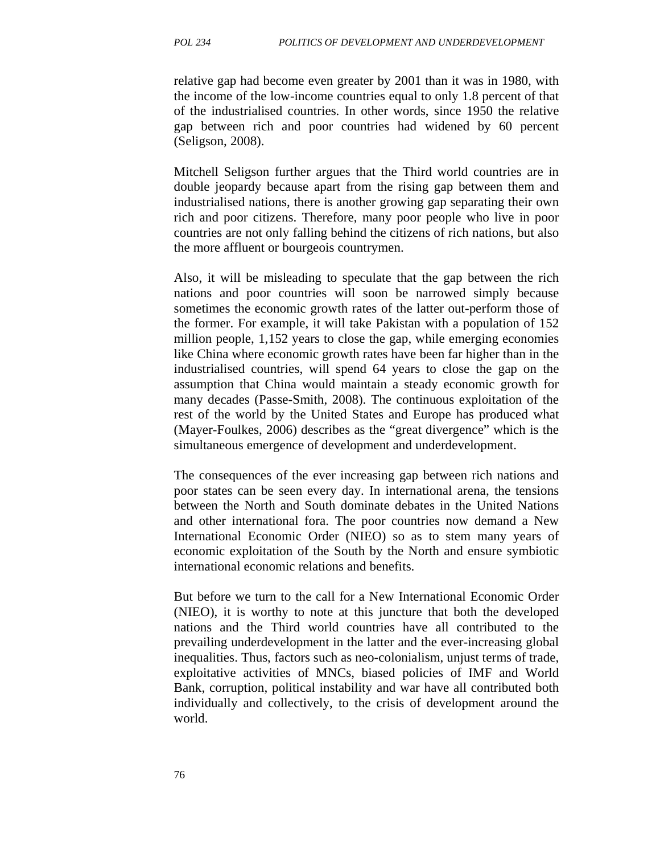relative gap had become even greater by 2001 than it was in 1980, with the income of the low-income countries equal to only 1.8 percent of that of the industrialised countries. In other words, since 1950 the relative gap between rich and poor countries had widened by 60 percent (Seligson, 2008).

Mitchell Seligson further argues that the Third world countries are in double jeopardy because apart from the rising gap between them and industrialised nations, there is another growing gap separating their own rich and poor citizens. Therefore, many poor people who live in poor countries are not only falling behind the citizens of rich nations, but also the more affluent or bourgeois countrymen.

Also, it will be misleading to speculate that the gap between the rich nations and poor countries will soon be narrowed simply because sometimes the economic growth rates of the latter out-perform those of the former. For example, it will take Pakistan with a population of 152 million people, 1,152 years to close the gap, while emerging economies like China where economic growth rates have been far higher than in the industrialised countries, will spend 64 years to close the gap on the assumption that China would maintain a steady economic growth for many decades (Passe-Smith, 2008). The continuous exploitation of the rest of the world by the United States and Europe has produced what (Mayer-Foulkes, 2006) describes as the "great divergence" which is the simultaneous emergence of development and underdevelopment.

The consequences of the ever increasing gap between rich nations and poor states can be seen every day. In international arena, the tensions between the North and South dominate debates in the United Nations and other international fora. The poor countries now demand a New International Economic Order (NIEO) so as to stem many years of economic exploitation of the South by the North and ensure symbiotic international economic relations and benefits.

But before we turn to the call for a New International Economic Order (NIEO), it is worthy to note at this juncture that both the developed nations and the Third world countries have all contributed to the prevailing underdevelopment in the latter and the ever-increasing global inequalities. Thus, factors such as neo-colonialism, unjust terms of trade, exploitative activities of MNCs, biased policies of IMF and World Bank, corruption, political instability and war have all contributed both individually and collectively, to the crisis of development around the world.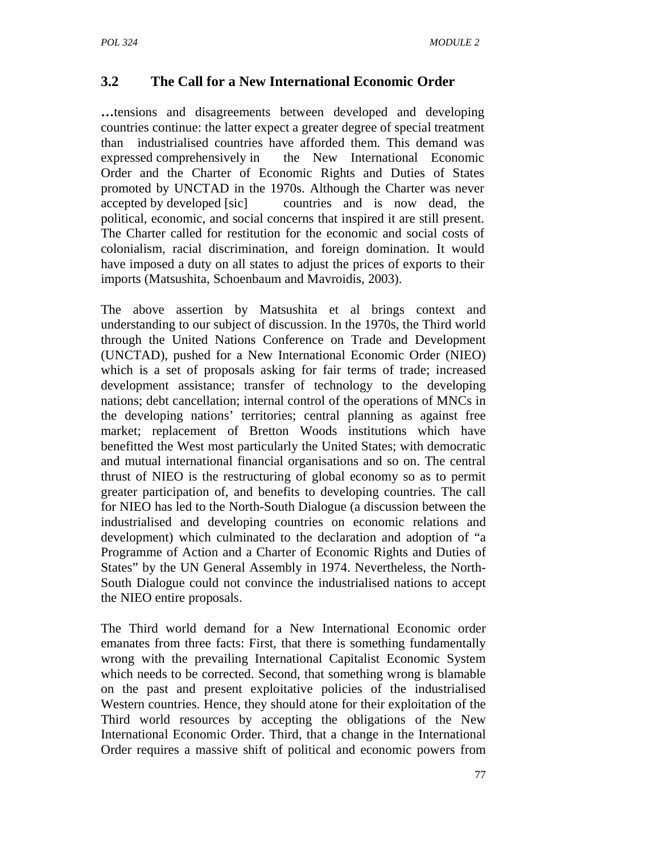# **3.2 The Call for a New International Economic Order**

**…**tensions and disagreements between developed and developing countries continue: the latter expect a greater degree of special treatment than industrialised countries have afforded them. This demand was expressed comprehensively in the New International Economic Order and the Charter of Economic Rights and Duties of States promoted by UNCTAD in the 1970s. Although the Charter was never accepted by developed [sic] countries and is now dead, the political, economic, and social concerns that inspired it are still present. The Charter called for restitution for the economic and social costs of colonialism, racial discrimination, and foreign domination. It would have imposed a duty on all states to adjust the prices of exports to their imports (Matsushita, Schoenbaum and Mavroidis, 2003).

The above assertion by Matsushita et al brings context and understanding to our subject of discussion. In the 1970s, the Third world through the United Nations Conference on Trade and Development (UNCTAD), pushed for a New International Economic Order (NIEO) which is a set of proposals asking for fair terms of trade; increased development assistance; transfer of technology to the developing nations; debt cancellation; internal control of the operations of MNCs in the developing nations' territories; central planning as against free market; replacement of Bretton Woods institutions which have benefitted the West most particularly the United States; with democratic and mutual international financial organisations and so on. The central thrust of NIEO is the restructuring of global economy so as to permit greater participation of, and benefits to developing countries. The call for NIEO has led to the North-South Dialogue (a discussion between the industrialised and developing countries on economic relations and development) which culminated to the declaration and adoption of "a Programme of Action and a Charter of Economic Rights and Duties of States" by the UN General Assembly in 1974. Nevertheless, the North-South Dialogue could not convince the industrialised nations to accept the NIEO entire proposals.

The Third world demand for a New International Economic order emanates from three facts: First, that there is something fundamentally wrong with the prevailing International Capitalist Economic System which needs to be corrected. Second, that something wrong is blamable on the past and present exploitative policies of the industrialised Western countries. Hence, they should atone for their exploitation of the Third world resources by accepting the obligations of the New International Economic Order. Third, that a change in the International Order requires a massive shift of political and economic powers from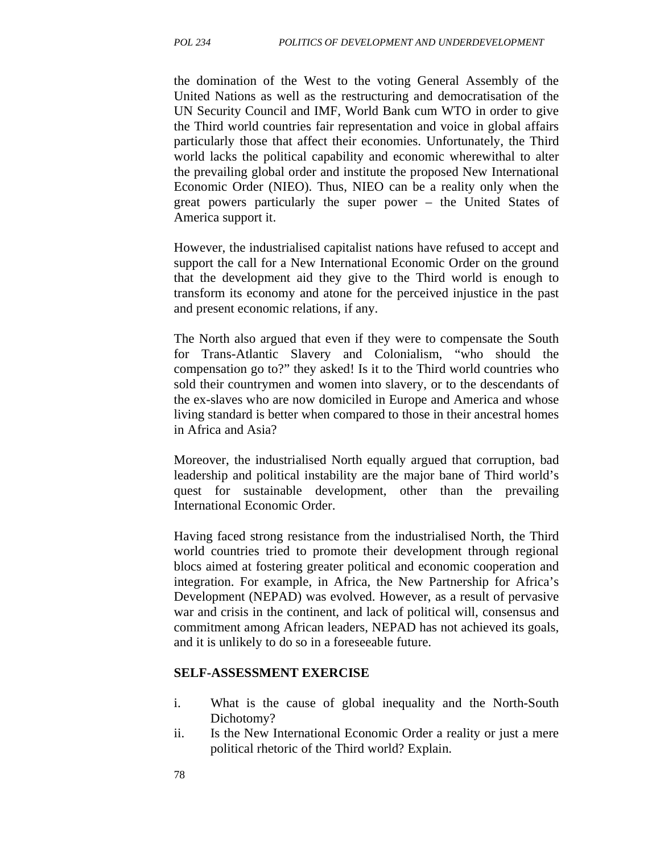the domination of the West to the voting General Assembly of the United Nations as well as the restructuring and democratisation of the UN Security Council and IMF, World Bank cum WTO in order to give the Third world countries fair representation and voice in global affairs particularly those that affect their economies. Unfortunately, the Third world lacks the political capability and economic wherewithal to alter the prevailing global order and institute the proposed New International Economic Order (NIEO). Thus, NIEO can be a reality only when the great powers particularly the super power – the United States of America support it.

However, the industrialised capitalist nations have refused to accept and support the call for a New International Economic Order on the ground that the development aid they give to the Third world is enough to transform its economy and atone for the perceived injustice in the past and present economic relations, if any.

The North also argued that even if they were to compensate the South for Trans-Atlantic Slavery and Colonialism, "who should the compensation go to?" they asked! Is it to the Third world countries who sold their countrymen and women into slavery, or to the descendants of the ex-slaves who are now domiciled in Europe and America and whose living standard is better when compared to those in their ancestral homes in Africa and Asia?

Moreover, the industrialised North equally argued that corruption, bad leadership and political instability are the major bane of Third world's quest for sustainable development, other than the prevailing International Economic Order.

Having faced strong resistance from the industrialised North, the Third world countries tried to promote their development through regional blocs aimed at fostering greater political and economic cooperation and integration. For example, in Africa, the New Partnership for Africa's Development (NEPAD) was evolved. However, as a result of pervasive war and crisis in the continent, and lack of political will, consensus and commitment among African leaders, NEPAD has not achieved its goals, and it is unlikely to do so in a foreseeable future.

#### **SELF-ASSESSMENT EXERCISE**

- i. What is the cause of global inequality and the North-South Dichotomy?
- ii. Is the New International Economic Order a reality or just a mere political rhetoric of the Third world? Explain.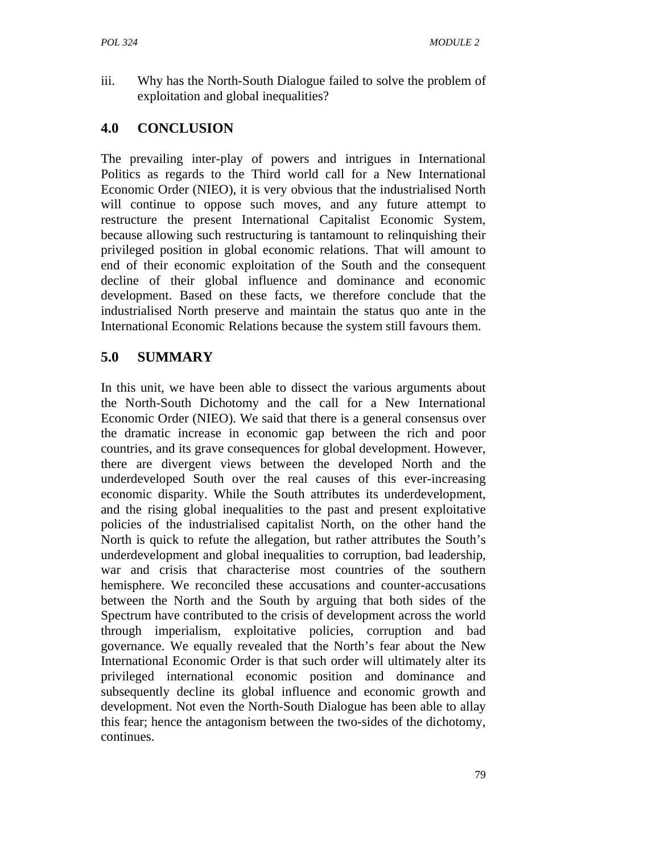iii. Why has the North-South Dialogue failed to solve the problem of exploitation and global inequalities?

## **4.0 CONCLUSION**

The prevailing inter-play of powers and intrigues in International Politics as regards to the Third world call for a New International Economic Order (NIEO), it is very obvious that the industrialised North will continue to oppose such moves, and any future attempt to restructure the present International Capitalist Economic System, because allowing such restructuring is tantamount to relinquishing their privileged position in global economic relations. That will amount to end of their economic exploitation of the South and the consequent decline of their global influence and dominance and economic development. Based on these facts, we therefore conclude that the industrialised North preserve and maintain the status quo ante in the International Economic Relations because the system still favours them.

# **5.0 SUMMARY**

In this unit, we have been able to dissect the various arguments about the North-South Dichotomy and the call for a New International Economic Order (NIEO). We said that there is a general consensus over the dramatic increase in economic gap between the rich and poor countries, and its grave consequences for global development. However, there are divergent views between the developed North and the underdeveloped South over the real causes of this ever-increasing economic disparity. While the South attributes its underdevelopment, and the rising global inequalities to the past and present exploitative policies of the industrialised capitalist North, on the other hand the North is quick to refute the allegation, but rather attributes the South's underdevelopment and global inequalities to corruption, bad leadership, war and crisis that characterise most countries of the southern hemisphere. We reconciled these accusations and counter-accusations between the North and the South by arguing that both sides of the Spectrum have contributed to the crisis of development across the world through imperialism, exploitative policies, corruption and bad governance. We equally revealed that the North's fear about the New International Economic Order is that such order will ultimately alter its privileged international economic position and dominance and subsequently decline its global influence and economic growth and development. Not even the North-South Dialogue has been able to allay this fear; hence the antagonism between the two-sides of the dichotomy, continues.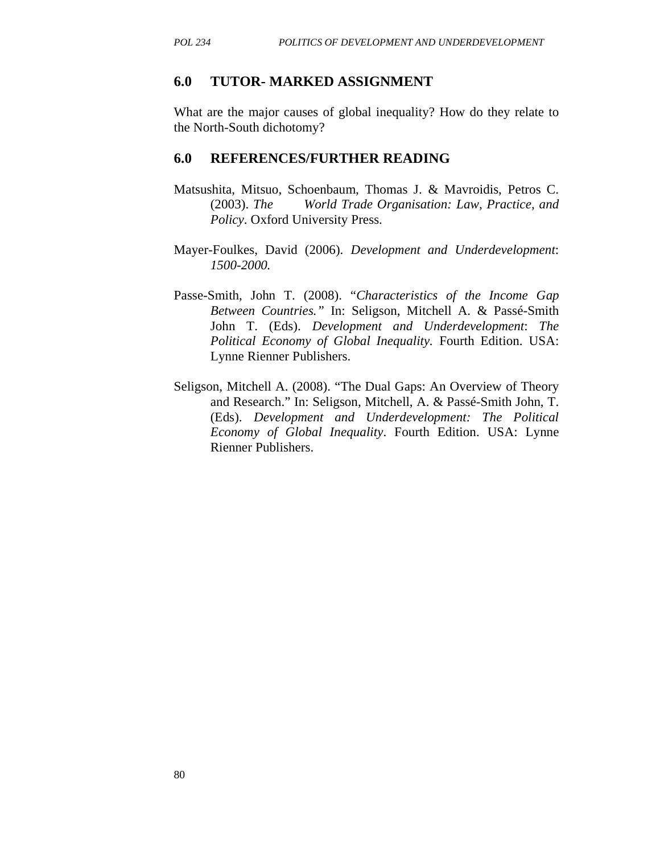### **6.0 TUTOR- MARKED ASSIGNMENT**

What are the major causes of global inequality? How do they relate to the North-South dichotomy?

#### **6.0 REFERENCES/FURTHER READING**

- Matsushita, Mitsuo, Schoenbaum, Thomas J. & Mavroidis, Petros C. (2003). *The World Trade Organisation: Law, Practice, and Policy*. Oxford University Press.
- Mayer-Foulkes, David (2006). *Development and Underdevelopment*: *1500-2000.*
- Passe-Smith, John T. (2008). "*Characteristics of the Income Gap Between Countries."* In: Seligson, Mitchell A. & Passé-Smith John T. (Eds). *Development and Underdevelopment*: *The Political Economy of Global Inequality.* Fourth Edition. USA: Lynne Rienner Publishers.
- Seligson, Mitchell A. (2008). "The Dual Gaps: An Overview of Theory and Research." In: Seligson, Mitchell, A. & Passé-Smith John, T. (Eds). *Development and Underdevelopment: The Political Economy of Global Inequality*. Fourth Edition. USA: Lynne Rienner Publishers.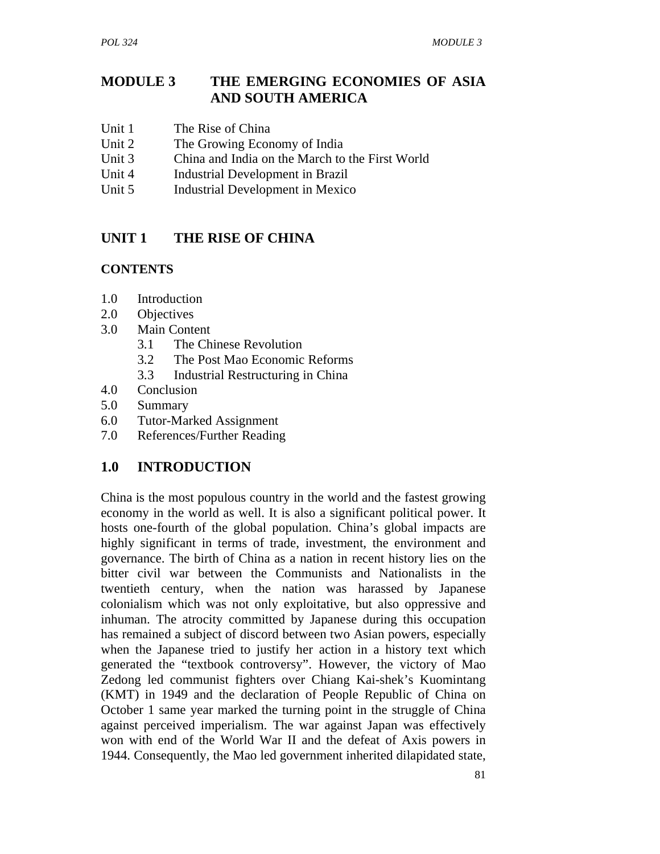## **MODULE 3 THE EMERGING ECONOMIES OF ASIA AND SOUTH AMERICA**

- Unit 1 The Rise of China
- Unit 2 The Growing Economy of India
- Unit 3 China and India on the March to the First World
- Unit 4 Industrial Development in Brazil
- Unit 5 Industrial Development in Mexico

### **UNIT 1 THE RISE OF CHINA**

#### **CONTENTS**

- 1.0 Introduction
- 2.0 Objectives
- 3.0 Main Content
	- 3.1 The Chinese Revolution
	- 3.2 The Post Mao Economic Reforms
	- 3.3 Industrial Restructuring in China
- 4.0 Conclusion
- 5.0 Summary
- 6.0 Tutor-Marked Assignment
- 7.0 References/Further Reading

### **1.0 INTRODUCTION**

China is the most populous country in the world and the fastest growing economy in the world as well. It is also a significant political power. It hosts one-fourth of the global population. China's global impacts are highly significant in terms of trade, investment, the environment and governance. The birth of China as a nation in recent history lies on the bitter civil war between the Communists and Nationalists in the twentieth century, when the nation was harassed by Japanese colonialism which was not only exploitative, but also oppressive and inhuman. The atrocity committed by Japanese during this occupation has remained a subject of discord between two Asian powers, especially when the Japanese tried to justify her action in a history text which generated the "textbook controversy". However, the victory of Mao Zedong led communist fighters over Chiang Kai-shek's Kuomintang (KMT) in 1949 and the declaration of People Republic of China on October 1 same year marked the turning point in the struggle of China against perceived imperialism. The war against Japan was effectively won with end of the World War II and the defeat of Axis powers in 1944. Consequently, the Mao led government inherited dilapidated state,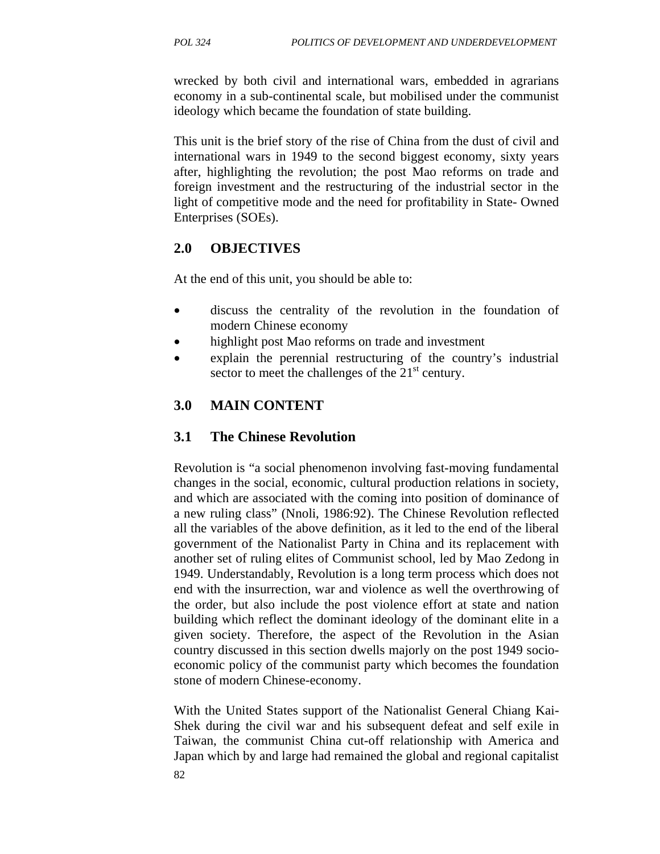wrecked by both civil and international wars, embedded in agrarians economy in a sub-continental scale, but mobilised under the communist ideology which became the foundation of state building.

This unit is the brief story of the rise of China from the dust of civil and international wars in 1949 to the second biggest economy, sixty years after, highlighting the revolution; the post Mao reforms on trade and foreign investment and the restructuring of the industrial sector in the light of competitive mode and the need for profitability in State- Owned Enterprises (SOEs).

## **2.0 OBJECTIVES**

At the end of this unit, you should be able to:

- discuss the centrality of the revolution in the foundation of modern Chinese economy
- highlight post Mao reforms on trade and investment
- explain the perennial restructuring of the country's industrial sector to meet the challenges of the  $21<sup>st</sup>$  century.

## **3.0 MAIN CONTENT**

## **3.1 The Chinese Revolution**

Revolution is "a social phenomenon involving fast-moving fundamental changes in the social, economic, cultural production relations in society, and which are associated with the coming into position of dominance of a new ruling class" (Nnoli, 1986:92). The Chinese Revolution reflected all the variables of the above definition, as it led to the end of the liberal government of the Nationalist Party in China and its replacement with another set of ruling elites of Communist school, led by Mao Zedong in 1949. Understandably, Revolution is a long term process which does not end with the insurrection, war and violence as well the overthrowing of the order, but also include the post violence effort at state and nation building which reflect the dominant ideology of the dominant elite in a given society. Therefore, the aspect of the Revolution in the Asian country discussed in this section dwells majorly on the post 1949 socioeconomic policy of the communist party which becomes the foundation stone of modern Chinese-economy.

With the United States support of the Nationalist General Chiang Kai-Shek during the civil war and his subsequent defeat and self exile in Taiwan, the communist China cut-off relationship with America and Japan which by and large had remained the global and regional capitalist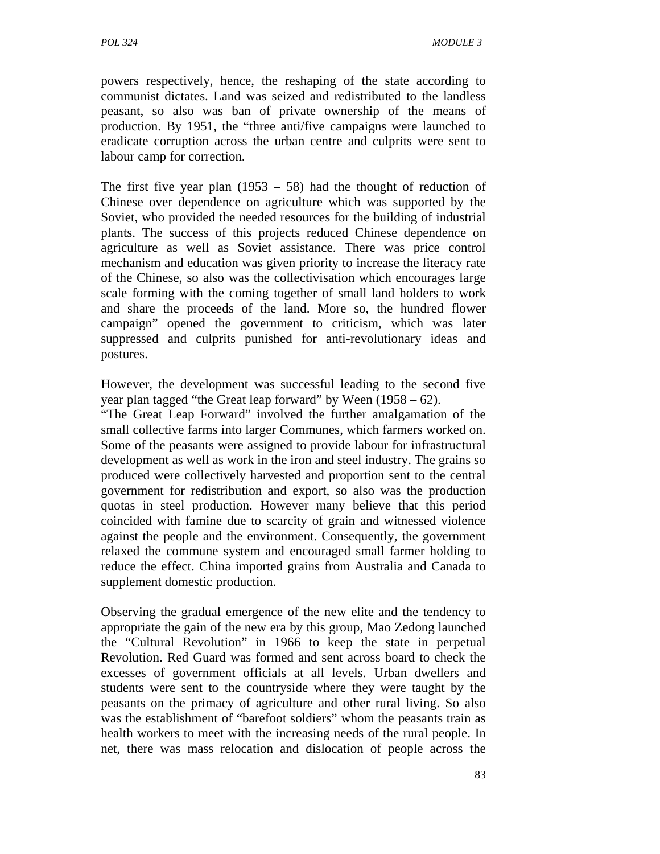powers respectively, hence, the reshaping of the state according to communist dictates. Land was seized and redistributed to the landless peasant, so also was ban of private ownership of the means of production. By 1951, the "three anti/five campaigns were launched to eradicate corruption across the urban centre and culprits were sent to labour camp for correction.

The first five year plan  $(1953 - 58)$  had the thought of reduction of Chinese over dependence on agriculture which was supported by the Soviet, who provided the needed resources for the building of industrial plants. The success of this projects reduced Chinese dependence on agriculture as well as Soviet assistance. There was price control mechanism and education was given priority to increase the literacy rate of the Chinese, so also was the collectivisation which encourages large scale forming with the coming together of small land holders to work and share the proceeds of the land. More so, the hundred flower campaign" opened the government to criticism, which was later suppressed and culprits punished for anti-revolutionary ideas and postures.

However, the development was successful leading to the second five year plan tagged "the Great leap forward" by Ween (1958 – 62).

"The Great Leap Forward" involved the further amalgamation of the small collective farms into larger Communes, which farmers worked on. Some of the peasants were assigned to provide labour for infrastructural development as well as work in the iron and steel industry. The grains so produced were collectively harvested and proportion sent to the central government for redistribution and export, so also was the production quotas in steel production. However many believe that this period coincided with famine due to scarcity of grain and witnessed violence against the people and the environment. Consequently, the government relaxed the commune system and encouraged small farmer holding to reduce the effect. China imported grains from Australia and Canada to supplement domestic production.

Observing the gradual emergence of the new elite and the tendency to appropriate the gain of the new era by this group, Mao Zedong launched the "Cultural Revolution" in 1966 to keep the state in perpetual Revolution. Red Guard was formed and sent across board to check the excesses of government officials at all levels. Urban dwellers and students were sent to the countryside where they were taught by the peasants on the primacy of agriculture and other rural living. So also was the establishment of "barefoot soldiers" whom the peasants train as health workers to meet with the increasing needs of the rural people. In net, there was mass relocation and dislocation of people across the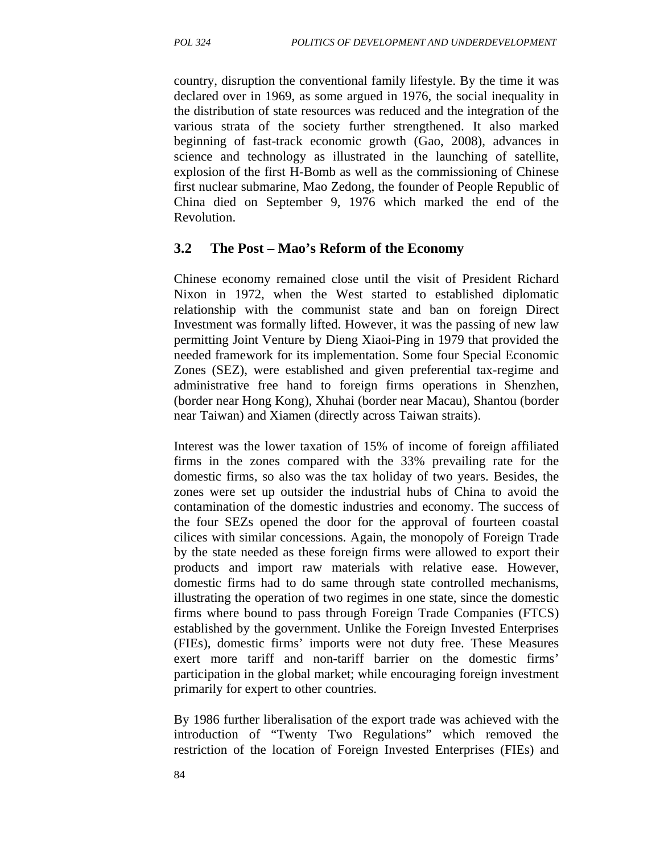country, disruption the conventional family lifestyle. By the time it was declared over in 1969, as some argued in 1976, the social inequality in the distribution of state resources was reduced and the integration of the various strata of the society further strengthened. It also marked beginning of fast-track economic growth (Gao, 2008), advances in science and technology as illustrated in the launching of satellite, explosion of the first H-Bomb as well as the commissioning of Chinese first nuclear submarine, Mao Zedong, the founder of People Republic of China died on September 9, 1976 which marked the end of the Revolution.

### **3.2 The Post – Mao's Reform of the Economy**

Chinese economy remained close until the visit of President Richard Nixon in 1972, when the West started to established diplomatic relationship with the communist state and ban on foreign Direct Investment was formally lifted. However, it was the passing of new law permitting Joint Venture by Dieng Xiaoi-Ping in 1979 that provided the needed framework for its implementation. Some four Special Economic Zones (SEZ), were established and given preferential tax-regime and administrative free hand to foreign firms operations in Shenzhen, (border near Hong Kong), Xhuhai (border near Macau), Shantou (border near Taiwan) and Xiamen (directly across Taiwan straits).

Interest was the lower taxation of 15% of income of foreign affiliated firms in the zones compared with the 33% prevailing rate for the domestic firms, so also was the tax holiday of two years. Besides, the zones were set up outsider the industrial hubs of China to avoid the contamination of the domestic industries and economy. The success of the four SEZs opened the door for the approval of fourteen coastal cilices with similar concessions. Again, the monopoly of Foreign Trade by the state needed as these foreign firms were allowed to export their products and import raw materials with relative ease. However, domestic firms had to do same through state controlled mechanisms, illustrating the operation of two regimes in one state, since the domestic firms where bound to pass through Foreign Trade Companies (FTCS) established by the government. Unlike the Foreign Invested Enterprises (FIEs), domestic firms' imports were not duty free. These Measures exert more tariff and non-tariff barrier on the domestic firms' participation in the global market; while encouraging foreign investment primarily for expert to other countries.

By 1986 further liberalisation of the export trade was achieved with the introduction of "Twenty Two Regulations" which removed the restriction of the location of Foreign Invested Enterprises (FIEs) and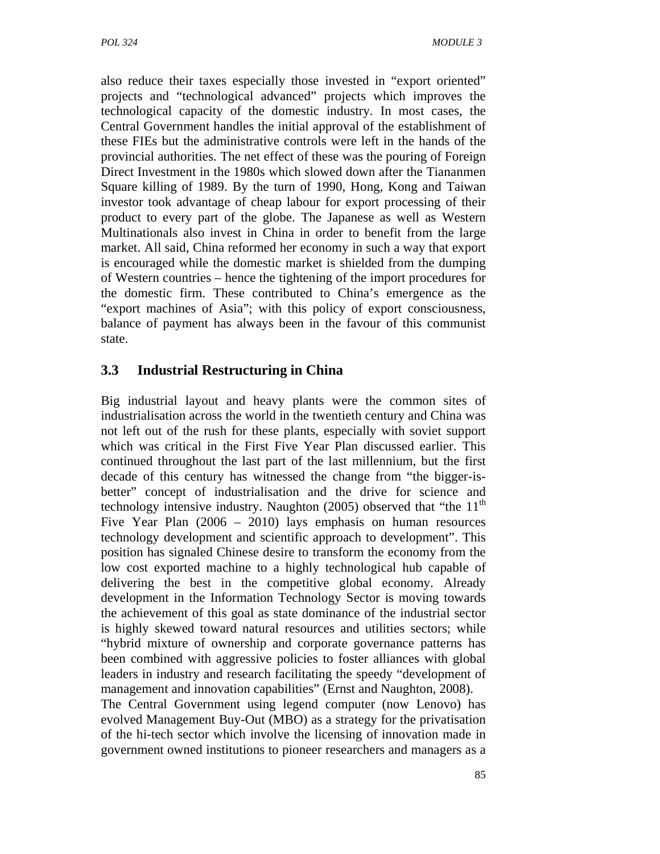also reduce their taxes especially those invested in "export oriented" projects and "technological advanced" projects which improves the technological capacity of the domestic industry. In most cases, the Central Government handles the initial approval of the establishment of these FIEs but the administrative controls were left in the hands of the provincial authorities. The net effect of these was the pouring of Foreign Direct Investment in the 1980s which slowed down after the Tiananmen Square killing of 1989. By the turn of 1990, Hong, Kong and Taiwan investor took advantage of cheap labour for export processing of their product to every part of the globe. The Japanese as well as Western Multinationals also invest in China in order to benefit from the large market. All said, China reformed her economy in such a way that export is encouraged while the domestic market is shielded from the dumping of Western countries – hence the tightening of the import procedures for the domestic firm. These contributed to China's emergence as the "export machines of Asia"; with this policy of export consciousness, balance of payment has always been in the favour of this communist state.

## **3.3 Industrial Restructuring in China**

Big industrial layout and heavy plants were the common sites of industrialisation across the world in the twentieth century and China was not left out of the rush for these plants, especially with soviet support which was critical in the First Five Year Plan discussed earlier. This continued throughout the last part of the last millennium, but the first decade of this century has witnessed the change from "the bigger-isbetter" concept of industrialisation and the drive for science and technology intensive industry. Naughton  $(2005)$  observed that "the  $11<sup>th</sup>$ Five Year Plan (2006 – 2010) lays emphasis on human resources technology development and scientific approach to development". This position has signaled Chinese desire to transform the economy from the low cost exported machine to a highly technological hub capable of delivering the best in the competitive global economy. Already development in the Information Technology Sector is moving towards the achievement of this goal as state dominance of the industrial sector is highly skewed toward natural resources and utilities sectors; while "hybrid mixture of ownership and corporate governance patterns has been combined with aggressive policies to foster alliances with global leaders in industry and research facilitating the speedy "development of management and innovation capabilities" (Ernst and Naughton, 2008).

The Central Government using legend computer (now Lenovo) has evolved Management Buy-Out (MBO) as a strategy for the privatisation of the hi-tech sector which involve the licensing of innovation made in government owned institutions to pioneer researchers and managers as a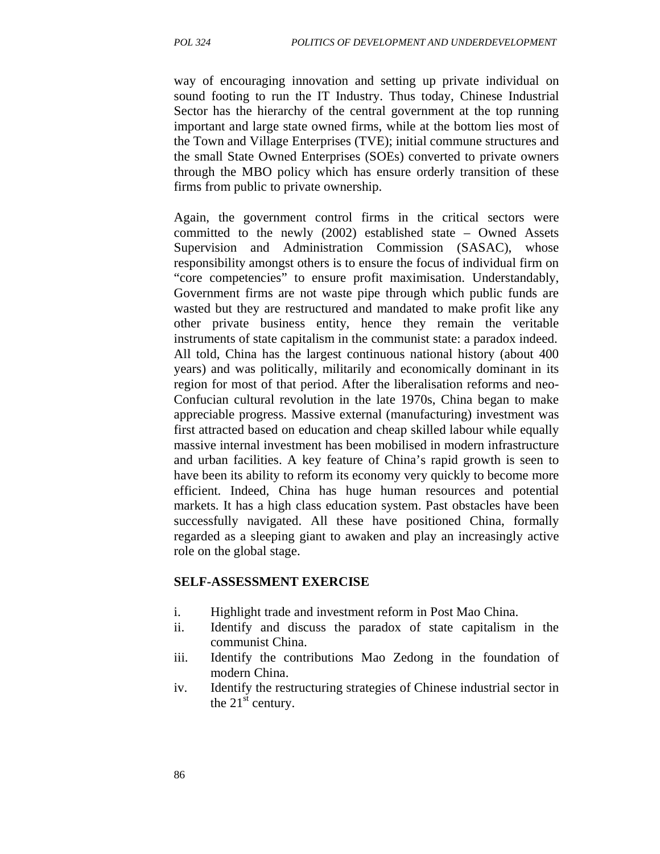way of encouraging innovation and setting up private individual on sound footing to run the IT Industry. Thus today, Chinese Industrial Sector has the hierarchy of the central government at the top running important and large state owned firms, while at the bottom lies most of the Town and Village Enterprises (TVE); initial commune structures and the small State Owned Enterprises (SOEs) converted to private owners through the MBO policy which has ensure orderly transition of these firms from public to private ownership.

Again, the government control firms in the critical sectors were committed to the newly (2002) established state – Owned Assets Supervision and Administration Commission (SASAC), whose responsibility amongst others is to ensure the focus of individual firm on "core competencies" to ensure profit maximisation. Understandably, Government firms are not waste pipe through which public funds are wasted but they are restructured and mandated to make profit like any other private business entity, hence they remain the veritable instruments of state capitalism in the communist state: a paradox indeed. All told, China has the largest continuous national history (about 400 years) and was politically, militarily and economically dominant in its region for most of that period. After the liberalisation reforms and neo-Confucian cultural revolution in the late 1970s, China began to make appreciable progress. Massive external (manufacturing) investment was first attracted based on education and cheap skilled labour while equally massive internal investment has been mobilised in modern infrastructure and urban facilities. A key feature of China's rapid growth is seen to have been its ability to reform its economy very quickly to become more efficient. Indeed, China has huge human resources and potential markets. It has a high class education system. Past obstacles have been successfully navigated. All these have positioned China, formally regarded as a sleeping giant to awaken and play an increasingly active role on the global stage.

#### **SELF-ASSESSMENT EXERCISE**

- i. Highlight trade and investment reform in Post Mao China.
- ii. Identify and discuss the paradox of state capitalism in the communist China.
- iii. Identify the contributions Mao Zedong in the foundation of modern China.
- iv. Identify the restructuring strategies of Chinese industrial sector in the  $21<sup>st</sup>$  century.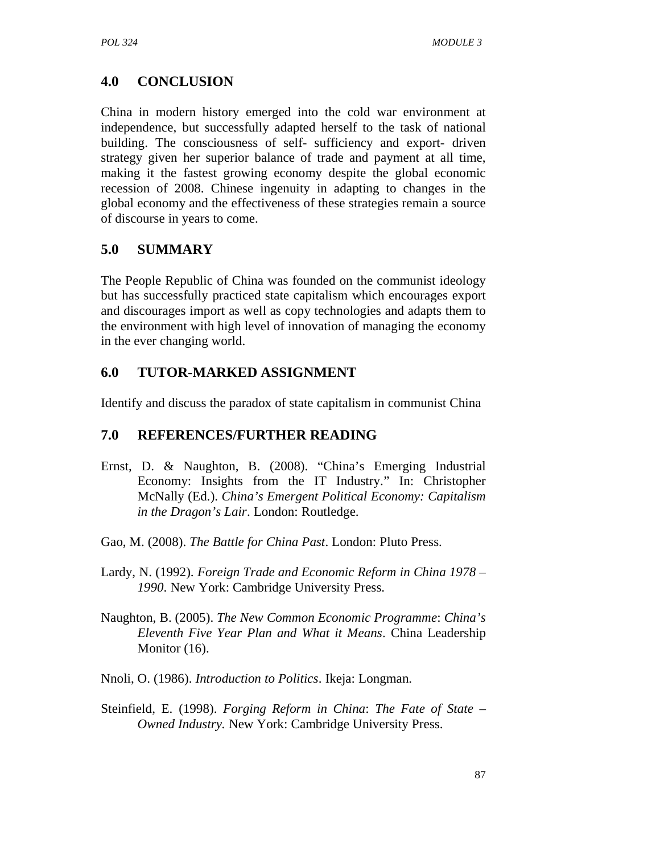# **4.0 CONCLUSION**

China in modern history emerged into the cold war environment at independence, but successfully adapted herself to the task of national building. The consciousness of self- sufficiency and export- driven strategy given her superior balance of trade and payment at all time, making it the fastest growing economy despite the global economic recession of 2008. Chinese ingenuity in adapting to changes in the global economy and the effectiveness of these strategies remain a source of discourse in years to come.

# **5.0 SUMMARY**

The People Republic of China was founded on the communist ideology but has successfully practiced state capitalism which encourages export and discourages import as well as copy technologies and adapts them to the environment with high level of innovation of managing the economy in the ever changing world.

# **6.0 TUTOR-MARKED ASSIGNMENT**

Identify and discuss the paradox of state capitalism in communist China

# **7.0 REFERENCES/FURTHER READING**

- Ernst, D. & Naughton, B. (2008). "China's Emerging Industrial Economy: Insights from the IT Industry." In: Christopher McNally (Ed.). *China's Emergent Political Economy: Capitalism in the Dragon's Lair*. London: Routledge.
- Gao, M. (2008). *The Battle for China Past*. London: Pluto Press.
- Lardy, N. (1992). *Foreign Trade and Economic Reform in China 1978 1990*. New York: Cambridge University Press.
- Naughton, B. (2005). *The New Common Economic Programme*: *China's Eleventh Five Year Plan and What it Means*. China Leadership Monitor  $(16)$ .
- Nnoli, O. (1986). *Introduction to Politics*. Ikeja: Longman.
- Steinfield, E. (1998). *Forging Reform in China*: *The Fate of State Owned Industry.* New York: Cambridge University Press.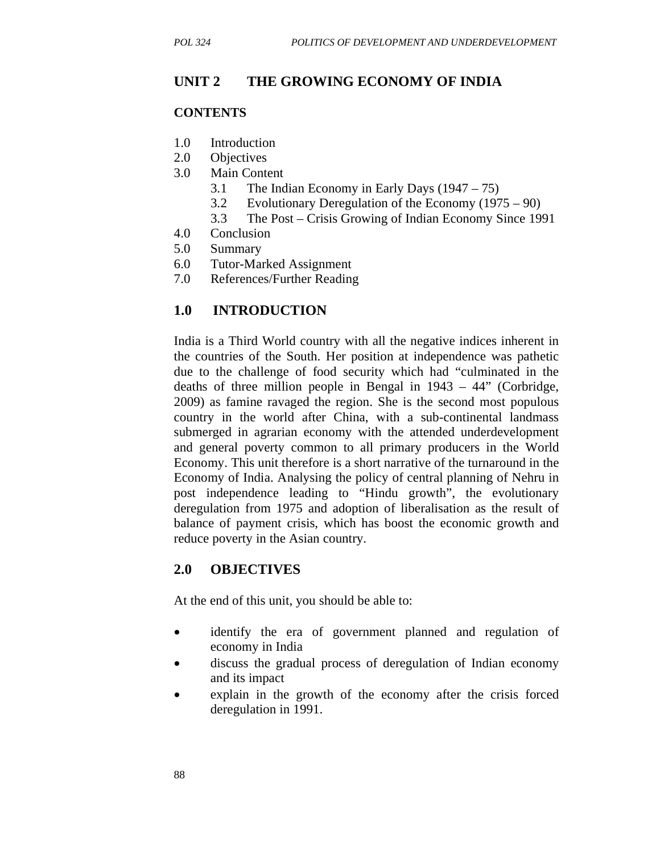### **UNIT 2 THE GROWING ECONOMY OF INDIA**

#### **CONTENTS**

- 1.0 Introduction
- 2.0 Objectives
- 3.0 Main Content
	- 3.1 The Indian Economy in Early Days (1947 75)
	- 3.2 Evolutionary Deregulation of the Economy (1975 90)
	- 3.3 The Post Crisis Growing of Indian Economy Since 1991
- 4.0 Conclusion
- 5.0 Summary
- 6.0 Tutor-Marked Assignment
- 7.0 References/Further Reading

### **1.0 INTRODUCTION**

India is a Third World country with all the negative indices inherent in the countries of the South. Her position at independence was pathetic due to the challenge of food security which had "culminated in the deaths of three million people in Bengal in 1943 – 44" (Corbridge, 2009) as famine ravaged the region. She is the second most populous country in the world after China, with a sub-continental landmass submerged in agrarian economy with the attended underdevelopment and general poverty common to all primary producers in the World Economy. This unit therefore is a short narrative of the turnaround in the Economy of India. Analysing the policy of central planning of Nehru in post independence leading to "Hindu growth", the evolutionary deregulation from 1975 and adoption of liberalisation as the result of balance of payment crisis, which has boost the economic growth and reduce poverty in the Asian country.

### **2.0 OBJECTIVES**

At the end of this unit, you should be able to:

- identify the era of government planned and regulation of economy in India
- discuss the gradual process of deregulation of Indian economy and its impact
- explain in the growth of the economy after the crisis forced deregulation in 1991.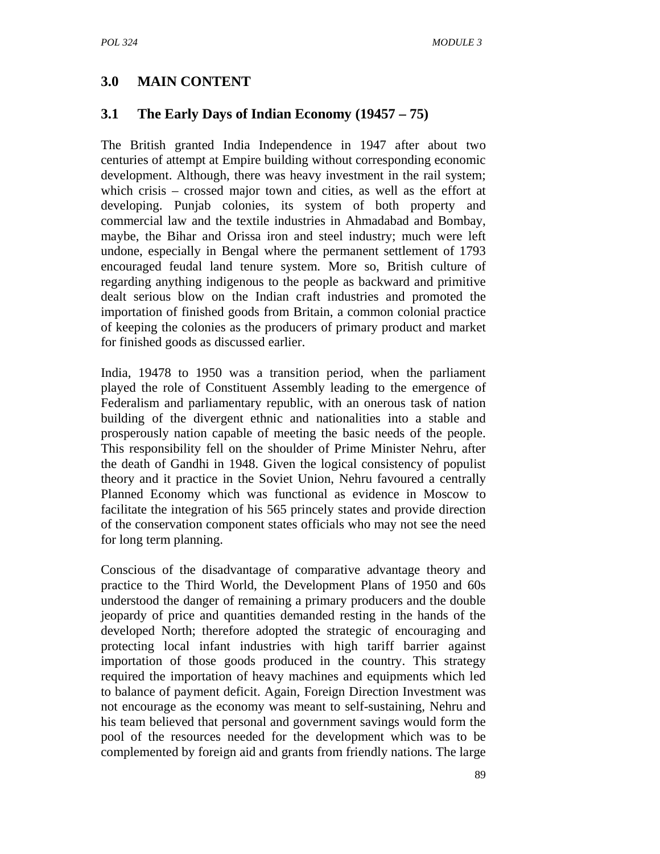## **3.0 MAIN CONTENT**

### **3.1 The Early Days of Indian Economy (19457 – 75)**

The British granted India Independence in 1947 after about two centuries of attempt at Empire building without corresponding economic development. Although, there was heavy investment in the rail system; which crisis – crossed major town and cities, as well as the effort at developing. Punjab colonies, its system of both property and commercial law and the textile industries in Ahmadabad and Bombay, maybe, the Bihar and Orissa iron and steel industry; much were left undone, especially in Bengal where the permanent settlement of 1793 encouraged feudal land tenure system. More so, British culture of regarding anything indigenous to the people as backward and primitive dealt serious blow on the Indian craft industries and promoted the importation of finished goods from Britain, a common colonial practice of keeping the colonies as the producers of primary product and market for finished goods as discussed earlier.

India, 19478 to 1950 was a transition period, when the parliament played the role of Constituent Assembly leading to the emergence of Federalism and parliamentary republic, with an onerous task of nation building of the divergent ethnic and nationalities into a stable and prosperously nation capable of meeting the basic needs of the people. This responsibility fell on the shoulder of Prime Minister Nehru, after the death of Gandhi in 1948. Given the logical consistency of populist theory and it practice in the Soviet Union, Nehru favoured a centrally Planned Economy which was functional as evidence in Moscow to facilitate the integration of his 565 princely states and provide direction of the conservation component states officials who may not see the need for long term planning.

Conscious of the disadvantage of comparative advantage theory and practice to the Third World, the Development Plans of 1950 and 60s understood the danger of remaining a primary producers and the double jeopardy of price and quantities demanded resting in the hands of the developed North; therefore adopted the strategic of encouraging and protecting local infant industries with high tariff barrier against importation of those goods produced in the country. This strategy required the importation of heavy machines and equipments which led to balance of payment deficit. Again, Foreign Direction Investment was not encourage as the economy was meant to self-sustaining, Nehru and his team believed that personal and government savings would form the pool of the resources needed for the development which was to be complemented by foreign aid and grants from friendly nations. The large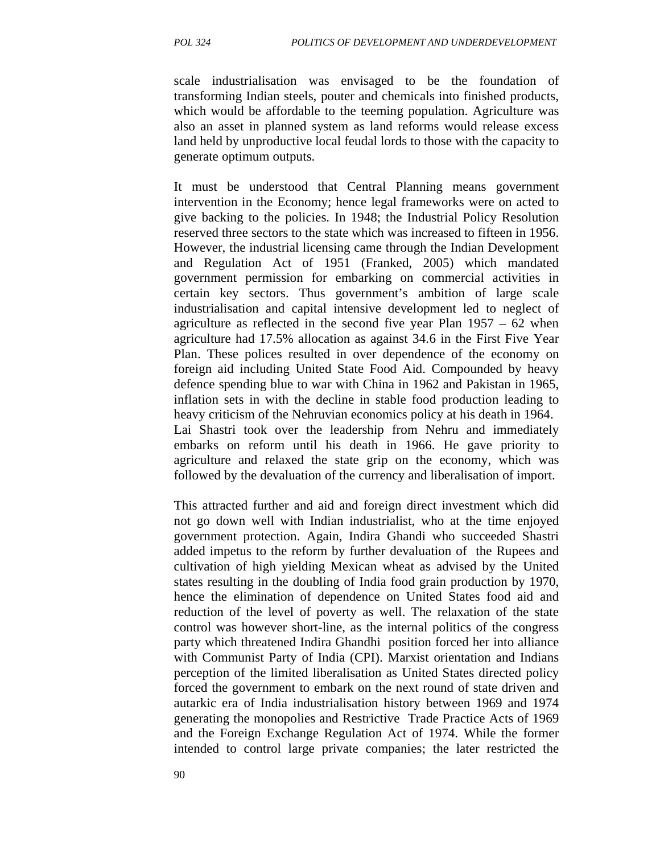scale industrialisation was envisaged to be the foundation of transforming Indian steels, pouter and chemicals into finished products, which would be affordable to the teeming population. Agriculture was also an asset in planned system as land reforms would release excess land held by unproductive local feudal lords to those with the capacity to generate optimum outputs.

It must be understood that Central Planning means government intervention in the Economy; hence legal frameworks were on acted to give backing to the policies. In 1948; the Industrial Policy Resolution reserved three sectors to the state which was increased to fifteen in 1956. However, the industrial licensing came through the Indian Development and Regulation Act of 1951 (Franked, 2005) which mandated government permission for embarking on commercial activities in certain key sectors. Thus government's ambition of large scale industrialisation and capital intensive development led to neglect of agriculture as reflected in the second five year Plan 1957 – 62 when agriculture had 17.5% allocation as against 34.6 in the First Five Year Plan. These polices resulted in over dependence of the economy on foreign aid including United State Food Aid. Compounded by heavy defence spending blue to war with China in 1962 and Pakistan in 1965, inflation sets in with the decline in stable food production leading to heavy criticism of the Nehruvian economics policy at his death in 1964. Lai Shastri took over the leadership from Nehru and immediately embarks on reform until his death in 1966. He gave priority to agriculture and relaxed the state grip on the economy, which was followed by the devaluation of the currency and liberalisation of import.

This attracted further and aid and foreign direct investment which did not go down well with Indian industrialist, who at the time enjoyed government protection. Again, Indira Ghandi who succeeded Shastri added impetus to the reform by further devaluation of the Rupees and cultivation of high yielding Mexican wheat as advised by the United states resulting in the doubling of India food grain production by 1970, hence the elimination of dependence on United States food aid and reduction of the level of poverty as well. The relaxation of the state control was however short-line, as the internal politics of the congress party which threatened Indira Ghandhi position forced her into alliance with Communist Party of India (CPI). Marxist orientation and Indians perception of the limited liberalisation as United States directed policy forced the government to embark on the next round of state driven and autarkic era of India industrialisation history between 1969 and 1974 generating the monopolies and Restrictive Trade Practice Acts of 1969 and the Foreign Exchange Regulation Act of 1974. While the former intended to control large private companies; the later restricted the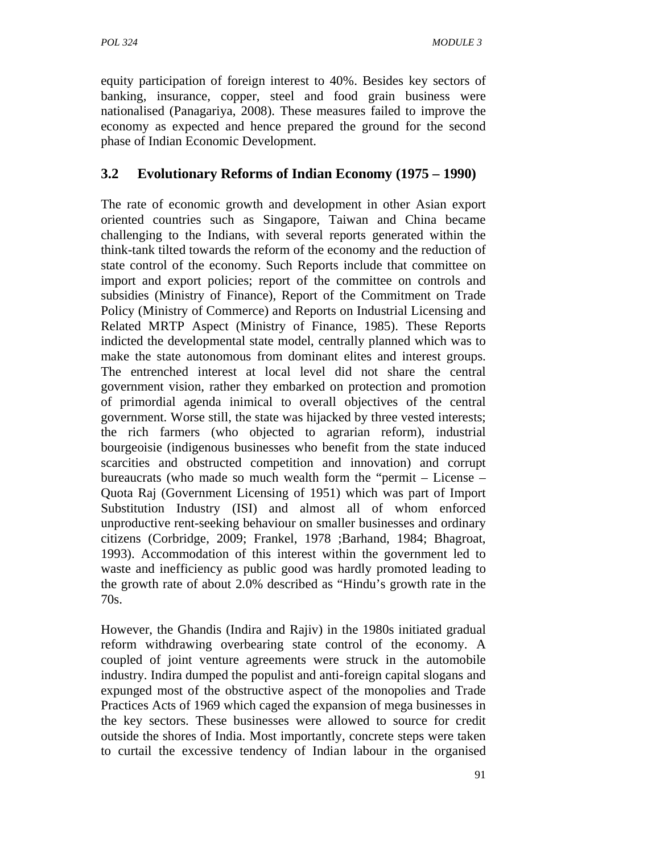equity participation of foreign interest to 40%. Besides key sectors of banking, insurance, copper, steel and food grain business were nationalised (Panagariya, 2008). These measures failed to improve the economy as expected and hence prepared the ground for the second phase of Indian Economic Development.

# **3.2 Evolutionary Reforms of Indian Economy (1975 – 1990)**

The rate of economic growth and development in other Asian export oriented countries such as Singapore, Taiwan and China became challenging to the Indians, with several reports generated within the think-tank tilted towards the reform of the economy and the reduction of state control of the economy. Such Reports include that committee on import and export policies; report of the committee on controls and subsidies (Ministry of Finance), Report of the Commitment on Trade Policy (Ministry of Commerce) and Reports on Industrial Licensing and Related MRTP Aspect (Ministry of Finance, 1985). These Reports indicted the developmental state model, centrally planned which was to make the state autonomous from dominant elites and interest groups. The entrenched interest at local level did not share the central government vision, rather they embarked on protection and promotion of primordial agenda inimical to overall objectives of the central government. Worse still, the state was hijacked by three vested interests; the rich farmers (who objected to agrarian reform), industrial bourgeoisie (indigenous businesses who benefit from the state induced scarcities and obstructed competition and innovation) and corrupt bureaucrats (who made so much wealth form the "permit – License – Quota Raj (Government Licensing of 1951) which was part of Import Substitution Industry (ISI) and almost all of whom enforced unproductive rent-seeking behaviour on smaller businesses and ordinary citizens (Corbridge, 2009; Frankel, 1978 ;Barhand, 1984; Bhagroat, 1993). Accommodation of this interest within the government led to waste and inefficiency as public good was hardly promoted leading to the growth rate of about 2.0% described as "Hindu's growth rate in the 70s.

However, the Ghandis (Indira and Rajiv) in the 1980s initiated gradual reform withdrawing overbearing state control of the economy. A coupled of joint venture agreements were struck in the automobile industry. Indira dumped the populist and anti-foreign capital slogans and expunged most of the obstructive aspect of the monopolies and Trade Practices Acts of 1969 which caged the expansion of mega businesses in the key sectors. These businesses were allowed to source for credit outside the shores of India. Most importantly, concrete steps were taken to curtail the excessive tendency of Indian labour in the organised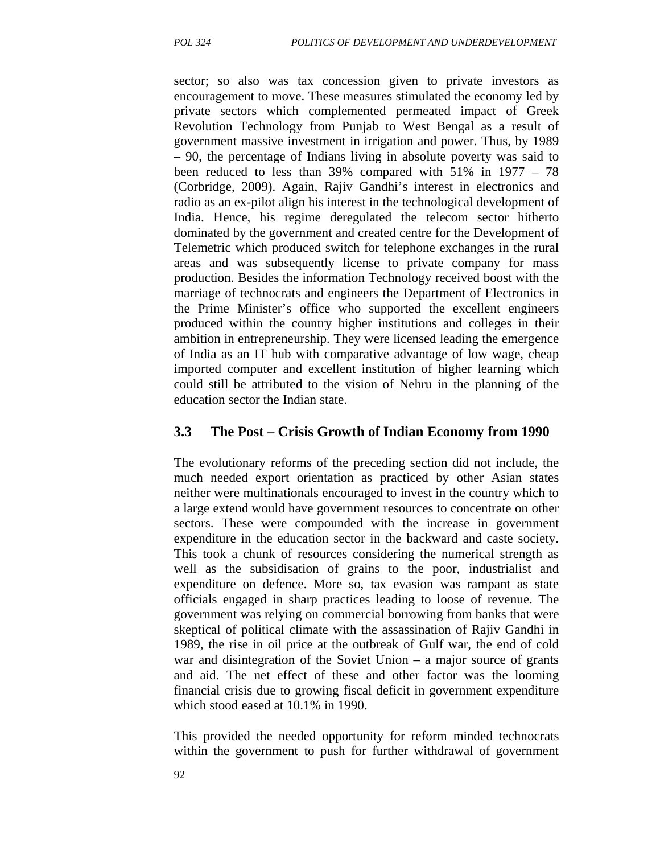sector; so also was tax concession given to private investors as encouragement to move. These measures stimulated the economy led by private sectors which complemented permeated impact of Greek Revolution Technology from Punjab to West Bengal as a result of government massive investment in irrigation and power. Thus, by 1989 – 90, the percentage of Indians living in absolute poverty was said to been reduced to less than 39% compared with 51% in 1977 – 78 (Corbridge, 2009). Again, Rajiv Gandhi's interest in electronics and radio as an ex-pilot align his interest in the technological development of India. Hence, his regime deregulated the telecom sector hitherto dominated by the government and created centre for the Development of Telemetric which produced switch for telephone exchanges in the rural areas and was subsequently license to private company for mass production. Besides the information Technology received boost with the marriage of technocrats and engineers the Department of Electronics in the Prime Minister's office who supported the excellent engineers produced within the country higher institutions and colleges in their ambition in entrepreneurship. They were licensed leading the emergence of India as an IT hub with comparative advantage of low wage, cheap imported computer and excellent institution of higher learning which could still be attributed to the vision of Nehru in the planning of the education sector the Indian state.

#### **3.3 The Post – Crisis Growth of Indian Economy from 1990**

The evolutionary reforms of the preceding section did not include, the much needed export orientation as practiced by other Asian states neither were multinationals encouraged to invest in the country which to a large extend would have government resources to concentrate on other sectors. These were compounded with the increase in government expenditure in the education sector in the backward and caste society. This took a chunk of resources considering the numerical strength as well as the subsidisation of grains to the poor, industrialist and expenditure on defence. More so, tax evasion was rampant as state officials engaged in sharp practices leading to loose of revenue. The government was relying on commercial borrowing from banks that were skeptical of political climate with the assassination of Rajiv Gandhi in 1989, the rise in oil price at the outbreak of Gulf war, the end of cold war and disintegration of the Soviet Union – a major source of grants and aid. The net effect of these and other factor was the looming financial crisis due to growing fiscal deficit in government expenditure which stood eased at 10.1% in 1990.

This provided the needed opportunity for reform minded technocrats within the government to push for further withdrawal of government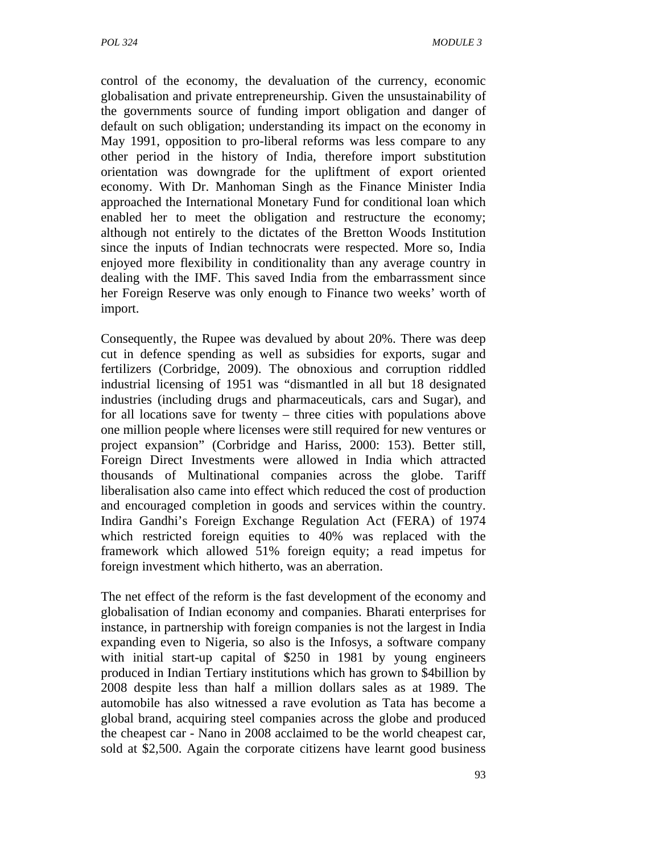control of the economy, the devaluation of the currency, economic globalisation and private entrepreneurship. Given the unsustainability of the governments source of funding import obligation and danger of default on such obligation; understanding its impact on the economy in May 1991, opposition to pro-liberal reforms was less compare to any other period in the history of India, therefore import substitution orientation was downgrade for the upliftment of export oriented economy. With Dr. Manhoman Singh as the Finance Minister India approached the International Monetary Fund for conditional loan which enabled her to meet the obligation and restructure the economy; although not entirely to the dictates of the Bretton Woods Institution since the inputs of Indian technocrats were respected. More so, India enjoyed more flexibility in conditionality than any average country in dealing with the IMF. This saved India from the embarrassment since her Foreign Reserve was only enough to Finance two weeks' worth of import.

Consequently, the Rupee was devalued by about 20%. There was deep cut in defence spending as well as subsidies for exports, sugar and fertilizers (Corbridge, 2009). The obnoxious and corruption riddled industrial licensing of 1951 was "dismantled in all but 18 designated industries (including drugs and pharmaceuticals, cars and Sugar), and for all locations save for twenty – three cities with populations above one million people where licenses were still required for new ventures or project expansion" (Corbridge and Hariss, 2000: 153). Better still, Foreign Direct Investments were allowed in India which attracted thousands of Multinational companies across the globe. Tariff liberalisation also came into effect which reduced the cost of production and encouraged completion in goods and services within the country. Indira Gandhi's Foreign Exchange Regulation Act (FERA) of 1974 which restricted foreign equities to 40% was replaced with the framework which allowed 51% foreign equity; a read impetus for foreign investment which hitherto, was an aberration.

The net effect of the reform is the fast development of the economy and globalisation of Indian economy and companies. Bharati enterprises for instance, in partnership with foreign companies is not the largest in India expanding even to Nigeria, so also is the Infosys, a software company with initial start-up capital of \$250 in 1981 by young engineers produced in Indian Tertiary institutions which has grown to \$4billion by 2008 despite less than half a million dollars sales as at 1989. The automobile has also witnessed a rave evolution as Tata has become a global brand, acquiring steel companies across the globe and produced the cheapest car - Nano in 2008 acclaimed to be the world cheapest car, sold at \$2,500. Again the corporate citizens have learnt good business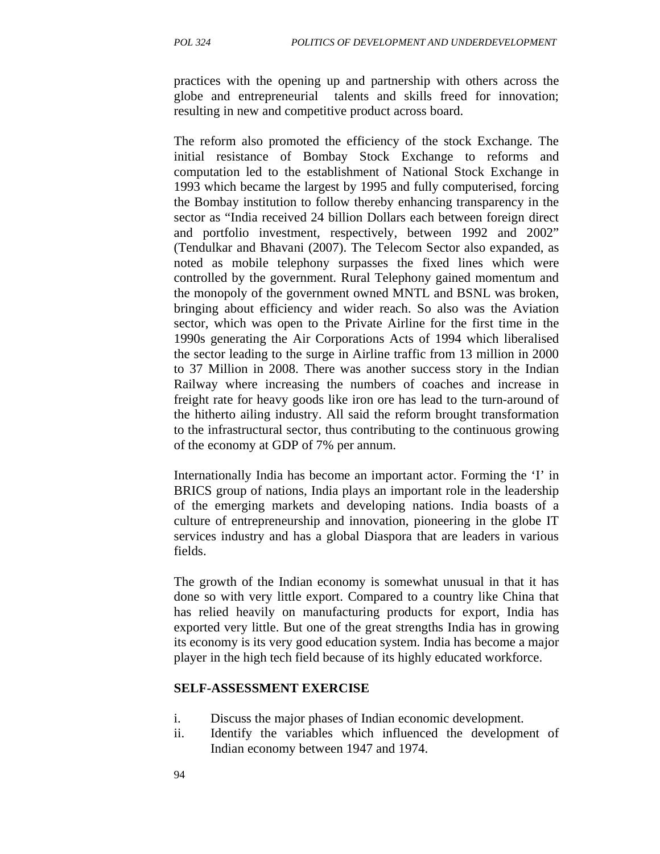practices with the opening up and partnership with others across the globe and entrepreneurial talents and skills freed for innovation; resulting in new and competitive product across board.

The reform also promoted the efficiency of the stock Exchange. The initial resistance of Bombay Stock Exchange to reforms and computation led to the establishment of National Stock Exchange in 1993 which became the largest by 1995 and fully computerised, forcing the Bombay institution to follow thereby enhancing transparency in the sector as "India received 24 billion Dollars each between foreign direct and portfolio investment, respectively, between 1992 and 2002" (Tendulkar and Bhavani (2007). The Telecom Sector also expanded, as noted as mobile telephony surpasses the fixed lines which were controlled by the government. Rural Telephony gained momentum and the monopoly of the government owned MNTL and BSNL was broken, bringing about efficiency and wider reach. So also was the Aviation sector, which was open to the Private Airline for the first time in the 1990s generating the Air Corporations Acts of 1994 which liberalised the sector leading to the surge in Airline traffic from 13 million in 2000 to 37 Million in 2008. There was another success story in the Indian Railway where increasing the numbers of coaches and increase in freight rate for heavy goods like iron ore has lead to the turn-around of the hitherto ailing industry. All said the reform brought transformation to the infrastructural sector, thus contributing to the continuous growing of the economy at GDP of 7% per annum.

Internationally India has become an important actor. Forming the 'I' in BRICS group of nations, India plays an important role in the leadership of the emerging markets and developing nations. India boasts of a culture of entrepreneurship and innovation, pioneering in the globe IT services industry and has a global Diaspora that are leaders in various fields.

The growth of the Indian economy is somewhat unusual in that it has done so with very little export. Compared to a country like China that has relied heavily on manufacturing products for export, India has exported very little. But one of the great strengths India has in growing its economy is its very good education system. India has become a major player in the high tech field because of its highly educated workforce.

#### **SELF-ASSESSMENT EXERCISE**

- i. Discuss the major phases of Indian economic development.
- ii. Identify the variables which influenced the development of Indian economy between 1947 and 1974.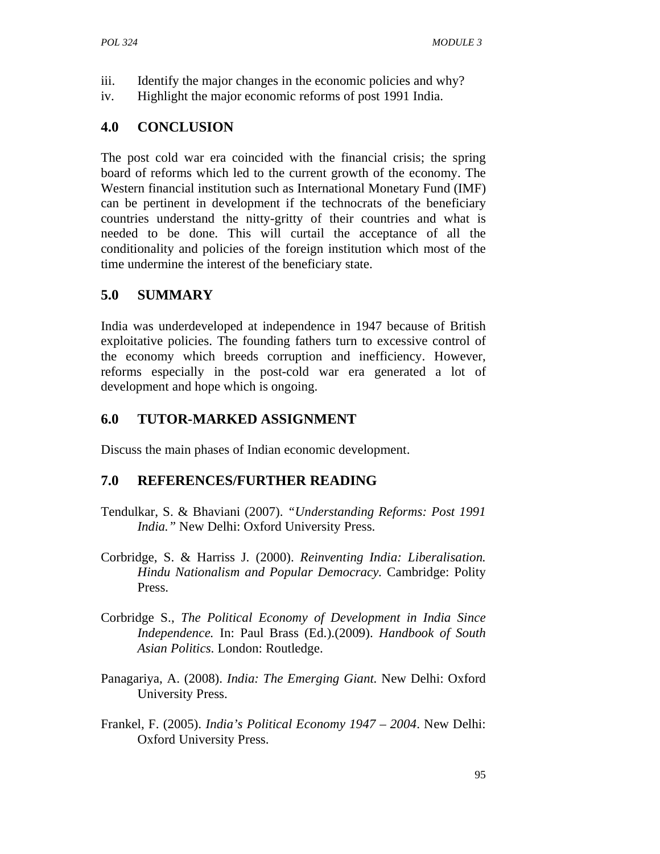- iii. Identify the major changes in the economic policies and why?
- iv. Highlight the major economic reforms of post 1991 India.

### **4.0 CONCLUSION**

The post cold war era coincided with the financial crisis; the spring board of reforms which led to the current growth of the economy. The Western financial institution such as International Monetary Fund (IMF) can be pertinent in development if the technocrats of the beneficiary countries understand the nitty-gritty of their countries and what is needed to be done. This will curtail the acceptance of all the conditionality and policies of the foreign institution which most of the time undermine the interest of the beneficiary state.

# **5.0 SUMMARY**

India was underdeveloped at independence in 1947 because of British exploitative policies. The founding fathers turn to excessive control of the economy which breeds corruption and inefficiency. However, reforms especially in the post-cold war era generated a lot of development and hope which is ongoing.

## **6.0 TUTOR-MARKED ASSIGNMENT**

Discuss the main phases of Indian economic development.

## **7.0 REFERENCES/FURTHER READING**

- Tendulkar, S. & Bhaviani (2007). *"Understanding Reforms: Post 1991 India."* New Delhi: Oxford University Press.
- Corbridge, S. & Harriss J. (2000). *Reinventing India: Liberalisation. Hindu Nationalism and Popular Democracy.* Cambridge: Polity Press.
- Corbridge S., *The Political Economy of Development in India Since Independence.* In: Paul Brass (Ed.).(2009). *Handbook of South Asian Politics*. London: Routledge.
- Panagariya, A. (2008). *India: The Emerging Giant.* New Delhi: Oxford University Press.
- Frankel, F. (2005). *India's Political Economy 1947 2004*. New Delhi: Oxford University Press.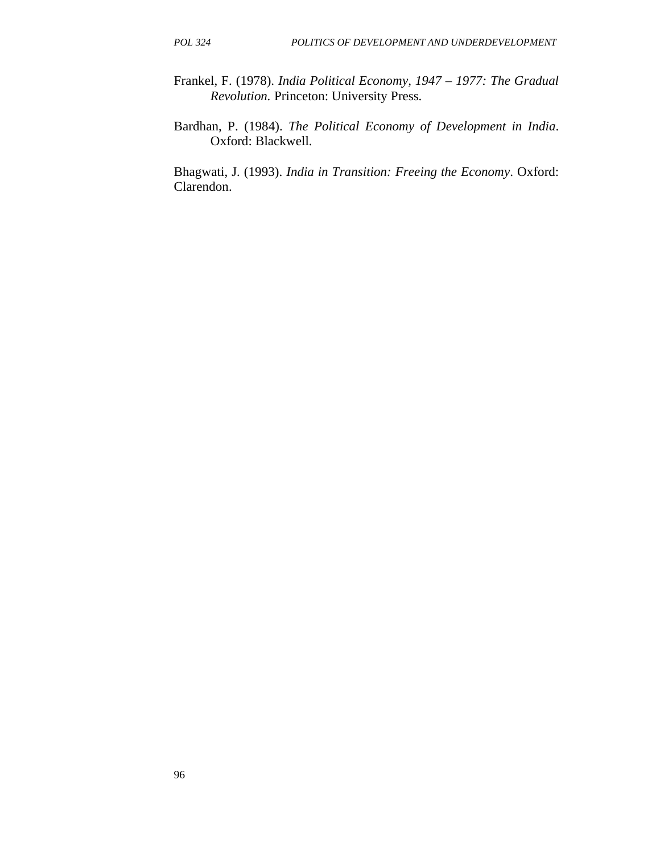- Frankel, F. (1978). *India Political Economy, 1947 1977: The Gradual Revolution.* Princeton: University Press.
- Bardhan, P. (1984). *The Political Economy of Development in India*. Oxford: Blackwell.

Bhagwati, J. (1993). *India in Transition: Freeing the Economy*. Oxford: Clarendon.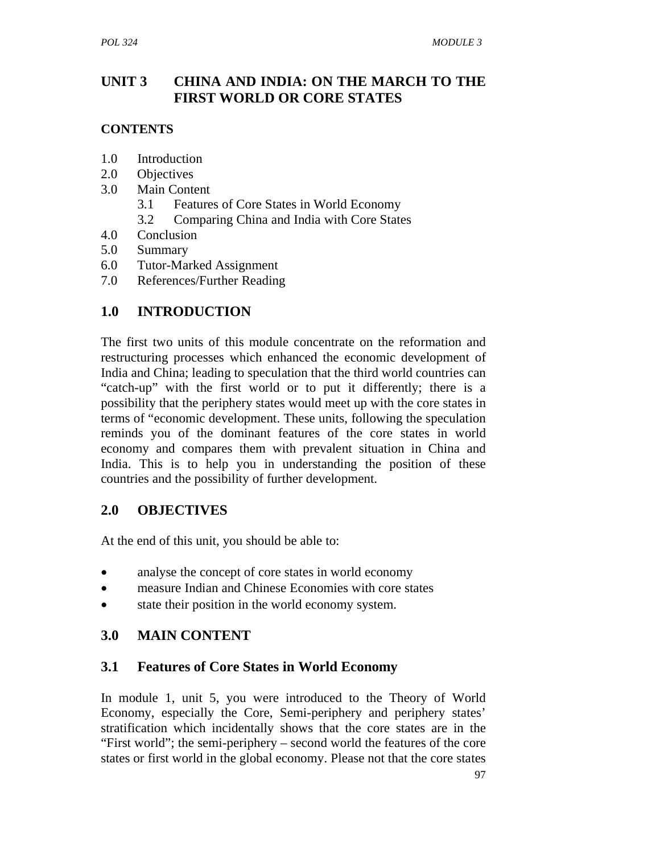## **UNIT 3 CHINA AND INDIA: ON THE MARCH TO THE FIRST WORLD OR CORE STATES**

### **CONTENTS**

- 1.0 Introduction
- 2.0 Objectives
- 3.0 Main Content
	- 3.1 Features of Core States in World Economy
	- 3.2 Comparing China and India with Core States
- 4.0 Conclusion
- 5.0 Summary
- 6.0 Tutor-Marked Assignment
- 7.0 References/Further Reading

# **1.0 INTRODUCTION**

The first two units of this module concentrate on the reformation and restructuring processes which enhanced the economic development of India and China; leading to speculation that the third world countries can "catch-up" with the first world or to put it differently; there is a possibility that the periphery states would meet up with the core states in terms of "economic development. These units, following the speculation reminds you of the dominant features of the core states in world economy and compares them with prevalent situation in China and India. This is to help you in understanding the position of these countries and the possibility of further development.

## **2.0 OBJECTIVES**

At the end of this unit, you should be able to:

- analyse the concept of core states in world economy
- measure Indian and Chinese Economies with core states
- state their position in the world economy system.

## **3.0 MAIN CONTENT**

## **3.1 Features of Core States in World Economy**

In module 1, unit 5, you were introduced to the Theory of World Economy, especially the Core, Semi-periphery and periphery states' stratification which incidentally shows that the core states are in the "First world"; the semi-periphery – second world the features of the core states or first world in the global economy. Please not that the core states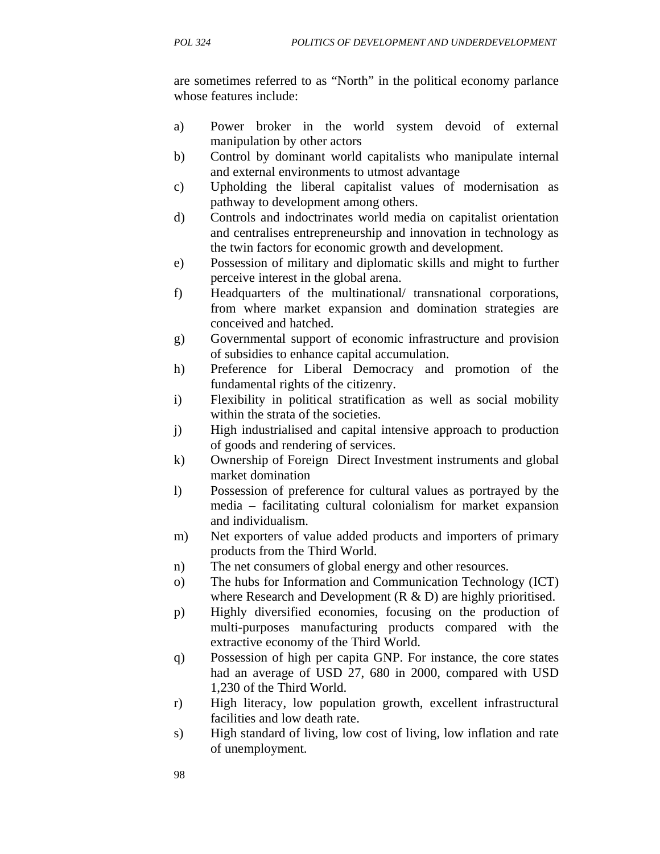are sometimes referred to as "North" in the political economy parlance whose features include:

- a) Power broker in the world system devoid of external manipulation by other actors
- b) Control by dominant world capitalists who manipulate internal and external environments to utmost advantage
- c) Upholding the liberal capitalist values of modernisation as pathway to development among others.
- d) Controls and indoctrinates world media on capitalist orientation and centralises entrepreneurship and innovation in technology as the twin factors for economic growth and development.
- e) Possession of military and diplomatic skills and might to further perceive interest in the global arena.
- f) Headquarters of the multinational/ transnational corporations, from where market expansion and domination strategies are conceived and hatched.
- g) Governmental support of economic infrastructure and provision of subsidies to enhance capital accumulation.
- h) Preference for Liberal Democracy and promotion of the fundamental rights of the citizenry.
- i) Flexibility in political stratification as well as social mobility within the strata of the societies.
- j) High industrialised and capital intensive approach to production of goods and rendering of services.
- k) Ownership of Foreign Direct Investment instruments and global market domination
- l) Possession of preference for cultural values as portrayed by the media – facilitating cultural colonialism for market expansion and individualism.
- m) Net exporters of value added products and importers of primary products from the Third World.
- n) The net consumers of global energy and other resources.
- o) The hubs for Information and Communication Technology (ICT) where Research and Development (R & D) are highly prioritised.
- p) Highly diversified economies, focusing on the production of multi-purposes manufacturing products compared with the extractive economy of the Third World.
- q) Possession of high per capita GNP. For instance, the core states had an average of USD 27, 680 in 2000, compared with USD 1,230 of the Third World.
- r) High literacy, low population growth, excellent infrastructural facilities and low death rate.
- s) High standard of living, low cost of living, low inflation and rate of unemployment.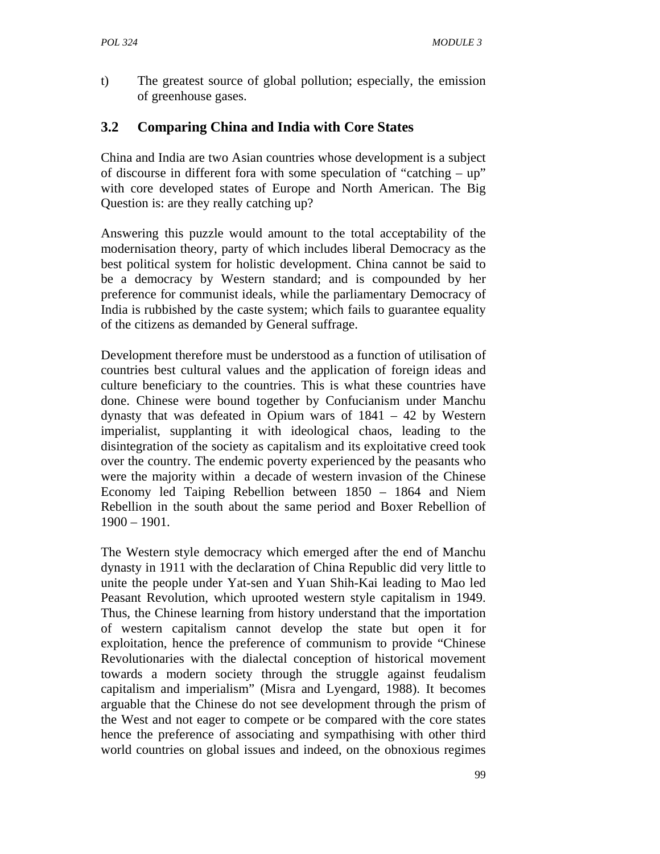t) The greatest source of global pollution; especially, the emission of greenhouse gases.

# **3.2 Comparing China and India with Core States**

China and India are two Asian countries whose development is a subject of discourse in different fora with some speculation of "catching – up" with core developed states of Europe and North American. The Big Question is: are they really catching up?

Answering this puzzle would amount to the total acceptability of the modernisation theory, party of which includes liberal Democracy as the best political system for holistic development. China cannot be said to be a democracy by Western standard; and is compounded by her preference for communist ideals, while the parliamentary Democracy of India is rubbished by the caste system; which fails to guarantee equality of the citizens as demanded by General suffrage.

Development therefore must be understood as a function of utilisation of countries best cultural values and the application of foreign ideas and culture beneficiary to the countries. This is what these countries have done. Chinese were bound together by Confucianism under Manchu dynasty that was defeated in Opium wars of 1841 – 42 by Western imperialist, supplanting it with ideological chaos, leading to the disintegration of the society as capitalism and its exploitative creed took over the country. The endemic poverty experienced by the peasants who were the majority within a decade of western invasion of the Chinese Economy led Taiping Rebellion between 1850 – 1864 and Niem Rebellion in the south about the same period and Boxer Rebellion of 1900 – 1901.

The Western style democracy which emerged after the end of Manchu dynasty in 1911 with the declaration of China Republic did very little to unite the people under Yat-sen and Yuan Shih-Kai leading to Mao led Peasant Revolution, which uprooted western style capitalism in 1949. Thus, the Chinese learning from history understand that the importation of western capitalism cannot develop the state but open it for exploitation, hence the preference of communism to provide "Chinese Revolutionaries with the dialectal conception of historical movement towards a modern society through the struggle against feudalism capitalism and imperialism" (Misra and Lyengard, 1988). It becomes arguable that the Chinese do not see development through the prism of the West and not eager to compete or be compared with the core states hence the preference of associating and sympathising with other third world countries on global issues and indeed, on the obnoxious regimes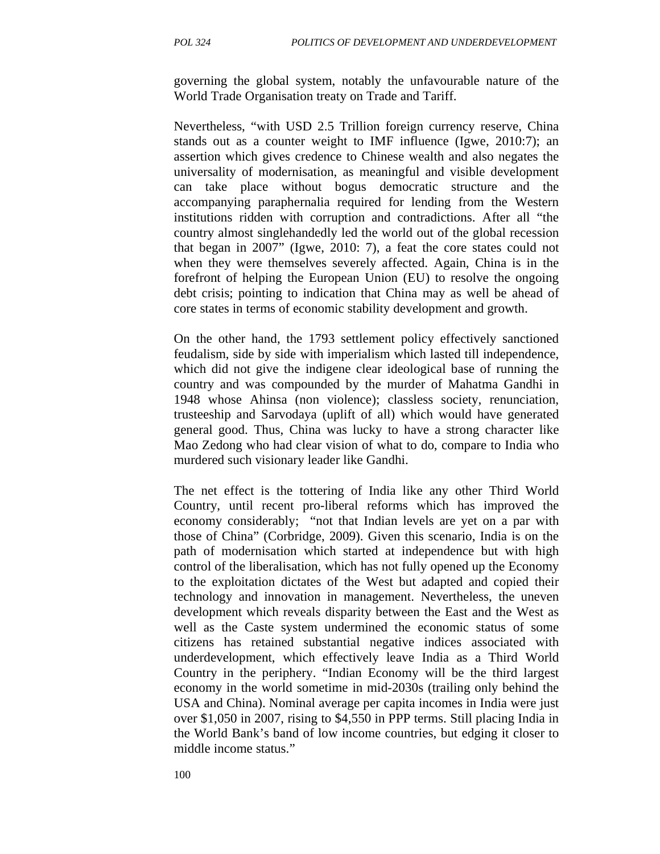governing the global system, notably the unfavourable nature of the World Trade Organisation treaty on Trade and Tariff.

Nevertheless, "with USD 2.5 Trillion foreign currency reserve, China stands out as a counter weight to IMF influence (Igwe, 2010:7); an assertion which gives credence to Chinese wealth and also negates the universality of modernisation, as meaningful and visible development can take place without bogus democratic structure and the accompanying paraphernalia required for lending from the Western institutions ridden with corruption and contradictions. After all "the country almost singlehandedly led the world out of the global recession that began in 2007" (Igwe, 2010: 7), a feat the core states could not when they were themselves severely affected. Again, China is in the forefront of helping the European Union (EU) to resolve the ongoing debt crisis; pointing to indication that China may as well be ahead of core states in terms of economic stability development and growth.

On the other hand, the 1793 settlement policy effectively sanctioned feudalism, side by side with imperialism which lasted till independence, which did not give the indigene clear ideological base of running the country and was compounded by the murder of Mahatma Gandhi in 1948 whose Ahinsa (non violence); classless society, renunciation, trusteeship and Sarvodaya (uplift of all) which would have generated general good. Thus, China was lucky to have a strong character like Mao Zedong who had clear vision of what to do, compare to India who murdered such visionary leader like Gandhi.

The net effect is the tottering of India like any other Third World Country, until recent pro-liberal reforms which has improved the economy considerably; "not that Indian levels are yet on a par with those of China" (Corbridge, 2009). Given this scenario, India is on the path of modernisation which started at independence but with high control of the liberalisation, which has not fully opened up the Economy to the exploitation dictates of the West but adapted and copied their technology and innovation in management. Nevertheless, the uneven development which reveals disparity between the East and the West as well as the Caste system undermined the economic status of some citizens has retained substantial negative indices associated with underdevelopment, which effectively leave India as a Third World Country in the periphery. "Indian Economy will be the third largest economy in the world sometime in mid-2030s (trailing only behind the USA and China). Nominal average per capita incomes in India were just over \$1,050 in 2007, rising to \$4,550 in PPP terms. Still placing India in the World Bank's band of low income countries, but edging it closer to middle income status."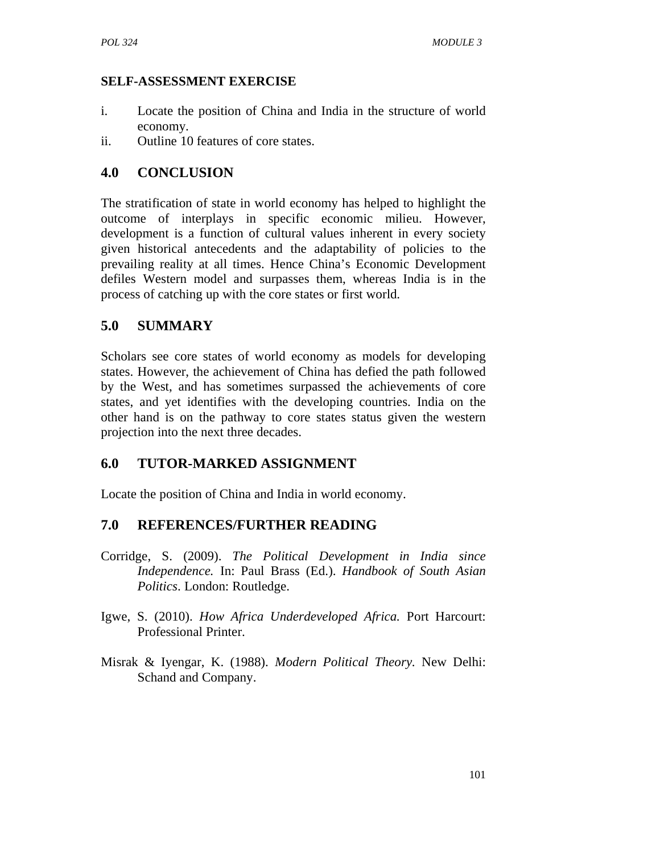### **SELF-ASSESSMENT EXERCISE**

- i. Locate the position of China and India in the structure of world economy.
- ii. Outline 10 features of core states.

## **4.0 CONCLUSION**

The stratification of state in world economy has helped to highlight the outcome of interplays in specific economic milieu. However, development is a function of cultural values inherent in every society given historical antecedents and the adaptability of policies to the prevailing reality at all times. Hence China's Economic Development defiles Western model and surpasses them, whereas India is in the process of catching up with the core states or first world.

# **5.0 SUMMARY**

Scholars see core states of world economy as models for developing states. However, the achievement of China has defied the path followed by the West, and has sometimes surpassed the achievements of core states, and yet identifies with the developing countries. India on the other hand is on the pathway to core states status given the western projection into the next three decades.

## **6.0 TUTOR-MARKED ASSIGNMENT**

Locate the position of China and India in world economy.

## **7.0 REFERENCES/FURTHER READING**

- Corridge, S. (2009). *The Political Development in India since Independence.* In: Paul Brass (Ed.). *Handbook of South Asian Politics*. London: Routledge.
- Igwe, S. (2010). *How Africa Underdeveloped Africa.* Port Harcourt: Professional Printer.
- Misrak & Iyengar, K. (1988). *Modern Political Theory.* New Delhi: Schand and Company.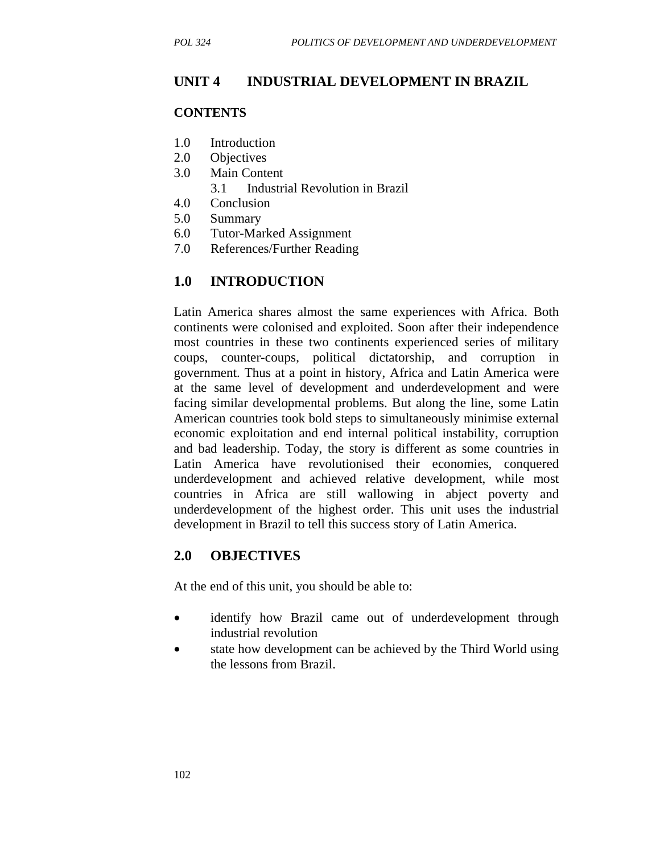### **UNIT 4 INDUSTRIAL DEVELOPMENT IN BRAZIL**

#### **CONTENTS**

- 1.0 Introduction
- 2.0 Objectives
- 3.0 Main Content
	- 3.1 Industrial Revolution in Brazil
- 4.0 Conclusion
- 5.0 Summary
- 6.0 Tutor-Marked Assignment
- 7.0 References/Further Reading

### **1.0 INTRODUCTION**

Latin America shares almost the same experiences with Africa. Both continents were colonised and exploited. Soon after their independence most countries in these two continents experienced series of military coups, counter-coups, political dictatorship, and corruption in government. Thus at a point in history, Africa and Latin America were at the same level of development and underdevelopment and were facing similar developmental problems. But along the line, some Latin American countries took bold steps to simultaneously minimise external economic exploitation and end internal political instability, corruption and bad leadership. Today, the story is different as some countries in Latin America have revolutionised their economies, conquered underdevelopment and achieved relative development, while most countries in Africa are still wallowing in abject poverty and underdevelopment of the highest order. This unit uses the industrial development in Brazil to tell this success story of Latin America.

#### **2.0 OBJECTIVES**

At the end of this unit, you should be able to:

- identify how Brazil came out of underdevelopment through industrial revolution
- state how development can be achieved by the Third World using the lessons from Brazil.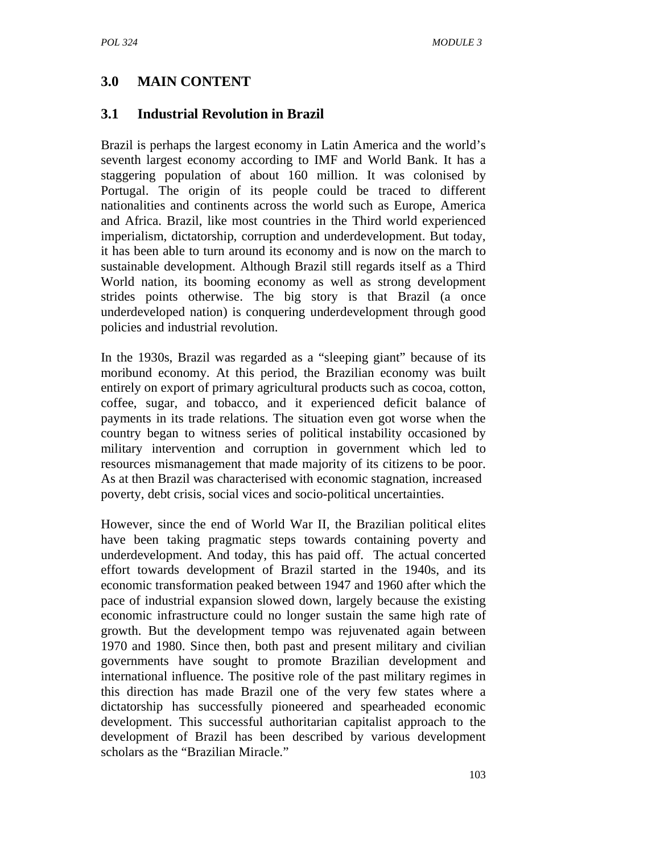# **3.0 MAIN CONTENT**

### **3.1 Industrial Revolution in Brazil**

Brazil is perhaps the largest economy in Latin America and the world's seventh largest economy according to IMF and World Bank. It has a staggering population of about 160 million. It was colonised by Portugal. The origin of its people could be traced to different nationalities and continents across the world such as Europe, America and Africa. Brazil, like most countries in the Third world experienced imperialism, dictatorship, corruption and underdevelopment. But today, it has been able to turn around its economy and is now on the march to sustainable development. Although Brazil still regards itself as a Third World nation, its booming economy as well as strong development strides points otherwise. The big story is that Brazil (a once underdeveloped nation) is conquering underdevelopment through good policies and industrial revolution.

In the 1930s, Brazil was regarded as a "sleeping giant" because of its moribund economy. At this period, the Brazilian economy was built entirely on export of primary agricultural products such as cocoa, cotton, coffee, sugar, and tobacco, and it experienced deficit balance of payments in its trade relations. The situation even got worse when the country began to witness series of political instability occasioned by military intervention and corruption in government which led to resources mismanagement that made majority of its citizens to be poor. As at then Brazil was characterised with economic stagnation, increased poverty, debt crisis, social vices and socio-political uncertainties.

However, since the end of World War II, the Brazilian political elites have been taking pragmatic steps towards containing poverty and underdevelopment. And today, this has paid off. The actual concerted effort towards development of Brazil started in the 1940s, and its economic transformation peaked between 1947 and 1960 after which the pace of industrial expansion slowed down, largely because the existing economic infrastructure could no longer sustain the same high rate of growth. But the development tempo was rejuvenated again between 1970 and 1980. Since then, both past and present military and civilian governments have sought to promote Brazilian development and international influence. The positive role of the past military regimes in this direction has made Brazil one of the very few states where a dictatorship has successfully pioneered and spearheaded economic development. This successful authoritarian capitalist approach to the development of Brazil has been described by various development scholars as the "Brazilian Miracle."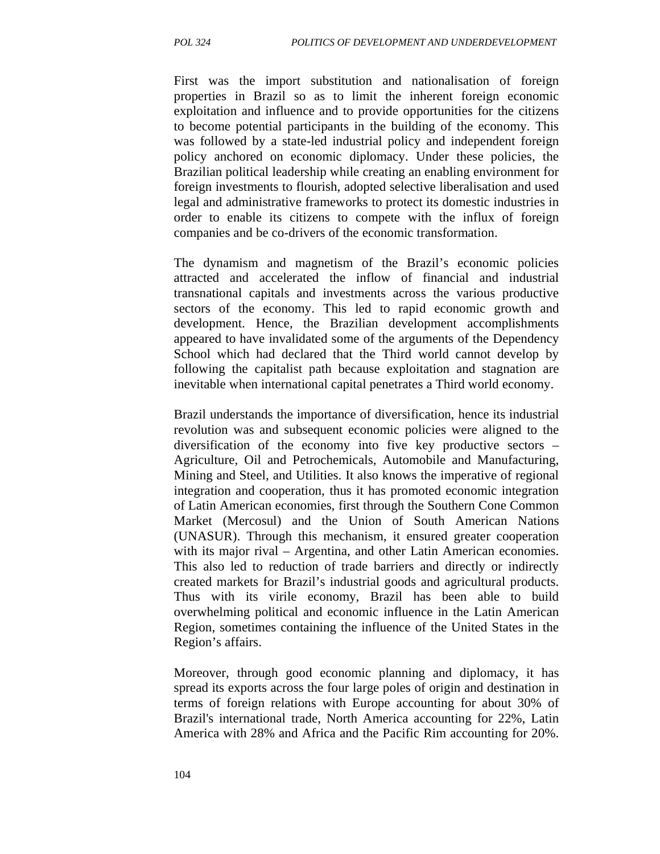First was the import substitution and nationalisation of foreign properties in Brazil so as to limit the inherent foreign economic exploitation and influence and to provide opportunities for the citizens to become potential participants in the building of the economy. This was followed by a state-led industrial policy and independent foreign policy anchored on economic diplomacy. Under these policies, the Brazilian political leadership while creating an enabling environment for foreign investments to flourish, adopted selective liberalisation and used legal and administrative frameworks to protect its domestic industries in order to enable its citizens to compete with the influx of foreign companies and be co-drivers of the economic transformation.

The dynamism and magnetism of the Brazil's economic policies attracted and accelerated the inflow of financial and industrial transnational capitals and investments across the various productive sectors of the economy. This led to rapid economic growth and development. Hence, the Brazilian development accomplishments appeared to have invalidated some of the arguments of the Dependency School which had declared that the Third world cannot develop by following the capitalist path because exploitation and stagnation are inevitable when international capital penetrates a Third world economy.

Brazil understands the importance of diversification, hence its industrial revolution was and subsequent economic policies were aligned to the diversification of the economy into five key productive sectors – Agriculture, Oil and Petrochemicals, Automobile and Manufacturing, Mining and Steel, and Utilities. It also knows the imperative of regional integration and cooperation, thus it has promoted economic integration of Latin American economies, first through the Southern Cone Common Market (Mercosul) and the Union of South American Nations (UNASUR). Through this mechanism, it ensured greater cooperation with its major rival – Argentina, and other Latin American economies. This also led to reduction of trade barriers and directly or indirectly created markets for Brazil's industrial goods and agricultural products. Thus with its virile economy, Brazil has been able to build overwhelming political and economic influence in the Latin American Region, sometimes containing the influence of the United States in the Region's affairs.

Moreover, through good economic planning and diplomacy, it has spread its exports across the four large poles of origin and destination in terms of foreign relations with Europe accounting for about 30% of Brazil's international trade, North America accounting for 22%, Latin America with 28% and Africa and the Pacific Rim accounting for 20%.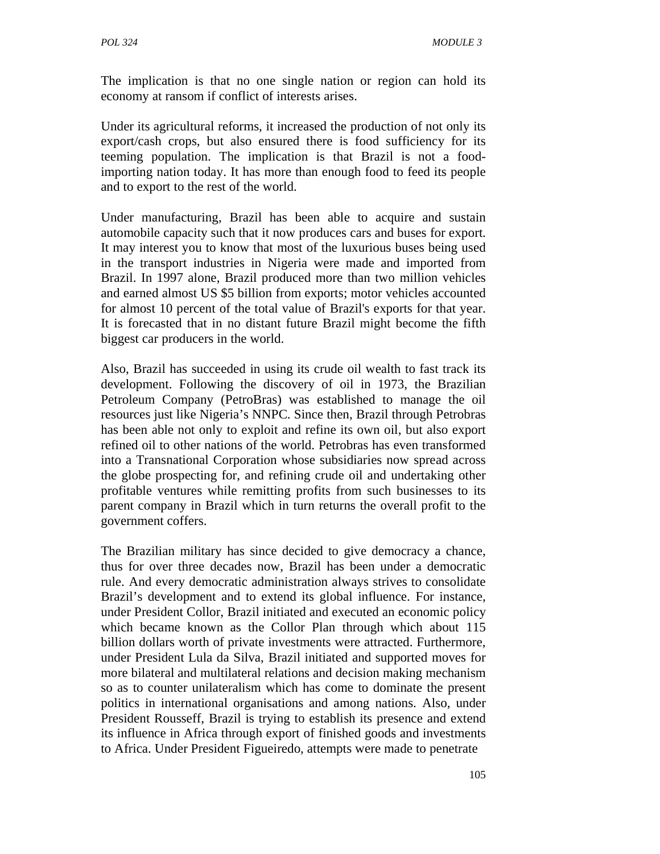The implication is that no one single nation or region can hold its economy at ransom if conflict of interests arises.

Under its agricultural reforms, it increased the production of not only its export/cash crops, but also ensured there is food sufficiency for its teeming population. The implication is that Brazil is not a foodimporting nation today. It has more than enough food to feed its people and to export to the rest of the world.

Under manufacturing, Brazil has been able to acquire and sustain automobile capacity such that it now produces cars and buses for export. It may interest you to know that most of the luxurious buses being used in the transport industries in Nigeria were made and imported from Brazil. In 1997 alone, Brazil produced more than two million vehicles and earned almost US \$5 billion from exports; motor vehicles accounted for almost 10 percent of the total value of Brazil's exports for that year. It is forecasted that in no distant future Brazil might become the fifth biggest car producers in the world.

Also, Brazil has succeeded in using its crude oil wealth to fast track its development. Following the discovery of oil in 1973, the Brazilian Petroleum Company (PetroBras) was established to manage the oil resources just like Nigeria's NNPC. Since then, Brazil through Petrobras has been able not only to exploit and refine its own oil, but also export refined oil to other nations of the world. Petrobras has even transformed into a Transnational Corporation whose subsidiaries now spread across the globe prospecting for, and refining crude oil and undertaking other profitable ventures while remitting profits from such businesses to its parent company in Brazil which in turn returns the overall profit to the government coffers.

The Brazilian military has since decided to give democracy a chance, thus for over three decades now, Brazil has been under a democratic rule. And every democratic administration always strives to consolidate Brazil's development and to extend its global influence. For instance, under President Collor, Brazil initiated and executed an economic policy which became known as the Collor Plan through which about 115 billion dollars worth of private investments were attracted. Furthermore, under President Lula da Silva, Brazil initiated and supported moves for more bilateral and multilateral relations and decision making mechanism so as to counter unilateralism which has come to dominate the present politics in international organisations and among nations. Also, under President Rousseff, Brazil is trying to establish its presence and extend its influence in Africa through export of finished goods and investments to Africa. Under President Figueiredo, attempts were made to penetrate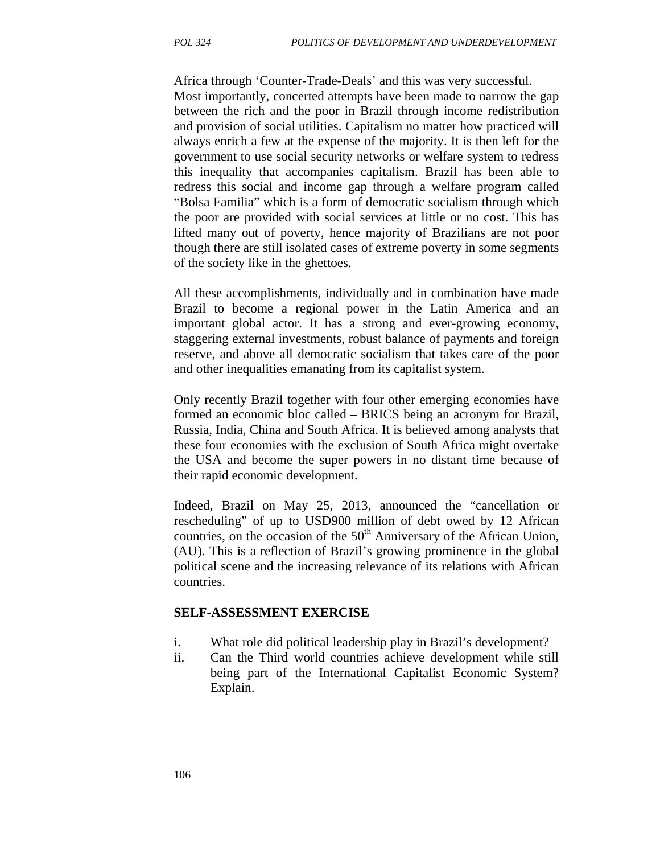Africa through 'Counter-Trade-Deals' and this was very successful. Most importantly, concerted attempts have been made to narrow the gap between the rich and the poor in Brazil through income redistribution and provision of social utilities. Capitalism no matter how practiced will always enrich a few at the expense of the majority. It is then left for the government to use social security networks or welfare system to redress this inequality that accompanies capitalism. Brazil has been able to redress this social and income gap through a welfare program called "Bolsa Familia" which is a form of democratic socialism through which the poor are provided with social services at little or no cost. This has lifted many out of poverty, hence majority of Brazilians are not poor though there are still isolated cases of extreme poverty in some segments of the society like in the ghettoes.

All these accomplishments, individually and in combination have made Brazil to become a regional power in the Latin America and an important global actor. It has a strong and ever-growing economy, staggering external investments, robust balance of payments and foreign reserve, and above all democratic socialism that takes care of the poor and other inequalities emanating from its capitalist system.

Only recently Brazil together with four other emerging economies have formed an economic bloc called – BRICS being an acronym for Brazil, Russia, India, China and South Africa. It is believed among analysts that these four economies with the exclusion of South Africa might overtake the USA and become the super powers in no distant time because of their rapid economic development.

Indeed, Brazil on May 25, 2013, announced the "cancellation or rescheduling" of up to USD900 million of debt owed by 12 African countries, on the occasion of the  $50<sup>th</sup>$  Anniversary of the African Union, (AU). This is a reflection of Brazil's growing prominence in the global political scene and the increasing relevance of its relations with African countries.

#### **SELF-ASSESSMENT EXERCISE**

- i. What role did political leadership play in Brazil's development?
- ii. Can the Third world countries achieve development while still being part of the International Capitalist Economic System? Explain.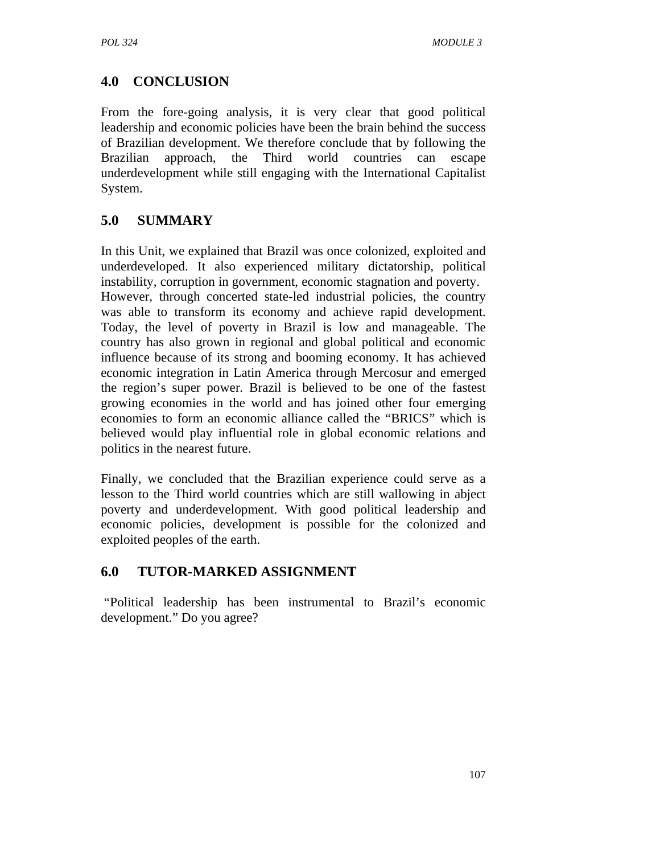# **4.0 CONCLUSION**

From the fore-going analysis, it is very clear that good political leadership and economic policies have been the brain behind the success of Brazilian development. We therefore conclude that by following the Brazilian approach, the Third world countries can escape underdevelopment while still engaging with the International Capitalist System.

# **5.0 SUMMARY**

In this Unit, we explained that Brazil was once colonized, exploited and underdeveloped. It also experienced military dictatorship, political instability, corruption in government, economic stagnation and poverty. However, through concerted state-led industrial policies, the country was able to transform its economy and achieve rapid development. Today, the level of poverty in Brazil is low and manageable. The country has also grown in regional and global political and economic influence because of its strong and booming economy. It has achieved economic integration in Latin America through Mercosur and emerged the region's super power. Brazil is believed to be one of the fastest growing economies in the world and has joined other four emerging economies to form an economic alliance called the "BRICS" which is believed would play influential role in global economic relations and politics in the nearest future.

Finally, we concluded that the Brazilian experience could serve as a lesson to the Third world countries which are still wallowing in abject poverty and underdevelopment. With good political leadership and economic policies, development is possible for the colonized and exploited peoples of the earth.

## **6.0 TUTOR-MARKED ASSIGNMENT**

 "Political leadership has been instrumental to Brazil's economic development." Do you agree?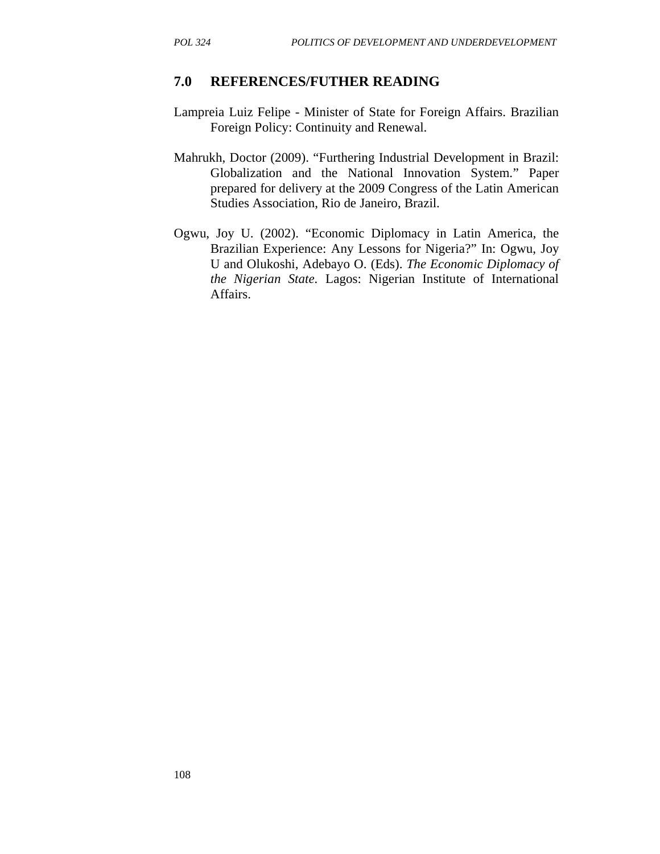### **7.0 REFERENCES/FUTHER READING**

- Lampreia Luiz Felipe Minister of State for Foreign Affairs. Brazilian Foreign Policy: Continuity and Renewal.
- Mahrukh, Doctor (2009). "Furthering Industrial Development in Brazil: Globalization and the National Innovation System." Paper prepared for delivery at the 2009 Congress of the Latin American Studies Association, Rio de Janeiro, Brazil.
- Ogwu, Joy U. (2002). "Economic Diplomacy in Latin America, the Brazilian Experience: Any Lessons for Nigeria?" In: Ogwu, Joy U and Olukoshi, Adebayo O. (Eds). *The Economic Diplomacy of the Nigerian State.* Lagos: Nigerian Institute of International Affairs.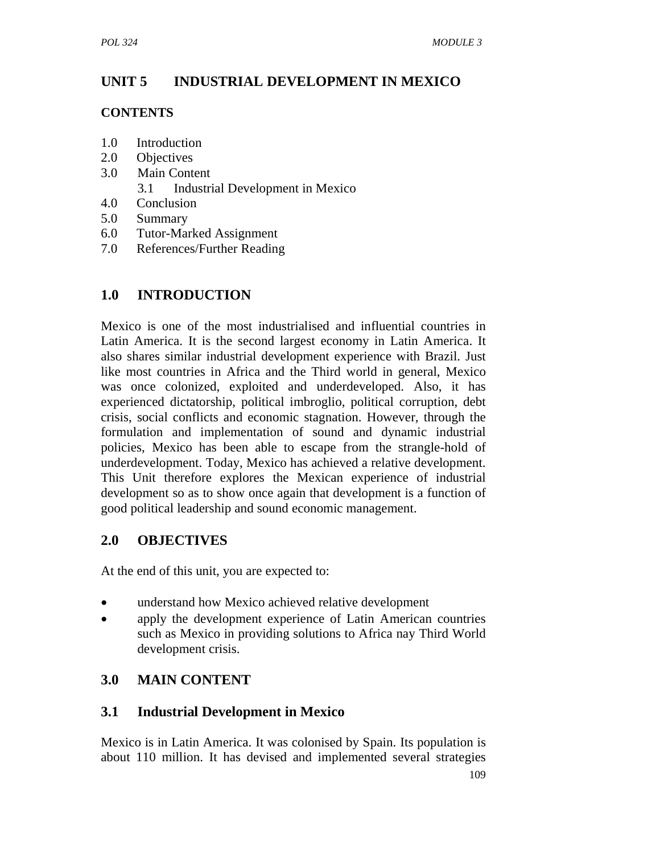# **UNIT 5 INDUSTRIAL DEVELOPMENT IN MEXICO**

## **CONTENTS**

- 1.0 Introduction
- 2.0 Objectives
- 3.0 Main Content
	- 3.1 Industrial Development in Mexico
- 4.0 Conclusion
- 5.0 Summary
- 6.0 Tutor-Marked Assignment
- 7.0 References/Further Reading

# **1.0 INTRODUCTION**

Mexico is one of the most industrialised and influential countries in Latin America. It is the second largest economy in Latin America. It also shares similar industrial development experience with Brazil. Just like most countries in Africa and the Third world in general, Mexico was once colonized, exploited and underdeveloped. Also, it has experienced dictatorship, political imbroglio, political corruption, debt crisis, social conflicts and economic stagnation. However, through the formulation and implementation of sound and dynamic industrial policies, Mexico has been able to escape from the strangle-hold of underdevelopment. Today, Mexico has achieved a relative development. This Unit therefore explores the Mexican experience of industrial development so as to show once again that development is a function of good political leadership and sound economic management.

# **2.0 OBJECTIVES**

At the end of this unit, you are expected to:

- understand how Mexico achieved relative development
- apply the development experience of Latin American countries such as Mexico in providing solutions to Africa nay Third World development crisis.

# **3.0 MAIN CONTENT**

# **3.1 Industrial Development in Mexico**

Mexico is in Latin America. It was colonised by Spain. Its population is about 110 million. It has devised and implemented several strategies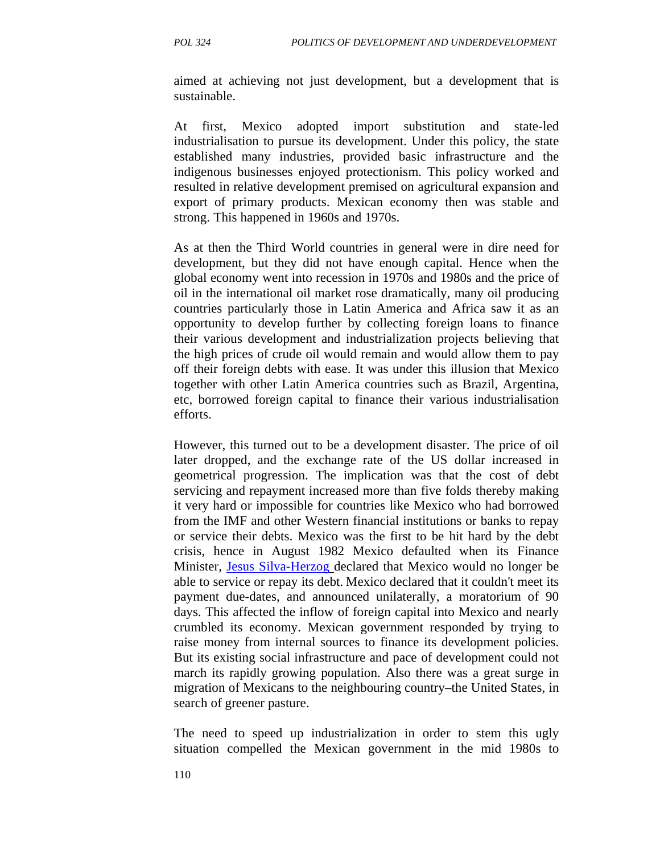aimed at achieving not just development, but a development that is sustainable.

At first, Mexico adopted import substitution and state-led industrialisation to pursue its development. Under this policy, the state established many industries, provided basic infrastructure and the indigenous businesses enjoyed protectionism. This policy worked and resulted in relative development premised on agricultural expansion and export of primary products. Mexican economy then was stable and strong. This happened in 1960s and 1970s.

As at then the Third World countries in general were in dire need for development, but they did not have enough capital. Hence when the global economy went into recession in 1970s and 1980s and the price of oil in the international oil market rose dramatically, many oil producing countries particularly those in Latin America and Africa saw it as an opportunity to develop further by collecting foreign loans to finance their various development and industrialization projects believing that the high prices of crude oil would remain and would allow them to pay off their foreign debts with ease. It was under this illusion that Mexico together with other Latin America countries such as Brazil, Argentina, etc, borrowed foreign capital to finance their various industrialisation efforts.

However, this turned out to be a development disaster. The price of oil later dropped, and the exchange rate of the US dollar increased in geometrical progression. The implication was that the cost of debt servicing and repayment increased more than five folds thereby making it very hard or impossible for countries like Mexico who had borrowed from the IMF and other Western financial institutions or banks to repay or service their debts. Mexico was the first to be hit hard by the debt crisis, hence in August 1982 Mexico defaulted when its Finance Minister, Jesus Silva-Herzog declared that Mexico would no longer be able to service or repay its debt. Mexico declared that it couldn't meet its payment due-dates, and announced unilaterally, a moratorium of 90 days. This affected the inflow of foreign capital into Mexico and nearly crumbled its economy. Mexican government responded by trying to raise money from internal sources to finance its development policies. But its existing social infrastructure and pace of development could not march its rapidly growing population. Also there was a great surge in migration of Mexicans to the neighbouring country–the United States, in search of greener pasture.

The need to speed up industrialization in order to stem this ugly situation compelled the Mexican government in the mid 1980s to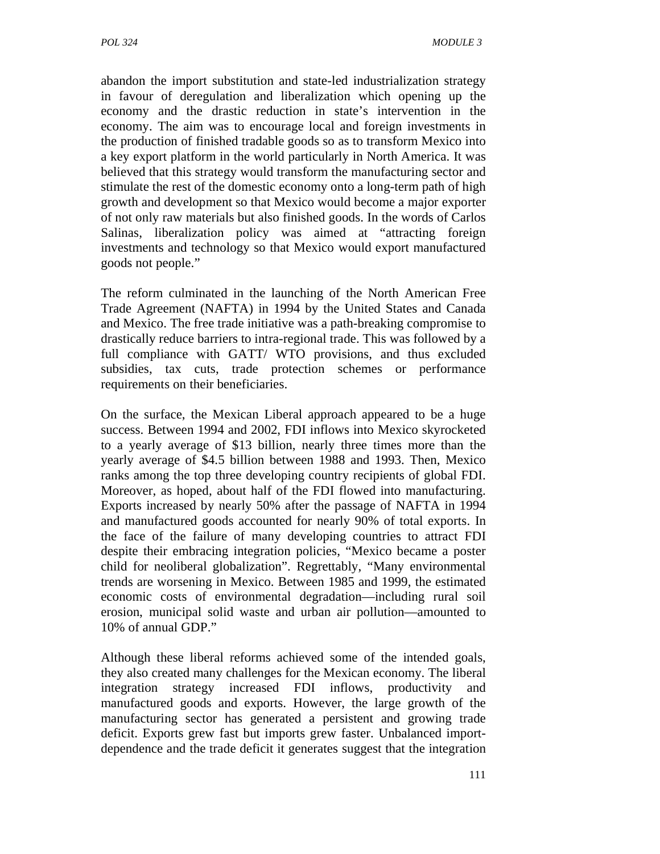abandon the import substitution and state-led industrialization strategy in favour of deregulation and liberalization which opening up the economy and the drastic reduction in state's intervention in the economy. The aim was to encourage local and foreign investments in the production of finished tradable goods so as to transform Mexico into a key export platform in the world particularly in North America. It was believed that this strategy would transform the manufacturing sector and stimulate the rest of the domestic economy onto a long-term path of high growth and development so that Mexico would become a major exporter of not only raw materials but also finished goods. In the words of Carlos Salinas, liberalization policy was aimed at "attracting foreign investments and technology so that Mexico would export manufactured goods not people."

The reform culminated in the launching of the North American Free Trade Agreement (NAFTA) in 1994 by the United States and Canada and Mexico. The free trade initiative was a path-breaking compromise to drastically reduce barriers to intra-regional trade. This was followed by a full compliance with GATT/ WTO provisions, and thus excluded subsidies, tax cuts, trade protection schemes or performance requirements on their beneficiaries.

On the surface, the Mexican Liberal approach appeared to be a huge success. Between 1994 and 2002, FDI inflows into Mexico skyrocketed to a yearly average of \$13 billion, nearly three times more than the yearly average of \$4.5 billion between 1988 and 1993. Then, Mexico ranks among the top three developing country recipients of global FDI. Moreover, as hoped, about half of the FDI flowed into manufacturing. Exports increased by nearly 50% after the passage of NAFTA in 1994 and manufactured goods accounted for nearly 90% of total exports. In the face of the failure of many developing countries to attract FDI despite their embracing integration policies, "Mexico became a poster child for neoliberal globalization". Regrettably, "Many environmental trends are worsening in Mexico. Between 1985 and 1999, the estimated economic costs of environmental degradation—including rural soil erosion, municipal solid waste and urban air pollution—amounted to 10% of annual GDP."

Although these liberal reforms achieved some of the intended goals, they also created many challenges for the Mexican economy. The liberal integration strategy increased FDI inflows, productivity and manufactured goods and exports. However, the large growth of the manufacturing sector has generated a persistent and growing trade deficit. Exports grew fast but imports grew faster. Unbalanced importdependence and the trade deficit it generates suggest that the integration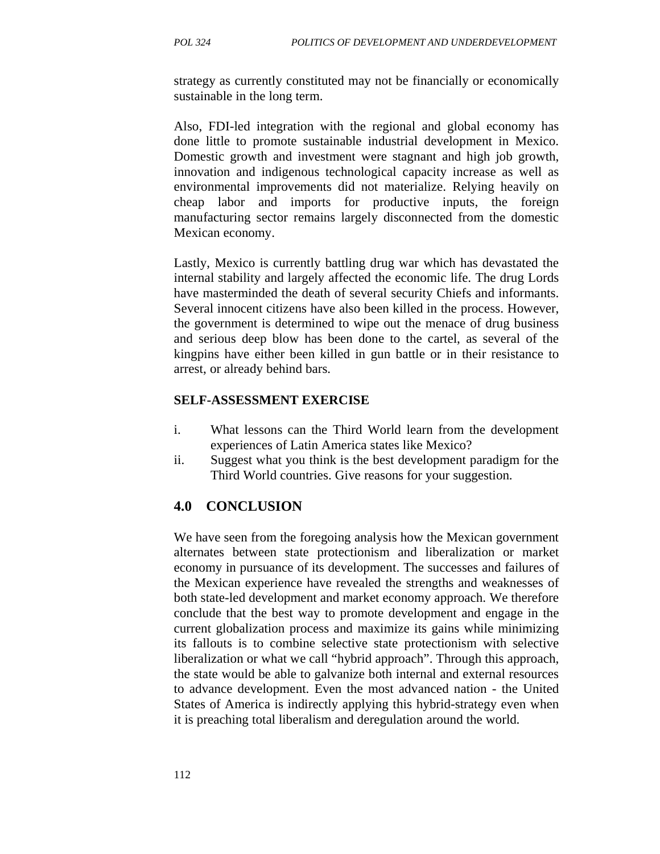strategy as currently constituted may not be financially or economically sustainable in the long term.

Also, FDI-led integration with the regional and global economy has done little to promote sustainable industrial development in Mexico. Domestic growth and investment were stagnant and high job growth, innovation and indigenous technological capacity increase as well as environmental improvements did not materialize. Relying heavily on cheap labor and imports for productive inputs, the foreign manufacturing sector remains largely disconnected from the domestic Mexican economy.

Lastly, Mexico is currently battling drug war which has devastated the internal stability and largely affected the economic life. The drug Lords have masterminded the death of several security Chiefs and informants. Several innocent citizens have also been killed in the process. However, the government is determined to wipe out the menace of drug business and serious deep blow has been done to the cartel, as several of the kingpins have either been killed in gun battle or in their resistance to arrest, or already behind bars.

#### **SELF-ASSESSMENT EXERCISE**

- i. What lessons can the Third World learn from the development experiences of Latin America states like Mexico?
- ii. Suggest what you think is the best development paradigm for the Third World countries. Give reasons for your suggestion.

#### **4.0 CONCLUSION**

We have seen from the foregoing analysis how the Mexican government alternates between state protectionism and liberalization or market economy in pursuance of its development. The successes and failures of the Mexican experience have revealed the strengths and weaknesses of both state-led development and market economy approach. We therefore conclude that the best way to promote development and engage in the current globalization process and maximize its gains while minimizing its fallouts is to combine selective state protectionism with selective liberalization or what we call "hybrid approach". Through this approach, the state would be able to galvanize both internal and external resources to advance development. Even the most advanced nation - the United States of America is indirectly applying this hybrid-strategy even when it is preaching total liberalism and deregulation around the world.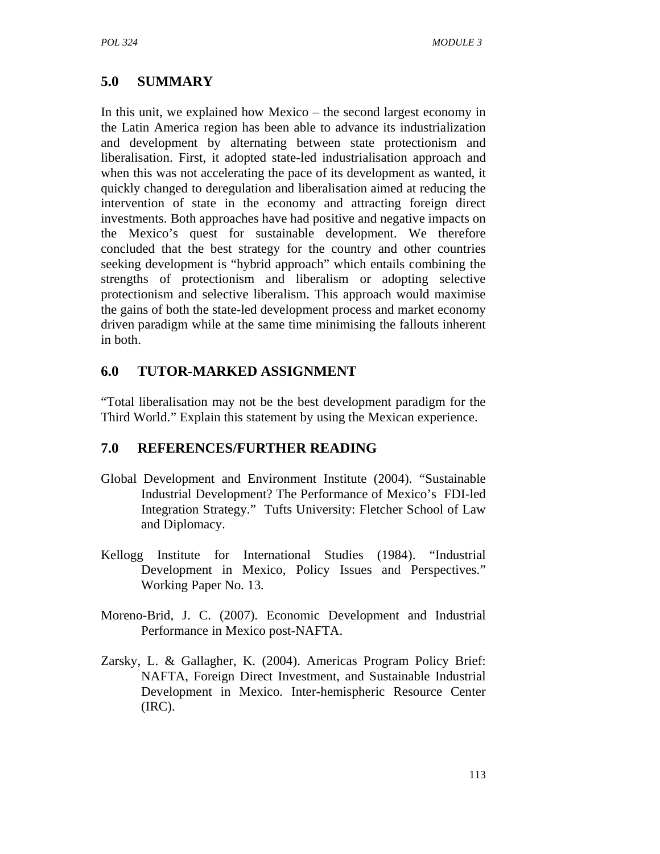# **5.0 SUMMARY**

In this unit, we explained how Mexico – the second largest economy in the Latin America region has been able to advance its industrialization and development by alternating between state protectionism and liberalisation. First, it adopted state-led industrialisation approach and when this was not accelerating the pace of its development as wanted, it quickly changed to deregulation and liberalisation aimed at reducing the intervention of state in the economy and attracting foreign direct investments. Both approaches have had positive and negative impacts on the Mexico's quest for sustainable development. We therefore concluded that the best strategy for the country and other countries seeking development is "hybrid approach" which entails combining the strengths of protectionism and liberalism or adopting selective protectionism and selective liberalism. This approach would maximise the gains of both the state-led development process and market economy driven paradigm while at the same time minimising the fallouts inherent in both.

# **6.0 TUTOR-MARKED ASSIGNMENT**

"Total liberalisation may not be the best development paradigm for the Third World." Explain this statement by using the Mexican experience.

# **7.0 REFERENCES/FURTHER READING**

- Global Development and Environment Institute (2004). "Sustainable Industrial Development? The Performance of Mexico's FDI-led Integration Strategy." Tufts University: Fletcher School of Law and Diplomacy.
- Kellogg Institute for International Studies (1984). "Industrial Development in Mexico, Policy Issues and Perspectives." Working Paper No. 13.
- Moreno-Brid, J. C. (2007). Economic Development and Industrial Performance in Mexico post-NAFTA.
- Zarsky, L. & Gallagher, K. (2004). Americas Program Policy Brief: NAFTA, Foreign Direct Investment, and Sustainable Industrial Development in Mexico. Inter-hemispheric Resource Center (IRC).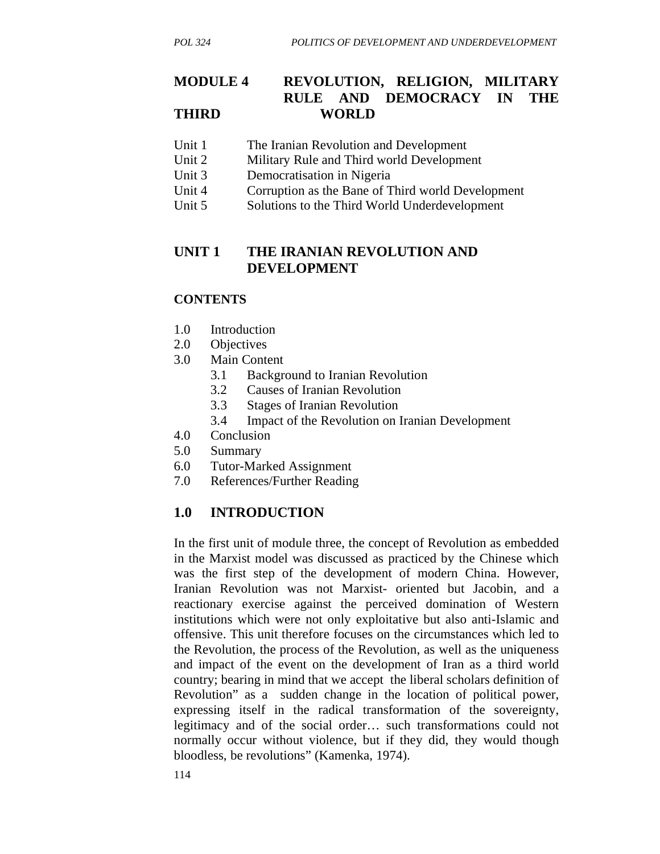## **MODULE 4 REVOLUTION, RELIGION, MILITARY RULE AND DEMOCRACY IN THE THIRD WORLD**

- Unit 1 The Iranian Revolution and Development
- Unit 2 Military Rule and Third world Development
- Unit 3 Democratisation in Nigeria
- Unit 4 Corruption as the Bane of Third world Development
- Unit 5 Solutions to the Third World Underdevelopment

## **UNIT 1 THE IRANIAN REVOLUTION AND DEVELOPMENT**

### **CONTENTS**

- 1.0 Introduction
- 2.0 Objectives
- 3.0 Main Content
	- 3.1 Background to Iranian Revolution
	- 3.2 Causes of Iranian Revolution
	- 3.3 Stages of Iranian Revolution
	- 3.4 Impact of the Revolution on Iranian Development
- 4.0 Conclusion
- 5.0 Summary
- 6.0 Tutor-Marked Assignment
- 7.0 References/Further Reading

## **1.0 INTRODUCTION**

In the first unit of module three, the concept of Revolution as embedded in the Marxist model was discussed as practiced by the Chinese which was the first step of the development of modern China. However, Iranian Revolution was not Marxist- oriented but Jacobin, and a reactionary exercise against the perceived domination of Western institutions which were not only exploitative but also anti-Islamic and offensive. This unit therefore focuses on the circumstances which led to the Revolution, the process of the Revolution, as well as the uniqueness and impact of the event on the development of Iran as a third world country; bearing in mind that we accept the liberal scholars definition of Revolution" as a sudden change in the location of political power, expressing itself in the radical transformation of the sovereignty, legitimacy and of the social order… such transformations could not normally occur without violence, but if they did, they would though bloodless, be revolutions" (Kamenka, 1974).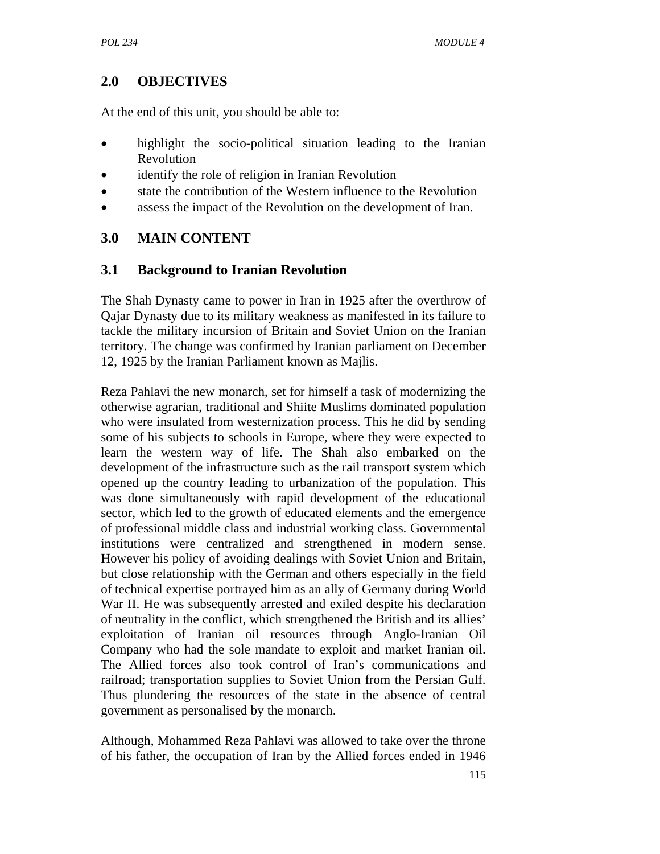# **2.0 OBJECTIVES**

At the end of this unit, you should be able to:

- highlight the socio-political situation leading to the Iranian Revolution
- identify the role of religion in Iranian Revolution
- state the contribution of the Western influence to the Revolution
- assess the impact of the Revolution on the development of Iran.

# **3.0 MAIN CONTENT**

## **3.1 Background to Iranian Revolution**

The Shah Dynasty came to power in Iran in 1925 after the overthrow of Qajar Dynasty due to its military weakness as manifested in its failure to tackle the military incursion of Britain and Soviet Union on the Iranian territory. The change was confirmed by Iranian parliament on December 12, 1925 by the Iranian Parliament known as Majlis.

Reza Pahlavi the new monarch, set for himself a task of modernizing the otherwise agrarian, traditional and Shiite Muslims dominated population who were insulated from westernization process. This he did by sending some of his subjects to schools in Europe, where they were expected to learn the western way of life. The Shah also embarked on the development of the infrastructure such as the rail transport system which opened up the country leading to urbanization of the population. This was done simultaneously with rapid development of the educational sector, which led to the growth of educated elements and the emergence of professional middle class and industrial working class. Governmental institutions were centralized and strengthened in modern sense. However his policy of avoiding dealings with Soviet Union and Britain, but close relationship with the German and others especially in the field of technical expertise portrayed him as an ally of Germany during World War II. He was subsequently arrested and exiled despite his declaration of neutrality in the conflict, which strengthened the British and its allies' exploitation of Iranian oil resources through Anglo-Iranian Oil Company who had the sole mandate to exploit and market Iranian oil. The Allied forces also took control of Iran's communications and railroad; transportation supplies to Soviet Union from the Persian Gulf. Thus plundering the resources of the state in the absence of central government as personalised by the monarch.

Although, Mohammed Reza Pahlavi was allowed to take over the throne of his father, the occupation of Iran by the Allied forces ended in 1946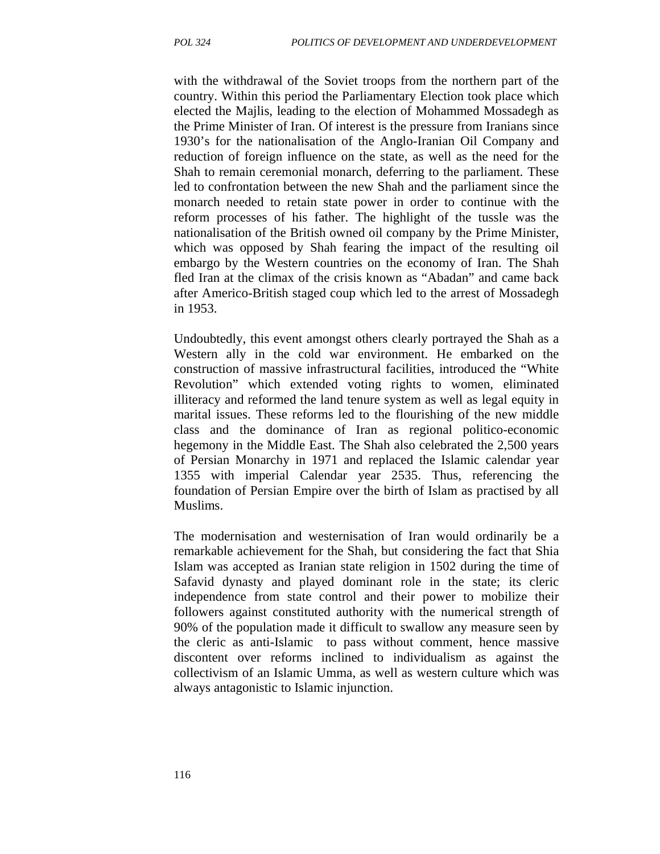with the withdrawal of the Soviet troops from the northern part of the country. Within this period the Parliamentary Election took place which elected the Majlis, leading to the election of Mohammed Mossadegh as the Prime Minister of Iran. Of interest is the pressure from Iranians since 1930's for the nationalisation of the Anglo-Iranian Oil Company and reduction of foreign influence on the state, as well as the need for the Shah to remain ceremonial monarch, deferring to the parliament. These led to confrontation between the new Shah and the parliament since the monarch needed to retain state power in order to continue with the reform processes of his father. The highlight of the tussle was the nationalisation of the British owned oil company by the Prime Minister, which was opposed by Shah fearing the impact of the resulting oil embargo by the Western countries on the economy of Iran. The Shah fled Iran at the climax of the crisis known as "Abadan" and came back after Americo-British staged coup which led to the arrest of Mossadegh in 1953.

Undoubtedly, this event amongst others clearly portrayed the Shah as a Western ally in the cold war environment. He embarked on the construction of massive infrastructural facilities, introduced the "White Revolution" which extended voting rights to women, eliminated illiteracy and reformed the land tenure system as well as legal equity in marital issues. These reforms led to the flourishing of the new middle class and the dominance of Iran as regional politico-economic hegemony in the Middle East. The Shah also celebrated the 2,500 years of Persian Monarchy in 1971 and replaced the Islamic calendar year 1355 with imperial Calendar year 2535. Thus, referencing the foundation of Persian Empire over the birth of Islam as practised by all Muslims.

The modernisation and westernisation of Iran would ordinarily be a remarkable achievement for the Shah, but considering the fact that Shia Islam was accepted as Iranian state religion in 1502 during the time of Safavid dynasty and played dominant role in the state; its cleric independence from state control and their power to mobilize their followers against constituted authority with the numerical strength of 90% of the population made it difficult to swallow any measure seen by the cleric as anti-Islamic to pass without comment, hence massive discontent over reforms inclined to individualism as against the collectivism of an Islamic Umma, as well as western culture which was always antagonistic to Islamic injunction.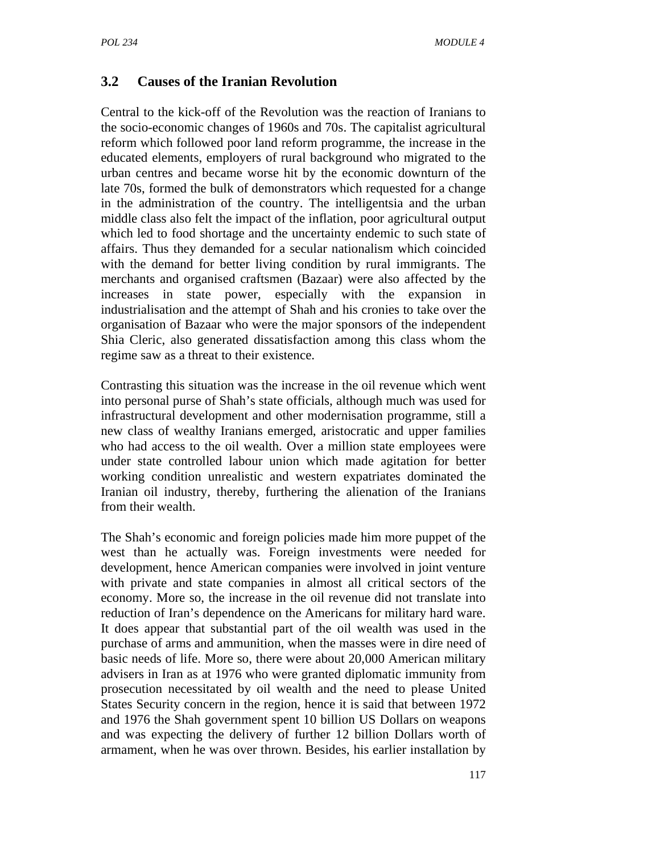### **3.2 Causes of the Iranian Revolution**

Central to the kick-off of the Revolution was the reaction of Iranians to the socio-economic changes of 1960s and 70s. The capitalist agricultural reform which followed poor land reform programme, the increase in the educated elements, employers of rural background who migrated to the urban centres and became worse hit by the economic downturn of the late 70s, formed the bulk of demonstrators which requested for a change in the administration of the country. The intelligentsia and the urban middle class also felt the impact of the inflation, poor agricultural output which led to food shortage and the uncertainty endemic to such state of affairs. Thus they demanded for a secular nationalism which coincided with the demand for better living condition by rural immigrants. The merchants and organised craftsmen (Bazaar) were also affected by the increases in state power, especially with the expansion in industrialisation and the attempt of Shah and his cronies to take over the organisation of Bazaar who were the major sponsors of the independent Shia Cleric, also generated dissatisfaction among this class whom the regime saw as a threat to their existence.

Contrasting this situation was the increase in the oil revenue which went into personal purse of Shah's state officials, although much was used for infrastructural development and other modernisation programme, still a new class of wealthy Iranians emerged, aristocratic and upper families who had access to the oil wealth. Over a million state employees were under state controlled labour union which made agitation for better working condition unrealistic and western expatriates dominated the Iranian oil industry, thereby, furthering the alienation of the Iranians from their wealth.

The Shah's economic and foreign policies made him more puppet of the west than he actually was. Foreign investments were needed for development, hence American companies were involved in joint venture with private and state companies in almost all critical sectors of the economy. More so, the increase in the oil revenue did not translate into reduction of Iran's dependence on the Americans for military hard ware. It does appear that substantial part of the oil wealth was used in the purchase of arms and ammunition, when the masses were in dire need of basic needs of life. More so, there were about 20,000 American military advisers in Iran as at 1976 who were granted diplomatic immunity from prosecution necessitated by oil wealth and the need to please United States Security concern in the region, hence it is said that between 1972 and 1976 the Shah government spent 10 billion US Dollars on weapons and was expecting the delivery of further 12 billion Dollars worth of armament, when he was over thrown. Besides, his earlier installation by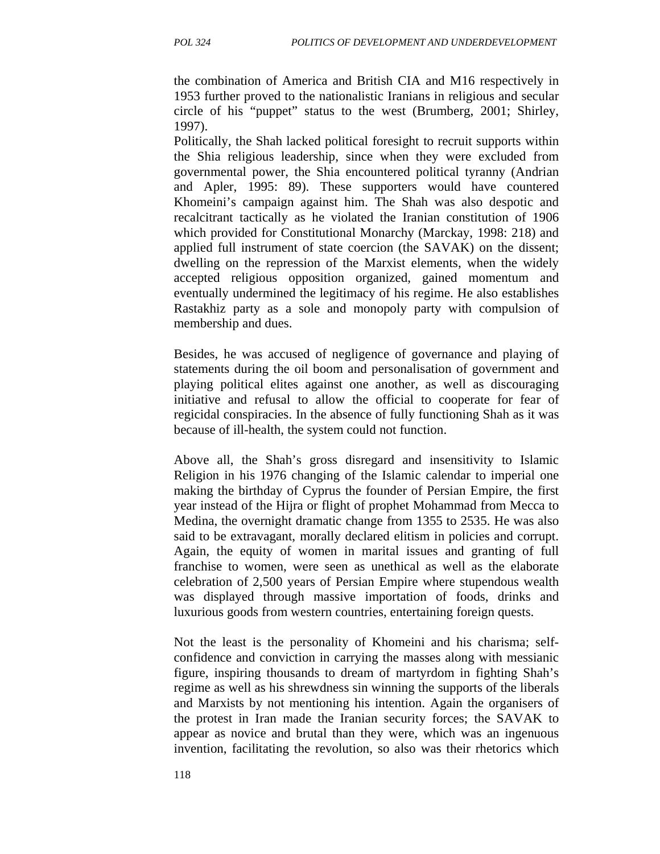the combination of America and British CIA and M16 respectively in 1953 further proved to the nationalistic Iranians in religious and secular circle of his "puppet" status to the west (Brumberg, 2001; Shirley, 1997).

Politically, the Shah lacked political foresight to recruit supports within the Shia religious leadership, since when they were excluded from governmental power, the Shia encountered political tyranny (Andrian and Apler, 1995: 89). These supporters would have countered Khomeini's campaign against him. The Shah was also despotic and recalcitrant tactically as he violated the Iranian constitution of 1906 which provided for Constitutional Monarchy (Marckay, 1998: 218) and applied full instrument of state coercion (the SAVAK) on the dissent; dwelling on the repression of the Marxist elements, when the widely accepted religious opposition organized, gained momentum and eventually undermined the legitimacy of his regime. He also establishes Rastakhiz party as a sole and monopoly party with compulsion of membership and dues.

Besides, he was accused of negligence of governance and playing of statements during the oil boom and personalisation of government and playing political elites against one another, as well as discouraging initiative and refusal to allow the official to cooperate for fear of regicidal conspiracies. In the absence of fully functioning Shah as it was because of ill-health, the system could not function.

Above all, the Shah's gross disregard and insensitivity to Islamic Religion in his 1976 changing of the Islamic calendar to imperial one making the birthday of Cyprus the founder of Persian Empire, the first year instead of the Hijra or flight of prophet Mohammad from Mecca to Medina, the overnight dramatic change from 1355 to 2535. He was also said to be extravagant, morally declared elitism in policies and corrupt. Again, the equity of women in marital issues and granting of full franchise to women, were seen as unethical as well as the elaborate celebration of 2,500 years of Persian Empire where stupendous wealth was displayed through massive importation of foods, drinks and luxurious goods from western countries, entertaining foreign quests.

Not the least is the personality of Khomeini and his charisma; selfconfidence and conviction in carrying the masses along with messianic figure, inspiring thousands to dream of martyrdom in fighting Shah's regime as well as his shrewdness sin winning the supports of the liberals and Marxists by not mentioning his intention. Again the organisers of the protest in Iran made the Iranian security forces; the SAVAK to appear as novice and brutal than they were, which was an ingenuous invention, facilitating the revolution, so also was their rhetorics which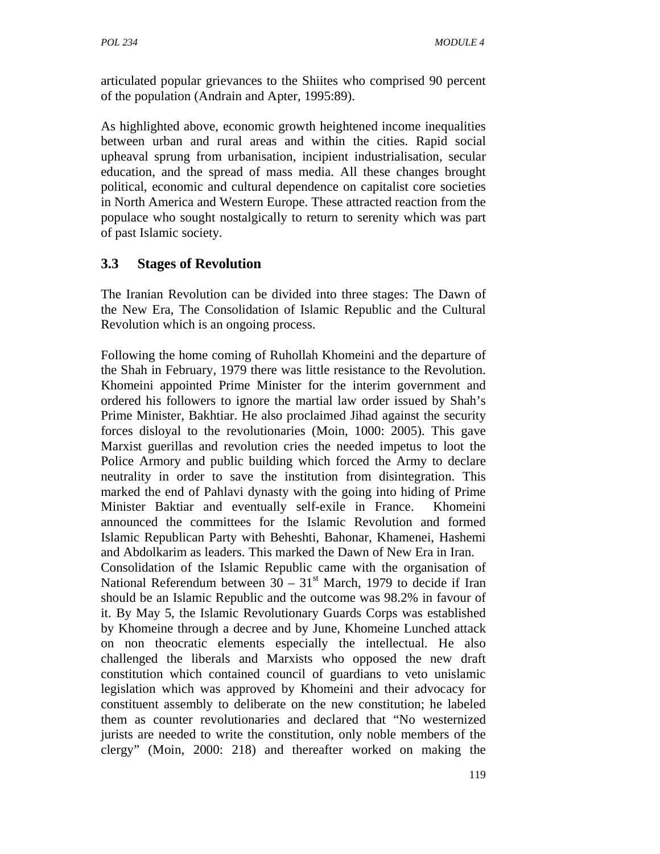articulated popular grievances to the Shiites who comprised 90 percent of the population (Andrain and Apter, 1995:89).

As highlighted above, economic growth heightened income inequalities between urban and rural areas and within the cities. Rapid social upheaval sprung from urbanisation, incipient industrialisation, secular education, and the spread of mass media. All these changes brought political, economic and cultural dependence on capitalist core societies in North America and Western Europe. These attracted reaction from the populace who sought nostalgically to return to serenity which was part of past Islamic society.

# **3.3 Stages of Revolution**

The Iranian Revolution can be divided into three stages: The Dawn of the New Era, The Consolidation of Islamic Republic and the Cultural Revolution which is an ongoing process.

Following the home coming of Ruhollah Khomeini and the departure of the Shah in February, 1979 there was little resistance to the Revolution. Khomeini appointed Prime Minister for the interim government and ordered his followers to ignore the martial law order issued by Shah's Prime Minister, Bakhtiar. He also proclaimed Jihad against the security forces disloyal to the revolutionaries (Moin, 1000: 2005). This gave Marxist guerillas and revolution cries the needed impetus to loot the Police Armory and public building which forced the Army to declare neutrality in order to save the institution from disintegration. This marked the end of Pahlavi dynasty with the going into hiding of Prime Minister Baktiar and eventually self-exile in France. Khomeini announced the committees for the Islamic Revolution and formed Islamic Republican Party with Beheshti, Bahonar, Khamenei, Hashemi and Abdolkarim as leaders. This marked the Dawn of New Era in Iran. Consolidation of the Islamic Republic came with the organisation of National Referendum between  $30 - 31<sup>st</sup>$  March, 1979 to decide if Iran should be an Islamic Republic and the outcome was 98.2% in favour of it. By May 5, the Islamic Revolutionary Guards Corps was established by Khomeine through a decree and by June, Khomeine Lunched attack on non theocratic elements especially the intellectual. He also challenged the liberals and Marxists who opposed the new draft constitution which contained council of guardians to veto unislamic legislation which was approved by Khomeini and their advocacy for constituent assembly to deliberate on the new constitution; he labeled them as counter revolutionaries and declared that "No westernized jurists are needed to write the constitution, only noble members of the clergy" (Moin, 2000: 218) and thereafter worked on making the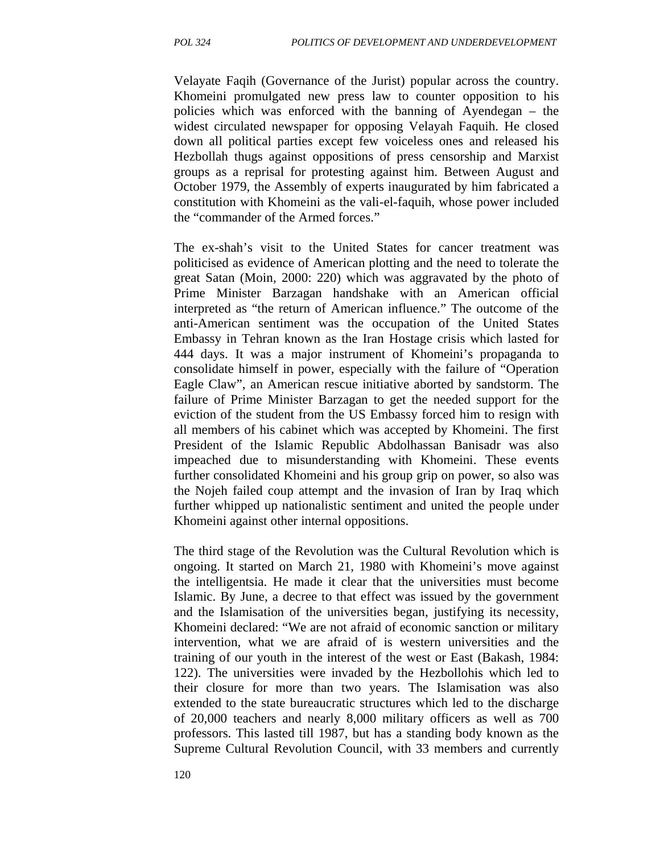Velayate Faqih (Governance of the Jurist) popular across the country. Khomeini promulgated new press law to counter opposition to his policies which was enforced with the banning of Ayendegan – the widest circulated newspaper for opposing Velayah Faquih. He closed down all political parties except few voiceless ones and released his Hezbollah thugs against oppositions of press censorship and Marxist groups as a reprisal for protesting against him. Between August and October 1979, the Assembly of experts inaugurated by him fabricated a constitution with Khomeini as the vali-el-faquih, whose power included the "commander of the Armed forces."

The ex-shah's visit to the United States for cancer treatment was politicised as evidence of American plotting and the need to tolerate the great Satan (Moin, 2000: 220) which was aggravated by the photo of Prime Minister Barzagan handshake with an American official interpreted as "the return of American influence." The outcome of the anti-American sentiment was the occupation of the United States Embassy in Tehran known as the Iran Hostage crisis which lasted for 444 days. It was a major instrument of Khomeini's propaganda to consolidate himself in power, especially with the failure of "Operation Eagle Claw", an American rescue initiative aborted by sandstorm. The failure of Prime Minister Barzagan to get the needed support for the eviction of the student from the US Embassy forced him to resign with all members of his cabinet which was accepted by Khomeini. The first President of the Islamic Republic Abdolhassan Banisadr was also impeached due to misunderstanding with Khomeini. These events further consolidated Khomeini and his group grip on power, so also was the Nojeh failed coup attempt and the invasion of Iran by Iraq which further whipped up nationalistic sentiment and united the people under Khomeini against other internal oppositions.

The third stage of the Revolution was the Cultural Revolution which is ongoing. It started on March 21, 1980 with Khomeini's move against the intelligentsia. He made it clear that the universities must become Islamic. By June, a decree to that effect was issued by the government and the Islamisation of the universities began, justifying its necessity, Khomeini declared: "We are not afraid of economic sanction or military intervention, what we are afraid of is western universities and the training of our youth in the interest of the west or East (Bakash, 1984: 122). The universities were invaded by the Hezbollohis which led to their closure for more than two years. The Islamisation was also extended to the state bureaucratic structures which led to the discharge of 20,000 teachers and nearly 8,000 military officers as well as 700 professors. This lasted till 1987, but has a standing body known as the Supreme Cultural Revolution Council, with 33 members and currently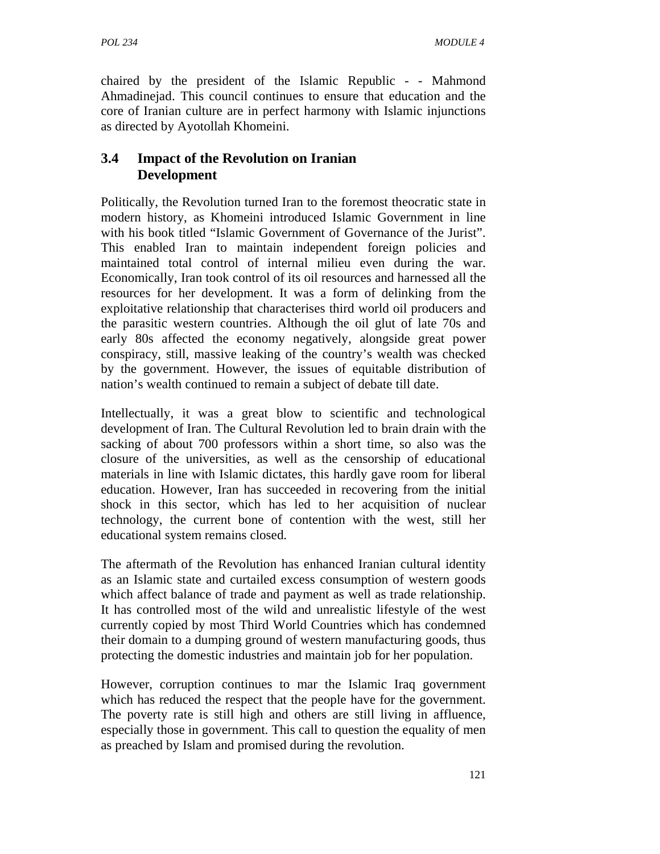chaired by the president of the Islamic Republic - - Mahmond Ahmadinejad. This council continues to ensure that education and the core of Iranian culture are in perfect harmony with Islamic injunctions as directed by Ayotollah Khomeini.

## **3.4 Impact of the Revolution on Iranian Development**

Politically, the Revolution turned Iran to the foremost theocratic state in modern history, as Khomeini introduced Islamic Government in line with his book titled "Islamic Government of Governance of the Jurist". This enabled Iran to maintain independent foreign policies and maintained total control of internal milieu even during the war. Economically, Iran took control of its oil resources and harnessed all the resources for her development. It was a form of delinking from the exploitative relationship that characterises third world oil producers and the parasitic western countries. Although the oil glut of late 70s and early 80s affected the economy negatively, alongside great power conspiracy, still, massive leaking of the country's wealth was checked by the government. However, the issues of equitable distribution of nation's wealth continued to remain a subject of debate till date.

Intellectually, it was a great blow to scientific and technological development of Iran. The Cultural Revolution led to brain drain with the sacking of about 700 professors within a short time, so also was the closure of the universities, as well as the censorship of educational materials in line with Islamic dictates, this hardly gave room for liberal education. However, Iran has succeeded in recovering from the initial shock in this sector, which has led to her acquisition of nuclear technology, the current bone of contention with the west, still her educational system remains closed.

The aftermath of the Revolution has enhanced Iranian cultural identity as an Islamic state and curtailed excess consumption of western goods which affect balance of trade and payment as well as trade relationship. It has controlled most of the wild and unrealistic lifestyle of the west currently copied by most Third World Countries which has condemned their domain to a dumping ground of western manufacturing goods, thus protecting the domestic industries and maintain job for her population.

However, corruption continues to mar the Islamic Iraq government which has reduced the respect that the people have for the government. The poverty rate is still high and others are still living in affluence, especially those in government. This call to question the equality of men as preached by Islam and promised during the revolution.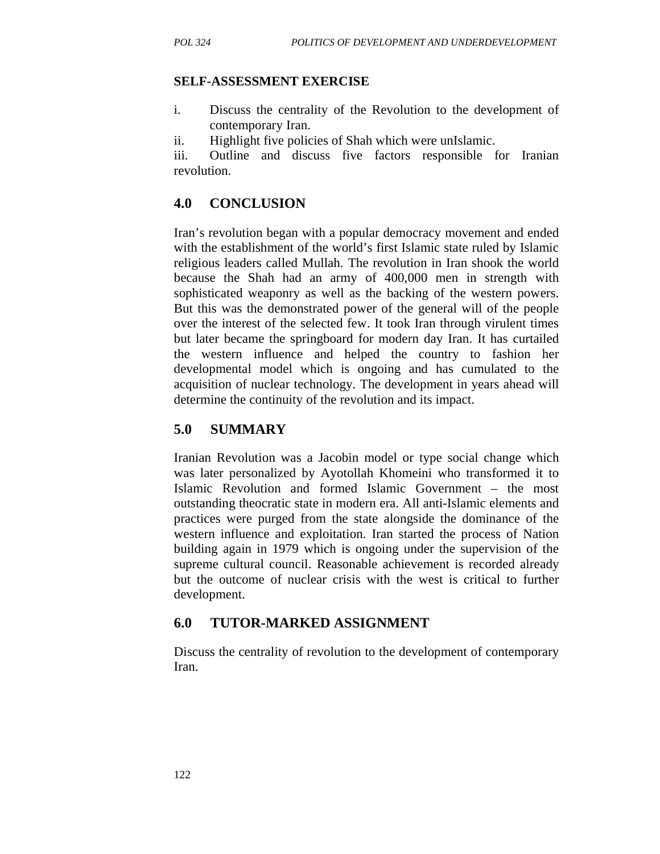#### **SELF-ASSESSMENT EXERCISE**

- i. Discuss the centrality of the Revolution to the development of contemporary Iran.
- ii. Highlight five policies of Shah which were unIslamic.

iii. Outline and discuss five factors responsible for Iranian revolution.

### **4.0 CONCLUSION**

Iran's revolution began with a popular democracy movement and ended with the establishment of the world's first Islamic state ruled by Islamic religious leaders called Mullah. The revolution in Iran shook the world because the Shah had an army of 400,000 men in strength with sophisticated weaponry as well as the backing of the western powers. But this was the demonstrated power of the general will of the people over the interest of the selected few. It took Iran through virulent times but later became the springboard for modern day Iran. It has curtailed the western influence and helped the country to fashion her developmental model which is ongoing and has cumulated to the acquisition of nuclear technology. The development in years ahead will determine the continuity of the revolution and its impact.

### **5.0 SUMMARY**

Iranian Revolution was a Jacobin model or type social change which was later personalized by Ayotollah Khomeini who transformed it to Islamic Revolution and formed Islamic Government – the most outstanding theocratic state in modern era. All anti-Islamic elements and practices were purged from the state alongside the dominance of the western influence and exploitation. Iran started the process of Nation building again in 1979 which is ongoing under the supervision of the supreme cultural council. Reasonable achievement is recorded already but the outcome of nuclear crisis with the west is critical to further development.

### **6.0 TUTOR-MARKED ASSIGNMENT**

Discuss the centrality of revolution to the development of contemporary Iran.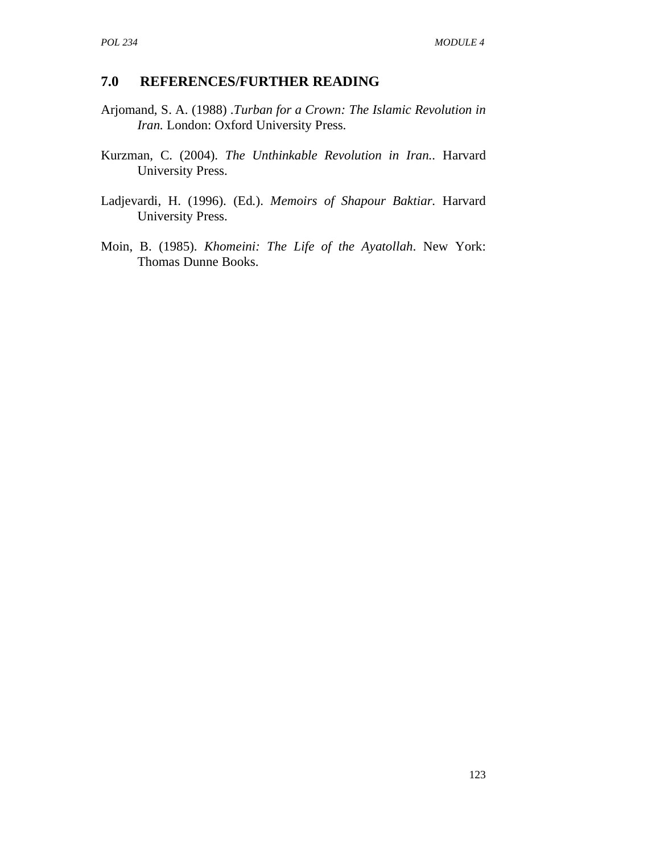### **7.0 REFERENCES/FURTHER READING**

- Arjomand, S. A. (1988) .*Turban for a Crown: The Islamic Revolution in Iran.* London: Oxford University Press.
- Kurzman, C. (2004). *The Unthinkable Revolution in Iran..* Harvard University Press.
- Ladjevardi, H. (1996). (Ed.). *Memoirs of Shapour Baktiar.* Harvard University Press.
- Moin, B. (1985). *Khomeini: The Life of the Ayatollah*. New York: Thomas Dunne Books.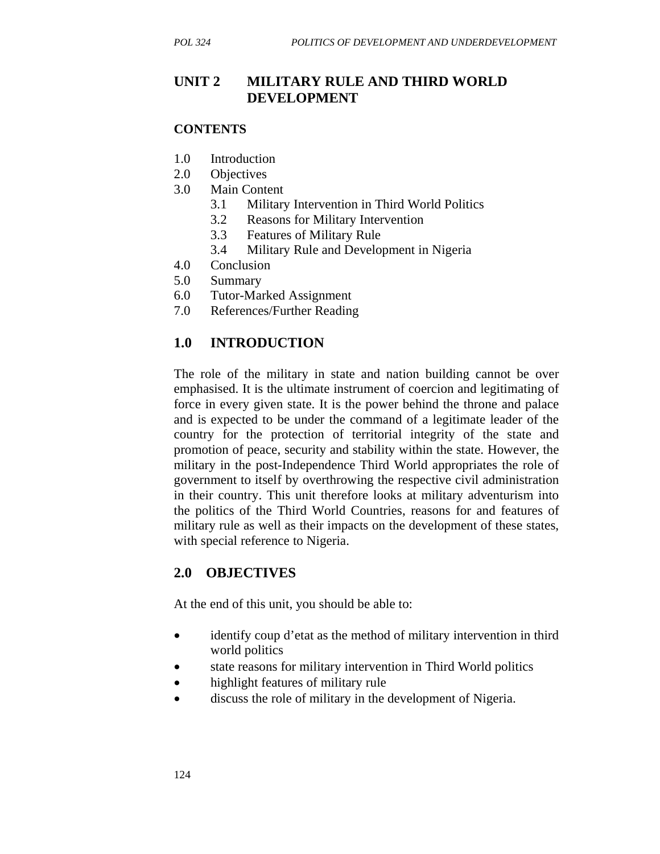### **UNIT 2 MILITARY RULE AND THIRD WORLD DEVELOPMENT**

#### **CONTENTS**

- 1.0 Introduction
- 2.0 Objectives
- 3.0 Main Content
	- 3.1 Military Intervention in Third World Politics
	- 3.2 Reasons for Military Intervention
	- 3.3 Features of Military Rule
	- 3.4 Military Rule and Development in Nigeria
- 4.0 Conclusion
- 5.0 Summary
- 6.0 Tutor-Marked Assignment
- 7.0 References/Further Reading

### **1.0 INTRODUCTION**

The role of the military in state and nation building cannot be over emphasised. It is the ultimate instrument of coercion and legitimating of force in every given state. It is the power behind the throne and palace and is expected to be under the command of a legitimate leader of the country for the protection of territorial integrity of the state and promotion of peace, security and stability within the state. However, the military in the post-Independence Third World appropriates the role of government to itself by overthrowing the respective civil administration in their country. This unit therefore looks at military adventurism into the politics of the Third World Countries, reasons for and features of military rule as well as their impacts on the development of these states, with special reference to Nigeria.

#### **2.0 OBJECTIVES**

At the end of this unit, you should be able to:

- identify coup d'etat as the method of military intervention in third world politics
- state reasons for military intervention in Third World politics
- highlight features of military rule
- discuss the role of military in the development of Nigeria.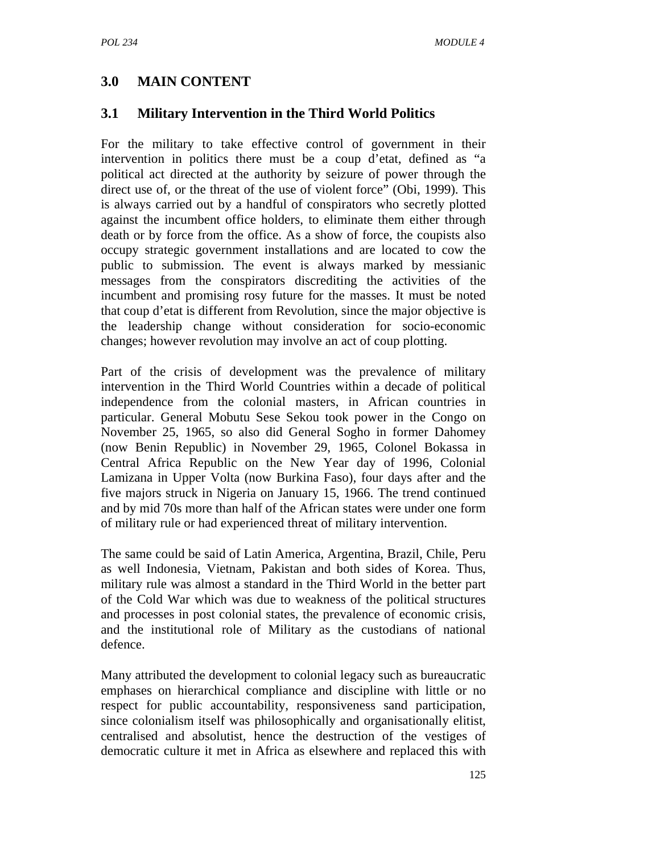# **3.0 MAIN CONTENT**

### **3.1 Military Intervention in the Third World Politics**

For the military to take effective control of government in their intervention in politics there must be a coup d'etat, defined as "a political act directed at the authority by seizure of power through the direct use of, or the threat of the use of violent force" (Obi, 1999). This is always carried out by a handful of conspirators who secretly plotted against the incumbent office holders, to eliminate them either through death or by force from the office. As a show of force, the coupists also occupy strategic government installations and are located to cow the public to submission. The event is always marked by messianic messages from the conspirators discrediting the activities of the incumbent and promising rosy future for the masses. It must be noted that coup d'etat is different from Revolution, since the major objective is the leadership change without consideration for socio-economic changes; however revolution may involve an act of coup plotting.

Part of the crisis of development was the prevalence of military intervention in the Third World Countries within a decade of political independence from the colonial masters, in African countries in particular. General Mobutu Sese Sekou took power in the Congo on November 25, 1965, so also did General Sogho in former Dahomey (now Benin Republic) in November 29, 1965, Colonel Bokassa in Central Africa Republic on the New Year day of 1996, Colonial Lamizana in Upper Volta (now Burkina Faso), four days after and the five majors struck in Nigeria on January 15, 1966. The trend continued and by mid 70s more than half of the African states were under one form of military rule or had experienced threat of military intervention.

The same could be said of Latin America, Argentina, Brazil, Chile, Peru as well Indonesia, Vietnam, Pakistan and both sides of Korea. Thus, military rule was almost a standard in the Third World in the better part of the Cold War which was due to weakness of the political structures and processes in post colonial states, the prevalence of economic crisis, and the institutional role of Military as the custodians of national defence.

Many attributed the development to colonial legacy such as bureaucratic emphases on hierarchical compliance and discipline with little or no respect for public accountability, responsiveness sand participation, since colonialism itself was philosophically and organisationally elitist, centralised and absolutist, hence the destruction of the vestiges of democratic culture it met in Africa as elsewhere and replaced this with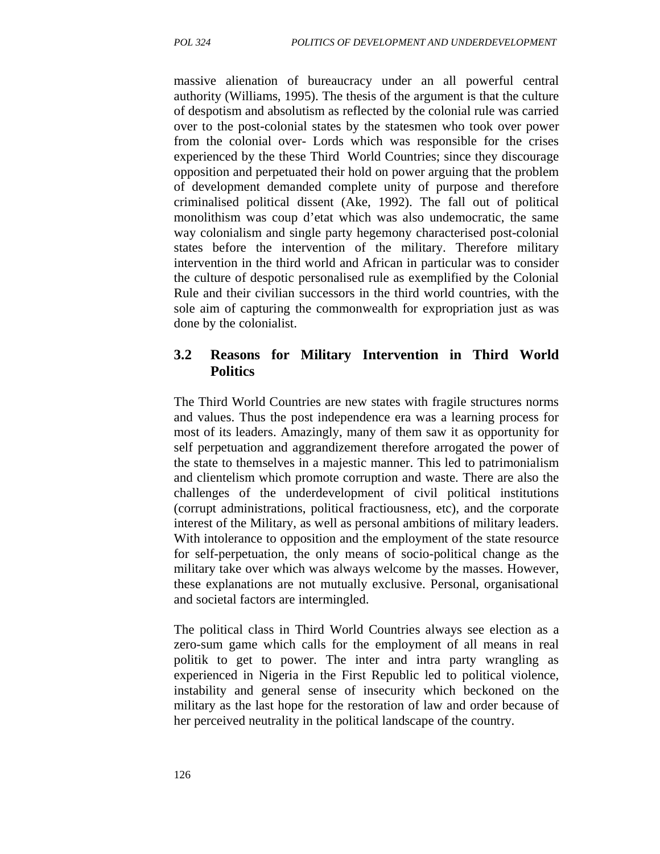massive alienation of bureaucracy under an all powerful central authority (Williams, 1995). The thesis of the argument is that the culture of despotism and absolutism as reflected by the colonial rule was carried over to the post-colonial states by the statesmen who took over power from the colonial over- Lords which was responsible for the crises experienced by the these Third World Countries; since they discourage opposition and perpetuated their hold on power arguing that the problem of development demanded complete unity of purpose and therefore criminalised political dissent (Ake, 1992). The fall out of political monolithism was coup d'etat which was also undemocratic, the same way colonialism and single party hegemony characterised post-colonial states before the intervention of the military. Therefore military intervention in the third world and African in particular was to consider the culture of despotic personalised rule as exemplified by the Colonial Rule and their civilian successors in the third world countries, with the sole aim of capturing the commonwealth for expropriation just as was done by the colonialist.

### **3.2 Reasons for Military Intervention in Third World Politics**

The Third World Countries are new states with fragile structures norms and values. Thus the post independence era was a learning process for most of its leaders. Amazingly, many of them saw it as opportunity for self perpetuation and aggrandizement therefore arrogated the power of the state to themselves in a majestic manner. This led to patrimonialism and clientelism which promote corruption and waste. There are also the challenges of the underdevelopment of civil political institutions (corrupt administrations, political fractiousness, etc), and the corporate interest of the Military, as well as personal ambitions of military leaders. With intolerance to opposition and the employment of the state resource for self-perpetuation, the only means of socio-political change as the military take over which was always welcome by the masses. However, these explanations are not mutually exclusive. Personal, organisational and societal factors are intermingled.

The political class in Third World Countries always see election as a zero-sum game which calls for the employment of all means in real politik to get to power. The inter and intra party wrangling as experienced in Nigeria in the First Republic led to political violence, instability and general sense of insecurity which beckoned on the military as the last hope for the restoration of law and order because of her perceived neutrality in the political landscape of the country.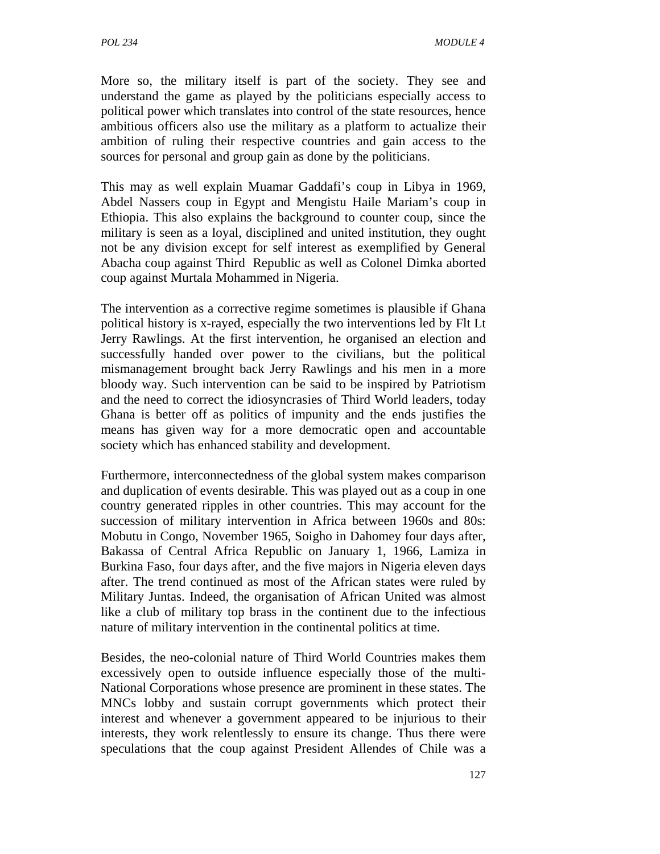More so, the military itself is part of the society. They see and understand the game as played by the politicians especially access to political power which translates into control of the state resources, hence ambitious officers also use the military as a platform to actualize their ambition of ruling their respective countries and gain access to the sources for personal and group gain as done by the politicians.

This may as well explain Muamar Gaddafi's coup in Libya in 1969, Abdel Nassers coup in Egypt and Mengistu Haile Mariam's coup in Ethiopia. This also explains the background to counter coup, since the military is seen as a loyal, disciplined and united institution, they ought not be any division except for self interest as exemplified by General Abacha coup against Third Republic as well as Colonel Dimka aborted coup against Murtala Mohammed in Nigeria.

The intervention as a corrective regime sometimes is plausible if Ghana political history is x-rayed, especially the two interventions led by Flt Lt Jerry Rawlings. At the first intervention, he organised an election and successfully handed over power to the civilians, but the political mismanagement brought back Jerry Rawlings and his men in a more bloody way. Such intervention can be said to be inspired by Patriotism and the need to correct the idiosyncrasies of Third World leaders, today Ghana is better off as politics of impunity and the ends justifies the means has given way for a more democratic open and accountable society which has enhanced stability and development.

Furthermore, interconnectedness of the global system makes comparison and duplication of events desirable. This was played out as a coup in one country generated ripples in other countries. This may account for the succession of military intervention in Africa between 1960s and 80s: Mobutu in Congo, November 1965, Soigho in Dahomey four days after, Bakassa of Central Africa Republic on January 1, 1966, Lamiza in Burkina Faso, four days after, and the five majors in Nigeria eleven days after. The trend continued as most of the African states were ruled by Military Juntas. Indeed, the organisation of African United was almost like a club of military top brass in the continent due to the infectious nature of military intervention in the continental politics at time.

Besides, the neo-colonial nature of Third World Countries makes them excessively open to outside influence especially those of the multi-National Corporations whose presence are prominent in these states. The MNCs lobby and sustain corrupt governments which protect their interest and whenever a government appeared to be injurious to their interests, they work relentlessly to ensure its change. Thus there were speculations that the coup against President Allendes of Chile was a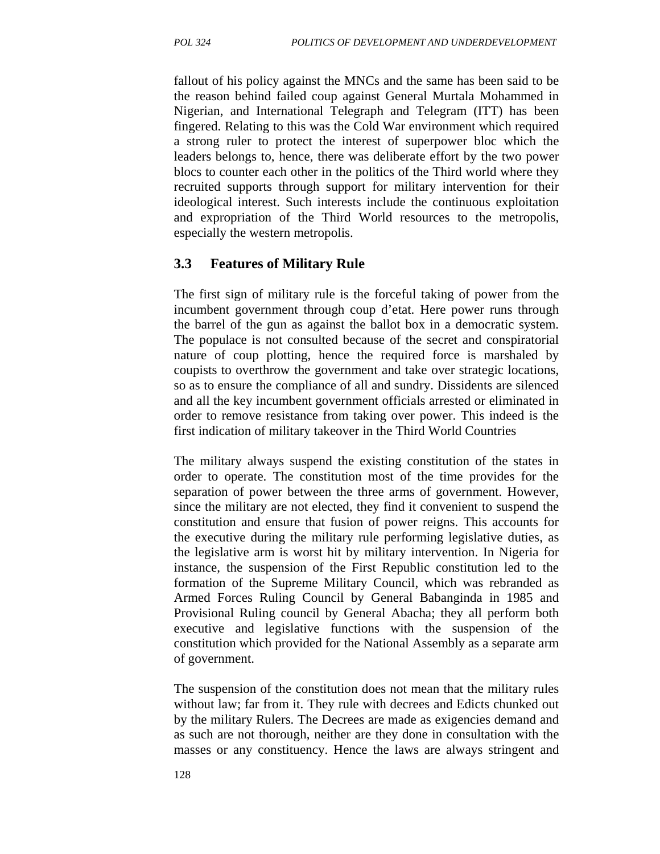fallout of his policy against the MNCs and the same has been said to be the reason behind failed coup against General Murtala Mohammed in Nigerian, and International Telegraph and Telegram (ITT) has been fingered. Relating to this was the Cold War environment which required a strong ruler to protect the interest of superpower bloc which the leaders belongs to, hence, there was deliberate effort by the two power blocs to counter each other in the politics of the Third world where they recruited supports through support for military intervention for their ideological interest. Such interests include the continuous exploitation and expropriation of the Third World resources to the metropolis, especially the western metropolis.

### **3.3 Features of Military Rule**

The first sign of military rule is the forceful taking of power from the incumbent government through coup d'etat. Here power runs through the barrel of the gun as against the ballot box in a democratic system. The populace is not consulted because of the secret and conspiratorial nature of coup plotting, hence the required force is marshaled by coupists to overthrow the government and take over strategic locations, so as to ensure the compliance of all and sundry. Dissidents are silenced and all the key incumbent government officials arrested or eliminated in order to remove resistance from taking over power. This indeed is the first indication of military takeover in the Third World Countries

The military always suspend the existing constitution of the states in order to operate. The constitution most of the time provides for the separation of power between the three arms of government. However, since the military are not elected, they find it convenient to suspend the constitution and ensure that fusion of power reigns. This accounts for the executive during the military rule performing legislative duties, as the legislative arm is worst hit by military intervention. In Nigeria for instance, the suspension of the First Republic constitution led to the formation of the Supreme Military Council, which was rebranded as Armed Forces Ruling Council by General Babanginda in 1985 and Provisional Ruling council by General Abacha; they all perform both executive and legislative functions with the suspension of the constitution which provided for the National Assembly as a separate arm of government.

The suspension of the constitution does not mean that the military rules without law; far from it. They rule with decrees and Edicts chunked out by the military Rulers. The Decrees are made as exigencies demand and as such are not thorough, neither are they done in consultation with the masses or any constituency. Hence the laws are always stringent and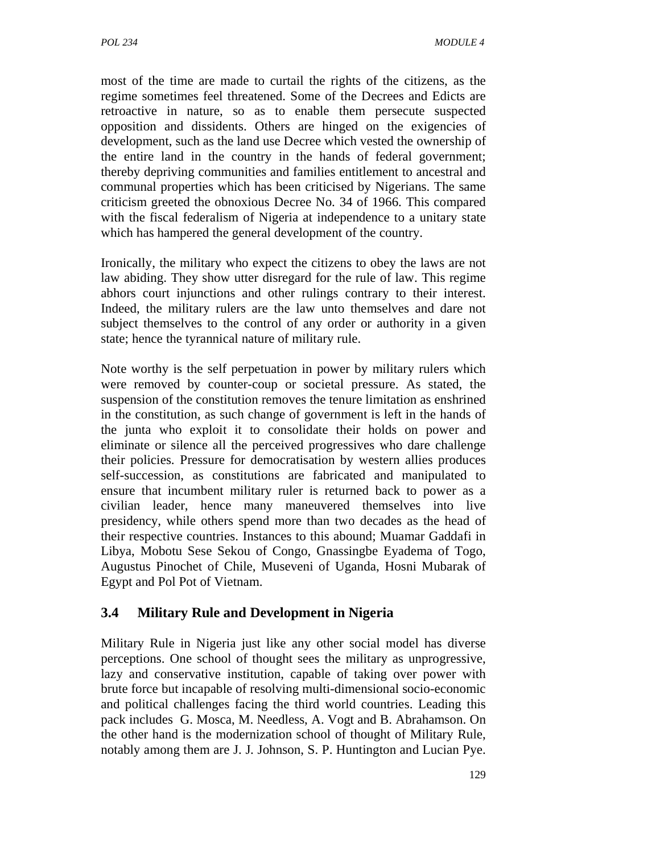most of the time are made to curtail the rights of the citizens, as the regime sometimes feel threatened. Some of the Decrees and Edicts are retroactive in nature, so as to enable them persecute suspected opposition and dissidents. Others are hinged on the exigencies of development, such as the land use Decree which vested the ownership of the entire land in the country in the hands of federal government; thereby depriving communities and families entitlement to ancestral and communal properties which has been criticised by Nigerians. The same criticism greeted the obnoxious Decree No. 34 of 1966. This compared with the fiscal federalism of Nigeria at independence to a unitary state which has hampered the general development of the country.

Ironically, the military who expect the citizens to obey the laws are not law abiding. They show utter disregard for the rule of law. This regime abhors court injunctions and other rulings contrary to their interest. Indeed, the military rulers are the law unto themselves and dare not subject themselves to the control of any order or authority in a given state; hence the tyrannical nature of military rule.

Note worthy is the self perpetuation in power by military rulers which were removed by counter-coup or societal pressure. As stated, the suspension of the constitution removes the tenure limitation as enshrined in the constitution, as such change of government is left in the hands of the junta who exploit it to consolidate their holds on power and eliminate or silence all the perceived progressives who dare challenge their policies. Pressure for democratisation by western allies produces self-succession, as constitutions are fabricated and manipulated to ensure that incumbent military ruler is returned back to power as a civilian leader, hence many maneuvered themselves into live presidency, while others spend more than two decades as the head of their respective countries. Instances to this abound; Muamar Gaddafi in Libya, Mobotu Sese Sekou of Congo, Gnassingbe Eyadema of Togo, Augustus Pinochet of Chile, Museveni of Uganda, Hosni Mubarak of Egypt and Pol Pot of Vietnam.

## **3.4 Military Rule and Development in Nigeria**

Military Rule in Nigeria just like any other social model has diverse perceptions. One school of thought sees the military as unprogressive, lazy and conservative institution, capable of taking over power with brute force but incapable of resolving multi-dimensional socio-economic and political challenges facing the third world countries. Leading this pack includes G. Mosca, M. Needless, A. Vogt and B. Abrahamson. On the other hand is the modernization school of thought of Military Rule, notably among them are J. J. Johnson, S. P. Huntington and Lucian Pye.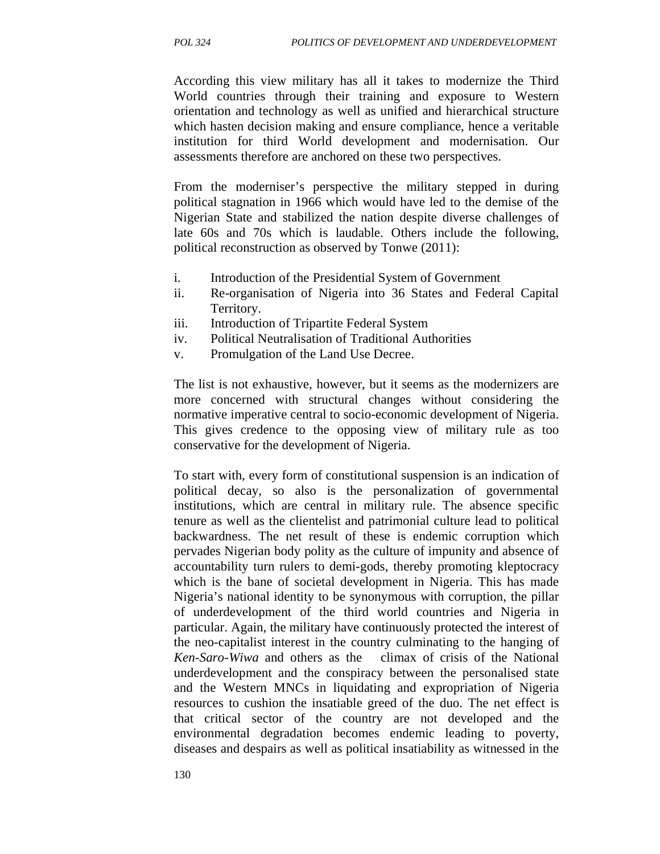According this view military has all it takes to modernize the Third World countries through their training and exposure to Western orientation and technology as well as unified and hierarchical structure which hasten decision making and ensure compliance, hence a veritable institution for third World development and modernisation. Our assessments therefore are anchored on these two perspectives.

From the moderniser's perspective the military stepped in during political stagnation in 1966 which would have led to the demise of the Nigerian State and stabilized the nation despite diverse challenges of late 60s and 70s which is laudable. Others include the following, political reconstruction as observed by Tonwe (2011):

- i. Introduction of the Presidential System of Government
- ii. Re-organisation of Nigeria into 36 States and Federal Capital Territory.
- iii. Introduction of Tripartite Federal System
- iv. Political Neutralisation of Traditional Authorities
- v. Promulgation of the Land Use Decree.

The list is not exhaustive, however, but it seems as the modernizers are more concerned with structural changes without considering the normative imperative central to socio-economic development of Nigeria. This gives credence to the opposing view of military rule as too conservative for the development of Nigeria.

To start with, every form of constitutional suspension is an indication of political decay, so also is the personalization of governmental institutions, which are central in military rule. The absence specific tenure as well as the clientelist and patrimonial culture lead to political backwardness. The net result of these is endemic corruption which pervades Nigerian body polity as the culture of impunity and absence of accountability turn rulers to demi-gods, thereby promoting kleptocracy which is the bane of societal development in Nigeria. This has made Nigeria's national identity to be synonymous with corruption, the pillar of underdevelopment of the third world countries and Nigeria in particular. Again, the military have continuously protected the interest of the neo-capitalist interest in the country culminating to the hanging of *Ken-Saro-Wiwa* and others as the climax of crisis of the National underdevelopment and the conspiracy between the personalised state and the Western MNCs in liquidating and expropriation of Nigeria resources to cushion the insatiable greed of the duo. The net effect is that critical sector of the country are not developed and the environmental degradation becomes endemic leading to poverty, diseases and despairs as well as political insatiability as witnessed in the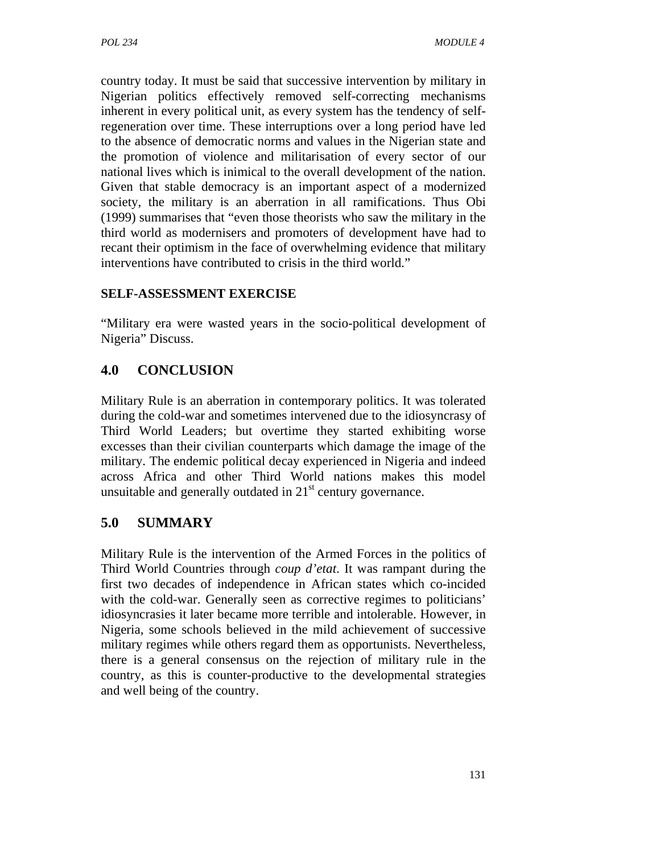country today. It must be said that successive intervention by military in Nigerian politics effectively removed self-correcting mechanisms inherent in every political unit, as every system has the tendency of selfregeneration over time. These interruptions over a long period have led to the absence of democratic norms and values in the Nigerian state and the promotion of violence and militarisation of every sector of our national lives which is inimical to the overall development of the nation. Given that stable democracy is an important aspect of a modernized society, the military is an aberration in all ramifications. Thus Obi (1999) summarises that "even those theorists who saw the military in the third world as modernisers and promoters of development have had to recant their optimism in the face of overwhelming evidence that military interventions have contributed to crisis in the third world."

### **SELF-ASSESSMENT EXERCISE**

"Military era were wasted years in the socio-political development of Nigeria" Discuss.

## **4.0 CONCLUSION**

Military Rule is an aberration in contemporary politics. It was tolerated during the cold-war and sometimes intervened due to the idiosyncrasy of Third World Leaders; but overtime they started exhibiting worse excesses than their civilian counterparts which damage the image of the military. The endemic political decay experienced in Nigeria and indeed across Africa and other Third World nations makes this model unsuitable and generally outdated in  $21<sup>st</sup>$  century governance.

## **5.0 SUMMARY**

Military Rule is the intervention of the Armed Forces in the politics of Third World Countries through *coup d'etat*. It was rampant during the first two decades of independence in African states which co-incided with the cold-war. Generally seen as corrective regimes to politicians' idiosyncrasies it later became more terrible and intolerable. However, in Nigeria, some schools believed in the mild achievement of successive military regimes while others regard them as opportunists. Nevertheless, there is a general consensus on the rejection of military rule in the country, as this is counter-productive to the developmental strategies and well being of the country.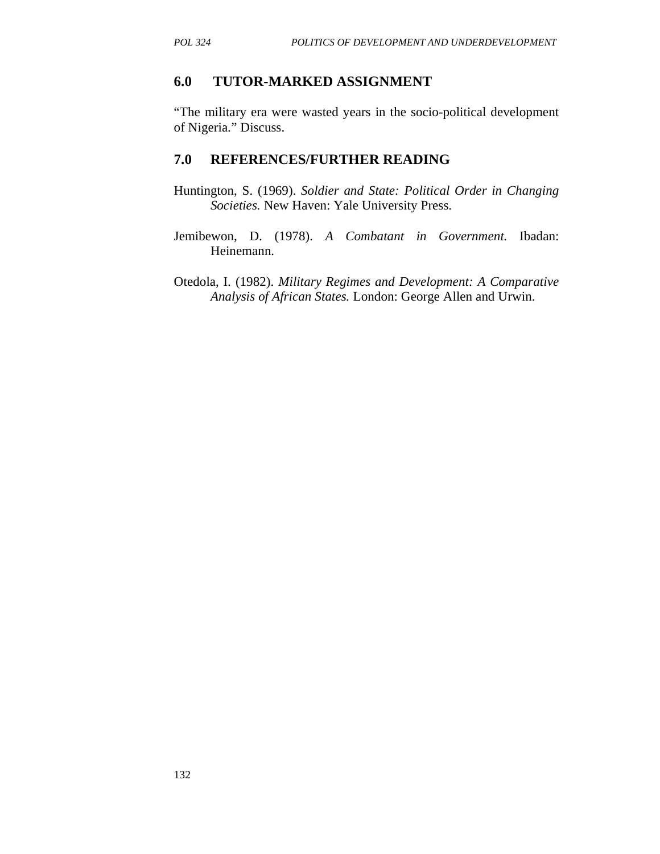#### **6.0 TUTOR-MARKED ASSIGNMENT**

"The military era were wasted years in the socio-political development of Nigeria." Discuss.

#### **7.0 REFERENCES/FURTHER READING**

- Huntington, S. (1969). *Soldier and State: Political Order in Changing Societies.* New Haven: Yale University Press.
- Jemibewon, D. (1978). *A Combatant in Government.* Ibadan: Heinemann.
- Otedola, I. (1982). *Military Regimes and Development: A Comparative Analysis of African States.* London: George Allen and Urwin.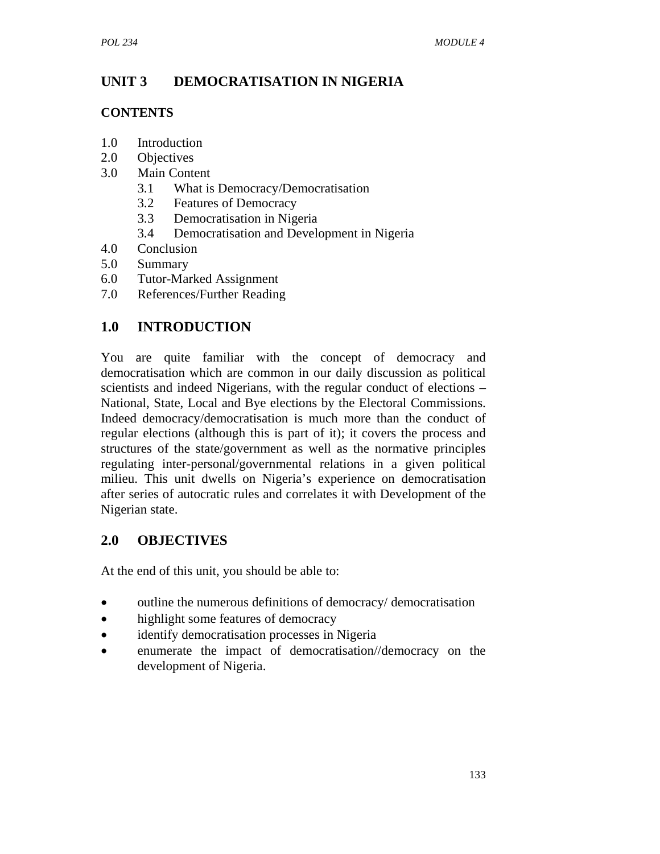# **UNIT 3 DEMOCRATISATION IN NIGERIA**

### **CONTENTS**

- 1.0 Introduction
- 2.0 Objectives
- 3.0 Main Content
	- 3.1 What is Democracy/Democratisation
	- 3.2 Features of Democracy
	- 3.3 Democratisation in Nigeria
	- 3.4 Democratisation and Development in Nigeria
- 4.0 Conclusion
- 5.0 Summary
- 6.0 Tutor-Marked Assignment
- 7.0 References/Further Reading

# **1.0 INTRODUCTION**

You are quite familiar with the concept of democracy and democratisation which are common in our daily discussion as political scientists and indeed Nigerians, with the regular conduct of elections – National, State, Local and Bye elections by the Electoral Commissions. Indeed democracy/democratisation is much more than the conduct of regular elections (although this is part of it); it covers the process and structures of the state/government as well as the normative principles regulating inter-personal/governmental relations in a given political milieu. This unit dwells on Nigeria's experience on democratisation after series of autocratic rules and correlates it with Development of the Nigerian state.

# **2.0 OBJECTIVES**

At the end of this unit, you should be able to:

- outline the numerous definitions of democracy/ democratisation
- highlight some features of democracy
- identify democratisation processes in Nigeria
- enumerate the impact of democratisation//democracy on the development of Nigeria.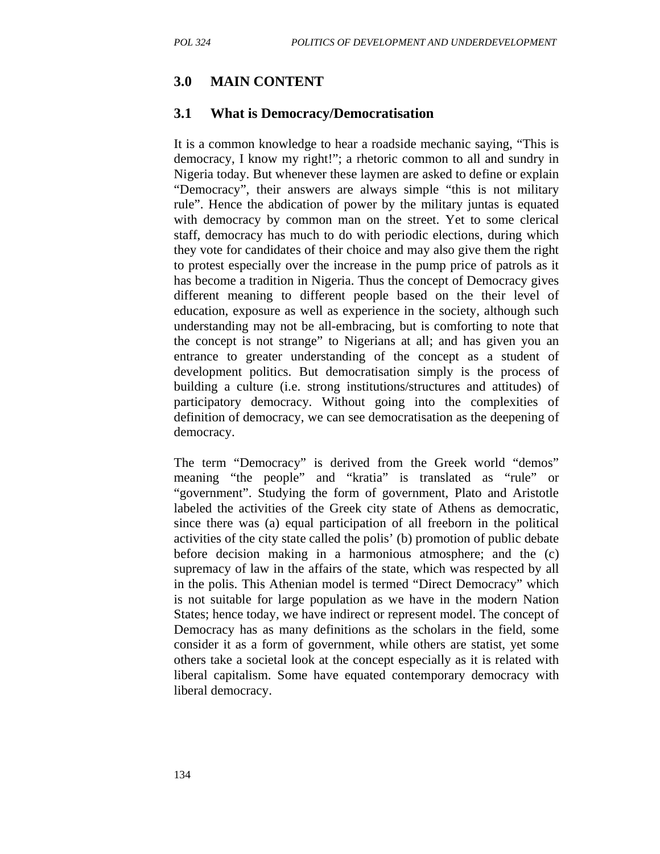# **3.0 MAIN CONTENT**

### **3.1 What is Democracy/Democratisation**

It is a common knowledge to hear a roadside mechanic saying, "This is democracy, I know my right!"; a rhetoric common to all and sundry in Nigeria today. But whenever these laymen are asked to define or explain "Democracy", their answers are always simple "this is not military rule". Hence the abdication of power by the military juntas is equated with democracy by common man on the street. Yet to some clerical staff, democracy has much to do with periodic elections, during which they vote for candidates of their choice and may also give them the right to protest especially over the increase in the pump price of patrols as it has become a tradition in Nigeria. Thus the concept of Democracy gives different meaning to different people based on the their level of education, exposure as well as experience in the society, although such understanding may not be all-embracing, but is comforting to note that the concept is not strange" to Nigerians at all; and has given you an entrance to greater understanding of the concept as a student of development politics. But democratisation simply is the process of building a culture (i.e. strong institutions/structures and attitudes) of participatory democracy. Without going into the complexities of definition of democracy, we can see democratisation as the deepening of democracy.

The term "Democracy" is derived from the Greek world "demos" meaning "the people" and "kratia" is translated as "rule" or "government". Studying the form of government, Plato and Aristotle labeled the activities of the Greek city state of Athens as democratic, since there was (a) equal participation of all freeborn in the political activities of the city state called the polis' (b) promotion of public debate before decision making in a harmonious atmosphere; and the (c) supremacy of law in the affairs of the state, which was respected by all in the polis. This Athenian model is termed "Direct Democracy" which is not suitable for large population as we have in the modern Nation States; hence today, we have indirect or represent model. The concept of Democracy has as many definitions as the scholars in the field, some consider it as a form of government, while others are statist, yet some others take a societal look at the concept especially as it is related with liberal capitalism. Some have equated contemporary democracy with liberal democracy.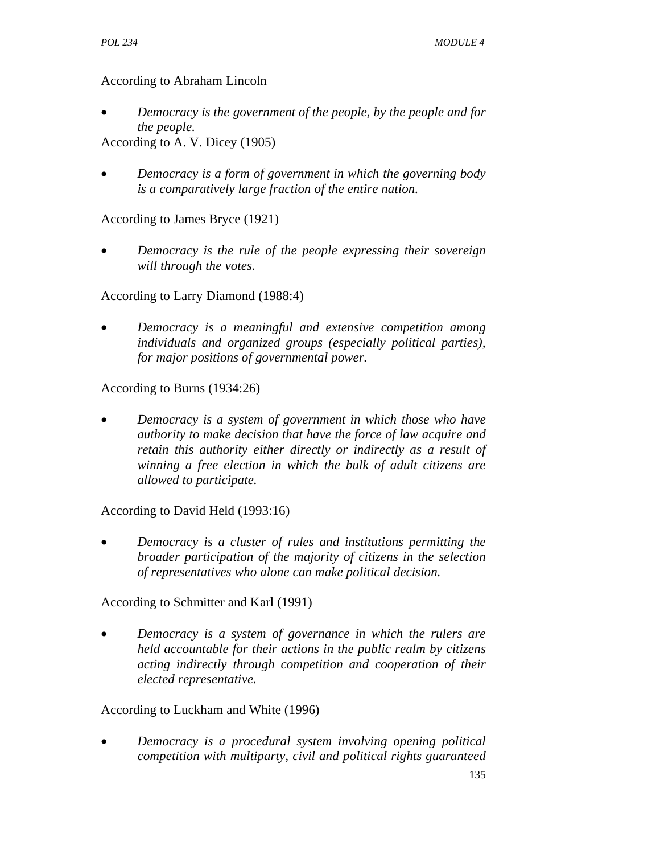#### According to Abraham Lincoln

• *Democracy is the government of the people, by the people and for the people.*

According to A. V. Dicey (1905)

• *Democracy is a form of government in which the governing body is a comparatively large fraction of the entire nation.* 

## According to James Bryce (1921)

• *Democracy is the rule of the people expressing their sovereign will through the votes.* 

According to Larry Diamond (1988:4)

• *Democracy is a meaningful and extensive competition among individuals and organized groups (especially political parties), for major positions of governmental power.* 

### According to Burns (1934:26)

• *Democracy is a system of government in which those who have authority to make decision that have the force of law acquire and retain this authority either directly or indirectly as a result of winning a free election in which the bulk of adult citizens are allowed to participate.* 

#### According to David Held (1993:16)

• *Democracy is a cluster of rules and institutions permitting the broader participation of the majority of citizens in the selection of representatives who alone can make political decision.* 

According to Schmitter and Karl (1991)

• *Democracy is a system of governance in which the rulers are held accountable for their actions in the public realm by citizens acting indirectly through competition and cooperation of their elected representative.* 

## According to Luckham and White (1996)

• *Democracy is a procedural system involving opening political competition with multiparty, civil and political rights guaranteed*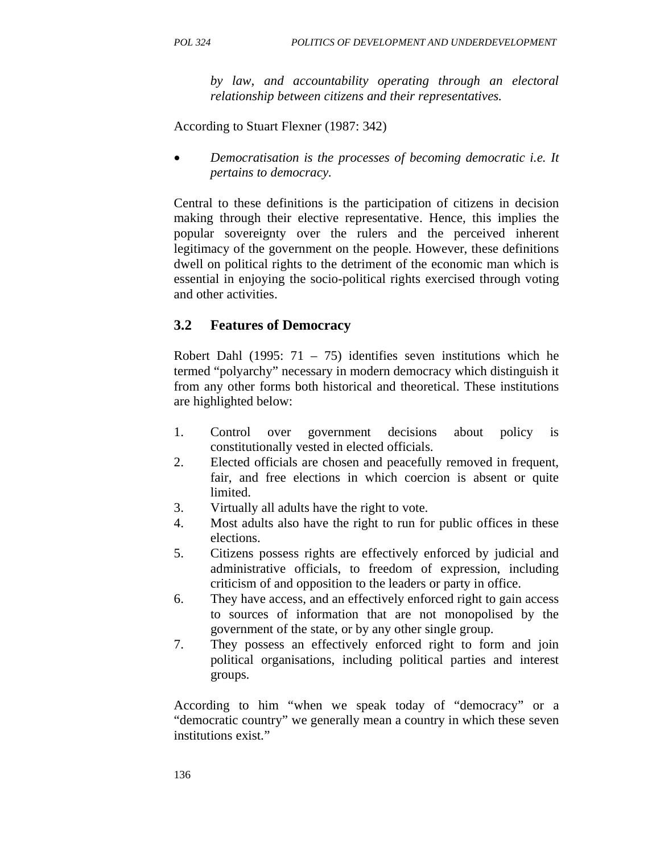*by law, and accountability operating through an electoral relationship between citizens and their representatives.* 

According to Stuart Flexner (1987: 342)

• *Democratisation is the processes of becoming democratic i.e. It pertains to democracy.* 

Central to these definitions is the participation of citizens in decision making through their elective representative. Hence, this implies the popular sovereignty over the rulers and the perceived inherent legitimacy of the government on the people. However, these definitions dwell on political rights to the detriment of the economic man which is essential in enjoying the socio-political rights exercised through voting and other activities.

## **3.2 Features of Democracy**

Robert Dahl (1995: 71 – 75) identifies seven institutions which he termed "polyarchy" necessary in modern democracy which distinguish it from any other forms both historical and theoretical. These institutions are highlighted below:

- 1. Control over government decisions about policy is constitutionally vested in elected officials.
- 2. Elected officials are chosen and peacefully removed in frequent, fair, and free elections in which coercion is absent or quite limited.
- 3. Virtually all adults have the right to vote.
- 4. Most adults also have the right to run for public offices in these elections.
- 5. Citizens possess rights are effectively enforced by judicial and administrative officials, to freedom of expression, including criticism of and opposition to the leaders or party in office.
- 6. They have access, and an effectively enforced right to gain access to sources of information that are not monopolised by the government of the state, or by any other single group.
- 7. They possess an effectively enforced right to form and join political organisations, including political parties and interest groups.

According to him "when we speak today of "democracy" or a "democratic country" we generally mean a country in which these seven institutions exist."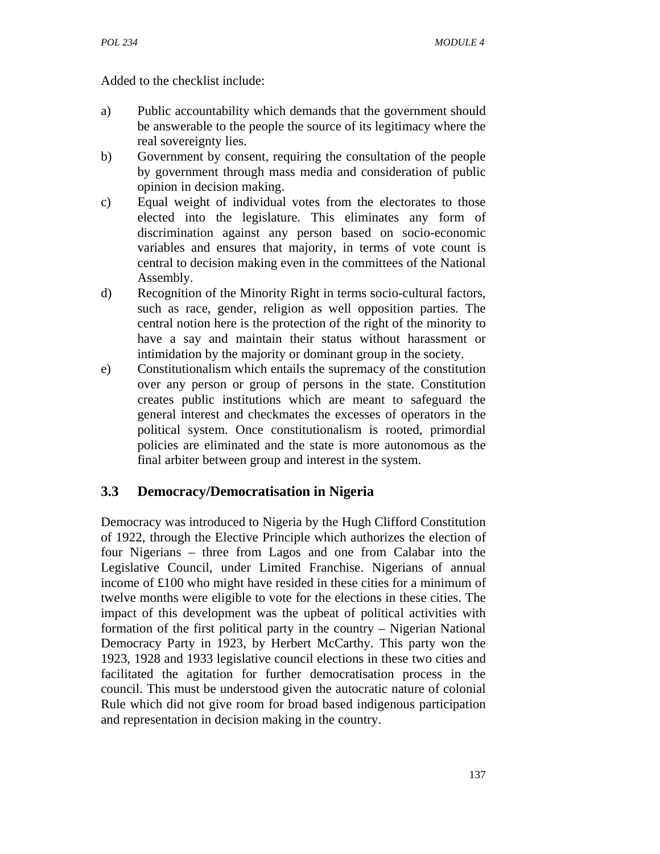Added to the checklist include:

- a) Public accountability which demands that the government should be answerable to the people the source of its legitimacy where the real sovereignty lies.
- b) Government by consent, requiring the consultation of the people by government through mass media and consideration of public opinion in decision making.
- c) Equal weight of individual votes from the electorates to those elected into the legislature. This eliminates any form of discrimination against any person based on socio-economic variables and ensures that majority, in terms of vote count is central to decision making even in the committees of the National Assembly.
- d) Recognition of the Minority Right in terms socio-cultural factors, such as race, gender, religion as well opposition parties. The central notion here is the protection of the right of the minority to have a say and maintain their status without harassment or intimidation by the majority or dominant group in the society.
- e) Constitutionalism which entails the supremacy of the constitution over any person or group of persons in the state. Constitution creates public institutions which are meant to safeguard the general interest and checkmates the excesses of operators in the political system. Once constitutionalism is rooted, primordial policies are eliminated and the state is more autonomous as the final arbiter between group and interest in the system.

## **3.3 Democracy/Democratisation in Nigeria**

Democracy was introduced to Nigeria by the Hugh Clifford Constitution of 1922, through the Elective Principle which authorizes the election of four Nigerians – three from Lagos and one from Calabar into the Legislative Council, under Limited Franchise. Nigerians of annual income of £100 who might have resided in these cities for a minimum of twelve months were eligible to vote for the elections in these cities. The impact of this development was the upbeat of political activities with formation of the first political party in the country – Nigerian National Democracy Party in 1923, by Herbert McCarthy. This party won the 1923, 1928 and 1933 legislative council elections in these two cities and facilitated the agitation for further democratisation process in the council. This must be understood given the autocratic nature of colonial Rule which did not give room for broad based indigenous participation and representation in decision making in the country.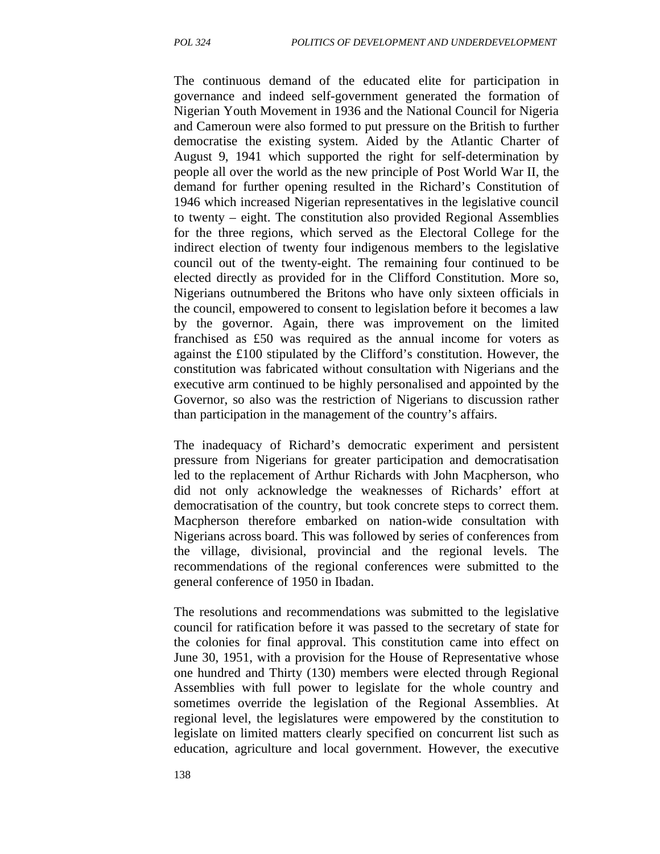The continuous demand of the educated elite for participation in governance and indeed self-government generated the formation of Nigerian Youth Movement in 1936 and the National Council for Nigeria and Cameroun were also formed to put pressure on the British to further democratise the existing system. Aided by the Atlantic Charter of August 9, 1941 which supported the right for self-determination by people all over the world as the new principle of Post World War II, the demand for further opening resulted in the Richard's Constitution of 1946 which increased Nigerian representatives in the legislative council to twenty – eight. The constitution also provided Regional Assemblies for the three regions, which served as the Electoral College for the indirect election of twenty four indigenous members to the legislative council out of the twenty-eight. The remaining four continued to be elected directly as provided for in the Clifford Constitution. More so, Nigerians outnumbered the Britons who have only sixteen officials in the council, empowered to consent to legislation before it becomes a law by the governor. Again, there was improvement on the limited franchised as £50 was required as the annual income for voters as against the £100 stipulated by the Clifford's constitution. However, the constitution was fabricated without consultation with Nigerians and the executive arm continued to be highly personalised and appointed by the Governor, so also was the restriction of Nigerians to discussion rather than participation in the management of the country's affairs.

The inadequacy of Richard's democratic experiment and persistent pressure from Nigerians for greater participation and democratisation led to the replacement of Arthur Richards with John Macpherson, who did not only acknowledge the weaknesses of Richards' effort at democratisation of the country, but took concrete steps to correct them. Macpherson therefore embarked on nation-wide consultation with Nigerians across board. This was followed by series of conferences from the village, divisional, provincial and the regional levels. The recommendations of the regional conferences were submitted to the general conference of 1950 in Ibadan.

The resolutions and recommendations was submitted to the legislative council for ratification before it was passed to the secretary of state for the colonies for final approval. This constitution came into effect on June 30, 1951, with a provision for the House of Representative whose one hundred and Thirty (130) members were elected through Regional Assemblies with full power to legislate for the whole country and sometimes override the legislation of the Regional Assemblies. At regional level, the legislatures were empowered by the constitution to legislate on limited matters clearly specified on concurrent list such as education, agriculture and local government. However, the executive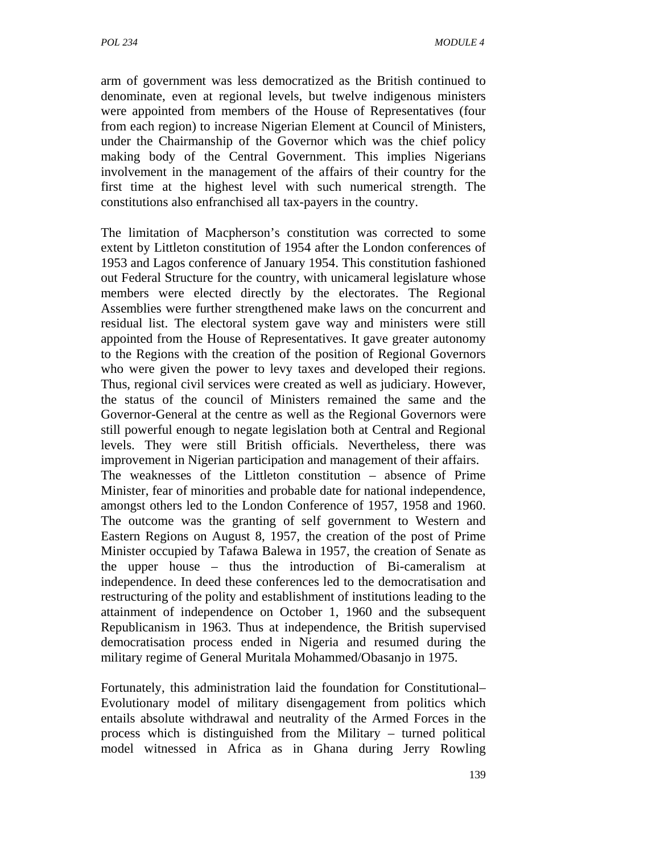arm of government was less democratized as the British continued to denominate, even at regional levels, but twelve indigenous ministers were appointed from members of the House of Representatives (four from each region) to increase Nigerian Element at Council of Ministers, under the Chairmanship of the Governor which was the chief policy making body of the Central Government. This implies Nigerians involvement in the management of the affairs of their country for the first time at the highest level with such numerical strength. The constitutions also enfranchised all tax-payers in the country.

The limitation of Macpherson's constitution was corrected to some extent by Littleton constitution of 1954 after the London conferences of 1953 and Lagos conference of January 1954. This constitution fashioned out Federal Structure for the country, with unicameral legislature whose members were elected directly by the electorates. The Regional Assemblies were further strengthened make laws on the concurrent and residual list. The electoral system gave way and ministers were still appointed from the House of Representatives. It gave greater autonomy to the Regions with the creation of the position of Regional Governors who were given the power to levy taxes and developed their regions. Thus, regional civil services were created as well as judiciary. However, the status of the council of Ministers remained the same and the Governor-General at the centre as well as the Regional Governors were still powerful enough to negate legislation both at Central and Regional levels. They were still British officials. Nevertheless, there was improvement in Nigerian participation and management of their affairs. The weaknesses of the Littleton constitution – absence of Prime Minister, fear of minorities and probable date for national independence, amongst others led to the London Conference of 1957, 1958 and 1960. The outcome was the granting of self government to Western and Eastern Regions on August 8, 1957, the creation of the post of Prime Minister occupied by Tafawa Balewa in 1957, the creation of Senate as the upper house – thus the introduction of Bi-cameralism at independence. In deed these conferences led to the democratisation and restructuring of the polity and establishment of institutions leading to the attainment of independence on October 1, 1960 and the subsequent Republicanism in 1963. Thus at independence, the British supervised democratisation process ended in Nigeria and resumed during the military regime of General Muritala Mohammed/Obasanjo in 1975.

Fortunately, this administration laid the foundation for Constitutional– Evolutionary model of military disengagement from politics which entails absolute withdrawal and neutrality of the Armed Forces in the process which is distinguished from the Military – turned political model witnessed in Africa as in Ghana during Jerry Rowling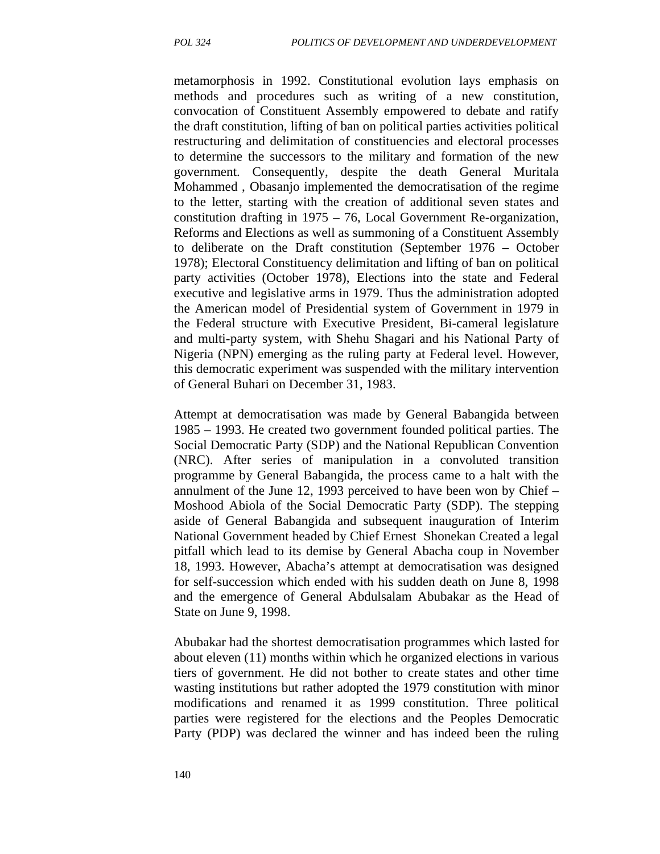metamorphosis in 1992. Constitutional evolution lays emphasis on methods and procedures such as writing of a new constitution, convocation of Constituent Assembly empowered to debate and ratify the draft constitution, lifting of ban on political parties activities political restructuring and delimitation of constituencies and electoral processes to determine the successors to the military and formation of the new government. Consequently, despite the death General Muritala Mohammed , Obasanjo implemented the democratisation of the regime to the letter, starting with the creation of additional seven states and constitution drafting in 1975 – 76, Local Government Re-organization, Reforms and Elections as well as summoning of a Constituent Assembly to deliberate on the Draft constitution (September 1976 – October 1978); Electoral Constituency delimitation and lifting of ban on political party activities (October 1978), Elections into the state and Federal executive and legislative arms in 1979. Thus the administration adopted the American model of Presidential system of Government in 1979 in the Federal structure with Executive President, Bi-cameral legislature and multi-party system, with Shehu Shagari and his National Party of Nigeria (NPN) emerging as the ruling party at Federal level. However, this democratic experiment was suspended with the military intervention of General Buhari on December 31, 1983.

Attempt at democratisation was made by General Babangida between 1985 – 1993. He created two government founded political parties. The Social Democratic Party (SDP) and the National Republican Convention (NRC). After series of manipulation in a convoluted transition programme by General Babangida, the process came to a halt with the annulment of the June 12, 1993 perceived to have been won by Chief – Moshood Abiola of the Social Democratic Party (SDP). The stepping aside of General Babangida and subsequent inauguration of Interim National Government headed by Chief Ernest Shonekan Created a legal pitfall which lead to its demise by General Abacha coup in November 18, 1993. However, Abacha's attempt at democratisation was designed for self-succession which ended with his sudden death on June 8, 1998 and the emergence of General Abdulsalam Abubakar as the Head of State on June 9, 1998.

Abubakar had the shortest democratisation programmes which lasted for about eleven (11) months within which he organized elections in various tiers of government. He did not bother to create states and other time wasting institutions but rather adopted the 1979 constitution with minor modifications and renamed it as 1999 constitution. Three political parties were registered for the elections and the Peoples Democratic Party (PDP) was declared the winner and has indeed been the ruling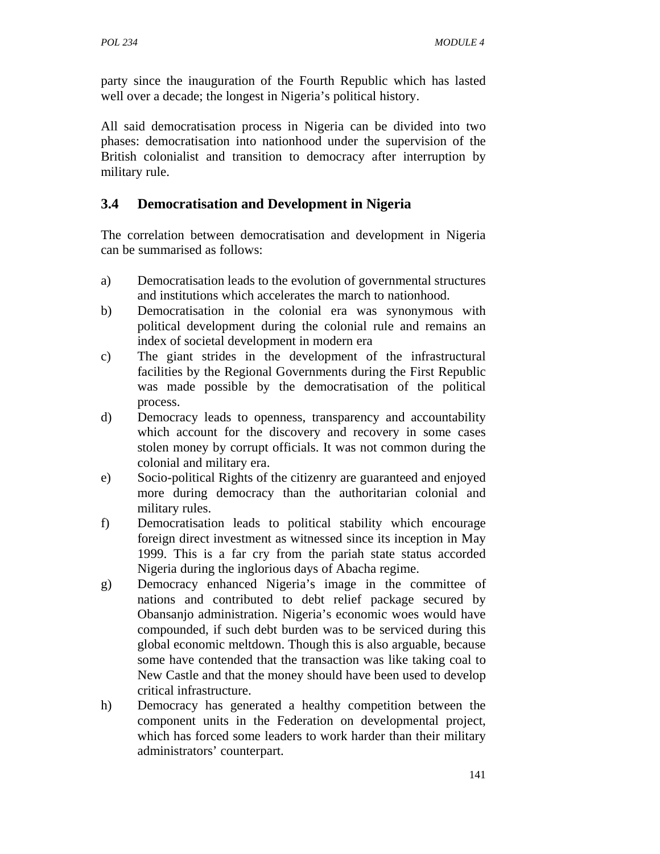party since the inauguration of the Fourth Republic which has lasted well over a decade; the longest in Nigeria's political history.

All said democratisation process in Nigeria can be divided into two phases: democratisation into nationhood under the supervision of the British colonialist and transition to democracy after interruption by military rule.

## **3.4 Democratisation and Development in Nigeria**

The correlation between democratisation and development in Nigeria can be summarised as follows:

- a) Democratisation leads to the evolution of governmental structures and institutions which accelerates the march to nationhood.
- b) Democratisation in the colonial era was synonymous with political development during the colonial rule and remains an index of societal development in modern era
- c) The giant strides in the development of the infrastructural facilities by the Regional Governments during the First Republic was made possible by the democratisation of the political process.
- d) Democracy leads to openness, transparency and accountability which account for the discovery and recovery in some cases stolen money by corrupt officials. It was not common during the colonial and military era.
- e) Socio-political Rights of the citizenry are guaranteed and enjoyed more during democracy than the authoritarian colonial and military rules.
- f) Democratisation leads to political stability which encourage foreign direct investment as witnessed since its inception in May 1999. This is a far cry from the pariah state status accorded Nigeria during the inglorious days of Abacha regime.
- g) Democracy enhanced Nigeria's image in the committee of nations and contributed to debt relief package secured by Obansanjo administration. Nigeria's economic woes would have compounded, if such debt burden was to be serviced during this global economic meltdown. Though this is also arguable, because some have contended that the transaction was like taking coal to New Castle and that the money should have been used to develop critical infrastructure.
- h) Democracy has generated a healthy competition between the component units in the Federation on developmental project, which has forced some leaders to work harder than their military administrators' counterpart.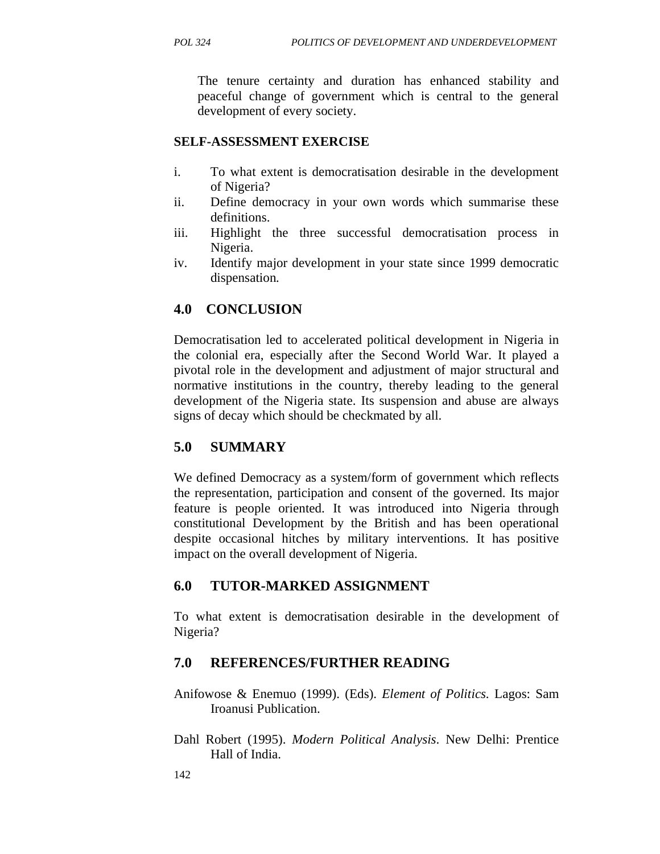The tenure certainty and duration has enhanced stability and peaceful change of government which is central to the general development of every society.

#### **SELF-ASSESSMENT EXERCISE**

- i. To what extent is democratisation desirable in the development of Nigeria?
- ii. Define democracy in your own words which summarise these definitions.
- iii. Highlight the three successful democratisation process in Nigeria.
- iv. Identify major development in your state since 1999 democratic dispensation*.*

### **4.0 CONCLUSION**

Democratisation led to accelerated political development in Nigeria in the colonial era, especially after the Second World War. It played a pivotal role in the development and adjustment of major structural and normative institutions in the country, thereby leading to the general development of the Nigeria state. Its suspension and abuse are always signs of decay which should be checkmated by all.

#### **5.0 SUMMARY**

We defined Democracy as a system/form of government which reflects the representation, participation and consent of the governed. Its major feature is people oriented. It was introduced into Nigeria through constitutional Development by the British and has been operational despite occasional hitches by military interventions. It has positive impact on the overall development of Nigeria.

#### **6.0 TUTOR-MARKED ASSIGNMENT**

To what extent is democratisation desirable in the development of Nigeria?

#### **7.0 REFERENCES/FURTHER READING**

- Anifowose & Enemuo (1999). (Eds). *Element of Politics.* Lagos: Sam Iroanusi Publication.
- Dahl Robert (1995). *Modern Political Analysis*. New Delhi: Prentice Hall of India.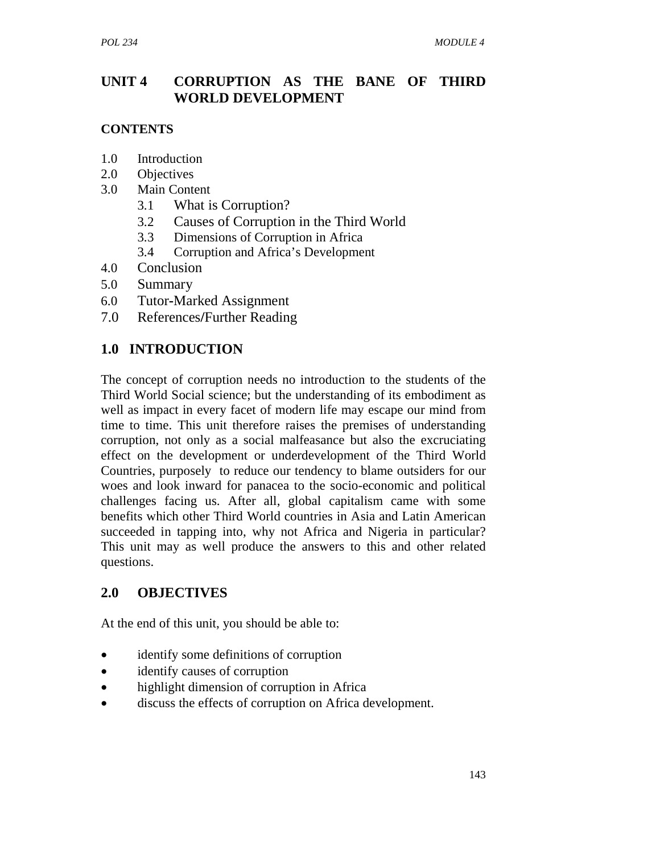## **UNIT 4 CORRUPTION AS THE BANE OF THIRD WORLD DEVELOPMENT**

### **CONTENTS**

- 1.0 Introduction
- 2.0 Objectives
- 3.0 Main Content
	- 3.1What is Corruption?
	- 3.2 Causes of Corruption in the Third World
	- 3.3 Dimensions of Corruption in Africa
	- 3.4 Corruption and Africa's Development
- 4.0 Conclusion
- 5.0 Summary
- 6.0 Tutor**-**Marked Assignment
- 7.0References**/**Further Reading

## **1.0 INTRODUCTION**

The concept of corruption needs no introduction to the students of the Third World Social science; but the understanding of its embodiment as well as impact in every facet of modern life may escape our mind from time to time. This unit therefore raises the premises of understanding corruption, not only as a social malfeasance but also the excruciating effect on the development or underdevelopment of the Third World Countries, purposely to reduce our tendency to blame outsiders for our woes and look inward for panacea to the socio-economic and political challenges facing us. After all, global capitalism came with some benefits which other Third World countries in Asia and Latin American succeeded in tapping into, why not Africa and Nigeria in particular? This unit may as well produce the answers to this and other related questions.

## **2.0 OBJECTIVES**

At the end of this unit, you should be able to:

- identify some definitions of corruption
- identify causes of corruption
- highlight dimension of corruption in Africa
- discuss the effects of corruption on Africa development.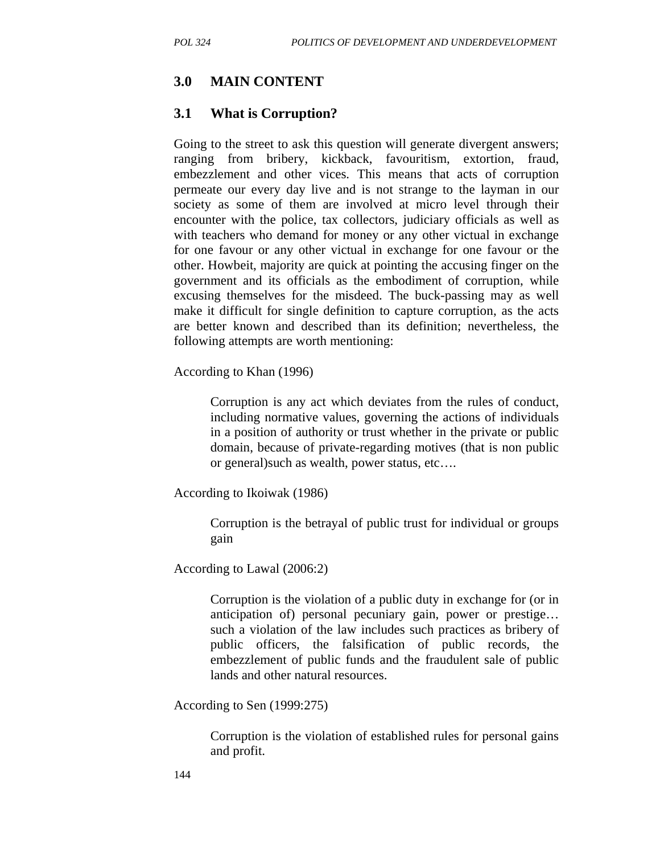## **3.0 MAIN CONTENT**

### **3.1 What is Corruption?**

Going to the street to ask this question will generate divergent answers; ranging from bribery, kickback, favouritism, extortion, fraud, embezzlement and other vices. This means that acts of corruption permeate our every day live and is not strange to the layman in our society as some of them are involved at micro level through their encounter with the police, tax collectors, judiciary officials as well as with teachers who demand for money or any other victual in exchange for one favour or any other victual in exchange for one favour or the other. Howbeit, majority are quick at pointing the accusing finger on the government and its officials as the embodiment of corruption, while excusing themselves for the misdeed. The buck-passing may as well make it difficult for single definition to capture corruption, as the acts are better known and described than its definition; nevertheless, the following attempts are worth mentioning:

According to Khan (1996)

Corruption is any act which deviates from the rules of conduct, including normative values, governing the actions of individuals in a position of authority or trust whether in the private or public domain, because of private-regarding motives (that is non public or general)such as wealth, power status, etc….

According to Ikoiwak (1986)

Corruption is the betrayal of public trust for individual or groups gain

According to Lawal (2006:2)

Corruption is the violation of a public duty in exchange for (or in anticipation of) personal pecuniary gain, power or prestige… such a violation of the law includes such practices as bribery of public officers, the falsification of public records, the embezzlement of public funds and the fraudulent sale of public lands and other natural resources.

According to Sen (1999:275)

Corruption is the violation of established rules for personal gains and profit.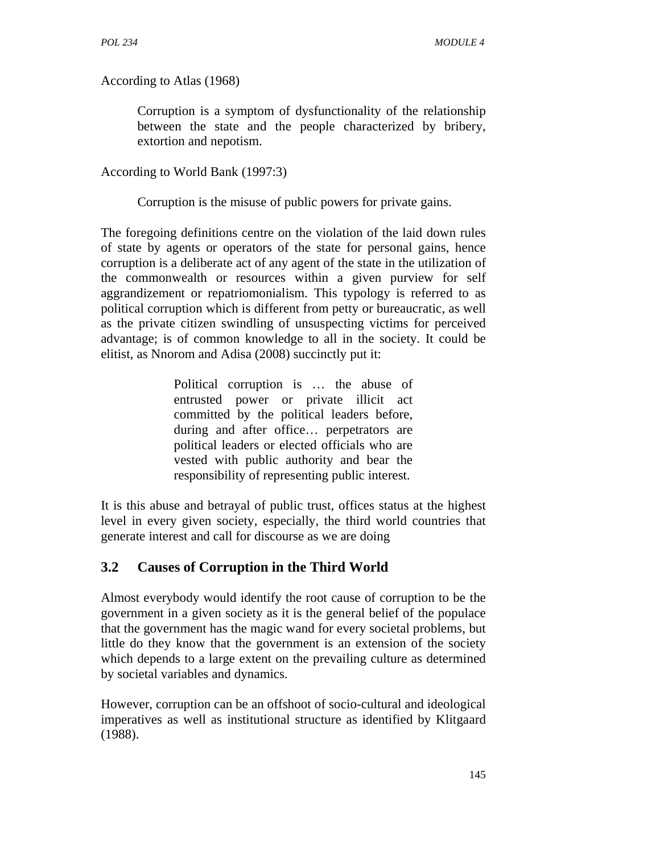According to Atlas (1968)

Corruption is a symptom of dysfunctionality of the relationship between the state and the people characterized by bribery, extortion and nepotism.

According to World Bank (1997:3)

Corruption is the misuse of public powers for private gains.

The foregoing definitions centre on the violation of the laid down rules of state by agents or operators of the state for personal gains, hence corruption is a deliberate act of any agent of the state in the utilization of the commonwealth or resources within a given purview for self aggrandizement or repatriomonialism. This typology is referred to as political corruption which is different from petty or bureaucratic, as well as the private citizen swindling of unsuspecting victims for perceived advantage; is of common knowledge to all in the society. It could be elitist, as Nnorom and Adisa (2008) succinctly put it:

> Political corruption is … the abuse of entrusted power or private illicit act committed by the political leaders before, during and after office… perpetrators are political leaders or elected officials who are vested with public authority and bear the responsibility of representing public interest.

It is this abuse and betrayal of public trust, offices status at the highest level in every given society, especially, the third world countries that generate interest and call for discourse as we are doing

## **3.2 Causes of Corruption in the Third World**

Almost everybody would identify the root cause of corruption to be the government in a given society as it is the general belief of the populace that the government has the magic wand for every societal problems, but little do they know that the government is an extension of the society which depends to a large extent on the prevailing culture as determined by societal variables and dynamics.

However, corruption can be an offshoot of socio-cultural and ideological imperatives as well as institutional structure as identified by Klitgaard (1988).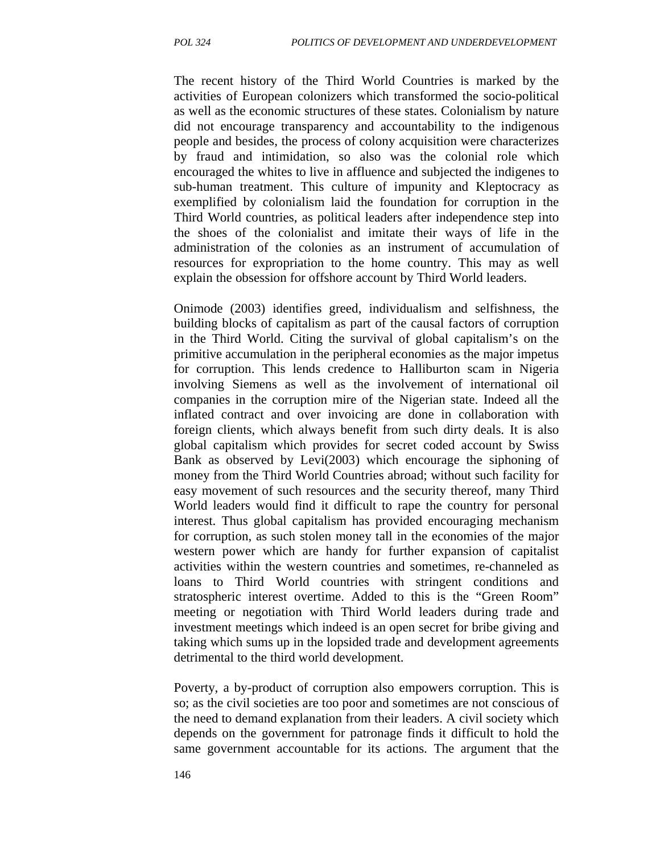The recent history of the Third World Countries is marked by the activities of European colonizers which transformed the socio-political as well as the economic structures of these states. Colonialism by nature did not encourage transparency and accountability to the indigenous people and besides, the process of colony acquisition were characterizes by fraud and intimidation, so also was the colonial role which encouraged the whites to live in affluence and subjected the indigenes to sub-human treatment. This culture of impunity and Kleptocracy as exemplified by colonialism laid the foundation for corruption in the Third World countries, as political leaders after independence step into the shoes of the colonialist and imitate their ways of life in the administration of the colonies as an instrument of accumulation of resources for expropriation to the home country. This may as well explain the obsession for offshore account by Third World leaders.

Onimode (2003) identifies greed, individualism and selfishness, the building blocks of capitalism as part of the causal factors of corruption in the Third World. Citing the survival of global capitalism's on the primitive accumulation in the peripheral economies as the major impetus for corruption. This lends credence to Halliburton scam in Nigeria involving Siemens as well as the involvement of international oil companies in the corruption mire of the Nigerian state. Indeed all the inflated contract and over invoicing are done in collaboration with foreign clients, which always benefit from such dirty deals. It is also global capitalism which provides for secret coded account by Swiss Bank as observed by Levi(2003) which encourage the siphoning of money from the Third World Countries abroad; without such facility for easy movement of such resources and the security thereof, many Third World leaders would find it difficult to rape the country for personal interest. Thus global capitalism has provided encouraging mechanism for corruption, as such stolen money tall in the economies of the major western power which are handy for further expansion of capitalist activities within the western countries and sometimes, re-channeled as loans to Third World countries with stringent conditions and stratospheric interest overtime. Added to this is the "Green Room" meeting or negotiation with Third World leaders during trade and investment meetings which indeed is an open secret for bribe giving and taking which sums up in the lopsided trade and development agreements detrimental to the third world development.

Poverty, a by-product of corruption also empowers corruption. This is so; as the civil societies are too poor and sometimes are not conscious of the need to demand explanation from their leaders. A civil society which depends on the government for patronage finds it difficult to hold the same government accountable for its actions. The argument that the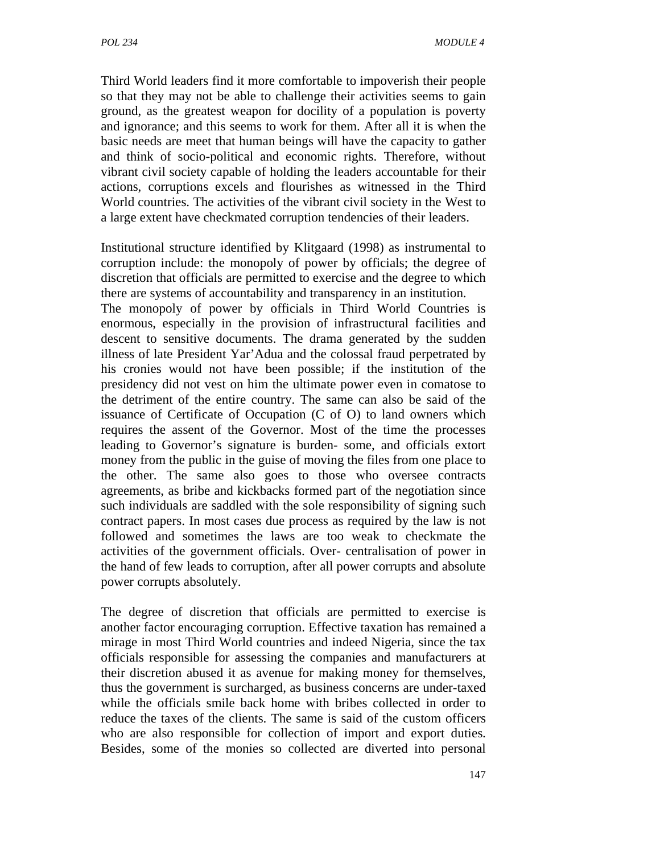Third World leaders find it more comfortable to impoverish their people so that they may not be able to challenge their activities seems to gain ground, as the greatest weapon for docility of a population is poverty and ignorance; and this seems to work for them. After all it is when the basic needs are meet that human beings will have the capacity to gather and think of socio-political and economic rights. Therefore, without vibrant civil society capable of holding the leaders accountable for their actions, corruptions excels and flourishes as witnessed in the Third World countries. The activities of the vibrant civil society in the West to a large extent have checkmated corruption tendencies of their leaders.

Institutional structure identified by Klitgaard (1998) as instrumental to corruption include: the monopoly of power by officials; the degree of discretion that officials are permitted to exercise and the degree to which there are systems of accountability and transparency in an institution.

The monopoly of power by officials in Third World Countries is enormous, especially in the provision of infrastructural facilities and descent to sensitive documents. The drama generated by the sudden illness of late President Yar'Adua and the colossal fraud perpetrated by his cronies would not have been possible; if the institution of the presidency did not vest on him the ultimate power even in comatose to the detriment of the entire country. The same can also be said of the issuance of Certificate of Occupation (C of O) to land owners which requires the assent of the Governor. Most of the time the processes leading to Governor's signature is burden- some, and officials extort money from the public in the guise of moving the files from one place to the other. The same also goes to those who oversee contracts agreements, as bribe and kickbacks formed part of the negotiation since such individuals are saddled with the sole responsibility of signing such contract papers. In most cases due process as required by the law is not followed and sometimes the laws are too weak to checkmate the activities of the government officials. Over- centralisation of power in the hand of few leads to corruption, after all power corrupts and absolute power corrupts absolutely.

The degree of discretion that officials are permitted to exercise is another factor encouraging corruption. Effective taxation has remained a mirage in most Third World countries and indeed Nigeria, since the tax officials responsible for assessing the companies and manufacturers at their discretion abused it as avenue for making money for themselves, thus the government is surcharged, as business concerns are under-taxed while the officials smile back home with bribes collected in order to reduce the taxes of the clients. The same is said of the custom officers who are also responsible for collection of import and export duties. Besides, some of the monies so collected are diverted into personal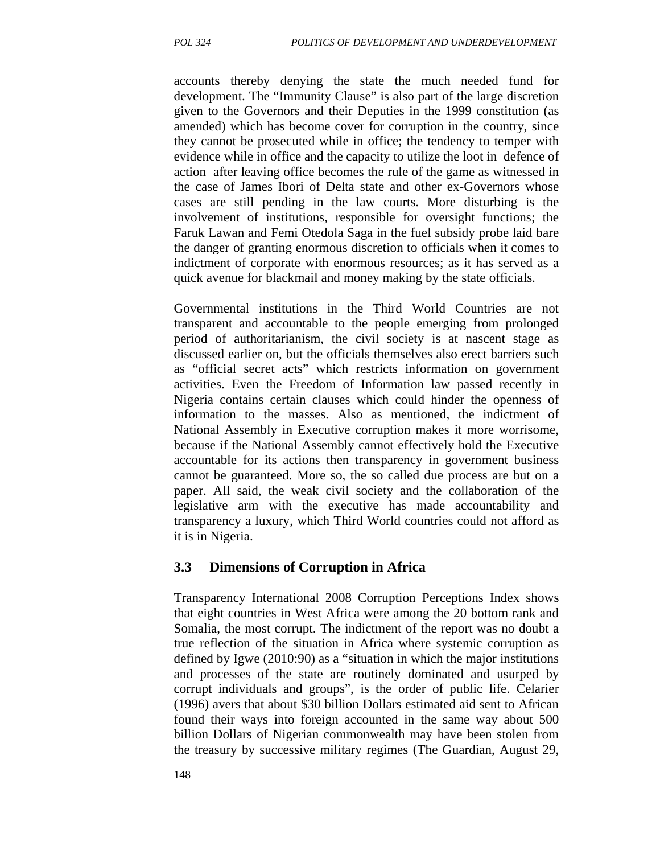accounts thereby denying the state the much needed fund for development. The "Immunity Clause" is also part of the large discretion given to the Governors and their Deputies in the 1999 constitution (as amended) which has become cover for corruption in the country, since they cannot be prosecuted while in office; the tendency to temper with evidence while in office and the capacity to utilize the loot in defence of action after leaving office becomes the rule of the game as witnessed in the case of James Ibori of Delta state and other ex-Governors whose cases are still pending in the law courts. More disturbing is the involvement of institutions, responsible for oversight functions; the Faruk Lawan and Femi Otedola Saga in the fuel subsidy probe laid bare the danger of granting enormous discretion to officials when it comes to indictment of corporate with enormous resources; as it has served as a quick avenue for blackmail and money making by the state officials.

Governmental institutions in the Third World Countries are not transparent and accountable to the people emerging from prolonged period of authoritarianism, the civil society is at nascent stage as discussed earlier on, but the officials themselves also erect barriers such as "official secret acts" which restricts information on government activities. Even the Freedom of Information law passed recently in Nigeria contains certain clauses which could hinder the openness of information to the masses. Also as mentioned, the indictment of National Assembly in Executive corruption makes it more worrisome, because if the National Assembly cannot effectively hold the Executive accountable for its actions then transparency in government business cannot be guaranteed. More so, the so called due process are but on a paper. All said, the weak civil society and the collaboration of the legislative arm with the executive has made accountability and transparency a luxury, which Third World countries could not afford as it is in Nigeria.

#### **3.3 Dimensions of Corruption in Africa**

Transparency International 2008 Corruption Perceptions Index shows that eight countries in West Africa were among the 20 bottom rank and Somalia, the most corrupt. The indictment of the report was no doubt a true reflection of the situation in Africa where systemic corruption as defined by Igwe (2010:90) as a "situation in which the major institutions and processes of the state are routinely dominated and usurped by corrupt individuals and groups", is the order of public life. Celarier (1996) avers that about \$30 billion Dollars estimated aid sent to African found their ways into foreign accounted in the same way about 500 billion Dollars of Nigerian commonwealth may have been stolen from the treasury by successive military regimes (The Guardian, August 29,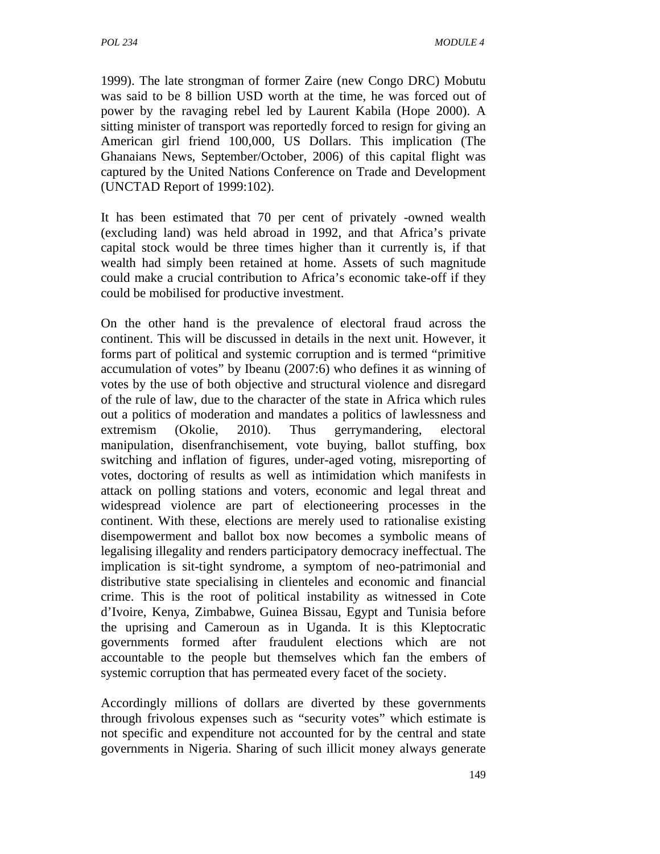1999). The late strongman of former Zaire (new Congo DRC) Mobutu was said to be 8 billion USD worth at the time, he was forced out of power by the ravaging rebel led by Laurent Kabila (Hope 2000). A sitting minister of transport was reportedly forced to resign for giving an American girl friend 100,000, US Dollars. This implication (The Ghanaians News, September/October, 2006) of this capital flight was captured by the United Nations Conference on Trade and Development (UNCTAD Report of 1999:102).

It has been estimated that 70 per cent of privately -owned wealth (excluding land) was held abroad in 1992, and that Africa's private capital stock would be three times higher than it currently is, if that wealth had simply been retained at home. Assets of such magnitude could make a crucial contribution to Africa's economic take-off if they could be mobilised for productive investment.

On the other hand is the prevalence of electoral fraud across the continent. This will be discussed in details in the next unit. However, it forms part of political and systemic corruption and is termed "primitive accumulation of votes" by Ibeanu (2007:6) who defines it as winning of votes by the use of both objective and structural violence and disregard of the rule of law, due to the character of the state in Africa which rules out a politics of moderation and mandates a politics of lawlessness and extremism (Okolie, 2010). Thus gerrymandering, electoral manipulation, disenfranchisement, vote buying, ballot stuffing, box switching and inflation of figures, under-aged voting, misreporting of votes, doctoring of results as well as intimidation which manifests in attack on polling stations and voters, economic and legal threat and widespread violence are part of electioneering processes in the continent. With these, elections are merely used to rationalise existing disempowerment and ballot box now becomes a symbolic means of legalising illegality and renders participatory democracy ineffectual. The implication is sit-tight syndrome, a symptom of neo-patrimonial and distributive state specialising in clienteles and economic and financial crime. This is the root of political instability as witnessed in Cote d'Ivoire, Kenya, Zimbabwe, Guinea Bissau, Egypt and Tunisia before the uprising and Cameroun as in Uganda. It is this Kleptocratic governments formed after fraudulent elections which are not accountable to the people but themselves which fan the embers of systemic corruption that has permeated every facet of the society.

Accordingly millions of dollars are diverted by these governments through frivolous expenses such as "security votes" which estimate is not specific and expenditure not accounted for by the central and state governments in Nigeria. Sharing of such illicit money always generate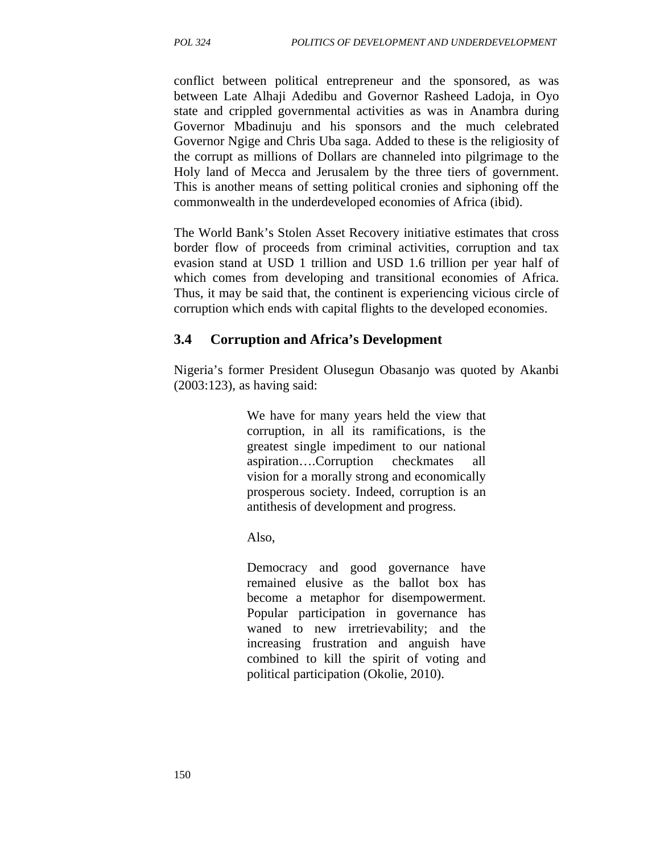conflict between political entrepreneur and the sponsored, as was between Late Alhaji Adedibu and Governor Rasheed Ladoja, in Oyo state and crippled governmental activities as was in Anambra during Governor Mbadinuju and his sponsors and the much celebrated Governor Ngige and Chris Uba saga. Added to these is the religiosity of the corrupt as millions of Dollars are channeled into pilgrimage to the Holy land of Mecca and Jerusalem by the three tiers of government. This is another means of setting political cronies and siphoning off the commonwealth in the underdeveloped economies of Africa (ibid).

The World Bank's Stolen Asset Recovery initiative estimates that cross border flow of proceeds from criminal activities, corruption and tax evasion stand at USD 1 trillion and USD 1.6 trillion per year half of which comes from developing and transitional economies of Africa. Thus, it may be said that, the continent is experiencing vicious circle of corruption which ends with capital flights to the developed economies.

#### **3.4 Corruption and Africa's Development**

Nigeria's former President Olusegun Obasanjo was quoted by Akanbi (2003:123), as having said:

> We have for many years held the view that corruption, in all its ramifications, is the greatest single impediment to our national aspiration….Corruption checkmates all vision for a morally strong and economically prosperous society. Indeed, corruption is an antithesis of development and progress.

Also,

Democracy and good governance have remained elusive as the ballot box has become a metaphor for disempowerment. Popular participation in governance has waned to new irretrievability; and the increasing frustration and anguish have combined to kill the spirit of voting and political participation (Okolie, 2010).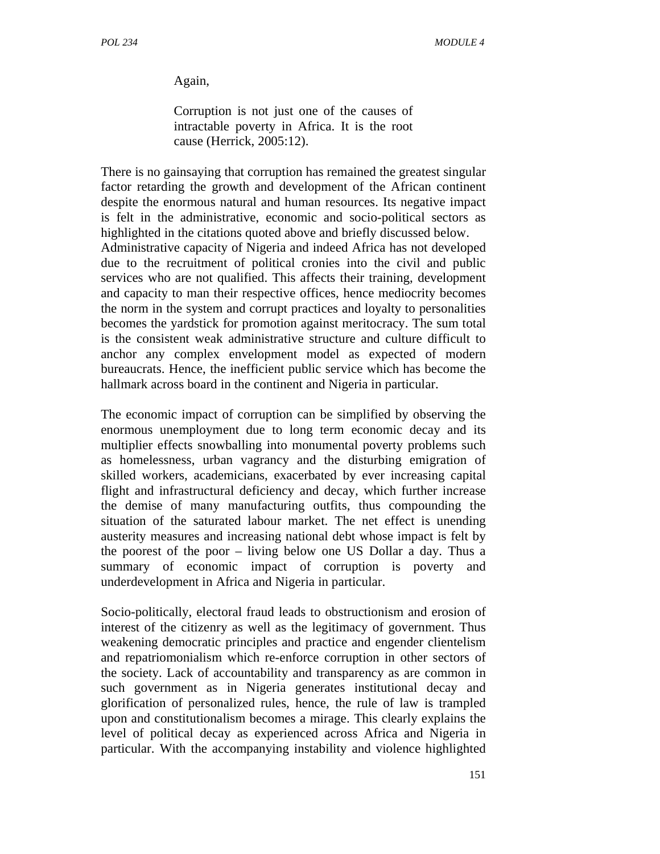Again,

Corruption is not just one of the causes of intractable poverty in Africa. It is the root cause (Herrick, 2005:12).

There is no gainsaying that corruption has remained the greatest singular factor retarding the growth and development of the African continent despite the enormous natural and human resources. Its negative impact is felt in the administrative, economic and socio-political sectors as highlighted in the citations quoted above and briefly discussed below. Administrative capacity of Nigeria and indeed Africa has not developed due to the recruitment of political cronies into the civil and public services who are not qualified. This affects their training, development and capacity to man their respective offices, hence mediocrity becomes the norm in the system and corrupt practices and loyalty to personalities becomes the yardstick for promotion against meritocracy. The sum total is the consistent weak administrative structure and culture difficult to anchor any complex envelopment model as expected of modern bureaucrats. Hence, the inefficient public service which has become the hallmark across board in the continent and Nigeria in particular.

The economic impact of corruption can be simplified by observing the enormous unemployment due to long term economic decay and its multiplier effects snowballing into monumental poverty problems such as homelessness, urban vagrancy and the disturbing emigration of skilled workers, academicians, exacerbated by ever increasing capital flight and infrastructural deficiency and decay, which further increase the demise of many manufacturing outfits, thus compounding the situation of the saturated labour market. The net effect is unending austerity measures and increasing national debt whose impact is felt by the poorest of the poor – living below one US Dollar a day. Thus a summary of economic impact of corruption is poverty and underdevelopment in Africa and Nigeria in particular.

Socio-politically, electoral fraud leads to obstructionism and erosion of interest of the citizenry as well as the legitimacy of government. Thus weakening democratic principles and practice and engender clientelism and repatriomonialism which re-enforce corruption in other sectors of the society. Lack of accountability and transparency as are common in such government as in Nigeria generates institutional decay and glorification of personalized rules, hence, the rule of law is trampled upon and constitutionalism becomes a mirage. This clearly explains the level of political decay as experienced across Africa and Nigeria in particular. With the accompanying instability and violence highlighted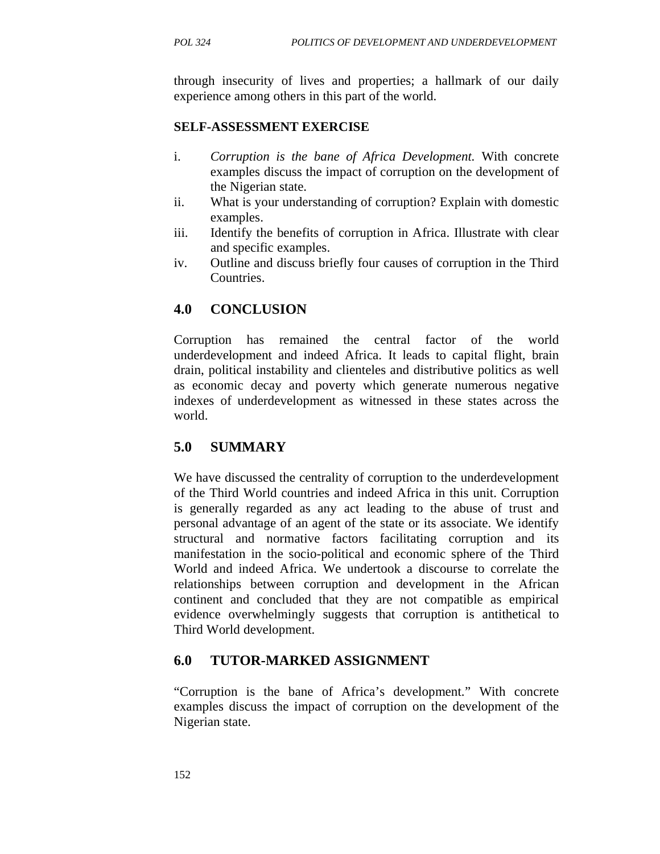through insecurity of lives and properties; a hallmark of our daily experience among others in this part of the world.

#### **SELF-ASSESSMENT EXERCISE**

- i. *Corruption is the bane of Africa Development.* With concrete examples discuss the impact of corruption on the development of the Nigerian state.
- ii. What is your understanding of corruption? Explain with domestic examples.
- iii. Identify the benefits of corruption in Africa. Illustrate with clear and specific examples.
- iv. Outline and discuss briefly four causes of corruption in the Third Countries.

## **4.0 CONCLUSION**

Corruption has remained the central factor of the world underdevelopment and indeed Africa. It leads to capital flight, brain drain, political instability and clienteles and distributive politics as well as economic decay and poverty which generate numerous negative indexes of underdevelopment as witnessed in these states across the world.

#### **5.0 SUMMARY**

We have discussed the centrality of corruption to the underdevelopment of the Third World countries and indeed Africa in this unit. Corruption is generally regarded as any act leading to the abuse of trust and personal advantage of an agent of the state or its associate. We identify structural and normative factors facilitating corruption and its manifestation in the socio-political and economic sphere of the Third World and indeed Africa. We undertook a discourse to correlate the relationships between corruption and development in the African continent and concluded that they are not compatible as empirical evidence overwhelmingly suggests that corruption is antithetical to Third World development.

#### **6.0 TUTOR-MARKED ASSIGNMENT**

"Corruption is the bane of Africa's development." With concrete examples discuss the impact of corruption on the development of the Nigerian state.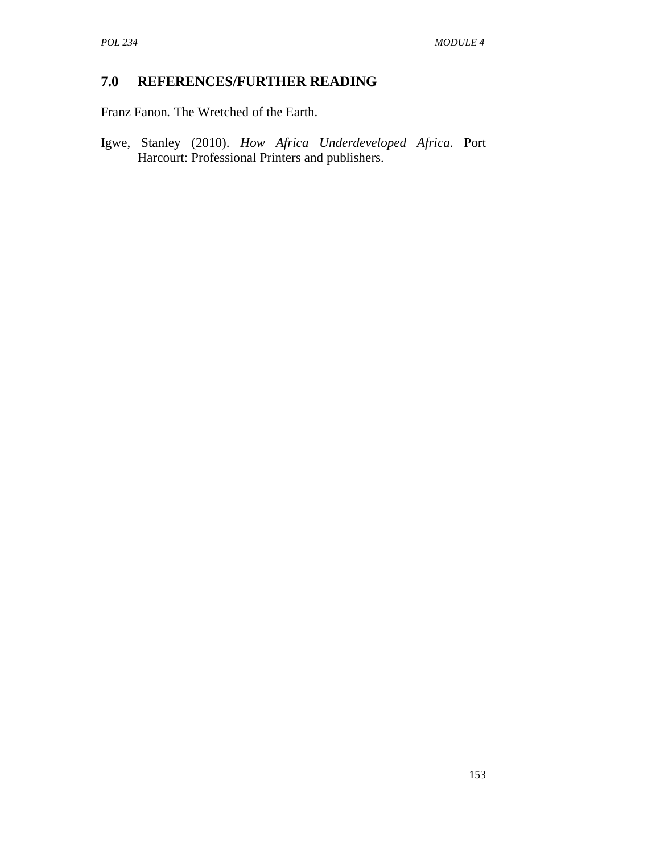## **7.0 REFERENCES/FURTHER READING**

Franz Fanon*.* The Wretched of the Earth.

Igwe, Stanley (2010). *How Africa Underdeveloped Africa*. Port Harcourt: Professional Printers and publishers.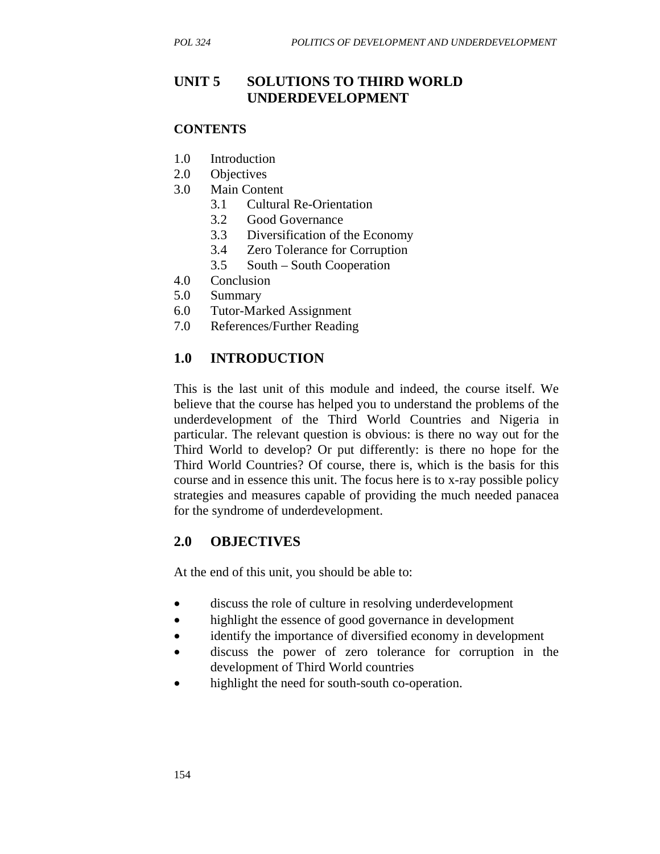### **UNIT 5 SOLUTIONS TO THIRD WORLD UNDERDEVELOPMENT**

#### **CONTENTS**

- 1.0 Introduction
- 2.0 Objectives
- 3.0 Main Content
	- 3.1 Cultural Re-Orientation
	- 3.2 Good Governance
	- 3.3 Diversification of the Economy
	- 3.4 Zero Tolerance for Corruption
	- 3.5 South South Cooperation
- 4.0 Conclusion
- 5.0 Summary
- 6.0 Tutor-Marked Assignment
- 7.0 References/Further Reading

#### **1.0 INTRODUCTION**

This is the last unit of this module and indeed, the course itself. We believe that the course has helped you to understand the problems of the underdevelopment of the Third World Countries and Nigeria in particular. The relevant question is obvious: is there no way out for the Third World to develop? Or put differently: is there no hope for the Third World Countries? Of course, there is, which is the basis for this course and in essence this unit. The focus here is to x-ray possible policy strategies and measures capable of providing the much needed panacea for the syndrome of underdevelopment.

#### **2.0 OBJECTIVES**

At the end of this unit, you should be able to:

- discuss the role of culture in resolving underdevelopment
- highlight the essence of good governance in development
- identify the importance of diversified economy in development
- discuss the power of zero tolerance for corruption in the development of Third World countries
- highlight the need for south-south co-operation.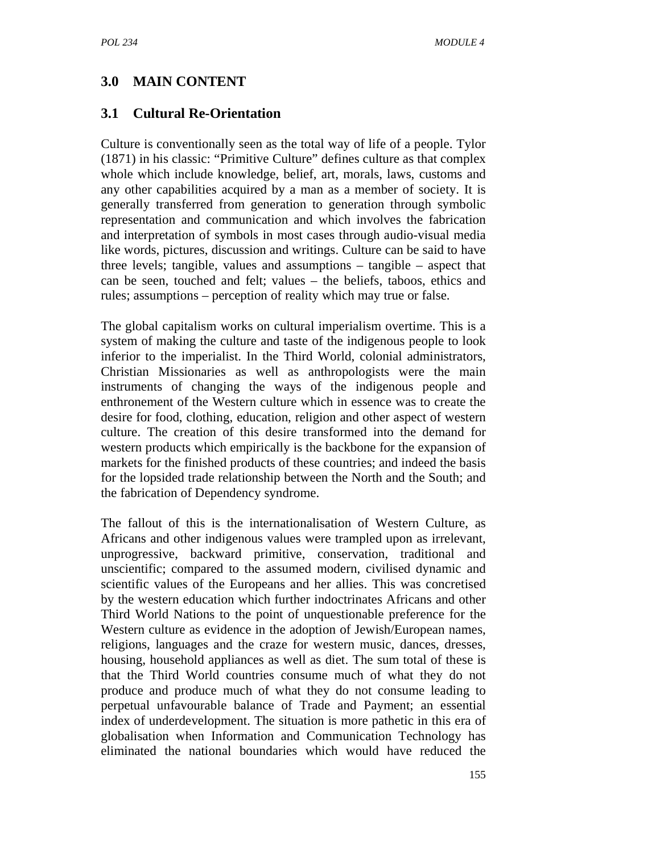## **3.0 MAIN CONTENT**

### **3.1 Cultural Re-Orientation**

Culture is conventionally seen as the total way of life of a people. Tylor (1871) in his classic: "Primitive Culture" defines culture as that complex whole which include knowledge, belief, art, morals, laws, customs and any other capabilities acquired by a man as a member of society. It is generally transferred from generation to generation through symbolic representation and communication and which involves the fabrication and interpretation of symbols in most cases through audio-visual media like words, pictures, discussion and writings. Culture can be said to have three levels; tangible, values and assumptions – tangible – aspect that can be seen, touched and felt; values – the beliefs, taboos, ethics and rules; assumptions – perception of reality which may true or false.

The global capitalism works on cultural imperialism overtime. This is a system of making the culture and taste of the indigenous people to look inferior to the imperialist. In the Third World, colonial administrators, Christian Missionaries as well as anthropologists were the main instruments of changing the ways of the indigenous people and enthronement of the Western culture which in essence was to create the desire for food, clothing, education, religion and other aspect of western culture. The creation of this desire transformed into the demand for western products which empirically is the backbone for the expansion of markets for the finished products of these countries; and indeed the basis for the lopsided trade relationship between the North and the South; and the fabrication of Dependency syndrome.

The fallout of this is the internationalisation of Western Culture, as Africans and other indigenous values were trampled upon as irrelevant, unprogressive, backward primitive, conservation, traditional and unscientific; compared to the assumed modern, civilised dynamic and scientific values of the Europeans and her allies. This was concretised by the western education which further indoctrinates Africans and other Third World Nations to the point of unquestionable preference for the Western culture as evidence in the adoption of Jewish/European names, religions, languages and the craze for western music, dances, dresses, housing, household appliances as well as diet. The sum total of these is that the Third World countries consume much of what they do not produce and produce much of what they do not consume leading to perpetual unfavourable balance of Trade and Payment; an essential index of underdevelopment. The situation is more pathetic in this era of globalisation when Information and Communication Technology has eliminated the national boundaries which would have reduced the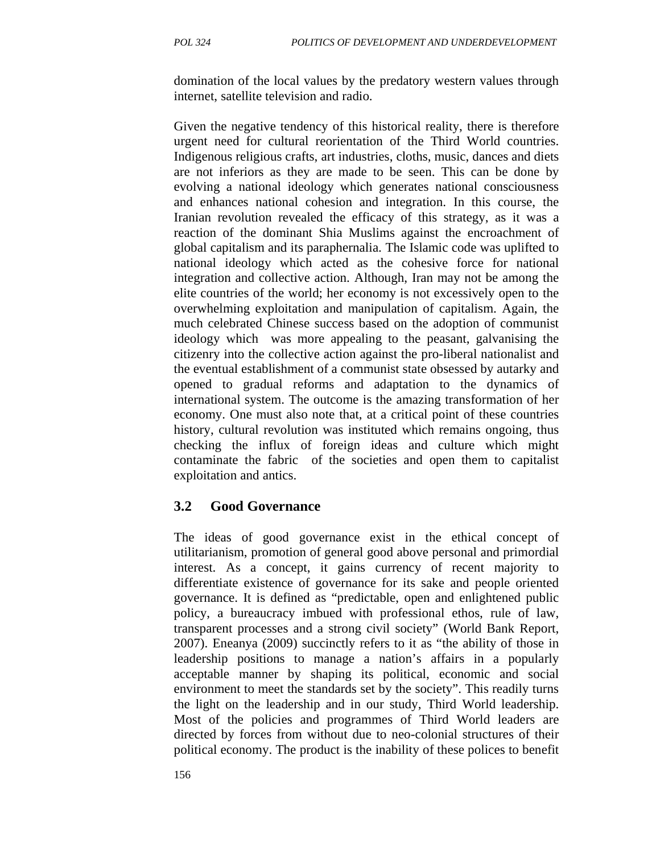domination of the local values by the predatory western values through internet, satellite television and radio.

Given the negative tendency of this historical reality, there is therefore urgent need for cultural reorientation of the Third World countries. Indigenous religious crafts, art industries, cloths, music, dances and diets are not inferiors as they are made to be seen. This can be done by evolving a national ideology which generates national consciousness and enhances national cohesion and integration. In this course, the Iranian revolution revealed the efficacy of this strategy, as it was a reaction of the dominant Shia Muslims against the encroachment of global capitalism and its paraphernalia. The Islamic code was uplifted to national ideology which acted as the cohesive force for national integration and collective action. Although, Iran may not be among the elite countries of the world; her economy is not excessively open to the overwhelming exploitation and manipulation of capitalism. Again, the much celebrated Chinese success based on the adoption of communist ideology which was more appealing to the peasant, galvanising the citizenry into the collective action against the pro-liberal nationalist and the eventual establishment of a communist state obsessed by autarky and opened to gradual reforms and adaptation to the dynamics of international system. The outcome is the amazing transformation of her economy. One must also note that, at a critical point of these countries history, cultural revolution was instituted which remains ongoing, thus checking the influx of foreign ideas and culture which might contaminate the fabric of the societies and open them to capitalist exploitation and antics.

#### **3.2 Good Governance**

The ideas of good governance exist in the ethical concept of utilitarianism, promotion of general good above personal and primordial interest. As a concept, it gains currency of recent majority to differentiate existence of governance for its sake and people oriented governance. It is defined as "predictable, open and enlightened public policy, a bureaucracy imbued with professional ethos, rule of law, transparent processes and a strong civil society" (World Bank Report, 2007). Eneanya (2009) succinctly refers to it as "the ability of those in leadership positions to manage a nation's affairs in a popularly acceptable manner by shaping its political, economic and social environment to meet the standards set by the society". This readily turns the light on the leadership and in our study, Third World leadership. Most of the policies and programmes of Third World leaders are directed by forces from without due to neo-colonial structures of their political economy. The product is the inability of these polices to benefit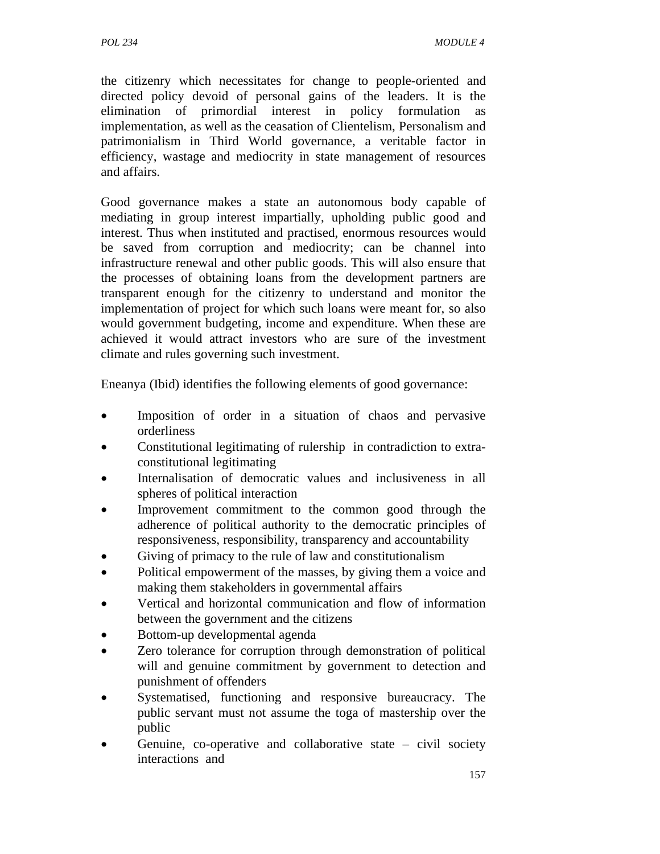the citizenry which necessitates for change to people-oriented and directed policy devoid of personal gains of the leaders. It is the elimination of primordial interest in policy formulation as implementation, as well as the ceasation of Clientelism, Personalism and patrimonialism in Third World governance, a veritable factor in efficiency, wastage and mediocrity in state management of resources and affairs.

Good governance makes a state an autonomous body capable of mediating in group interest impartially, upholding public good and interest. Thus when instituted and practised, enormous resources would be saved from corruption and mediocrity; can be channel into infrastructure renewal and other public goods. This will also ensure that the processes of obtaining loans from the development partners are transparent enough for the citizenry to understand and monitor the implementation of project for which such loans were meant for, so also would government budgeting, income and expenditure. When these are achieved it would attract investors who are sure of the investment climate and rules governing such investment.

Eneanya (Ibid) identifies the following elements of good governance:

- Imposition of order in a situation of chaos and pervasive orderliness
- Constitutional legitimating of rulership in contradiction to extraconstitutional legitimating
- Internalisation of democratic values and inclusiveness in all spheres of political interaction
- Improvement commitment to the common good through the adherence of political authority to the democratic principles of responsiveness, responsibility, transparency and accountability
- Giving of primacy to the rule of law and constitutionalism
- Political empowerment of the masses, by giving them a voice and making them stakeholders in governmental affairs
- Vertical and horizontal communication and flow of information between the government and the citizens
- Bottom-up developmental agenda
- Zero tolerance for corruption through demonstration of political will and genuine commitment by government to detection and punishment of offenders
- Systematised, functioning and responsive bureaucracy. The public servant must not assume the toga of mastership over the public
- Genuine, co-operative and collaborative state  $-$  civil society interactions and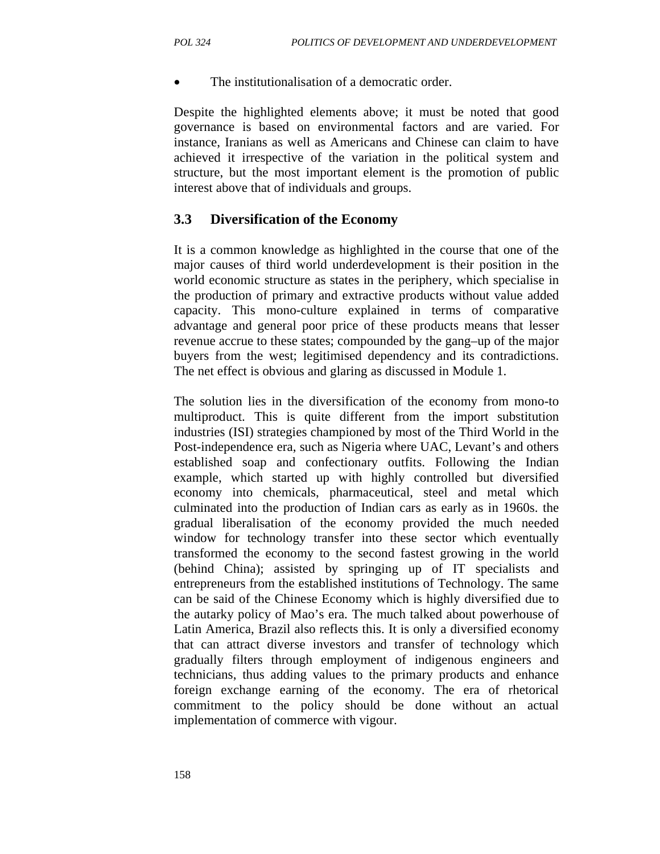The institutionalisation of a democratic order.

Despite the highlighted elements above; it must be noted that good governance is based on environmental factors and are varied. For instance, Iranians as well as Americans and Chinese can claim to have achieved it irrespective of the variation in the political system and structure, but the most important element is the promotion of public interest above that of individuals and groups.

#### **3.3 Diversification of the Economy**

It is a common knowledge as highlighted in the course that one of the major causes of third world underdevelopment is their position in the world economic structure as states in the periphery, which specialise in the production of primary and extractive products without value added capacity. This mono-culture explained in terms of comparative advantage and general poor price of these products means that lesser revenue accrue to these states; compounded by the gang–up of the major buyers from the west; legitimised dependency and its contradictions. The net effect is obvious and glaring as discussed in Module 1.

The solution lies in the diversification of the economy from mono-to multiproduct. This is quite different from the import substitution industries (ISI) strategies championed by most of the Third World in the Post-independence era, such as Nigeria where UAC, Levant's and others established soap and confectionary outfits. Following the Indian example, which started up with highly controlled but diversified economy into chemicals, pharmaceutical, steel and metal which culminated into the production of Indian cars as early as in 1960s. the gradual liberalisation of the economy provided the much needed window for technology transfer into these sector which eventually transformed the economy to the second fastest growing in the world (behind China); assisted by springing up of IT specialists and entrepreneurs from the established institutions of Technology. The same can be said of the Chinese Economy which is highly diversified due to the autarky policy of Mao's era. The much talked about powerhouse of Latin America, Brazil also reflects this. It is only a diversified economy that can attract diverse investors and transfer of technology which gradually filters through employment of indigenous engineers and technicians, thus adding values to the primary products and enhance foreign exchange earning of the economy. The era of rhetorical commitment to the policy should be done without an actual implementation of commerce with vigour.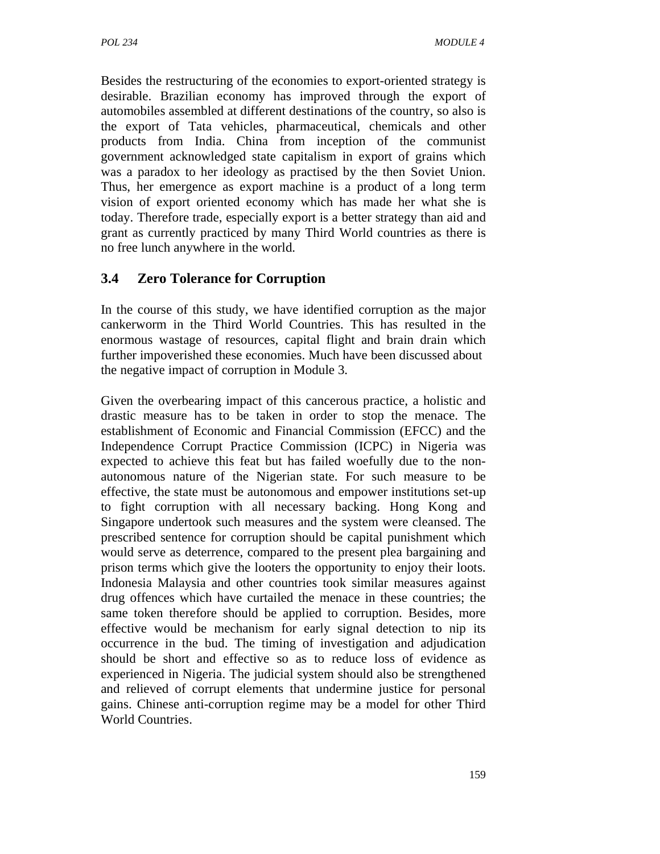Besides the restructuring of the economies to export-oriented strategy is desirable. Brazilian economy has improved through the export of automobiles assembled at different destinations of the country, so also is the export of Tata vehicles, pharmaceutical, chemicals and other products from India. China from inception of the communist government acknowledged state capitalism in export of grains which was a paradox to her ideology as practised by the then Soviet Union. Thus, her emergence as export machine is a product of a long term vision of export oriented economy which has made her what she is today. Therefore trade, especially export is a better strategy than aid and grant as currently practiced by many Third World countries as there is no free lunch anywhere in the world.

## **3.4 Zero Tolerance for Corruption**

In the course of this study, we have identified corruption as the major cankerworm in the Third World Countries. This has resulted in the enormous wastage of resources, capital flight and brain drain which further impoverished these economies. Much have been discussed about the negative impact of corruption in Module 3.

Given the overbearing impact of this cancerous practice, a holistic and drastic measure has to be taken in order to stop the menace. The establishment of Economic and Financial Commission (EFCC) and the Independence Corrupt Practice Commission (ICPC) in Nigeria was expected to achieve this feat but has failed woefully due to the nonautonomous nature of the Nigerian state. For such measure to be effective, the state must be autonomous and empower institutions set-up to fight corruption with all necessary backing. Hong Kong and Singapore undertook such measures and the system were cleansed. The prescribed sentence for corruption should be capital punishment which would serve as deterrence, compared to the present plea bargaining and prison terms which give the looters the opportunity to enjoy their loots. Indonesia Malaysia and other countries took similar measures against drug offences which have curtailed the menace in these countries; the same token therefore should be applied to corruption. Besides, more effective would be mechanism for early signal detection to nip its occurrence in the bud. The timing of investigation and adjudication should be short and effective so as to reduce loss of evidence as experienced in Nigeria. The judicial system should also be strengthened and relieved of corrupt elements that undermine justice for personal gains. Chinese anti-corruption regime may be a model for other Third World Countries.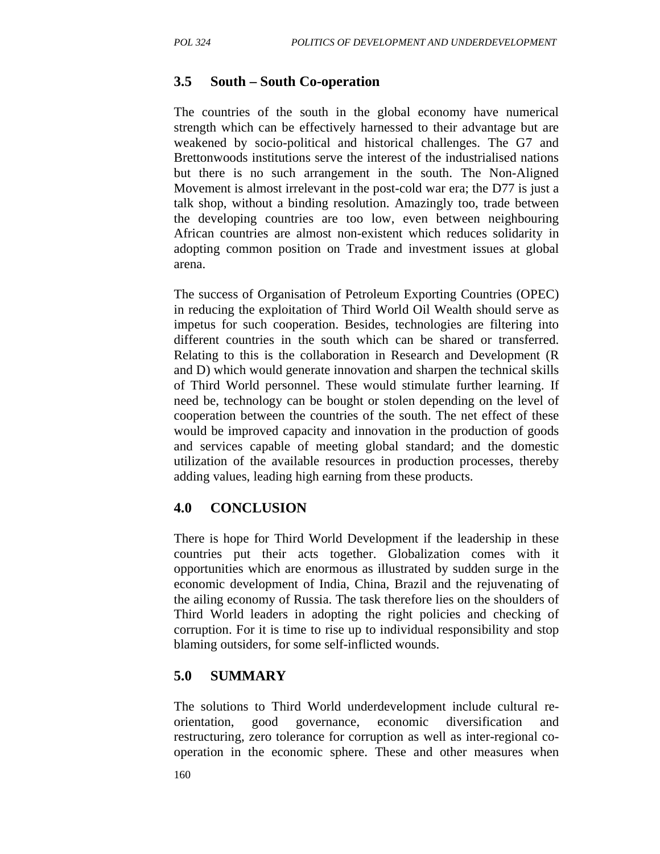### **3.5 South – South Co-operation**

The countries of the south in the global economy have numerical strength which can be effectively harnessed to their advantage but are weakened by socio-political and historical challenges. The G7 and Brettonwoods institutions serve the interest of the industrialised nations but there is no such arrangement in the south. The Non-Aligned Movement is almost irrelevant in the post-cold war era; the D77 is just a talk shop, without a binding resolution. Amazingly too, trade between the developing countries are too low, even between neighbouring African countries are almost non-existent which reduces solidarity in adopting common position on Trade and investment issues at global arena.

The success of Organisation of Petroleum Exporting Countries (OPEC) in reducing the exploitation of Third World Oil Wealth should serve as impetus for such cooperation. Besides, technologies are filtering into different countries in the south which can be shared or transferred. Relating to this is the collaboration in Research and Development (R and D) which would generate innovation and sharpen the technical skills of Third World personnel. These would stimulate further learning. If need be, technology can be bought or stolen depending on the level of cooperation between the countries of the south. The net effect of these would be improved capacity and innovation in the production of goods and services capable of meeting global standard; and the domestic utilization of the available resources in production processes, thereby adding values, leading high earning from these products.

## **4.0 CONCLUSION**

There is hope for Third World Development if the leadership in these countries put their acts together. Globalization comes with it opportunities which are enormous as illustrated by sudden surge in the economic development of India, China, Brazil and the rejuvenating of the ailing economy of Russia. The task therefore lies on the shoulders of Third World leaders in adopting the right policies and checking of corruption. For it is time to rise up to individual responsibility and stop blaming outsiders, for some self-inflicted wounds.

## **5.0 SUMMARY**

The solutions to Third World underdevelopment include cultural reorientation, good governance, economic diversification and restructuring, zero tolerance for corruption as well as inter-regional cooperation in the economic sphere. These and other measures when